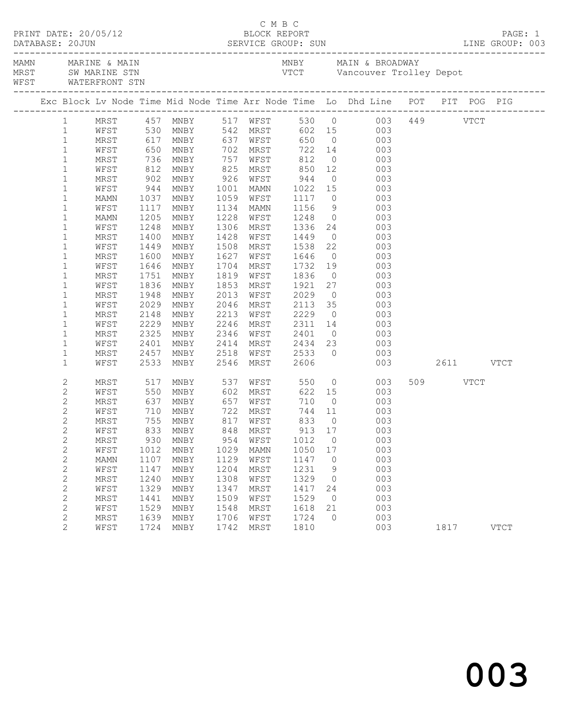|                                | WFST WATERFRONT STN |              |                                                 |              |                        |                                  |                |                                                                                                                    |               |           |  |
|--------------------------------|---------------------|--------------|-------------------------------------------------|--------------|------------------------|----------------------------------|----------------|--------------------------------------------------------------------------------------------------------------------|---------------|-----------|--|
|                                |                     |              |                                                 |              |                        |                                  |                | Exc Block Lv Node Time Mid Node Time Arr Node Time Lo Dhd Line POT PIT POG PIG                                     |               |           |  |
| 1                              |                     |              |                                                 |              |                        |                                  |                | MRST 457 MNBY 517 WFST 530 0 003 449 VTCT<br>WFST 530 MNBY 542 MRST 602 15 003<br>MRST 617 MNBY 637 WFST 650 0 003 |               |           |  |
| $\mathbf{1}$                   |                     |              |                                                 |              |                        |                                  |                |                                                                                                                    |               |           |  |
| $\mathbf{1}$                   |                     |              |                                                 |              |                        |                                  |                |                                                                                                                    |               |           |  |
| $\mathbf{1}$                   |                     |              |                                                 |              |                        |                                  |                | WFST 650 MNBY 702 MRST 722 14 003                                                                                  |               |           |  |
| $\mathbf{1}$                   | MRST                |              | 736 MNBY 757<br>812 MNBY 825<br>902 MNBY 926    |              | WFST                   | 812                              |                | $0\qquad \qquad 003$                                                                                               |               |           |  |
| $\mathbf{1}$                   | WFST                |              |                                                 |              |                        |                                  |                | MNBY 825 MRST 850 12 003<br>MNBY 926 WFST 944 0 003                                                                |               |           |  |
| $\mathbf 1$                    | MRST                |              |                                                 |              |                        |                                  |                |                                                                                                                    |               |           |  |
| $\mathbf{1}$                   | WFST                | 944          | MNBY                                            |              | 1001 MAMN              | 1022 15                          |                | 003                                                                                                                |               |           |  |
| $\mathbf 1$                    | MAMN                | 1037         | MNBY                                            |              | 1059 WFST              | 1117                             |                | $0\qquad \qquad 003$                                                                                               |               |           |  |
| $\mathbf 1$                    | WFST                | 1117         | MNBY                                            |              | 1134 MAMN              | 1156<br>1248                     |                | $\begin{array}{ccc} 9 & & 003 \\ 0 & & 003 \end{array}$                                                            |               |           |  |
| $\mathbf 1$                    | MAMN                | 1205         | MNBY                                            |              | 1228 WFST              |                                  |                |                                                                                                                    |               |           |  |
| $\mathbf 1$                    | WFST                | 1248         | MNBY                                            | 1306         |                        | MRST 1336 24                     |                | 003                                                                                                                |               |           |  |
| $\mathbf 1$                    | MRST                | 1400         | MNBY                                            | 1428         | WFST                   | 1449                             |                | $\overline{0}$<br>003                                                                                              |               |           |  |
| $\mathbf 1$                    | WFST                | 1449         | MNBY                                            | 1508         | MRST                   | 1538 22<br>1646 0                |                | 003<br>$\begin{array}{c} 22 \\ 0 \end{array}$                                                                      |               |           |  |
| $\mathbf 1$                    | MRST                | 1600         | MNBY                                            |              | 1627 WFST              |                                  |                | 003<br>19                                                                                                          |               |           |  |
| $\mathbf 1$                    | WFST                | 1646         | MNBY                                            | 1704         | MRST                   | 1732                             |                | 003                                                                                                                |               |           |  |
| $\mathbf 1$                    | MRST                | 1751         | MNBY                                            |              | 1819 WFST              | 1836                             | $\overline{0}$ | 003                                                                                                                |               |           |  |
| $\mathbf{1}$                   | WFST                | 1836         | MNBY                                            | 1853         | MRST                   | 1921<br>2029                     |                | 27 003                                                                                                             |               |           |  |
| $\mathbf 1$                    | MRST                | 1948         | MNBY                                            | 2013<br>2046 | WFST                   | 2113 35                          | $\overline{0}$ | 003<br>003                                                                                                         |               |           |  |
| $\mathbf 1$                    | WFST                | 2029<br>2148 | MNBY<br>MNBY                                    |              | MRST<br>2213 WFST 2229 |                                  |                | $\overline{0}$<br>003                                                                                              |               |           |  |
| $\mathbf 1$<br>$\mathbf{1}$    | MRST<br>WFST        | 2229         | MNBY                                            | 2246         | MRST                   |                                  |                |                                                                                                                    |               |           |  |
| $\mathbf 1$                    | MRST                | 2325         | MNBY                                            |              | 2346 WFST              | 2311 14<br>2401 0<br>2434 23     |                | 14 003<br>003                                                                                                      |               |           |  |
| $\mathbf{1}$                   | WFST                | 2401         | MNBY                                            |              | 2414 MRST              |                                  |                | 003                                                                                                                |               |           |  |
| $\mathbf{1}$                   | MRST                | 2457         | MNBY                                            |              | 2518 WFST 2533         |                                  |                | $0$ 003                                                                                                            |               |           |  |
| $\mathbf{1}$                   | WFST                | 2533         | MNBY                                            |              | 2546 MRST              | 2606                             |                |                                                                                                                    | 003 2611 VTCT |           |  |
|                                |                     |              |                                                 |              |                        |                                  |                |                                                                                                                    |               |           |  |
| $\mathbf{2}$                   | MRST                | 517          | MNBY                                            | 537          | WFST                   | 550                              |                | $\overline{O}$<br>003                                                                                              |               | 509 VTCT  |  |
| $\mathbf{2}$                   | WFST                | 550          | MNBY 602 MRST                                   |              |                        |                                  |                | 622 15<br>003                                                                                                      |               |           |  |
| $\mathbf{2}$                   | MRST                | 637          | MNBY 657                                        |              |                        | 744 11                           | $\overline{0}$ | 003                                                                                                                |               |           |  |
| $\overline{c}$<br>$\mathbf{2}$ | WFST<br>MRST        |              | 710 MNBY      722 MRST<br>755 MNBY     817 WFST |              |                        | WFST 710<br>MRST 744<br>WFST 833 | $\overline{0}$ | $\begin{array}{c} 003 \\ 003 \end{array}$                                                                          |               |           |  |
| $\sqrt{2}$                     |                     |              | WFST 833 MNBY 848 MRST                          |              |                        |                                  |                | 913 17 003                                                                                                         |               |           |  |
| $\mathbf{2}$                   | MRST                | 930          | MNBY                                            | 954          | WFST                   | 1012                             | $\overline{0}$ | 003                                                                                                                |               |           |  |
| $\sqrt{2}$                     | WFST                | 1012         | MNBY                                            | 1029         | MAMN                   | 1050                             | 17             | 003                                                                                                                |               |           |  |
| $\mathbf{2}$                   | MAMN                | 1107         | MNBY                                            | 1129         | WFST                   | 1147                             | $\circ$        | 003                                                                                                                |               |           |  |
| $\sqrt{2}$                     | WFST                | 1147         | MNBY                                            | 1204         | MRST                   | 1231                             | 9              | 003                                                                                                                |               |           |  |
| $\mathbf{2}$                   | MRST                | 1240         | MNBY                                            | 1308         | WFST                   | 1329                             | 0              | 003                                                                                                                |               |           |  |
| $\sqrt{2}$                     | WFST                | 1329         | MNBY                                            | 1347         | MRST                   | 1417                             | 24             | 003                                                                                                                |               |           |  |
| $\sqrt{2}$                     | MRST                | 1441         | MNBY                                            | 1509         | WFST                   | 1529                             | $\overline{0}$ | 003                                                                                                                |               |           |  |
| $\mathbf{2}$                   | WFST                | 1529         | MNBY                                            | 1548         | MRST                   | 1618                             | 21             | 003                                                                                                                |               |           |  |
| $\mathbf{2}$                   | MRST                | 1639         | MNBY                                            | 1706         | WFST                   | 1724                             | $\Omega$       | 003                                                                                                                |               |           |  |
| 2                              | WFST                | 1724         | MNBY                                            | 1742         | MRST                   | 1810                             |                | 003                                                                                                                |               | 1817 VTCT |  |
|                                |                     |              |                                                 |              |                        |                                  |                |                                                                                                                    |               |           |  |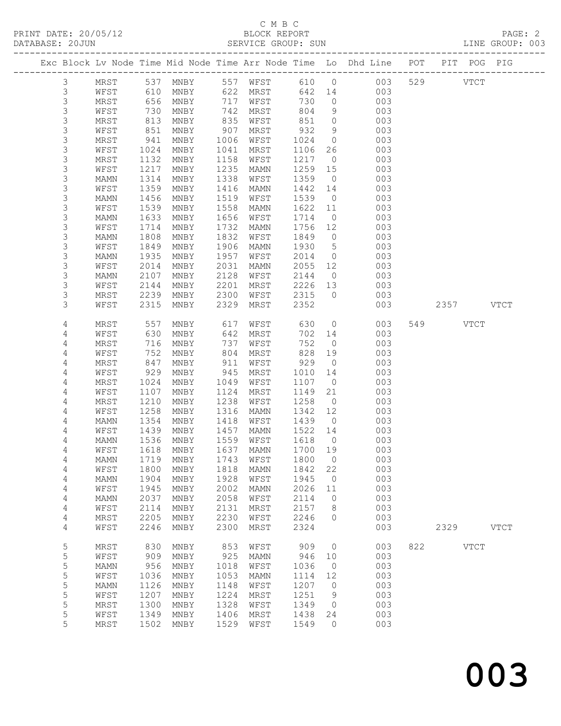#### C M B C<br>BLOCK REPORT SERVICE GROUP: SUN

|                |      |            | PRINT DATE: 20/05/12 BLOCK REPORT<br>DATABASE: 20JUN SERVICE GROUP: SUN |      |                      |                   |                |                                                                                |               | PAGE: 2<br>LINE GROUP: 003 |  |
|----------------|------|------------|-------------------------------------------------------------------------|------|----------------------|-------------------|----------------|--------------------------------------------------------------------------------|---------------|----------------------------|--|
|                |      |            |                                                                         |      |                      |                   |                | Exc Block Lv Node Time Mid Node Time Arr Node Time Lo Dhd Line POT PIT POG PIG |               |                            |  |
| $\mathcal{S}$  |      |            |                                                                         |      |                      |                   |                | MRST 537 MNBY 557 WFST 610 0 003 529 VTCT                                      |               |                            |  |
| $\mathfrak{Z}$ | WFST |            |                                                                         |      |                      |                   |                | 610 MNBY 622 MRST 642 14 003                                                   |               |                            |  |
| $\mathsf 3$    | MRST |            |                                                                         |      |                      | 730               | $\overline{O}$ | 003                                                                            |               |                            |  |
| $\mathsf 3$    | WFST |            | 656 MNBY<br>730 MNBY<br>813 MNBY                                        |      | 717 WFST<br>742 MRST | 804               | 9              | 003                                                                            |               |                            |  |
| $\mathfrak{Z}$ | MRST |            |                                                                         |      | 835 WFST             | 851               | $\overline{0}$ | 003                                                                            |               |                            |  |
| $\mathsf 3$    | WFST |            | 851 MNBY                                                                |      | 907 MRST             | 932               | 9              | 003                                                                            |               |                            |  |
| $\mathsf 3$    | MRST | 941        | MNBY                                                                    | 1006 | WFST                 |                   |                | 003                                                                            |               |                            |  |
| $\mathfrak{Z}$ | WFST |            | 1024 MNBY                                                               | 1041 | MRST                 | 1024 0<br>1106 26 |                | 003                                                                            |               |                            |  |
| $\mathfrak{Z}$ | MRST | 1132       | MNBY                                                                    |      | 1158 WFST            | 1217              | $\overline{0}$ | 003                                                                            |               |                            |  |
| $\mathsf 3$    | WFST | 1217       | MNBY                                                                    | 1235 | MAMN                 | 1259 15           |                | 003                                                                            |               |                            |  |
| $\mathsf 3$    | MAMN | 1314       | MNBY                                                                    | 1338 | WFST                 | 1359              | $\overline{0}$ | 003                                                                            |               |                            |  |
| $\mathsf 3$    | WFST | 1359       | MNBY                                                                    | 1416 | MAMN                 | 1442 14           |                | 003                                                                            |               |                            |  |
| $\mathsf 3$    | MAMN | 1456       | MNBY                                                                    |      | 1519 WFST            | 1539              | $\overline{0}$ | 003                                                                            |               |                            |  |
| $\mathfrak{Z}$ | WFST | 1539       | MNBY                                                                    | 1558 | MAMN                 | 1622              | 11             | 003                                                                            |               |                            |  |
| $\mathsf 3$    | MAMN | 1633       | MNBY                                                                    | 1656 | WFST                 | 1714              | $\overline{0}$ | 003                                                                            |               |                            |  |
| $\mathsf 3$    | WFST | 1714       | MNBY                                                                    |      | 1732 MAMN            | 1756              | 12             | 003                                                                            |               |                            |  |
| $\mathsf 3$    | MAMN | 1808       | MNBY                                                                    | 1832 | WFST                 | 1849              | $\overline{0}$ | 003                                                                            |               |                            |  |
| $\mathsf 3$    | WFST | 1849       | MNBY                                                                    |      | 1906 MAMN            | 1930              | $5^{\circ}$    | 003                                                                            |               |                            |  |
| $\mathsf 3$    | MAMN | 1935       | MNBY                                                                    | 1957 | WFST                 | 2014              | $\overline{0}$ | 003                                                                            |               |                            |  |
| $\mathsf 3$    | WFST | 2014       | MNBY                                                                    | 2031 | MAMN                 |                   | 12             | 003                                                                            |               |                            |  |
| $\mathfrak{Z}$ | MAMN | 2107       | MNBY                                                                    |      | 2128 WFST            | 2055<br>2144      | $\overline{0}$ | 003                                                                            |               |                            |  |
| $\mathsf 3$    | WFST | 2144       | MNBY                                                                    | 2201 | MRST                 | 2226              | 13             | 003                                                                            |               |                            |  |
| $\mathsf S$    | MRST | 2239       | MNBY                                                                    |      | 2300 WFST            | 2315              | $\overline{0}$ | 003                                                                            |               |                            |  |
| 3              | WFST | 2315       | MNBY                                                                    | 2329 | MRST                 | 2352              |                |                                                                                | 003 2357 VTCT |                            |  |
|                |      |            |                                                                         |      |                      |                   |                |                                                                                |               |                            |  |
| 4              | MRST | 557        | MNBY                                                                    | 617  | WFST 630             |                   |                | $\overline{O}$<br>003                                                          | 549 VTCT      |                            |  |
| 4              | WFST | 630        | MNBY                                                                    |      | 642 MRST             | 702 14            |                | 003                                                                            |               |                            |  |
| $\sqrt{4}$     | MRST |            | MNBY                                                                    | 737  | WFST                 | 752               | $\overline{0}$ | 003                                                                            |               |                            |  |
| $\sqrt{4}$     | WFST | 716<br>752 | MNBY                                                                    | 804  | MRST                 | 828               | 19             | 003                                                                            |               |                            |  |
| $\overline{4}$ | MRST | 847        | MNBY                                                                    | 911  | WFST                 | 929               | $\overline{0}$ | 003                                                                            |               |                            |  |
| 4              | WFST | 929        | MNBY                                                                    | 945  | MRST                 | 1010              | 14             | 003                                                                            |               |                            |  |
| 4              | MRST | 1024       | MNBY                                                                    | 1049 | WFST                 | 1107              | $\overline{0}$ | 003                                                                            |               |                            |  |
| $\sqrt{4}$     | WFST | 1107       | MNBY                                                                    | 1124 | MRST                 | 1149              | 21             | 003                                                                            |               |                            |  |
| 4              | MRST | 1210       | MNBY                                                                    | 1238 | WFST                 | 1258              | $\overline{0}$ | 003                                                                            |               |                            |  |
| 4              | WFST | 1258       | MNBY                                                                    |      | 1316 MAMN            | 1342 12           |                | 003                                                                            |               |                            |  |
| 4              | MAMN | 1354       | MNBY                                                                    |      | 1418 WFST            | 1439              | $\overline{0}$ | 003                                                                            |               |                            |  |
| 4              | WFST | 1439       | MNBY                                                                    |      | 1457 MAMN            | 1522 14           |                | 003                                                                            |               |                            |  |
| 4              |      |            |                                                                         |      |                      |                   |                | MAMN 1536 MNBY 1559 WFST 1618 0 003                                            |               |                            |  |
| 4              | WFST | 1618       | MNBY                                                                    | 1637 | MAMN                 | 1700              | 19             | 003                                                                            |               |                            |  |
| 4              | MAMN | 1719       | MNBY                                                                    | 1743 | WFST                 | 1800              | $\overline{0}$ | 003                                                                            |               |                            |  |
| 4              | WFST | 1800       | MNBY                                                                    | 1818 | <b>MAMN</b>          | 1842              | 22             | 003                                                                            |               |                            |  |
| 4              | MAMN | 1904       | MNBY                                                                    | 1928 | WFST                 | 1945              | $\circ$        | 003                                                                            |               |                            |  |
| 4              | WFST | 1945       | MNBY                                                                    | 2002 | <b>MAMN</b>          | 2026              | 11             | 003                                                                            |               |                            |  |
| 4              | MAMN | 2037       | MNBY                                                                    | 2058 | WFST                 | 2114              | $\circ$        | 003                                                                            |               |                            |  |
| 4              | WFST | 2114       | MNBY                                                                    | 2131 | MRST                 | 2157              | 8              | 003                                                                            |               |                            |  |
| 4              | MRST | 2205       | MNBY                                                                    | 2230 | WFST                 | 2246              | $\circ$        | 003                                                                            |               |                            |  |
| 4              | WFST | 2246       | MNBY                                                                    | 2300 | MRST                 | 2324              |                | 003                                                                            | 2329          | <b>VTCT</b>                |  |
| $\mathsf S$    | MRST | 830        | MNBY                                                                    | 853  | WFST                 | 909               | $\circ$        | 003                                                                            | 822 VTCT      |                            |  |
| 5              | WFST | 909        | MNBY                                                                    | 925  | MAMN                 | 946               | 10             | 003                                                                            |               |                            |  |
| 5              | MAMN | 956        | MNBY                                                                    | 1018 | WFST                 | 1036              | $\circ$        | 003                                                                            |               |                            |  |
| $\mathsf S$    | WFST | 1036       | MNBY                                                                    | 1053 | MAMN                 | 1114              | 12             | 003                                                                            |               |                            |  |
| 5              | MAMN | 1126       | MNBY                                                                    | 1148 | WFST                 | 1207              | $\mathbf{0}$   | 003                                                                            |               |                            |  |
| 5              | WFST | 1207       | MNBY                                                                    | 1224 | MRST                 | 1251              | 9              | 003                                                                            |               |                            |  |
| 5              | MRST | 1300       | MNBY                                                                    | 1328 | WFST                 | 1349              | $\mathbf{0}$   | 003                                                                            |               |                            |  |
| 5              | WFST | 1349       | MNBY                                                                    | 1406 | MRST                 | 1438              | 24             | 003                                                                            |               |                            |  |

5 MRST 1502 MNBY 1529 WFST 1549 0 003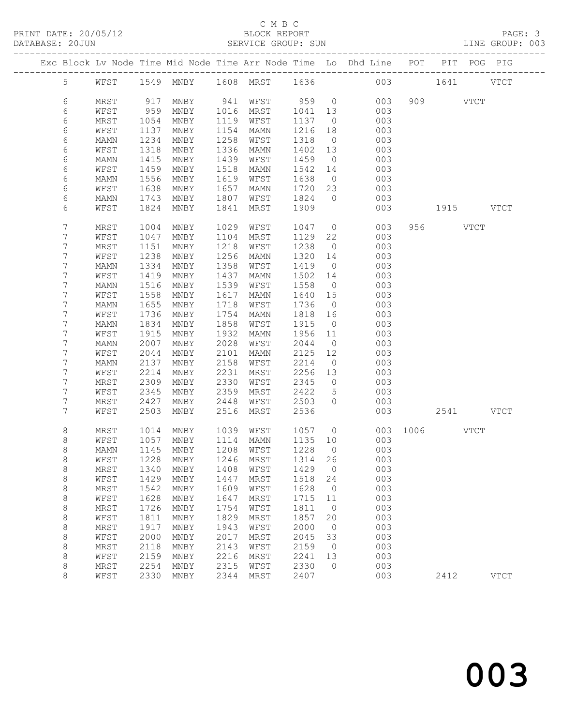|  |         |             |      |                                |      |                |         |                | Exc Block Lv Node Time Mid Node Time Arr Node Time Lo Dhd Line POT PIT POG PIG |     |             |             |
|--|---------|-------------|------|--------------------------------|------|----------------|---------|----------------|--------------------------------------------------------------------------------|-----|-------------|-------------|
|  | 5       | WFST        |      | 1549 MNBY                      |      | 1608 MRST 1636 |         |                |                                                                                | 003 | 1641 VTCT   |             |
|  | 6       | MRST        | 917  | MNBY                           | 941  | WFST           | 959     | $\overline{0}$ | 003                                                                            |     | 909 VTCT    |             |
|  | 6       | WFST        | 959  | MNBY                           | 1016 | MRST           | 1041    | 13             | 003                                                                            |     |             |             |
|  | 6       | MRST        | 1054 | MNBY                           | 1119 | WFST           | 1137    | $\overline{0}$ | 003                                                                            |     |             |             |
|  | 6       | WFST        | 1137 | MNBY                           | 1154 | <b>MAMN</b>    | 1216    | 18             | 003                                                                            |     |             |             |
|  | 6       | MAMN        | 1234 | MNBY                           | 1258 | WFST           | 1318    | $\overline{0}$ | 003                                                                            |     |             |             |
|  | 6       | WFST        | 1318 | MNBY                           | 1336 | MAMN           | 1402    | 13             | 003                                                                            |     |             |             |
|  | 6       | MAMN        | 1415 | MNBY                           | 1439 | WFST           | 1459    | $\overline{0}$ | 003                                                                            |     |             |             |
|  | 6       | WFST        | 1459 | MNBY                           | 1518 | MAMN           | 1542    | 14             | 003                                                                            |     |             |             |
|  | 6       | MAMN        | 1556 | MNBY                           | 1619 | WFST           | 1638    | $\overline{0}$ | 003                                                                            |     |             |             |
|  | 6       | WFST        | 1638 | MNBY                           | 1657 | MAMN           | 1720    | 23             | 003                                                                            |     |             |             |
|  | 6       | MAMN        | 1743 | MNBY                           | 1807 | WFST           | 1824    | $\overline{0}$ | 003                                                                            |     |             |             |
|  | 6       | WFST        | 1824 | MNBY                           | 1841 | MRST           | 1909    |                | 003                                                                            |     | 1915 VTCT   |             |
|  | 7       | MRST        | 1004 | MNBY                           | 1029 | WFST           | 1047    | $\overline{0}$ | 003                                                                            |     | 956 VTCT    |             |
|  | 7       | WFST        | 1047 | MNBY                           | 1104 | MRST           | 1129    | 22             | 003                                                                            |     |             |             |
|  | 7       | MRST        | 1151 | MNBY                           | 1218 | WFST           | 1238    | $\overline{0}$ | 003                                                                            |     |             |             |
|  | 7       | WFST        | 1238 | MNBY                           | 1256 | MAMN           | 1320    | 14             | 003                                                                            |     |             |             |
|  | 7       | MAMN        | 1334 | MNBY                           | 1358 | WFST           | 1419    | $\overline{0}$ | 003                                                                            |     |             |             |
|  | 7       | WFST        | 1419 | MNBY                           | 1437 | MAMN           | 1502    | 14             | 003                                                                            |     |             |             |
|  | 7       | MAMN        | 1516 | MNBY                           | 1539 | WFST           | 1558    | $\overline{0}$ | 003                                                                            |     |             |             |
|  | 7       | WFST        | 1558 | MNBY                           | 1617 | MAMN           | 1640    | 15             | 003                                                                            |     |             |             |
|  | 7       | <b>MAMN</b> | 1655 | MNBY                           | 1718 | WFST           | 1736    | $\overline{0}$ | 003                                                                            |     |             |             |
|  | 7       | WFST        | 1736 | MNBY                           | 1754 | MAMN           | 1818    | 16             | 003                                                                            |     |             |             |
|  | 7       | MAMN        | 1834 | MNBY                           | 1858 | WFST           | 1915    | $\overline{0}$ | 003                                                                            |     |             |             |
|  | 7       | WFST        | 1915 | MNBY                           | 1932 | MAMN           | 1956    | 11             | 003                                                                            |     |             |             |
|  | 7       | MAMN        | 2007 | MNBY                           | 2028 | WFST           | 2044    | $\overline{0}$ | 003                                                                            |     |             |             |
|  | 7       | WFST        | 2044 | MNBY                           | 2101 | MAMN           | 2125    | 12             | 003                                                                            |     |             |             |
|  | 7       | MAMN        | 2137 | MNBY                           | 2158 | WFST           | 2214    | $\overline{0}$ | 003                                                                            |     |             |             |
|  | 7       | WFST        | 2214 | MNBY                           | 2231 | MRST           | 2256    | 13             | 003                                                                            |     |             |             |
|  | 7       | MRST        | 2309 | MNBY                           | 2330 | WFST           | 2345    | $\circ$        | 003                                                                            |     |             |             |
|  | 7       | WFST        | 2345 | MNBY                           | 2359 | MRST           | 2422    | 5              | 003                                                                            |     |             |             |
|  | 7       | MRST        | 2427 | MNBY                           | 2448 | WFST           | 2503    | $\circ$        | 003                                                                            |     |             |             |
|  | 7       | WFST        | 2503 | MNBY                           | 2516 | MRST           | 2536    |                | 003                                                                            |     | 2541 VTCT   |             |
|  | 8       | MRST        | 1014 | MNBY                           | 1039 | WFST           | 1057    | $\overline{0}$ | 003                                                                            |     | $1006$ VTCT |             |
|  | 8       | WFST        | 1057 | MNBY                           | 1114 | MAMN           | 1135    | 10             | 003                                                                            |     |             |             |
|  | 8       | MAMN        | 1145 | MNBY                           | 1208 | WFST           | 1228    | $\bigcirc$     | 003                                                                            |     |             |             |
|  | 8       | WFST        |      | 1228 MNBY                      |      | 1246 MRST      | 1314 26 |                | 003                                                                            |     |             |             |
|  | 8       | MRST        | 1340 | MNBY                           | 1408 | WFST           | 1429    | $\circ$        | 003                                                                            |     |             |             |
|  | 8       | WFST        | 1429 | MNBY                           | 1447 | MRST           | 1518    | 24             | 003                                                                            |     |             |             |
|  | 8       | MRST        | 1542 | MNBY                           | 1609 | WFST           | 1628    | $\circ$        | 003                                                                            |     |             |             |
|  | $\,8\,$ | WFST        | 1628 | $\operatorname{\mathsf{MNBY}}$ | 1647 | MRST           | 1715    | 11             | 003                                                                            |     |             |             |
|  | $\,8\,$ | MRST        | 1726 | MNBY                           | 1754 | WFST           | 1811    | $\circ$        | 003                                                                            |     |             |             |
|  | $\,8\,$ | WFST        | 1811 | MNBY                           | 1829 | MRST           | 1857    | 20             | 003                                                                            |     |             |             |
|  | $\,8\,$ | MRST        | 1917 | MNBY                           | 1943 | WFST           | 2000    | $\circ$        | 003                                                                            |     |             |             |
|  | $\,8\,$ | WFST        | 2000 | MNBY                           | 2017 | MRST           | 2045    | 33             | 003                                                                            |     |             |             |
|  | $\,8\,$ | MRST        | 2118 | MNBY                           | 2143 | WFST           | 2159    | $\circ$        | 003                                                                            |     |             |             |
|  | 8       | WFST        | 2159 | MNBY                           | 2216 | MRST           | 2241    | 13             | 003                                                                            |     |             |             |
|  | 8       | MRST        | 2254 | MNBY                           | 2315 | WFST           | 2330    | $\circ$        | 003                                                                            |     |             |             |
|  | 8       | WFST        | 2330 | MNBY                           | 2344 | MRST           | 2407    |                | 003                                                                            |     | 2412        | <b>VTCT</b> |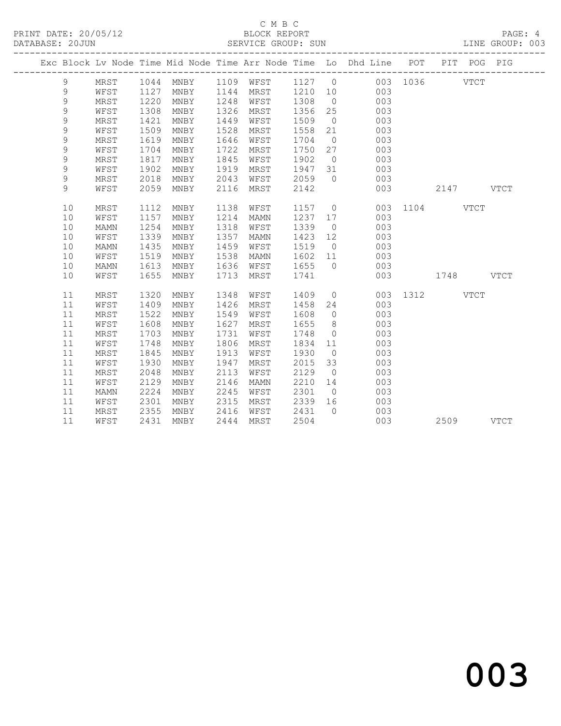|  |             |      |      |      |      |      |         |                | Exc Block Lv Node Time Mid Node Time Arr Node Time Lo Dhd Line POT PIT POG PIG |               |           |           |  |
|--|-------------|------|------|------|------|------|---------|----------------|--------------------------------------------------------------------------------|---------------|-----------|-----------|--|
|  | 9           | MRST |      |      |      |      |         |                | 1044 MNBY 1109 WFST 1127 0 003 1036 VTCT                                       |               |           |           |  |
|  | 9           | WFST | 1127 | MNBY | 1144 | MRST |         |                | 003<br>1210 10                                                                 |               |           |           |  |
|  | 9           | MRST | 1220 | MNBY | 1248 | WFST | 1308    | $\overline{0}$ | 003                                                                            |               |           |           |  |
|  | 9           | WFST | 1308 | MNBY | 1326 | MRST | 1356    | 25             | 003                                                                            |               |           |           |  |
|  | $\mathsf 9$ | MRST | 1421 | MNBY | 1449 | WFST | 1509    | $\overline{0}$ | 003                                                                            |               |           |           |  |
|  | $\mathsf 9$ | WFST | 1509 | MNBY | 1528 | MRST | 1558    | 21             | 003                                                                            |               |           |           |  |
|  | $\mathsf 9$ | MRST | 1619 | MNBY | 1646 | WFST | 1704    | $\overline{0}$ | 003                                                                            |               |           |           |  |
|  | 9           | WFST | 1704 | MNBY | 1722 | MRST | 1750    | 27             | 003                                                                            |               |           |           |  |
|  | $\mathsf 9$ | MRST | 1817 | MNBY | 1845 | WFST | 1902    | $\overline{0}$ | 003                                                                            |               |           |           |  |
|  | 9           | WFST | 1902 | MNBY | 1919 | MRST | 1947 31 |                | 003                                                                            |               |           |           |  |
|  | 9           | MRST | 2018 | MNBY | 2043 | WFST | 2059    | $\bigcirc$     | 003                                                                            |               |           |           |  |
|  | 9           | WFST | 2059 | MNBY | 2116 | MRST | 2142    |                | 003                                                                            |               | 2147 VTCT |           |  |
|  | 10          | MRST | 1112 | MNBY | 1138 | WFST | 1157    |                | $\overline{0}$                                                                 | 003 1104 VTCT |           |           |  |
|  | 10          | WFST | 1157 | MNBY | 1214 | MAMN | 1237 17 |                | 003                                                                            |               |           |           |  |
|  | 10          | MAMN | 1254 | MNBY | 1318 | WFST | 1339    | $\overline{0}$ | 003                                                                            |               |           |           |  |
|  | 10          | WFST | 1339 | MNBY | 1357 | MAMN | 1423    | 12             | 003                                                                            |               |           |           |  |
|  | 10          | MAMN | 1435 | MNBY | 1459 | WFST | 1519    | $\overline{0}$ | 003                                                                            |               |           |           |  |
|  | 10          | WFST | 1519 | MNBY | 1538 | MAMN | 1602    | 11             | 003                                                                            |               |           |           |  |
|  | 10          | MAMN | 1613 | MNBY | 1636 | WFST | 1655    | $\overline{0}$ | 003                                                                            |               |           |           |  |
|  | 10          | WFST | 1655 | MNBY | 1713 | MRST | 1741    |                | 003                                                                            | 1748 VTCT     |           |           |  |
|  | 11          | MRST | 1320 | MNBY | 1348 | WFST | 1409    |                | $\overline{0}$                                                                 | 003 1312 VTCT |           |           |  |
|  | 11          | WFST | 1409 | MNBY | 1426 | MRST | 1458    | 24             | 003                                                                            |               |           |           |  |
|  | 11          | MRST | 1522 | MNBY | 1549 | WFST | 1608    | $\overline{0}$ | 003                                                                            |               |           |           |  |
|  | 11          | WFST | 1608 | MNBY | 1627 | MRST | 1655    | 8 <sup>8</sup> | 003                                                                            |               |           |           |  |
|  | 11          | MRST | 1703 | MNBY | 1731 | WFST | 1748    | $\overline{0}$ | 003                                                                            |               |           |           |  |
|  | 11          | WFST | 1748 | MNBY | 1806 | MRST | 1834    | 11             | 003                                                                            |               |           |           |  |
|  | 11          | MRST | 1845 | MNBY | 1913 | WFST | 1930    | $\overline{0}$ | 003                                                                            |               |           |           |  |
|  | 11          | WFST | 1930 | MNBY | 1947 | MRST | 2015    | 33             | 003                                                                            |               |           |           |  |
|  | 11          | MRST | 2048 | MNBY | 2113 | WFST | 2129    | $\overline{0}$ | 003                                                                            |               |           |           |  |
|  | 11          | WFST | 2129 | MNBY | 2146 | MAMN | 2210    | 14             | 003                                                                            |               |           |           |  |
|  | 11          | MAMN | 2224 | MNBY | 2245 | WFST | 2301    | $\overline{0}$ | 003                                                                            |               |           |           |  |
|  | 11          | WFST | 2301 | MNBY | 2315 | MRST | 2339 16 |                | 003                                                                            |               |           |           |  |
|  | 11          | MRST | 2355 | MNBY | 2416 | WFST | 2431    | $\bigcirc$     | 003                                                                            |               |           |           |  |
|  | 11          | WFST | 2431 | MNBY | 2444 | MRST | 2504    |                | 003                                                                            |               |           | 2509 VTCT |  |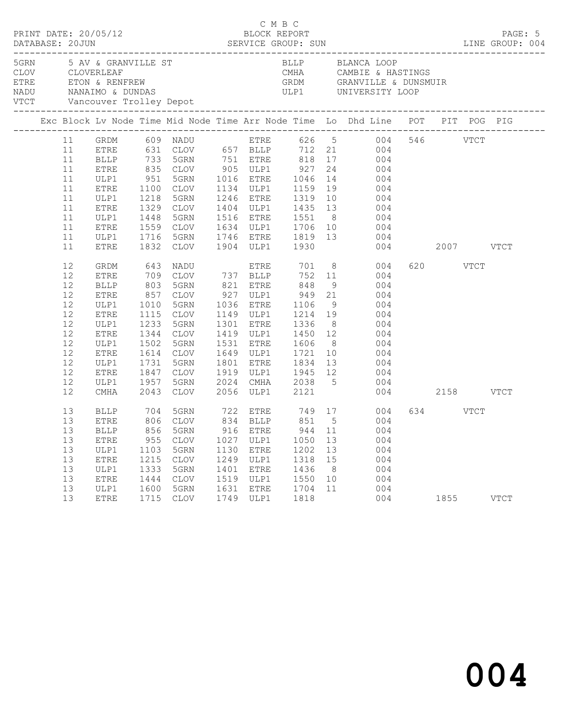| PRINT DATE: 20/05/12     |                                                                                                                                                    |                                                                                                                                                                                                                             |                                                                                                                  |                                                                                                                                                                                                                                    |                                                      | C M B C                                              | BLOCK REPORT                                                          |                                              |                                                                                                                                                                                                                                                                                                                                                                                                                                                                                                                                                                                                                      |               |                  | PAGE: 5<br>DATABASE: 20JUN<br>DATABASE: 20JUN SERVICE GROUP: SUN LINE GROUP: 004 |
|--------------------------|----------------------------------------------------------------------------------------------------------------------------------------------------|-----------------------------------------------------------------------------------------------------------------------------------------------------------------------------------------------------------------------------|------------------------------------------------------------------------------------------------------------------|------------------------------------------------------------------------------------------------------------------------------------------------------------------------------------------------------------------------------------|------------------------------------------------------|------------------------------------------------------|-----------------------------------------------------------------------|----------------------------------------------|----------------------------------------------------------------------------------------------------------------------------------------------------------------------------------------------------------------------------------------------------------------------------------------------------------------------------------------------------------------------------------------------------------------------------------------------------------------------------------------------------------------------------------------------------------------------------------------------------------------------|---------------|------------------|----------------------------------------------------------------------------------|
| 5GRN 5 AV & GRANVILLE ST |                                                                                                                                                    |                                                                                                                                                                                                                             |                                                                                                                  |                                                                                                                                                                                                                                    |                                                      |                                                      |                                                                       |                                              | BLLP BLANCA LOOP                                                                                                                                                                                                                                                                                                                                                                                                                                                                                                                                                                                                     |               |                  |                                                                                  |
|                          |                                                                                                                                                    |                                                                                                                                                                                                                             |                                                                                                                  |                                                                                                                                                                                                                                    |                                                      |                                                      |                                                                       |                                              | Exc Block Lv Node Time Mid Node Time Arr Node Time Lo Dhd Line POT PIT POG PIG                                                                                                                                                                                                                                                                                                                                                                                                                                                                                                                                       |               |                  |                                                                                  |
|                          | 11<br>11<br>11<br>11<br>11<br>11<br>11<br>11<br>11<br>11<br>11<br>12<br>12<br>12<br>12<br>12<br>12<br>12<br>12<br>12<br>12<br>12<br>12<br>12<br>12 | ETRE<br>ULP1<br>ETRE<br>ULP1<br>ETRE<br>ULP1<br><b>ETRE</b><br>GRDM<br><b>ETRE</b><br>$\operatorname{BLLP}$<br>${\tt ETRE}$<br>ULP1<br>ETRE<br>ULP1<br>${\tt ETRE}$<br>ULP1<br>${\tt ETRE}$<br>ULP1<br>ETRE<br>ULP1<br>CMHA | 1218<br>1329<br>1448<br>1716<br>1832 CLOV<br>643<br>1010<br>1115<br>1233<br>1344<br>1502<br>1731<br>1847<br>1957 | 1100 CLOV 1134 ULP1 1159<br>5GRN<br>1329 CLOV<br>5GRN<br>5GRN<br>NADU<br>709 CLOV 737 BLLP<br>803 5GRN<br>857 CLOV<br>5GRN<br>CLOV<br>5GRN<br><b>CLOV</b><br>5GRN<br>1614 CLOV<br>5GRN<br>CLOV<br>5GRN<br>2043 CLOV 2056 ULP1 2121 |                                                      | <b>ETRE</b><br>1531 ETRE<br>1801 ETRE                | 1246 ETRE 1319<br>1904 ULP1 1930<br>1149 ULP1 1214 19<br>1336<br>1834 |                                              | 11 GRDM 609 NADU ETRE 626 5 004 546 VTCT<br>ETRE 631 CLOV 657 BLLP 712 21 004<br>BLLP 733 5GRN 751 ETRE 818 17 004<br>ETRE 835 CLOV 905 ULP1 927 24 004<br>ULP1 951 5GRN 1016 ETRE 1046 14 004<br>19 004<br>10 004<br>1404 ULP1 1435 13 004<br>1516 ETRE 1551 8 004<br>1559 CLOV 1634 ULP1 1706 10 004<br>1746 ETRE 1819 13 004<br>701 8 004<br>752 11 004<br>821 ETRE 848 9 004<br>927 ULP1 949 21 004<br>1036 ETRE 1106 9 004<br>004<br>1301 ETRE 1336 8 004<br>1419 ULP1 1450 12 004<br>1531 ETRE 1606 8 004<br>1649 ULP1 1721 10 004<br>13 004<br>1919 ULP1 1945 12 004<br>2024 CMHA 2038 5 004<br>004 2158 VTCT | 004 2007 VTCT | 620 VTCT         |                                                                                  |
|                          | 13<br>13<br>13<br>13<br>13<br>13<br>13<br>13<br>13                                                                                                 | ETRE<br>ULP1<br>${\tt ETRE}$<br>ULP1<br><b>ETRE</b><br>ULP1<br>ETRE                                                                                                                                                         | 955<br>1103<br>1215<br>1333<br>1444<br>1600<br>1715                                                              | CLOV<br>5GRN<br>CLOV<br>5GRN<br><b>CLOV</b><br>5GRN<br><b>CLOV</b>                                                                                                                                                                 | 1027<br>1130<br>1249<br>1401<br>1519<br>1631<br>1749 | ULP1<br>ETRE<br>ULP1<br>ETRE<br>ULP1<br>ETRE<br>ULP1 | 1050<br>1202<br>1318<br>1436<br>1550<br>1704<br>1818                  | 13<br>13<br>15<br>8 <sup>8</sup><br>10<br>11 | BLLP 704 5GRN 722 ETRE 749 17 004<br>ETRE 806 CLOV 834 BLLP 851 5 004<br>13 BLLP 856 5GRN 916 ETRE 944 11 004<br>004<br>004<br>004<br>004<br>004<br>004<br>004                                                                                                                                                                                                                                                                                                                                                                                                                                                       |               | 634 VTCT<br>1855 | <b>VTCT</b>                                                                      |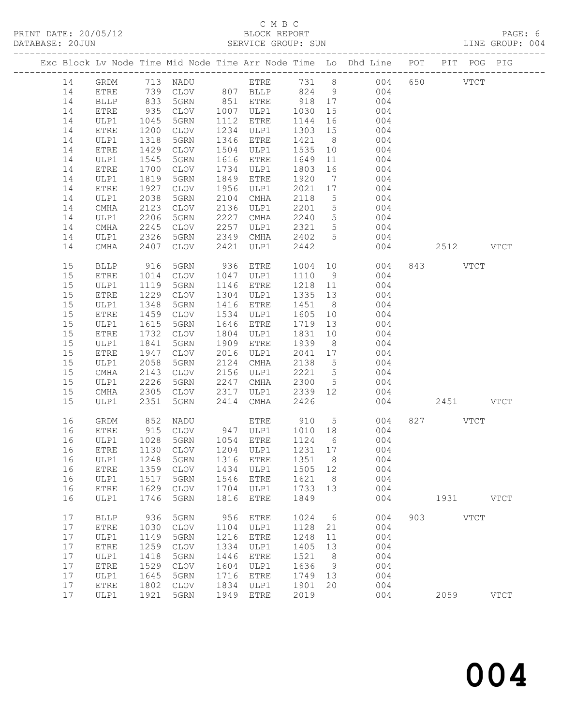#### C M B C<br>BLOCK REPORT SERVICE GROUP: SUN

|    |              |              |                |      |                  |         |                 | Exc Block Lv Node Time Mid Node Time Arr Node Time Lo Dhd Line POT PIT POG PIG |          |           |  |
|----|--------------|--------------|----------------|------|------------------|---------|-----------------|--------------------------------------------------------------------------------|----------|-----------|--|
| 14 |              |              |                |      |                  |         |                 | GRDM 713 NADU ETRE 731 8 004 650 VTCT                                          |          |           |  |
| 14 | <b>ETRE</b>  |              |                |      |                  |         |                 | 739 CLOV 807 BLLP 824 9 004                                                    |          |           |  |
| 14 | <b>BLLP</b>  | 833          | 5GRN           |      | 851 ETRE         | 918 17  |                 | 004                                                                            |          |           |  |
| 14 | ETRE         | 935<br>1045  | CLOV           |      | 1007 ULP1 1030   |         | 15              | 004                                                                            |          |           |  |
| 14 | ULP1         |              | 5GRN           |      | 1112 ETRE        | 1144    | 16              | 004                                                                            |          |           |  |
| 14 | ETRE         | 1200         | CLOV           |      | 1234 ULP1        | 1303 15 |                 | $\begin{array}{c} 0 & 0 \\ 0 & 0 \\ 0 & 4 \end{array}$                         |          |           |  |
| 14 | ULP1         | 1318         | 5GRN           |      | 1346 ETRE        | 1421    | 8 <sup>8</sup>  | 004                                                                            |          |           |  |
| 14 | ETRE         | 1429         | CLOV           |      | 1504 ULP1        | 1535    | 10              | 004                                                                            |          |           |  |
| 14 | ULP1         | 1545         | 5GRN           |      | 1616 ETRE        | 1649    | 11              | 004                                                                            |          |           |  |
| 14 | ETRE         | 1700         | CLOV           |      | 1734 ULP1        | 1803    | 16              | 004                                                                            |          |           |  |
| 14 | ULP1         | 1819         | 5GRN           | 1849 | ETRE             | 1920    |                 | $7\overline{ }$<br>004                                                         |          |           |  |
| 14 | ETRE         | 1927         | CLOV           | 1956 | ULP1             | 2021    | 17              | 004                                                                            |          |           |  |
| 14 | ULP1         | 2038         | 5GRN           | 2104 | CMHA             | 2118    | $5\overline{)}$ | 004                                                                            |          |           |  |
| 14 | CMHA         | 2123         | CLOV           |      | 2136 ULP1        | 2201    | $5\overline{)}$ | 004                                                                            |          |           |  |
| 14 | ULP1         | 2206         | 5GRN           | 2227 | CMHA             | 2240    | 5 <sup>5</sup>  | 004                                                                            |          |           |  |
| 14 | CMHA         | 2245         | CLOV           | 2257 | ULP1             | 2321    | 5 <sup>5</sup>  | 004                                                                            |          |           |  |
| 14 | ULP1         | 2326         | 5GRN 2349 CMHA |      |                  | 2402 5  |                 | 004                                                                            |          |           |  |
| 14 | CMHA         | 2407         | CLOV           | 2421 | ULP1             | 2442    |                 | 004                                                                            |          | 2512 VTCT |  |
| 15 | <b>BLLP</b>  | 916          | 5GRN           |      | 936 ETRE         |         |                 | 1004 10<br>004                                                                 | 843 VTCT |           |  |
| 15 | ETRE         | 1014         | CLOV           |      | 1047 ULP1        | 1110 9  |                 | 004                                                                            |          |           |  |
| 15 | ULP1         | 1119         | 5GRN           |      | 1146 ETRE        | 1218 11 |                 | 004                                                                            |          |           |  |
| 15 | ETRE         | 1229         | CLOV           |      | 1304 ULP1        | 1335 13 |                 | 004                                                                            |          |           |  |
| 15 | ULP1         | 1348         | 5GRN           |      | 1416 ETRE        | 1451    | 8 <sup>8</sup>  | 004                                                                            |          |           |  |
| 15 | ETRE         | 1459         | CLOV           |      | 1534 ULP1        | 1605    | 10              | 004                                                                            |          |           |  |
| 15 | ULP1         | 1615         | 5GRN           |      | 1646 ETRE        | 1719 13 |                 | 004                                                                            |          |           |  |
| 15 | ETRE         | 1732         | CLOV           | 1804 | ULP1             | 1831    | 10              | 004                                                                            |          |           |  |
| 15 | ULP1         | 1841         | 5GRN           | 1909 | ETRE             | 1939    | 8 <sup>8</sup>  | 004                                                                            |          |           |  |
| 15 | ETRE         | 1947         | CLOV           | 2016 | ULP1             | 2041 17 |                 | 004                                                                            |          |           |  |
| 15 | ULP1         | 2058         | 5GRN           |      | 2124 CMHA        | 2138 5  |                 | 004                                                                            |          |           |  |
| 15 | CMHA         | 2143         | CLOV           |      | 2156 ULP1        | 2221 5  |                 | 004                                                                            |          |           |  |
| 15 | ULP1         | 2226         | 5GRN           |      | 2247 CMHA        | 2300 5  |                 | 004                                                                            |          |           |  |
| 15 | CMHA         | 2305         | CLOV           |      | 2317 ULP1        | 2339    |                 | 12 004                                                                         |          |           |  |
| 15 | ULP1         | 2351         | 5GRN           |      | 2414 CMHA        | 2426    |                 | 004                                                                            |          | 2451 VTCT |  |
| 16 | GRDM         | 852          | NADU           |      | ETRE 910 5       |         |                 | 004                                                                            | 827 VTCT |           |  |
| 16 | ETRE         | 915          | CLOV           |      | 947 ULP1 1010 18 |         |                 | 004                                                                            |          |           |  |
| 16 | ULP1         | 1028<br>1130 | 5GRN           |      | 1054 ETRE        | 1124 6  |                 | 004                                                                            |          |           |  |
| 16 | ETRE         | 1130         | CLOV           |      | 1204 ULP1        | 1231 17 |                 | 004                                                                            |          |           |  |
|    |              |              |                |      |                  |         |                 | 16 ULP1 1248 5GRN 1316 ETRE 1351 8 004                                         |          |           |  |
| 16 | ETRE         |              | 1359 CLOV      | 1434 | ULP1             | 1505 12 |                 | 004                                                                            |          |           |  |
| 16 | ULP1         | 1517         | 5GRN           | 1546 | <b>ETRE</b>      | 1621    | 8 <sup>8</sup>  | 004                                                                            |          |           |  |
| 16 | ETRE         | 1629         | CLOV           | 1704 | ULP1             | 1733    | 13              | 004                                                                            |          |           |  |
| 16 | ULP1         | 1746         | 5GRN           | 1816 | <b>ETRE</b>      | 1849    |                 | 004                                                                            |          | 1931 VTCT |  |
| 17 | <b>BLLP</b>  | 936          | 5GRN           | 956  | ${\tt ETRE}$     | 1024    | 6               | 004                                                                            | 903 VTCT |           |  |
| 17 | ETRE         | 1030         | CLOV           | 1104 | ULP1             | 1128    | 21              | 004                                                                            |          |           |  |
| 17 | ULP1         | 1149         | 5GRN           | 1216 | <b>ETRE</b>      | 1248    | 11              | 004                                                                            |          |           |  |
| 17 | ETRE         | 1259         | CLOV           | 1334 | ULP1             | 1405    | 13              | 004                                                                            |          |           |  |
| 17 | ULP1         | 1418         | 5GRN           | 1446 | <b>ETRE</b>      | 1521    | 8 <sup>8</sup>  | 004                                                                            |          |           |  |
| 17 | ETRE         | 1529         | <b>CLOV</b>    | 1604 | ULP1             | 1636    | 9               | 004                                                                            |          |           |  |
| 17 | ULP1         | 1645         | 5GRN           | 1716 | <b>ETRE</b>      | 1749    | 13              | 004                                                                            |          |           |  |
| 17 | ${\tt ETRE}$ | 1802         | <b>CLOV</b>    | 1834 | ULP1             | 1901 20 |                 | 004                                                                            |          |           |  |

17 ULP1 1921 5GRN 1949 ETRE 2019 004 2059 VTCT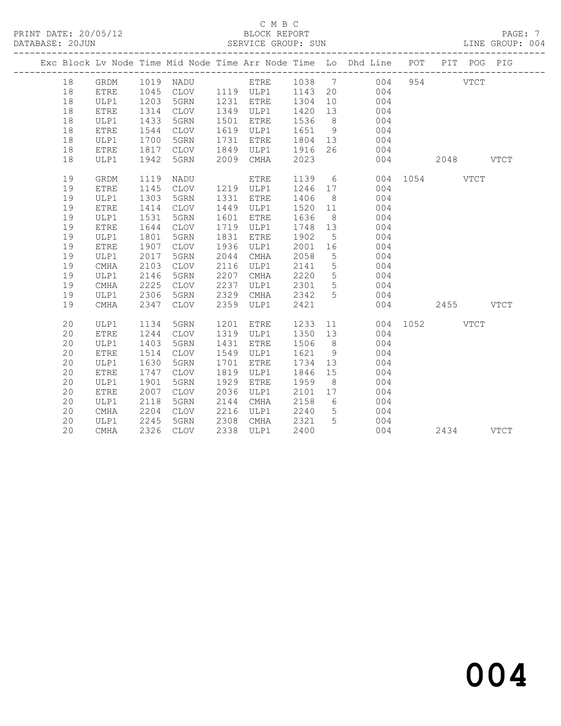|    |             |      |      |      |                        |         |                 | Exc Block Lv Node Time Mid Node Time Arr Node Time Lo Dhd Line POT |           |           | PIT POG PIG |  |
|----|-------------|------|------|------|------------------------|---------|-----------------|--------------------------------------------------------------------|-----------|-----------|-------------|--|
| 18 | GRDM        |      |      |      |                        |         |                 | 1019 NADU ETRE 1038 7 004                                          |           | 954 VTCT  |             |  |
| 18 | ETRE        | 1045 |      |      | CLOV 1119 ULP1 1143 20 |         |                 | 004                                                                |           |           |             |  |
| 18 | ULP1        | 1203 | 5GRN |      | 1231 ETRE              | 1304    | 10              | $\frac{1}{2}$                                                      |           |           |             |  |
| 18 | <b>ETRE</b> | 1314 | CLOV |      | 1349 ULP1              | 1420 13 |                 | 004                                                                |           |           |             |  |
| 18 | ULP1        | 1433 | 5GRN | 1501 | ETRE                   | 1536    | 8 <sup>8</sup>  | 004                                                                |           |           |             |  |
| 18 | ETRE        | 1544 | CLOV | 1619 | ULP1                   | 1651    | 9               | 004                                                                |           |           |             |  |
| 18 | ULP1        | 1700 | 5GRN | 1731 | ETRE                   | 1804 13 |                 | 004                                                                |           |           |             |  |
| 18 | ETRE        | 1817 | CLOV | 1849 | ULP1                   | 1916    | 26              | 004                                                                |           |           |             |  |
| 18 | ULP1        | 1942 | 5GRN | 2009 | CMHA                   | 2023    |                 | 004                                                                | 2048 VTCT |           |             |  |
| 19 | GRDM        | 1119 | NADU |      | ETRE                   | 1139    |                 | 6 004 1054 VTCT                                                    |           |           |             |  |
| 19 | <b>ETRE</b> | 1145 | CLOV |      | 1219 ULP1              | 1246 17 |                 | 004                                                                |           |           |             |  |
| 19 | ULP1        | 1303 | 5GRN | 1331 | ETRE                   | 1406    | 8 <sup>8</sup>  | 004                                                                |           |           |             |  |
| 19 | <b>ETRE</b> | 1414 | CLOV | 1449 | ULP1                   | 1520 11 |                 | 004                                                                |           |           |             |  |
| 19 | ULP1        | 1531 | 5GRN | 1601 | ETRE                   | 1636    | 8 <sup>8</sup>  | 004                                                                |           |           |             |  |
| 19 | <b>ETRE</b> | 1644 | CLOV | 1719 | ULP1                   | 1748 13 |                 | 004                                                                |           |           |             |  |
| 19 | ULP1        | 1801 | 5GRN | 1831 | ETRE                   | 1902    | $5\overline{)}$ | 004                                                                |           |           |             |  |
| 19 | <b>ETRE</b> | 1907 | CLOV | 1936 | ULP1                   | 2001    | 16              | 004                                                                |           |           |             |  |
| 19 | ULP1        | 2017 | 5GRN | 2044 | CMHA                   | 2058    | $5\overline{)}$ | 004                                                                |           |           |             |  |
| 19 | CMHA        | 2103 | CLOV | 2116 | ULP1                   | 2141    | $5\overline{)}$ | 004                                                                |           |           |             |  |
| 19 | ULP1        | 2146 | 5GRN | 2207 | CMHA                   | 2220    | $5\overline{)}$ | 004                                                                |           |           |             |  |
| 19 | CMHA        | 2225 | CLOV | 2237 | ULP1                   | 2301    | 5 <sup>5</sup>  | 004                                                                |           |           |             |  |
| 19 | ULP1        | 2306 | 5GRN | 2329 | CMHA                   | 2342    | 5 <sup>5</sup>  | 004                                                                |           |           |             |  |
| 19 | CMHA        | 2347 | CLOV | 2359 | ULP1                   | 2421    |                 | 004                                                                |           | 2455 VTCT |             |  |
| 20 | ULP1        | 1134 | 5GRN | 1201 | ETRE                   |         |                 | 1233 11 004 1052 VTCT                                              |           |           |             |  |
| 20 | <b>ETRE</b> | 1244 | CLOV | 1319 | ULP1                   | 1350 13 |                 | 004                                                                |           |           |             |  |
| 20 | ULP1        | 1403 | 5GRN | 1431 | ETRE                   | 1506    | 8 <sup>8</sup>  | 004                                                                |           |           |             |  |
| 20 | <b>ETRE</b> | 1514 | CLOV | 1549 | ULP1                   | 1621    | 9               | 004                                                                |           |           |             |  |
| 20 | ULP1        | 1630 | 5GRN | 1701 | ETRE                   | 1734    | 13              | 004                                                                |           |           |             |  |
| 20 | <b>ETRE</b> | 1747 | CLOV | 1819 | ULP1                   | 1846    | 15              | 004                                                                |           |           |             |  |
| 20 | ULP1        | 1901 | 5GRN | 1929 | ETRE                   | 1959    | 8 <sup>8</sup>  | 004                                                                |           |           |             |  |
| 20 | <b>ETRE</b> | 2007 | CLOV | 2036 | ULP1                   | 2101 17 |                 | 004                                                                |           |           |             |  |
| 20 | ULP1        | 2118 | 5GRN | 2144 | CMHA                   | 2158    | 6 <sup>6</sup>  | 004                                                                |           |           |             |  |
| 20 | CMHA        | 2204 | CLOV | 2216 | ULP1                   | 2240    | $5\overline{)}$ | 004                                                                |           |           |             |  |
| 20 | ULP1        | 2245 | 5GRN | 2308 | CMHA                   | 2321    | $5\overline{)}$ | 004                                                                |           |           |             |  |
| 20 | CMHA        | 2326 | CLOV |      | 2338 ULP1              | 2400    |                 | 004                                                                |           | 2434 VTCT |             |  |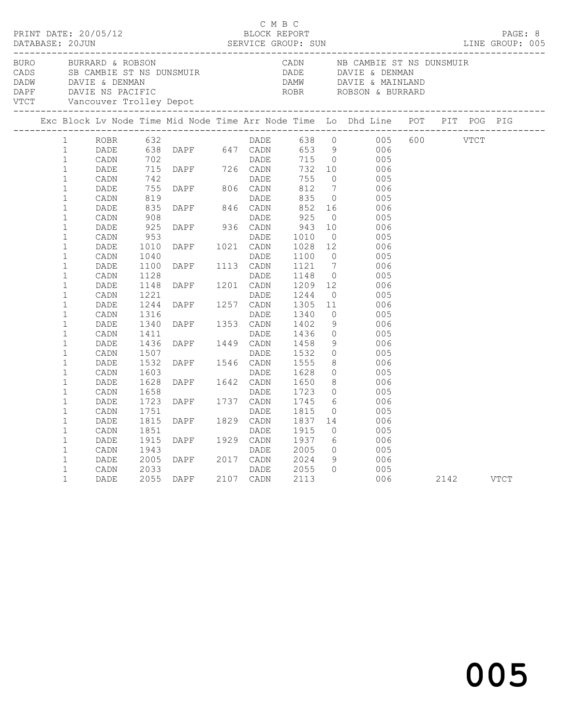|                                                              |                              |                              |                                                                                                          | C M B C      |                              |                                        |                                                                                                                                                                                                                                                        |  |  |
|--------------------------------------------------------------|------------------------------|------------------------------|----------------------------------------------------------------------------------------------------------|--------------|------------------------------|----------------------------------------|--------------------------------------------------------------------------------------------------------------------------------------------------------------------------------------------------------------------------------------------------------|--|--|
|                                                              |                              |                              |                                                                                                          |              |                              |                                        | BURN BURRARD & ROBSON CADN NB CAMBIE ST NS DUNSMUIR<br>DADE DAVIE & DENMAN DAVIE & DENMAN DAVIE & DENMAN DAVIE & DENMAN DAVIE & DENMAN DAVIE & DENMAN DAVIE & MAINLAND<br>DAPE DAVIE NS PACIFIC ROBSON & BURRARD<br>VTCT Vancouver T                   |  |  |
|                                                              |                              |                              |                                                                                                          |              |                              |                                        | Exc Block Lv Node Time Mid Node Time Arr Node Time Lo Dhd Line POT PIT POG PIG                                                                                                                                                                         |  |  |
| 1<br>$\mathbf{1}$<br>$\mathbf{1}$<br>$\mathbf{1}$            |                              |                              |                                                                                                          |              |                              |                                        | ROBR 632<br>DADE 638 DAPF 647 CADN 653 9 006<br>CADN 702<br>DADE 715 DAPF 726 CADN 732 10 006<br>CADN 742<br>CADR 742<br>DADE 75 DAPF 806 CADN 812 7 006<br>CADR 819<br>CADR 819<br>CADR 819<br>CADN 819<br>DADE 935 DAPF 806 CADN 812 7 006<br>CADN 8 |  |  |
| $\mathbf{1}$<br>$\mathbf{1}$<br>$\mathbf{1}$                 |                              |                              | DADE DADE<br>DAPF 846 CADN                                                                               |              |                              |                                        |                                                                                                                                                                                                                                                        |  |  |
| $\mathbf{1}$<br>$\mathbf{1}$<br>$\mathbf{1}$<br>$\mathbf{1}$ | DADE<br>CADN<br>DADE<br>CADN | 835<br>908<br>925<br>953     | DAPF 936 CADN                                                                                            | DADE<br>DADE | 852<br>925<br>943<br>1010    | $\overline{0}$<br>10<br>$\overline{0}$ | 16 006<br>005<br>006<br>005                                                                                                                                                                                                                            |  |  |
| $\mathbf{1}$<br>$\mathbf{1}$<br>$\mathbf{1}$<br>$\mathbf{1}$ | DADE<br>CADN<br>DADE<br>CADN | 1010<br>1040<br>1100<br>1128 | DAPF 1021 CADN<br>DADE<br>DAPF 1113 CADN                                                                 | DADE         | 1028 12<br>1100<br>1121      | $\overline{0}$                         | 006<br>005<br>$\frac{6}{7}$<br>006                                                                                                                                                                                                                     |  |  |
| $\mathbf{1}$<br>$\mathbf{1}$<br>$\mathbf{1}$                 | DADE<br>CADN<br>DADE         | 1148<br>1221<br>1244         | DAPF 1201 CADN<br>DAPF 1257 CADN<br>DAPF 1257 CADN<br>DAPF 1353 CADN<br>DAPF 1449 CADN<br>DAPF 1449 CADN |              | 1148<br>1209<br>1244<br>1305 | 11                                     | $\begin{array}{ccc} 0 & 005 \\ 12 & 006 \end{array}$<br>$\begin{array}{c} 0 \\ 11 \end{array}$<br>005<br>006                                                                                                                                           |  |  |
| $\mathbf{1}$<br>$\mathbf{1}$<br>$\mathbf{1}$<br>$\mathbf{1}$ | CADN<br>DADE<br>CADN<br>DADE | 1316<br>1340<br>1411<br>1436 |                                                                                                          |              | 1340<br>1402<br>1436<br>1458 | 9<br>$\overline{0}$<br>9               | $\begin{array}{c}\n0 \\ \hline\n\end{array}$<br>005<br>006<br>005<br>- 006                                                                                                                                                                             |  |  |
| $\mathbf{1}$<br>$\mathbf{1}$<br>$\mathbf{1}$<br>$\mathbf{1}$ | CADN<br>DADE<br>CADN<br>DADE | 1507<br>1532<br>1603<br>1628 | DAPF 1546 CADN<br>DAPF 1546 CADN<br>DAPF 1642 CADN<br>DAPF 1737 CADN<br>DAPF 1737 CADN                   |              | 1532<br>1555<br>1628         | 8                                      | $\begin{matrix} 0 & 0 & 0 \\ 0 & 0 & 0 \end{matrix}$<br>- 006<br>$\begin{array}{ccc}\n0 & 0 \\ 0 & 0\n\end{array}$<br>- 006                                                                                                                            |  |  |
| $\mathbf{1}$<br>$\mathbf{1}$<br>$\mathbf{1}$                 | CADN<br>DADE<br>CADN         | 1658<br>1723<br>1751         |                                                                                                          | DADE         | 1650<br>1723<br>1745<br>1815 |                                        | $\begin{matrix} 8 \\ 0 \end{matrix}$<br>005<br>$\begin{array}{c} 6 \\ 0 \end{array}$<br>006<br>005                                                                                                                                                     |  |  |
| $\mathbf{1}$<br>$\mathbf{1}$<br>$\mathbf{1}$<br>$\mathbf{1}$ | DADE<br>CADN<br>DADE<br>CADN | 1815<br>1851<br>1915<br>1943 | DAPF 1829 CADN<br>DADE DAPF 1929 CADN                                                                    | DADE         | 1837<br>1915<br>1937<br>2005 | $\overline{0}$                         | 14 006<br>005<br>6 006                                                                                                                                                                                                                                 |  |  |
| $\mathbf 1$<br>$\mathbf 1$<br>$\mathbf 1$                    | DADE<br>CADN<br>DADE         | 2005<br>2033<br>2055         | DAPF 2017 CADN<br>DADE<br>DAPF 2107 CADN                                                                 |              | 2024<br>2055<br>2113         | $\Omega$                               | $\begin{array}{ccc} 0 & \quad & 005 \\ 9 & \quad & 006 \end{array}$<br>005<br>006 2142 VTCT                                                                                                                                                            |  |  |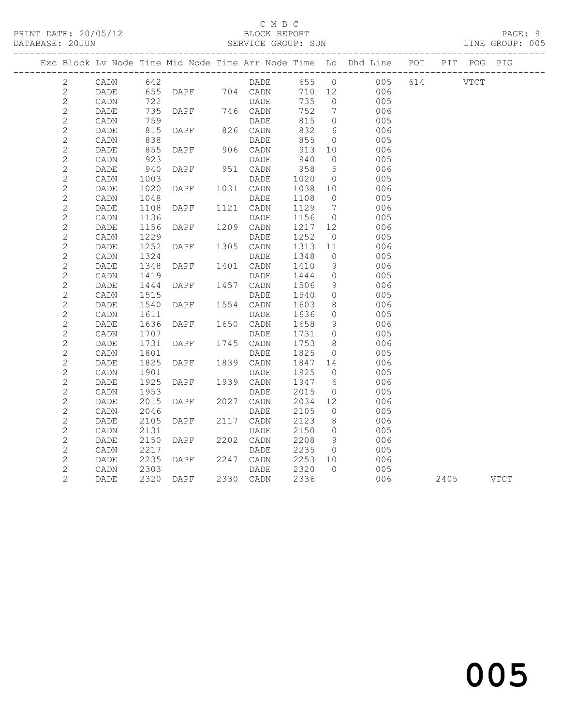### C M B C

| DATABASE: 20JUN |                 |      |               |      | SERVICE GROUP: SUN               |      |                 |                                                                                |          |      | LINE GROUP: 005 |
|-----------------|-----------------|------|---------------|------|----------------------------------|------|-----------------|--------------------------------------------------------------------------------|----------|------|-----------------|
|                 |                 |      |               |      |                                  |      |                 | Exc Block Lv Node Time Mid Node Time Arr Node Time Lo Dhd Line POT PIT POG PIG |          |      |                 |
| 2               | CADN            | 642  |               |      |                                  |      | 655 0           | 005                                                                            | 614 VTCT |      |                 |
| $\mathbf{2}$    | DADE            |      |               |      | DADE<br>655 DAPF 704 CADN<br>722 |      | 710 12          | 006                                                                            |          |      |                 |
| $\mathbf{2}$    | CADN            | 722  |               |      | DADE                             | 735  | $\overline{0}$  | 005                                                                            |          |      |                 |
| $\sqrt{2}$      | DADE            | 735  | DAPF 746 CADN |      |                                  | 752  | $\overline{7}$  | 006                                                                            |          |      |                 |
| $\mathbf{2}$    | $\mathtt{CADN}$ | 759  |               |      | DADE                             | 815  | $\overline{0}$  | 005                                                                            |          |      |                 |
| $\overline{c}$  | DADE            | 815  | DAPF 826 CADN |      |                                  | 832  | 6               | 006                                                                            |          |      |                 |
| $\mathbf{2}$    | $\mathtt{CADN}$ | 838  |               |      | DADE                             | 855  | $\circ$         | 005                                                                            |          |      |                 |
| $\mathbf{2}$    | DADE            | 855  | <b>DAPF</b>   |      | 906 CADN                         | 913  | 10              | 006                                                                            |          |      |                 |
| $\mathbf{2}$    | CADN            | 923  |               |      | DADE                             | 940  | $\overline{0}$  | 005                                                                            |          |      |                 |
| $\mathbf{2}$    | DADE            | 940  | DAPF          |      | 951 CADN                         | 958  | $5\phantom{.0}$ | 006                                                                            |          |      |                 |
| $\mathbf{2}$    | CADN            | 1003 |               |      | DADE                             | 1020 | $\overline{0}$  | 005                                                                            |          |      |                 |
| $\mathbf{2}$    | DADE            | 1020 | DAPF          |      | 1031 CADN                        | 1038 | 10              | 006                                                                            |          |      |                 |
| $\mathbf{2}$    | CADN            | 1048 |               |      | DADE                             | 1108 | $\overline{0}$  | 005                                                                            |          |      |                 |
| $\mathbf{2}$    | DADE            | 1108 | DAPF          |      | 1121 CADN                        | 1129 | $\overline{7}$  | 006                                                                            |          |      |                 |
| $\mathbf{2}$    | CADN            | 1136 |               |      | DADE                             | 1156 | $\overline{0}$  | 005                                                                            |          |      |                 |
| $\mathbf{2}$    | DADE            | 1156 | DAPF          |      | 1209 CADN                        | 1217 | 12              | 006                                                                            |          |      |                 |
| $\mathbf{2}$    | CADN            | 1229 |               |      | DADE                             | 1252 | $\overline{0}$  | 005                                                                            |          |      |                 |
| $\mathbf{2}$    | DADE            | 1252 | DAPF          |      | 1305 CADN                        | 1313 | 11              | 006                                                                            |          |      |                 |
| $\sqrt{2}$      | CADN            | 1324 |               |      | DADE                             | 1348 | $\overline{0}$  | 005                                                                            |          |      |                 |
| $\mathbf{2}$    | DADE            | 1348 | DAPF          |      | 1401 CADN                        | 1410 | 9               | 006                                                                            |          |      |                 |
| $\overline{c}$  | CADN            | 1419 |               |      | DADE                             | 1444 | $\overline{0}$  | 005                                                                            |          |      |                 |
| $\mathbf{2}$    | DADE            | 1444 | DAPF          |      | 1457 CADN                        | 1506 | 9               | 006                                                                            |          |      |                 |
| $\mathbf{2}$    | $\mathtt{CADN}$ | 1515 |               |      | DADE                             | 1540 | $\circ$         | 005                                                                            |          |      |                 |
| $\mathbf{2}$    | DADE            | 1540 | DAPF          |      | 1554 CADN                        | 1603 | 8               | 006                                                                            |          |      |                 |
| $\overline{c}$  | CADN            | 1611 |               |      | DADE                             | 1636 | $\circ$         | 005                                                                            |          |      |                 |
| $\mathbf{2}$    | DADE            | 1636 | DAPF          |      | 1650 CADN                        | 1658 | 9               | 006                                                                            |          |      |                 |
| $\mathbf{2}$    | CADN            | 1707 |               |      | DADE                             | 1731 | $\overline{0}$  | 005                                                                            |          |      |                 |
| $\mathbf{2}$    | DADE            | 1731 | DAPF          |      | 1745 CADN                        | 1753 | 8 <sup>8</sup>  | 006                                                                            |          |      |                 |
| $\mathbf{2}$    | CADN            | 1801 |               |      | DADE                             | 1825 | $\overline{0}$  | 005                                                                            |          |      |                 |
| $\mathbf{2}$    | DADE            | 1825 | DAPF          |      | 1839 CADN                        | 1847 | 14              | 006                                                                            |          |      |                 |
| $\mathbf{2}$    | CADN            | 1901 |               |      | DADE                             | 1925 | $\overline{0}$  | 005                                                                            |          |      |                 |
| $\mathbf{2}$    | DADE            | 1925 | DAPF          | 1939 | CADN                             | 1947 | 6               | 006                                                                            |          |      |                 |
| $\mathbf{2}$    | CADN            | 1953 |               |      | DADE                             | 2015 | $\circ$         | 005                                                                            |          |      |                 |
| $\mathbf{2}$    | DADE            | 2015 | DAPF          |      | 2027 CADN                        | 2034 | 12              | 006                                                                            |          |      |                 |
| $\mathbf{2}$    | $\mathtt{CADN}$ | 2046 |               |      | DADE                             | 2105 | $\overline{0}$  | 005                                                                            |          |      |                 |
| $\mathbf{2}$    | DADE            | 2105 | DAPF          |      | 2117 CADN                        | 2123 | 8 <sup>8</sup>  | 006                                                                            |          |      |                 |
| $\mathbf{2}$    | CADN            | 2131 |               |      | DADE                             | 2150 | $\overline{0}$  | 005                                                                            |          |      |                 |
| $\mathbf{2}$    | DADE            | 2150 | DAPF          | 2202 | CADN                             | 2208 | 9               | 006                                                                            |          |      |                 |
| $\mathbf{2}$    | CADN            | 2217 |               |      | DADE                             | 2235 | $\overline{0}$  | 005                                                                            |          |      |                 |
| $\mathbf 2$     | DADE            | 2235 | DAPF          |      | 2247 CADN                        | 2253 | 10              | 006                                                                            |          |      |                 |
| $\overline{c}$  | CADN            | 2303 |               |      | DADE                             | 2320 | $\bigcap$       | 005                                                                            |          |      |                 |
| 2               | DADE            | 2320 | DAPF          |      | 2330 CADN                        | 2336 |                 | 006                                                                            |          | 2405 | VTCT            |

and the contract of  $\sim$  005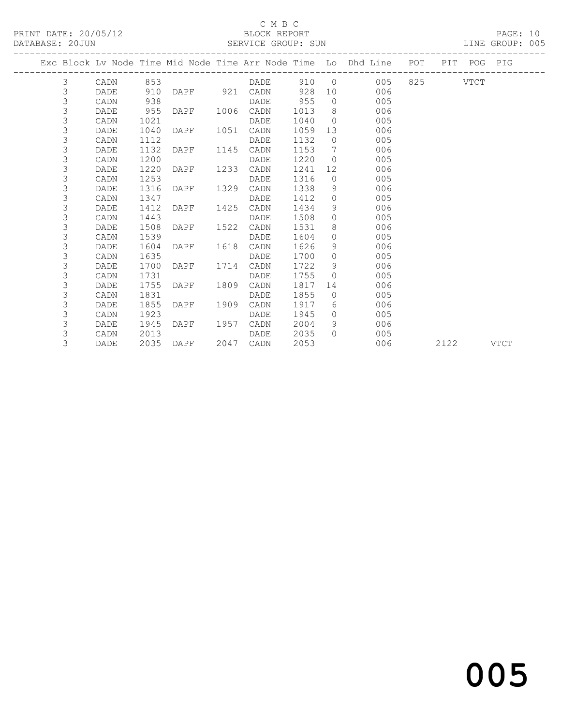### C M B C<br>BLOCK REPORT

PRINT DATE: 20/05/12 BLOCK REPORT PAGE: 10 SERVICE GROUP: SUN LINE GROUP: 005 ------------------------------------------------------------------------------------------------- Exc Block Lv Node Time Mid Node Time Arr Node Time Lo Dhd Line POT PIT POG PIG ------------------------------------------------------------------------------------------------- DADE 910 0 005 825 VTCT

| $\check{ }$    |      | ◡◡◡  |      |      |      | ンエン  |              |     | ◡◡◡ | , ⊥∪⊥ |             |
|----------------|------|------|------|------|------|------|--------------|-----|-----|-------|-------------|
| 3              | DADE | 910  | DAPF | 921  | CADN | 928  | 10           | 006 |     |       |             |
| 3              | CADN | 938  |      |      | DADE | 955  | $\circ$      | 005 |     |       |             |
| 3              | DADE | 955  | DAPF | 1006 | CADN | 1013 | 8            | 006 |     |       |             |
| 3              | CADN | 1021 |      |      | DADE | 1040 | $\Omega$     | 005 |     |       |             |
| 3              | DADE | 1040 | DAPF | 1051 | CADN | 1059 | 13           | 006 |     |       |             |
| 3              | CADN | 1112 |      |      | DADE | 1132 | 0            | 005 |     |       |             |
| 3              | DADE | 1132 | DAPF | 1145 | CADN | 1153 | 7            | 006 |     |       |             |
| 3              | CADN | 1200 |      |      | DADE | 1220 | $\Omega$     | 005 |     |       |             |
| 3              | DADE | 1220 | DAPF | 1233 | CADN | 1241 | 12           | 006 |     |       |             |
| 3              | CADN | 1253 |      |      | DADE | 1316 | 0            | 005 |     |       |             |
| 3              | DADE | 1316 | DAPF | 1329 | CADN | 1338 | 9            | 006 |     |       |             |
| 3              | CADN | 1347 |      |      | DADE | 1412 | $\Omega$     | 005 |     |       |             |
| 3              | DADE | 1412 | DAPF | 1425 | CADN | 1434 | 9            | 006 |     |       |             |
| 3              | CADN | 1443 |      |      | DADE | 1508 | $\Omega$     | 005 |     |       |             |
| 3              | DADE | 1508 | DAPF | 1522 | CADN | 1531 | 8            | 006 |     |       |             |
| 3              | CADN | 1539 |      |      | DADE | 1604 | $\mathbf{0}$ | 005 |     |       |             |
| 3              | DADE | 1604 | DAPF | 1618 | CADN | 1626 | 9            | 006 |     |       |             |
| 3              | CADN | 1635 |      |      | DADE | 1700 | $\Omega$     | 005 |     |       |             |
| 3              | DADE | 1700 | DAPF | 1714 | CADN | 1722 | 9            | 006 |     |       |             |
| 3              | CADN | 1731 |      |      | DADE | 1755 | $\Omega$     | 005 |     |       |             |
| 3              | DADE | 1755 | DAPF | 1809 | CADN | 1817 | 14           | 006 |     |       |             |
| 3              | CADN | 1831 |      |      | DADE | 1855 | $\Omega$     | 005 |     |       |             |
| 3              | DADE | 1855 | DAPF | 1909 | CADN | 1917 | 6            | 006 |     |       |             |
| 3              | CADN | 1923 |      |      | DADE | 1945 | $\Omega$     | 005 |     |       |             |
| 3              | DADE | 1945 | DAPF | 1957 | CADN | 2004 | 9            | 006 |     |       |             |
| $\mathfrak{Z}$ | CADN | 2013 |      |      | DADE | 2035 | $\Omega$     | 005 |     |       |             |
| 3              | DADE | 2035 | DAPF | 2047 | CADN | 2053 |              | 006 |     | 2122  | <b>VTCT</b> |
|                |      |      |      |      |      |      |              |     |     |       |             |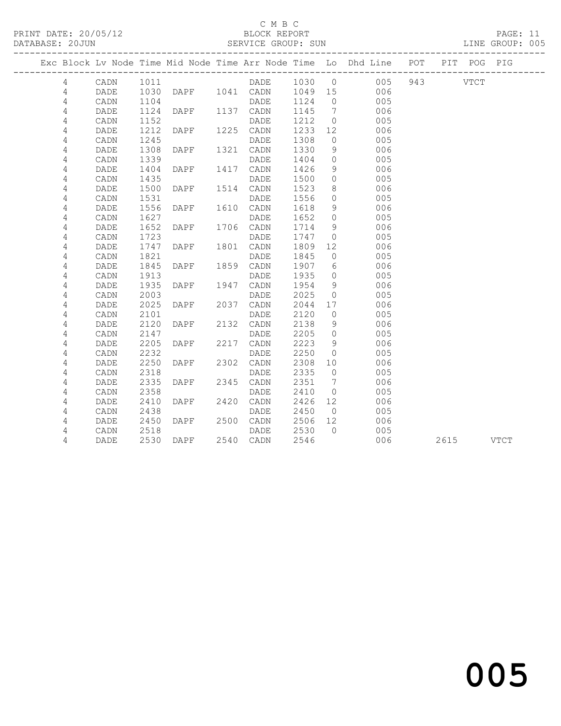#### C M B C

DATABASE: 20JUN SERVICE GROUP: SUN SERVICE GROUP: SUN LINE GROUP: 005 ------------------------------------------------------------------------------------------------- Exc Block Lv Node Time Mid Node Time Arr Node Time Lo Dhd Line POT PIT POG PIG ------------------------------------------------------------------------------------------------- 4 CADN 1011 DADE 1030 0 005 943 VTCT 4 DADE 1030 DAPF 1041 CADN 1049 15 006 4 DADE 1030 DAPF 1041 CADN 1049 15 006<br>4 CADN 1104 DADE 1124 0 005 4 CADN 1104 DADE 1124 0 005 4 DADE 1124 DAPF 1137 CADN 1145 7 006 4 CADN 1152 DADE 1212 0 005 4 DADE 1212 DAPF 1225 CADN 1233 12 006 4 CADN 1245 DADE 1308 0 005 4 DADE 1308 DAPF 1321 CADN 1330 9 006 4 CADN 1339 DADE 1404 0 005 4 DADE 1404 DAPF 1417 CADN 1426 9 006 4 CADN 1435 DADE 1500 0 005 4 DADE 1500 DAPF 1514 CADN 1523 8 006 4 CADN 1531 DADE 1556 0 005 4 DADE 1556 DAPF 1610 CADN 1618 9 006 4 CADN 1627 DADE 1652 0 005 4 DADE 1652 DAPF 1706 CADN 1714 9 006 4 CADN 1723 DADE 1747 0 005 4 DADE 1747 DAPF 1801 CADN 1809 12 006 4 CADN 1821 DADE 1845 0 005 4 DADE 1845 DAPF 1859 CADN 1907 6 006 4 CADN 1913 DADE 1935 0 005 4 DADE 1935 DAPF 1947 CADN 1954 9 006 4 CADN 2003 DADE 2025 0 005 4 DADE 2025 DAPF 2037 CADN 2044 17<br>4 CADN 2101 DADE 2120 0 4 CADN 2101 DADE 2120 0 005 4 DADE 2120 DAPF 2132 CADN 2138 9 006 4 CADN 2147 DADE 2205 0 005 4 DADE 2205 DAPF 2217 CADN 2223 9 006 4 CADN 2232 DADE 2250 0 005 4 DADE 2250 DAPF 2302 CADN 2308 10 006 4 CADN 2318 DADE 2335 0 005 4 DADE 2335 DAPF 2345 CADN 2351 7 006 4 CADN 2358 DADE 2410 0 005 4 CADN 2101 DADE 2120 0 005<br>
4 DADE 2120 DAPF 2132 CADN 2138 9 006<br>
4 CADN 2147 DADE 2205 0 005<br>
4 DADE 2205 DAPF 2217 CADN 2223 9 006<br>
4 CADN 2232 DADE 2250 0 005<br>
4 DADE 2250 DAPF 2302 CADN 2308 10 006<br>
4 CADN 2318 DADE 4 CADN 2438 DADE 2450 0 005<br>
4 DADE 2450 DAPF 2500 CADN 2506 12 006<br>
4 CADN 2518 DADE 2530 0 005<br>
4 DADE 2530 0 005 4 DADE 2450 DAPF 2500 CADN

4 DADE 2530 DAPF 2540 CADN 2546 006 2615 VTCT

4 CADN 2518 DADE 2530 0 005

and the contract of  $\sim$  005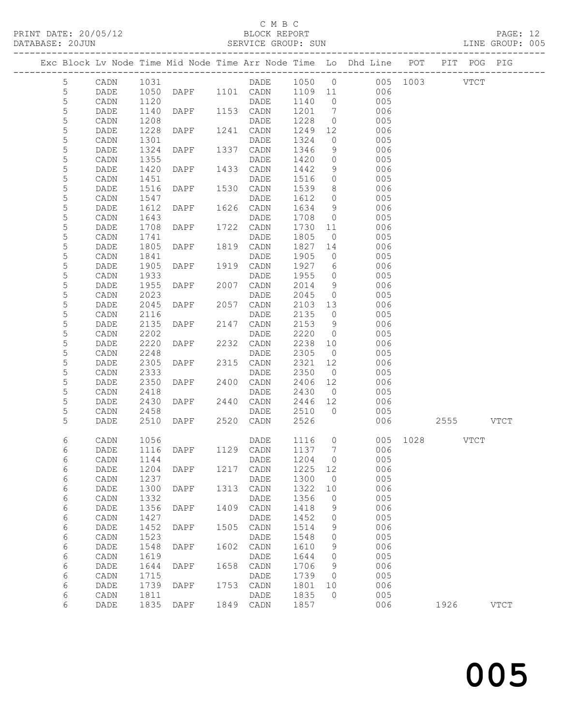## C M B C<br>BLOCK REPORT<br>SERVICE GROUP: SUN

| C M B C<br>ELOCK REPORT<br>BLOCK REPORT<br>DATABASE: 20JUN SERVICE GROUP: SUN LINE GROUP: 005 |      |      |                        |      |           |      |                |                                                                                       |      |      |             |             |  |
|-----------------------------------------------------------------------------------------------|------|------|------------------------|------|-----------|------|----------------|---------------------------------------------------------------------------------------|------|------|-------------|-------------|--|
| Exc Block Lv Node Time Mid Node Time Arr Node Time Lo Dhd Line POT PIT POG PIG                |      |      |                        |      |           |      |                |                                                                                       |      |      |             |             |  |
| 5 <sub>5</sub>                                                                                | CADN | 1031 |                        |      |           |      |                | DADE 1050 0 005 1003 VTCT                                                             |      |      |             |             |  |
| 5                                                                                             | DADE | 1050 |                        |      |           |      |                | DAPF 1101 CADN 1109 11 006                                                            |      |      |             |             |  |
| 5                                                                                             | CADN | 1120 |                        |      |           | 1140 |                |                                                                                       |      |      |             |             |  |
| $\mathsf S$                                                                                   | DADE | 1140 | DADE<br>DAPF 1153 CADN |      |           | 1201 |                | $\begin{array}{ccc} 0 & \hspace{1.5cm} & 005 \\ 7 & \hspace{1.5cm} & 006 \end{array}$ |      |      |             |             |  |
| 5                                                                                             | CADN | 1208 |                        |      | DADE      | 1228 |                | $\overline{0}$<br>005                                                                 |      |      |             |             |  |
| 5                                                                                             | DADE | 1228 | DAPF 1241 CADN         |      |           | 1249 |                | 12<br>006                                                                             |      |      |             |             |  |
| $\mathsf S$                                                                                   |      |      |                        |      |           |      |                |                                                                                       |      |      |             |             |  |
|                                                                                               | CADN | 1301 |                        |      | DADE      | 1324 | $\overline{0}$ | 005<br>$\frac{6}{9}$                                                                  |      |      |             |             |  |
| $\mathsf S$                                                                                   | DADE | 1324 | DAPF 1337 CADN         |      |           | 1346 |                | 006<br>$0$ 005                                                                        |      |      |             |             |  |
| 5                                                                                             | CADN | 1355 |                        |      | DADE      | 1420 |                |                                                                                       |      |      |             |             |  |
| 5                                                                                             | DADE | 1420 | DAPF                   |      | 1433 CADN | 1442 |                | 9 006                                                                                 |      |      |             |             |  |
| $\mathsf S$                                                                                   | CADN | 1451 | DAPF 1530 CADN         |      | DADE      | 1516 |                | $\begin{array}{ccc} 0 & \quad & 005 \\ 8 & \quad & 006 \end{array}$                   |      |      |             |             |  |
| 5                                                                                             | DADE | 1516 |                        |      |           | 1539 |                |                                                                                       |      |      |             |             |  |
| 5                                                                                             | CADN | 1547 |                        |      | DADE      | 1612 |                | $0$ 005                                                                               |      |      |             |             |  |
| 5                                                                                             | DADE | 1612 | DAPF 1626              |      | CADN      | 1634 |                | $9 \left( \frac{1}{2} \right)$<br>006                                                 |      |      |             |             |  |
| 5                                                                                             | CADN | 1643 |                        |      | DADE      | 1708 |                | $\overline{0}$<br>005                                                                 |      |      |             |             |  |
| $\mathsf S$                                                                                   | DADE | 1708 | DAPF                   |      | 1722 CADN | 1730 | 11             | 006                                                                                   |      |      |             |             |  |
| 5                                                                                             | CADN | 1741 |                        |      | DADE      | 1805 |                | $\overline{0}$<br>005                                                                 |      |      |             |             |  |
| 5                                                                                             | DADE | 1805 | DAPF                   |      | 1819 CADN | 1827 |                | 006<br>14 \,                                                                          |      |      |             |             |  |
| 5                                                                                             | CADN | 1841 |                        |      | DADE      | 1905 |                | 005<br>$\overline{0}$                                                                 |      |      |             |             |  |
| $\mathsf S$                                                                                   | DADE | 1905 | DAPF                   |      | 1919 CADN | 1927 | $6\overline{}$ | 006                                                                                   |      |      |             |             |  |
| 5                                                                                             | CADN | 1933 |                        |      | DADE      | 1955 |                | $\overline{0}$<br>005                                                                 |      |      |             |             |  |
| 5                                                                                             | DADE | 1955 | DAPF                   | 2007 | CADN      | 2014 | 9              | 006                                                                                   |      |      |             |             |  |
| 5                                                                                             | CADN | 2023 |                        |      | DADE      | 2045 |                | 005<br>$\overline{0}$                                                                 |      |      |             |             |  |
| 5                                                                                             | DADE | 2045 | DAPF                   |      | 2057 CADN | 2103 | 13             | 006                                                                                   |      |      |             |             |  |
| 5                                                                                             | CADN | 2116 |                        |      | DADE      | 2135 |                | $\overline{0}$<br>005                                                                 |      |      |             |             |  |
| 5                                                                                             | DADE | 2135 | DAPF                   | 2147 | CADN      | 2153 |                | $9 \left( \frac{1}{2} \right)$<br>006                                                 |      |      |             |             |  |
| 5                                                                                             | CADN | 2202 |                        |      | DADE      | 2220 |                | 005<br>$\overline{O}$                                                                 |      |      |             |             |  |
| 5                                                                                             | DADE | 2220 | DAPF                   |      | 2232 CADN | 2238 | 10             | 006                                                                                   |      |      |             |             |  |
| 5                                                                                             | CADN | 2248 |                        |      | DADE      | 2305 | $\overline{0}$ | 005                                                                                   |      |      |             |             |  |
| 5                                                                                             | DADE | 2305 | DAPF                   | 2315 | CADN      | 2321 | 12             | 006                                                                                   |      |      |             |             |  |
| 5                                                                                             | CADN | 2333 |                        |      | DADE      | 2350 | $\circ$        | 005                                                                                   |      |      |             |             |  |
| 5                                                                                             | DADE | 2350 | DAPF                   | 2400 | CADN      | 2406 |                | 006                                                                                   |      |      |             |             |  |
| 5                                                                                             | CADN | 2418 |                        |      | DADE      | 2430 |                | $\begin{array}{c} 12 \\ 0 \end{array}$<br>005                                         |      |      |             |             |  |
| 5                                                                                             | DADE | 2430 | DAPF 2440 CADN         |      |           | 2446 | 12             | 006                                                                                   |      |      |             |             |  |
| 5                                                                                             | CADN | 2458 |                        |      | DADE      | 2510 |                | $0$ 005                                                                               |      |      |             |             |  |
| 5                                                                                             | DADE | 2510 | DAPF                   |      | 2520 CADN | 2526 |                | 006                                                                                   |      | 2555 |             | VTCT        |  |
|                                                                                               |      |      |                        |      |           |      |                |                                                                                       |      |      |             |             |  |
| 6                                                                                             | CADN | 1056 |                        |      | DADE      | 1116 | 0              | 005                                                                                   | 1028 |      | <b>VTCT</b> |             |  |
| 6                                                                                             | DADE | 1116 | DAPF                   | 1129 | CADN      | 1137 | 7              | 006                                                                                   |      |      |             |             |  |
| 6                                                                                             | CADN | 1144 |                        |      | DADE      | 1204 | 0              | 005                                                                                   |      |      |             |             |  |
| 6                                                                                             | DADE | 1204 | DAPF                   | 1217 | CADN      | 1225 | 12             | 006                                                                                   |      |      |             |             |  |
| 6                                                                                             | CADN | 1237 |                        |      | DADE      | 1300 | $\circ$        | 005                                                                                   |      |      |             |             |  |
| 6                                                                                             | DADE | 1300 | DAPF                   | 1313 | CADN      | 1322 | 10             | 006                                                                                   |      |      |             |             |  |
| 6                                                                                             | CADN | 1332 |                        |      | DADE      | 1356 | $\circ$        | 005                                                                                   |      |      |             |             |  |
| 6                                                                                             | DADE | 1356 | DAPF                   | 1409 | CADN      | 1418 | 9              | 006                                                                                   |      |      |             |             |  |
| 6                                                                                             | CADN | 1427 |                        |      | DADE      | 1452 | 0              | 005                                                                                   |      |      |             |             |  |
| 6                                                                                             | DADE | 1452 | DAPF                   | 1505 | CADN      | 1514 | 9              | 006                                                                                   |      |      |             |             |  |
| 6                                                                                             | CADN | 1523 |                        |      | DADE      | 1548 | 0              | 005                                                                                   |      |      |             |             |  |
| 6                                                                                             | DADE | 1548 | DAPF                   | 1602 | CADN      | 1610 | 9              | 006                                                                                   |      |      |             |             |  |
| 6                                                                                             | CADN | 1619 |                        |      | DADE      | 1644 | 0              | 005                                                                                   |      |      |             |             |  |
| 6                                                                                             | DADE | 1644 | DAPF                   | 1658 | CADN      | 1706 | 9              | 006                                                                                   |      |      |             |             |  |
| 6                                                                                             | CADN | 1715 |                        |      | DADE      | 1739 | 0              | 005                                                                                   |      |      |             |             |  |
| 6                                                                                             | DADE | 1739 | DAPF                   | 1753 | CADN      | 1801 | 10             | 006                                                                                   |      |      |             |             |  |
| 6                                                                                             | CADN | 1811 |                        |      | DADE      | 1835 | $\mathbf 0$    | 005                                                                                   |      |      |             |             |  |
| 6                                                                                             | DADE | 1835 | DAPF                   | 1849 | CADN      | 1857 |                | 006                                                                                   |      | 1926 |             | <b>VTCT</b> |  |

and the contract of  $\sim$  005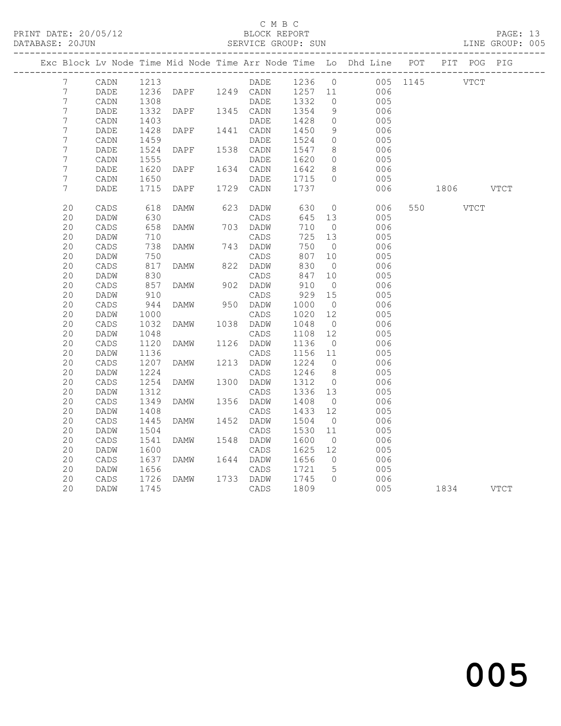### C M B C<br>BLOCK REPORT

### SERVICE GROUP: SUN

|                  |                 |      |                                  |      |           |                   |                 | Exc Block Lv Node Time Mid Node Time Arr Node Time Lo Dhd Line POT PIT POG PIG |               |           |      |      |
|------------------|-----------------|------|----------------------------------|------|-----------|-------------------|-----------------|--------------------------------------------------------------------------------|---------------|-----------|------|------|
| 7                | CADN            | 1213 |                                  |      | DADE      | 1236 0            |                 |                                                                                | 005 1145 VTCT |           |      |      |
| 7                | DADE            |      | 1236 DAPF 1249 CADN<br>1308 DADE |      |           | 1257 11<br>1332 0 |                 | 006                                                                            |               |           |      |      |
| $\overline{7}$   | $\mathtt{CADN}$ |      |                                  |      |           |                   |                 | 005                                                                            |               |           |      |      |
| 7                | DADE            | 1332 | DAPF                             |      | 1345 CADN | 1354              | 9               | 006                                                                            |               |           |      |      |
| $\boldsymbol{7}$ | $\mathtt{CADN}$ | 1403 |                                  |      | DADE      | 1428              | $\overline{0}$  | 005                                                                            |               |           |      |      |
| $\overline{7}$   | DADE            | 1428 | DAPF                             |      | 1441 CADN | 1450              | 9               | 006                                                                            |               |           |      |      |
| 7                | CADN            | 1459 |                                  |      | DADE      | 1524              | $\overline{0}$  | 005                                                                            |               |           |      |      |
| $\boldsymbol{7}$ | DADE            | 1524 | DAPF                             |      | 1538 CADN | 1547              | 8 <sup>8</sup>  | 006                                                                            |               |           |      |      |
| $\overline{7}$   | CADN            | 1555 |                                  |      | DADE      | 1620              | $\circ$         | 005                                                                            |               |           |      |      |
| 7                | DADE            | 1620 | DAPF                             |      | 1634 CADN | 1642              | 8 <sup>8</sup>  | 006                                                                            |               |           |      |      |
| $\overline{7}$   | $\mathtt{CADN}$ | 1650 |                                  |      | DADE      | 1715              | $\overline{0}$  | 005                                                                            |               |           |      |      |
| 7                | DADE            | 1715 | DAPF                             |      | 1729 CADN | 1737              |                 | 006                                                                            |               | 1806 VTCT |      |      |
| 20               | CADS            | 618  | DAMW                             | 623  | DADW      | 630               | $\overline{0}$  | 006                                                                            |               | 550 000   | VTCT |      |
| 20               | DADW            | 630  |                                  |      | CADS      | 645               | 13              | 005                                                                            |               |           |      |      |
| 20               | $\mathtt{CADS}$ | 658  | DAMW                             |      | 703 DADW  | 710               | $\overline{0}$  | 006                                                                            |               |           |      |      |
| 20               | DADW            | 710  |                                  |      | CADS      | 725               | 13              | 005                                                                            |               |           |      |      |
| 20               | CADS            | 738  | DAMW                             |      | 743 DADW  | 750               | $\overline{0}$  | 006                                                                            |               |           |      |      |
| 20               | DADW            | 750  |                                  |      | CADS      | 807               | 10              | 005                                                                            |               |           |      |      |
| 20               | $\mathtt{CADS}$ | 817  | DAMW                             |      | 822 DADW  | 830               | $\overline{0}$  | 006                                                                            |               |           |      |      |
| 20               | DADW            | 830  |                                  |      | CADS      | 847               | 10              | 005                                                                            |               |           |      |      |
| 20               | $\mathtt{CADS}$ | 857  | DAMW                             |      | 902 DADW  | 910               | $\overline{0}$  | 006                                                                            |               |           |      |      |
| 20               | DADW            | 910  |                                  |      | CADS      | 929               | 15              | 005                                                                            |               |           |      |      |
| 20               | CADS            | 944  | DAMW                             |      | 950 DADW  | 1000              | $\overline{0}$  | 006                                                                            |               |           |      |      |
| 20               | DADW            | 1000 |                                  |      | CADS      | 1020              | 12              | 005                                                                            |               |           |      |      |
| 20               | CADS            | 1032 | DAMW                             |      | 1038 DADW | 1048              | $\overline{0}$  | 006                                                                            |               |           |      |      |
| 20               | DADW            | 1048 |                                  |      | CADS      | 1108              | 12              | 005                                                                            |               |           |      |      |
| 20               | $\mathtt{CADS}$ | 1120 | DAMW                             |      | 1126 DADW | 1136              | $\overline{0}$  | 006                                                                            |               |           |      |      |
| 20               | DADW            | 1136 |                                  |      | CADS      | 1156              | 11              | 005                                                                            |               |           |      |      |
| 20               | CADS            | 1207 | DAMW                             |      | 1213 DADW | 1224              | $\overline{0}$  | 006                                                                            |               |           |      |      |
| 20               | DADW            | 1224 |                                  |      | CADS      | 1246              | 8 <sup>8</sup>  | 005                                                                            |               |           |      |      |
| 20               | CADS            | 1254 | DAMW                             | 1300 | DADW      | 1312              | $\overline{0}$  | 006                                                                            |               |           |      |      |
| 20               | DADW            | 1312 |                                  |      | CADS      | 1336              | 13              | 005                                                                            |               |           |      |      |
| 20               | $\mathtt{CADS}$ | 1349 | DAMW                             |      | 1356 DADW | 1408              | $\overline{0}$  | 006                                                                            |               |           |      |      |
| 20               | DADW            | 1408 |                                  |      | CADS      | 1433              | 12              | 005                                                                            |               |           |      |      |
| 20               | CADS            | 1445 | DAMW                             |      | 1452 DADW | 1504              | $\overline{0}$  | 006                                                                            |               |           |      |      |
| 20               | DADW            | 1504 |                                  |      | CADS      | 1530              | 11              | 005                                                                            |               |           |      |      |
| 20               | $\mathtt{CADS}$ | 1541 | DAMW                             | 1548 | DADW      | 1600              | $\overline{0}$  | 006                                                                            |               |           |      |      |
| 20               | DADW            | 1600 |                                  |      | CADS      | 1625              | 12              | 005                                                                            |               |           |      |      |
| 20               | $\mathtt{CADS}$ | 1637 | DAMW                             | 1644 | DADW      | 1656              | $\overline{0}$  | 006                                                                            |               |           |      |      |
| 20               | DADW            | 1656 |                                  |      | CADS      | 1721              | $5\overline{)}$ | 005                                                                            |               |           |      |      |
| 20               | CADS            | 1726 | DAMW                             |      | 1733 DADW | 1745              | $\Omega$        | 006                                                                            |               |           |      |      |
| 20               | DADW            | 1745 |                                  |      | CADS      | 1809              |                 | 005                                                                            |               | 1834      |      | VTCT |
|                  |                 |      |                                  |      |           |                   |                 |                                                                                |               |           |      |      |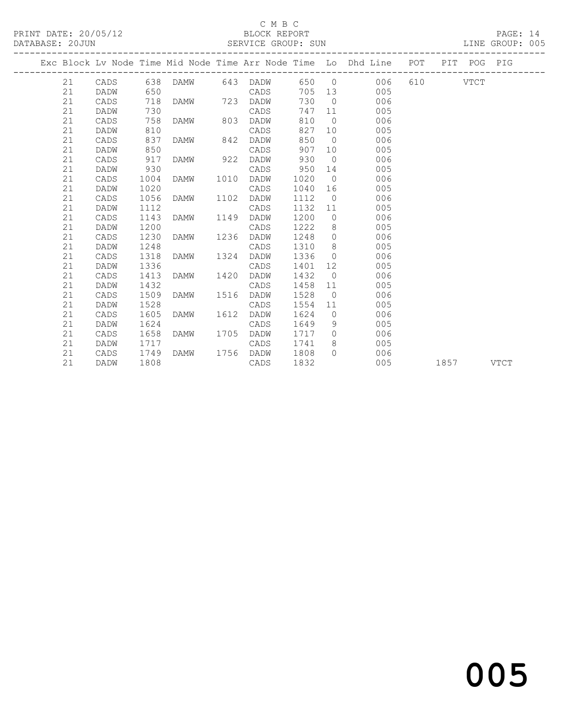PRINT DATE: 20/05/12 BLOCK REPORT BATABASE: 20JUN

## C M B C<br>BLOCK REPORT

PAGE: 14<br>LINE GROUP: 005

|    |      |      |          |      |           |      |                | Exc Block Lv Node Time Mid Node Time Arr Node Time Lo Dhd Line POT |      | PIT POG PIG |      |
|----|------|------|----------|------|-----------|------|----------------|--------------------------------------------------------------------|------|-------------|------|
| 21 | CADS |      | 638 DAMW |      | 643 DADW  |      |                | 650 0<br>006 -                                                     |      | VTCT        |      |
| 21 | DADW | 650  |          |      | CADS      |      |                | 705 13<br>005                                                      |      |             |      |
| 21 | CADS | 718  | DAMW     | 723  | DADW      | 730  | $\bigcirc$     | 006                                                                |      |             |      |
| 21 | DADW | 730  |          |      | CADS      | 747  | 11             | 005                                                                |      |             |      |
| 21 | CADS | 758  | DAMW     | 803  | DADW      | 810  | $\bigcirc$     | 006                                                                |      |             |      |
| 21 | DADW | 810  |          |      | CADS      | 827  | 10             | 005                                                                |      |             |      |
| 21 | CADS | 837  | DAMW     | 842  | DADW      | 850  | $\bigcirc$     | 006                                                                |      |             |      |
| 21 | DADW | 850  |          |      | CADS      | 907  | 10             | 005                                                                |      |             |      |
| 21 | CADS | 917  | DAMW     | 922  | DADW      | 930  | $\overline{0}$ | 006                                                                |      |             |      |
| 21 | DADW | 930  |          |      | CADS      | 950  | 14             | 005                                                                |      |             |      |
| 21 | CADS | 1004 | DAMW     | 1010 | DADW      | 1020 | $\overline{0}$ | 006                                                                |      |             |      |
| 21 | DADW | 1020 |          |      | CADS      | 1040 | 16             | 005                                                                |      |             |      |
| 21 | CADS | 1056 | DAMW     | 1102 | DADW      | 1112 | $\overline{0}$ | 006                                                                |      |             |      |
| 21 | DADW | 1112 |          |      | CADS      | 1132 | 11             | 005                                                                |      |             |      |
| 21 | CADS | 1143 | DAMW     | 1149 | DADW      | 1200 | $\overline{0}$ | 006                                                                |      |             |      |
| 21 | DADW | 1200 |          |      | CADS      | 1222 | 8 <sup>1</sup> | 005                                                                |      |             |      |
| 21 | CADS | 1230 | DAMW     | 1236 | DADW      | 1248 | $\overline{0}$ | 006                                                                |      |             |      |
| 21 | DADW | 1248 |          |      | CADS      | 1310 | 8 <sup>8</sup> | 005                                                                |      |             |      |
| 21 | CADS | 1318 | DAMW     | 1324 | DADW      | 1336 | $\overline{0}$ | 006                                                                |      |             |      |
| 21 | DADW | 1336 |          |      | CADS      | 1401 | 12             | 005                                                                |      |             |      |
| 21 | CADS | 1413 | DAMW     | 1420 | DADW      | 1432 | $\overline{0}$ | 006                                                                |      |             |      |
| 21 | DADW | 1432 |          |      | CADS      | 1458 | 11             | 005                                                                |      |             |      |
| 21 | CADS | 1509 | DAMW     | 1516 | DADW      | 1528 | $\overline{0}$ | 006                                                                |      |             |      |
| 21 | DADW | 1528 |          |      | CADS      | 1554 | 11             | 005                                                                |      |             |      |
| 21 | CADS | 1605 | DAMW     | 1612 | DADW      | 1624 | $\overline{0}$ | 006                                                                |      |             |      |
| 21 | DADW | 1624 |          |      | CADS      | 1649 | 9              | 005                                                                |      |             |      |
| 21 | CADS | 1658 | DAMW     | 1705 | DADW      | 1717 | $\overline{0}$ | 006                                                                |      |             |      |
| 21 | DADW | 1717 |          |      | CADS      | 1741 | 8              | 005                                                                |      |             |      |
| 21 | CADS | 1749 | DAMW     |      | 1756 DADW | 1808 | $\bigcap$      | 006                                                                |      |             |      |
| 21 | DADW | 1808 |          |      | CADS      | 1832 |                | 005                                                                | 1857 |             | VTCT |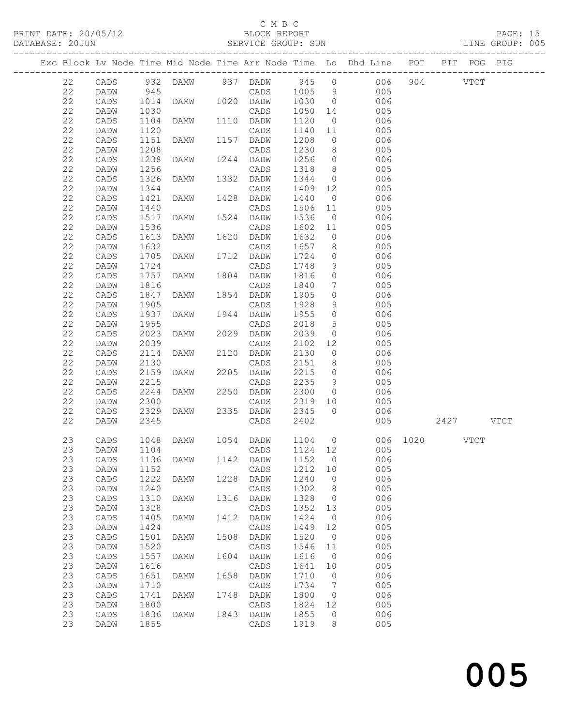PRINT DATE:  $20/05/12$ 

## C M B C<br>BLOCK REPORT<br>CEDUICE CROUP SUN

| DATABASE: 20JUN |    |      |                      |                     |      | SERVICE GROUP: SUN                   |         |                 |                            |     |                                                                                | LINE GROUP: 005 |
|-----------------|----|------|----------------------|---------------------|------|--------------------------------------|---------|-----------------|----------------------------|-----|--------------------------------------------------------------------------------|-----------------|
|                 |    |      |                      |                     |      |                                      |         |                 |                            |     | Exc Block Lv Node Time Mid Node Time Arr Node Time Lo Dhd Line POT PIT POG PIG |                 |
|                 | 22 |      |                      |                     |      |                                      |         |                 |                            |     | CADS 932 DAMW 937 DADW 945 0 006 904 VTCT                                      |                 |
|                 | 22 | DADW | 945                  |                     |      | CADS 1005 9                          |         |                 | 005                        |     |                                                                                |                 |
|                 | 22 | CADS | 1014<br>1030<br>1104 |                     |      | CADS 1005 9<br>DAMW 1020 DADW 1030 0 |         |                 | 006                        |     |                                                                                |                 |
|                 | 22 | DADW |                      |                     |      | CADS                                 | 1050 14 |                 | 005                        |     |                                                                                |                 |
|                 | 22 | CADS |                      | <b>DAMW</b>         |      | 1110 DADW                            | 1120    |                 | $\overline{0}$<br>006      |     |                                                                                |                 |
|                 | 22 | DADW | 1120                 |                     |      | CADS                                 | 1140    | 11              | 005                        |     |                                                                                |                 |
|                 | 22 | CADS | 1151                 | <b>DAMW</b>         |      | 1157 DADW                            | 1208    | $\overline{0}$  | 006                        |     |                                                                                |                 |
|                 | 22 | DADW | 1208                 |                     |      | CADS                                 | 1230    | 8 <sup>8</sup>  | 005                        |     |                                                                                |                 |
|                 | 22 | CADS | 1238                 | <b>DAMW</b>         |      | 1244 DADW                            | 1256    | $\overline{0}$  | 006                        |     |                                                                                |                 |
|                 | 22 | DADW | 1256                 |                     |      | CADS                                 | 1318    | 8 <sup>8</sup>  | 005                        |     |                                                                                |                 |
|                 | 22 | CADS | 1326                 | DAMW                | 1332 | DADW                                 | 1344    | $\overline{0}$  | 006                        |     |                                                                                |                 |
|                 | 22 | DADW | 1344                 |                     |      | CADS                                 | 1409 12 |                 | 005                        |     |                                                                                |                 |
|                 | 22 | CADS | 1421                 | DAMW                |      | 1428 DADW                            | 1440    | $\overline{0}$  | 006                        |     |                                                                                |                 |
|                 | 22 | DADW | 1440                 |                     |      | CADS                                 | 1506    | 11              | 005                        |     |                                                                                |                 |
|                 | 22 | CADS | 1517                 | DAMW                | 1524 | DADW                                 | 1536    | $\overline{0}$  | 006                        |     |                                                                                |                 |
|                 | 22 | DADW | 1536                 |                     |      | CADS                                 | 1602 11 |                 | 005                        |     |                                                                                |                 |
|                 | 22 | CADS | 1613                 | DAMW                |      | 1620 DADW                            | 1632    | $\overline{0}$  | 006                        |     |                                                                                |                 |
|                 | 22 | DADW | 1632                 |                     |      | CADS                                 | 1657    | 8 <sup>8</sup>  | 005                        |     |                                                                                |                 |
|                 | 22 |      |                      | DAMW                |      |                                      | 1724    | $\overline{0}$  | 006                        |     |                                                                                |                 |
|                 | 22 | CADS | 1705                 |                     |      | 1712 DADW                            | 1748    | 9               |                            |     |                                                                                |                 |
|                 |    | DADW | 1724                 |                     |      | CADS                                 |         |                 | 005                        |     |                                                                                |                 |
|                 | 22 | CADS | 1757                 | DAMW                |      | 1804 DADW                            | 1816    | $\overline{0}$  | 006                        |     |                                                                                |                 |
|                 | 22 | DADW | 1816                 |                     |      | CADS                                 | 1840    | $7\overline{ }$ | 005                        |     |                                                                                |                 |
|                 | 22 | CADS | 1847                 | DAMW                |      | 1854 DADW                            | 1905    | $\circ$         | 006                        |     |                                                                                |                 |
|                 | 22 | DADW | 1905                 |                     |      | CADS                                 | 1928    | 9               | 005                        |     |                                                                                |                 |
|                 | 22 | CADS | 1937                 | DAMW                |      | 1944 DADW                            | 1955    | $\overline{0}$  | 006                        |     |                                                                                |                 |
|                 | 22 | DADW | 1955                 |                     |      | CADS                                 | 2018    | $5\overline{)}$ | 005                        |     |                                                                                |                 |
|                 | 22 | CADS | 2023                 | DAMW 2029           |      | DADW                                 | 2039    | $\overline{0}$  | 006                        |     |                                                                                |                 |
|                 | 22 | DADW | 2039                 |                     |      | CADS                                 | 2102    | 12              | 005                        |     |                                                                                |                 |
|                 | 22 | CADS | 2114                 | DAMW                |      | 2120 DADW                            | 2130    | $\overline{0}$  | 006                        |     |                                                                                |                 |
|                 | 22 | DADW | 2130                 |                     |      | CADS                                 | 2151    | 8 <sup>8</sup>  | 005                        |     |                                                                                |                 |
|                 | 22 | CADS | 2159                 | DAMW                | 2205 | DADW                                 | 2215    |                 | $\overline{0}$<br>006      |     |                                                                                |                 |
|                 | 22 | DADW | 2215                 |                     |      | CADS                                 | 2235    | 9               | 005                        |     |                                                                                |                 |
|                 | 22 | CADS | 2244                 | DAMW                |      | 2250 DADW                            | 2300    | $\overline{0}$  | 006                        |     |                                                                                |                 |
|                 | 22 | DADW | 2300                 |                     |      | CADS                                 | 2319    | 10              | 005                        |     |                                                                                |                 |
|                 | 22 | CADS | 2329                 | DAMW 2335 DADW      |      |                                      | 2345    | $\overline{0}$  | 006                        |     |                                                                                |                 |
|                 | 22 | DADW | 2345                 |                     |      | CADS                                 | 2402    |                 |                            | 005 | 2427 VTCT                                                                      |                 |
|                 | 23 | CADS |                      | 1048 DAMW 1054 DADW |      |                                      |         |                 | 1104 0                     |     | 006 1020 VTCT                                                                  |                 |
|                 | 23 |      |                      |                     |      |                                      |         |                 | DADW 1104 CADS 1124 12 005 |     |                                                                                |                 |
|                 | 23 | CADS | 1136                 | DAMW                | 1142 | DADW                                 | 1152    | $\overline{0}$  | 006                        |     |                                                                                |                 |
|                 | 23 | DADW | 1152                 |                     |      | CADS                                 | 1212 10 |                 | 005                        |     |                                                                                |                 |
|                 | 23 | CADS | 1222                 | <b>DAMW</b>         | 1228 | DADW                                 | 1240    | $\overline{0}$  | 006                        |     |                                                                                |                 |
|                 | 23 | DADW | 1240                 |                     |      | CADS                                 | 1302    | 8 <sup>8</sup>  | 005                        |     |                                                                                |                 |
|                 | 23 | CADS | 1310                 | <b>DAMW</b>         | 1316 | DADW                                 | 1328    | $\overline{0}$  | 006                        |     |                                                                                |                 |
|                 | 23 | DADW | 1328                 |                     |      | $\mathtt{CADS}$                      | 1352    | 13              | 005                        |     |                                                                                |                 |
|                 | 23 | CADS | 1405                 | <b>DAMW</b>         | 1412 | DADW                                 | 1424    | $\overline{0}$  | 006                        |     |                                                                                |                 |
|                 | 23 | DADW | 1424                 |                     |      | $\mathtt{CADS}$                      | 1449    | 12              | 005                        |     |                                                                                |                 |
|                 | 23 | CADS | 1501                 | <b>DAMW</b>         | 1508 | DADW                                 | 1520    | $\overline{0}$  | 006                        |     |                                                                                |                 |
|                 | 23 | DADW | 1520                 |                     |      | CADS                                 | 1546    | 11              | 005                        |     |                                                                                |                 |
|                 | 23 | CADS | 1557                 | DAMW                | 1604 | DADW                                 | 1616    | $\overline{0}$  | 006                        |     |                                                                                |                 |
|                 | 23 | DADW | 1616                 |                     |      | CADS                                 | 1641    | 10              | 005                        |     |                                                                                |                 |
|                 | 23 | CADS | 1651                 | <b>DAMW</b>         | 1658 | DADW                                 | 1710    | $\overline{0}$  | 006                        |     |                                                                                |                 |
|                 | 23 | DADW | 1710                 |                     |      | CADS                                 | 1734    | $\overline{7}$  | 005                        |     |                                                                                |                 |
|                 | 23 | CADS | 1741                 | <b>DAMW</b>         | 1748 | DADW                                 | 1800    | $\overline{0}$  | 006                        |     |                                                                                |                 |
|                 | 23 | DADW | 1800                 |                     |      | CADS                                 | 1824    | 12              | 005                        |     |                                                                                |                 |
|                 | 23 | CADS | 1836                 | DAMW                |      | 1843 DADW                            | 1855    | $\overline{0}$  | 006                        |     |                                                                                |                 |
|                 | 23 | DADW | 1855                 |                     |      | CADS                                 | 1919    | 8               | 005                        |     |                                                                                |                 |
|                 |    |      |                      |                     |      |                                      |         |                 |                            |     |                                                                                |                 |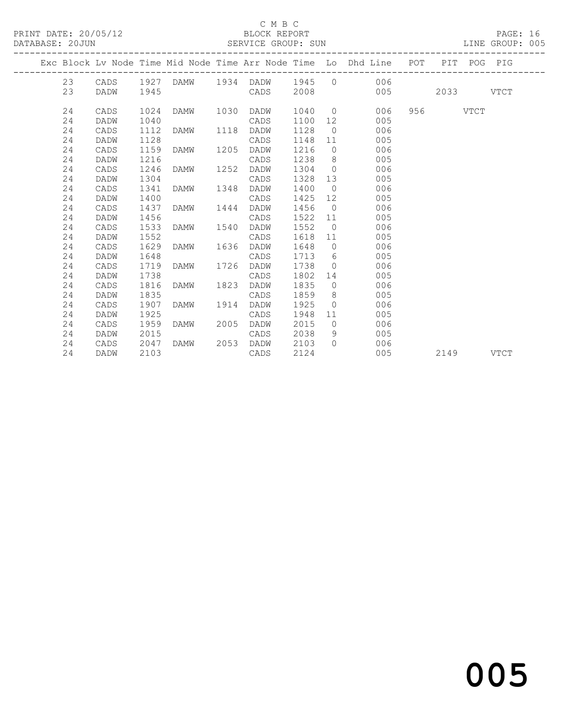### C M B C<br>BLOCK REPORT

#### SERVICE GROUP: SUN

|  |    |             |      |           |      |      |      |                | Exc Block Lv Node Time Mid Node Time Arr Node Time Lo Dhd Line POT PIT POG PIG |          |             |
|--|----|-------------|------|-----------|------|------|------|----------------|--------------------------------------------------------------------------------|----------|-------------|
|  | 23 |             |      |           |      |      |      |                | CADS 1927 DAMW 1934 DADW 1945 0 006                                            |          |             |
|  | 23 | <b>DADW</b> | 1945 |           |      | CADS | 2008 |                | 005                                                                            | 2033     | <b>VTCT</b> |
|  | 24 | CADS        | 1024 | DAMW 1030 |      | DADW |      |                | 1040 0<br>006                                                                  | 956 VTCT |             |
|  | 24 | DADW        | 1040 |           |      | CADS | 1100 |                | 005                                                                            |          |             |
|  | 24 | CADS        | 1112 | DAMW 1118 |      | DADW | 1128 |                | 006<br>$\overline{0}$                                                          |          |             |
|  | 24 | DADW        | 1128 |           |      | CADS | 1148 | 11             | 005                                                                            |          |             |
|  | 24 | CADS        | 1159 | DAMW      | 1205 | DADW | 1216 | $\Omega$       | 006                                                                            |          |             |
|  | 24 | DADW        | 1216 |           |      | CADS | 1238 |                | $8 \overline{)}$<br>005                                                        |          |             |
|  | 24 | CADS        | 1246 | DAMW      | 1252 | DADW | 1304 | $\bigcirc$     | 006                                                                            |          |             |
|  | 24 | DADW        | 1304 |           |      | CADS | 1328 |                | 13<br>005                                                                      |          |             |
|  | 24 | CADS        | 1341 | DAMW      | 1348 | DADW | 1400 | $\overline{0}$ | 006                                                                            |          |             |
|  | 24 | DADW        | 1400 |           |      | CADS | 1425 | 12             | 005                                                                            |          |             |
|  | 24 | CADS        | 1437 | DAMW      | 1444 | DADW | 1456 | $\overline{0}$ | 006                                                                            |          |             |
|  | 24 | DADW        | 1456 |           |      | CADS | 1522 | 11             | 005                                                                            |          |             |
|  | 24 | CADS        | 1533 | DAMW      | 1540 | DADW | 1552 | $\overline{0}$ | 006                                                                            |          |             |
|  | 24 | DADW        | 1552 |           |      | CADS | 1618 | 11             | 005                                                                            |          |             |
|  | 24 | CADS        | 1629 | DAMW      | 1636 | DADW | 1648 | $\overline{0}$ | 006                                                                            |          |             |
|  | 24 | DADW        | 1648 |           |      | CADS | 1713 | 6 <sup>6</sup> | 005                                                                            |          |             |
|  | 24 | CADS        | 1719 | DAMW      | 1726 | DADW | 1738 | $\bigcirc$     | 006                                                                            |          |             |
|  | 24 | DADW        | 1738 |           |      | CADS | 1802 | 14             | 005                                                                            |          |             |
|  | 24 | CADS        | 1816 | DAMW      | 1823 | DADW | 1835 | $\Omega$       | 006                                                                            |          |             |
|  | 24 | DADW        | 1835 |           |      | CADS | 1859 |                | $8 \overline{)}$<br>005                                                        |          |             |
|  | 24 | CADS        | 1907 | DAMW      | 1914 | DADW | 1925 | $\overline{0}$ | 006                                                                            |          |             |
|  | 24 | DADW        | 1925 |           |      | CADS | 1948 | 11             | 005                                                                            |          |             |
|  | 24 | CADS        | 1959 | DAMW      | 2005 | DADW | 2015 | $\bigcirc$     | 006                                                                            |          |             |
|  | 24 | DADW        | 2015 |           |      | CADS | 2038 | 9              | 005                                                                            |          |             |
|  | 24 | CADS        | 2047 | DAMW      | 2053 | DADW | 2103 | $\bigcap$      | 006                                                                            |          |             |
|  | 24 | DADW        | 2103 |           |      | CADS | 2124 |                | 005                                                                            | 2149     | VTCT        |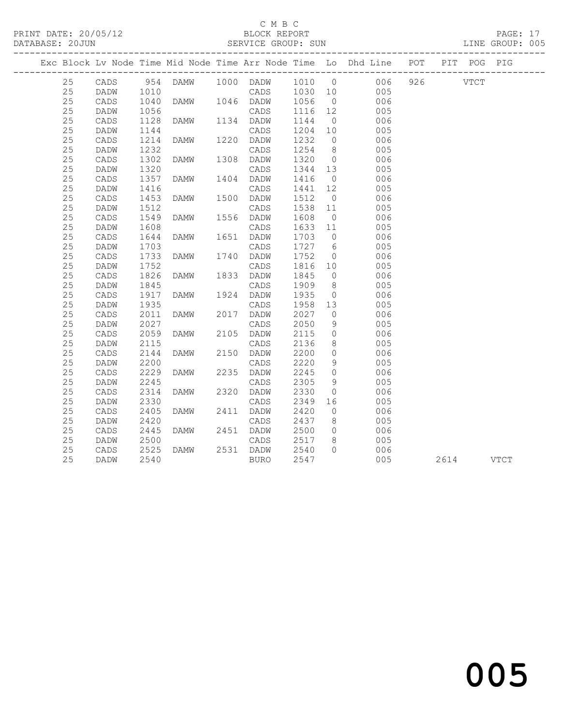#### C M B C

| PRINT DATE: 20/05/12<br>DATABASE: 20JUN |    |      |      |      |      |                  |         |                |                                                                                |              |  | PAGE: 17<br>LINE GROUP: 005 |  |
|-----------------------------------------|----|------|------|------|------|------------------|---------|----------------|--------------------------------------------------------------------------------|--------------|--|-----------------------------|--|
|                                         |    |      |      |      |      |                  |         |                | Exc Block Lv Node Time Mid Node Time Arr Node Time Lo Dhd Line POT PIT POG PIG |              |  |                             |  |
|                                         | 25 | CADS | 954  | DAMW |      | 1000 DADW 1010 0 |         |                |                                                                                | 006 926 VTCT |  |                             |  |
|                                         | 25 | DADW | 1010 |      |      | CADS             | 1030 10 |                | 005                                                                            |              |  |                             |  |
|                                         | 25 | CADS | 1040 | DAMW |      | 1046 DADW        | 1056    | $\overline{0}$ | 006                                                                            |              |  |                             |  |
|                                         | 25 | DADW | 1056 |      |      | CADS             | 1116    | 12             | 005                                                                            |              |  |                             |  |
|                                         | 25 | CADS | 1128 | DAMW |      | 1134 DADW        | 1144    | $\overline{0}$ | 006                                                                            |              |  |                             |  |
|                                         | 25 | DADW | 1144 |      |      | CADS             | 1204    | 10             | 005                                                                            |              |  |                             |  |
|                                         | 25 | CADS | 1214 | DAMW | 1220 | DADW             | 1232    | $\overline{0}$ | 006                                                                            |              |  |                             |  |
|                                         | 25 | DADW | 1232 |      |      | CADS             | 1254    | 8 <sup>8</sup> | 005                                                                            |              |  |                             |  |
|                                         | 25 | CADS | 1302 | DAMW | 1308 | DADW             | 1320    | $\overline{0}$ | 006                                                                            |              |  |                             |  |
|                                         | 25 | DADW | 1320 |      |      | CADS             | 1344    | 13             | 005                                                                            |              |  |                             |  |
|                                         | 25 | CADS | 1357 | DAMW | 1404 | DADW             | 1416    | $\overline{0}$ | 006                                                                            |              |  |                             |  |
|                                         | 25 | DADW | 1416 |      |      | CADS             | 1441    | 12             | 005                                                                            |              |  |                             |  |
|                                         | 25 | CADS | 1453 | DAMW | 1500 | DADW             | 1512    | $\overline{0}$ | 006                                                                            |              |  |                             |  |
|                                         | 25 | DADW | 1512 |      |      | CADS             | 1538    | 11             | 005                                                                            |              |  |                             |  |
|                                         | 25 | CADS | 1549 | DAMW | 1556 | DADW             | 1608    | $\overline{0}$ | 006                                                                            |              |  |                             |  |
|                                         | 25 | DADW | 1608 |      |      | CADS             | 1633    | 11             | 005                                                                            |              |  |                             |  |
|                                         | 25 | CADS | 1644 | DAMW | 1651 | DADW             | 1703    | $\overline{0}$ | 006                                                                            |              |  |                             |  |
|                                         | 25 | DADW | 1703 |      |      | CADS             | 1727    | 6              | 005                                                                            |              |  |                             |  |
|                                         | 25 | CADS | 1733 | DAMW | 1740 | DADW             | 1752    | $\overline{0}$ | 006                                                                            |              |  |                             |  |
|                                         | 25 | DADW | 1752 |      |      | CADS             | 1816    | 10             | 005                                                                            |              |  |                             |  |
|                                         | 25 | CADS | 1826 | DAMW | 1833 | DADW             | 1845    | $\circ$        | 006                                                                            |              |  |                             |  |
|                                         | 25 | DADW | 1845 |      |      | CADS             | 1909    | 8 <sup>8</sup> | 005                                                                            |              |  |                             |  |
|                                         | 25 | CADS | 1917 | DAMW |      | 1924 DADW        | 1935    | $\overline{0}$ | 006                                                                            |              |  |                             |  |
|                                         | 25 | DADW | 1935 |      |      | CADS             | 1958    | 13             | 005                                                                            |              |  |                             |  |
|                                         | 25 | CADS | 2011 | DAMW | 2017 | DADW             | 2027    | $\overline{O}$ | 006                                                                            |              |  |                             |  |
|                                         | 25 | DADW | 2027 |      |      | CADS             | 2050    | 9              | 005                                                                            |              |  |                             |  |
|                                         | 25 | CADS | 2059 | DAMW | 2105 | DADW             | 2115    | $\circ$        | 006                                                                            |              |  |                             |  |
|                                         | 25 | DADW | 2115 |      |      | CADS             | 2136    | 8              | 005                                                                            |              |  |                             |  |
|                                         | 25 | CADS | 2144 | DAMW | 2150 | DADW             | 2200    | $\circ$        | 006                                                                            |              |  |                             |  |
|                                         | 25 | DADW | 2200 |      |      | CADS             | 2220    | 9              | 005                                                                            |              |  |                             |  |
|                                         | 25 | CADS | 2229 | DAMW | 2235 | DADW             | 2245    | $\circ$        | 006                                                                            |              |  |                             |  |
|                                         | 25 | DADW | 2245 |      |      | CADS             | 2305    | 9              | 005                                                                            |              |  |                             |  |
|                                         | 25 | CADS | 2314 | DAMW | 2320 | DADW             | 2330    | $\circ$        | 006                                                                            |              |  |                             |  |
|                                         | 25 | DADW | 2330 |      |      | CADS             | 2349    | 16             | 005                                                                            |              |  |                             |  |
|                                         | 25 | CADS | 2405 | DAMW | 2411 | DADW             | 2420    | $\circ$        | 006                                                                            |              |  |                             |  |
|                                         | 25 | DADW | 2420 |      |      | CADS             | 2437    | 8              | 005                                                                            |              |  |                             |  |
|                                         | 25 | CADS | 2445 | DAMW |      | 2451 DADW        | 2500    | $\circ$        | 006                                                                            |              |  |                             |  |
|                                         | 25 | DADW | 2500 |      |      | CADS             | 2517    | 8              | 005                                                                            |              |  |                             |  |
|                                         | 25 | CADS | 2525 | DAMW |      | 2531 DADW        | 2540    | $\Omega$       | 006                                                                            |              |  |                             |  |

25 DADW 2540 BURO 2547 005 2614 VTCT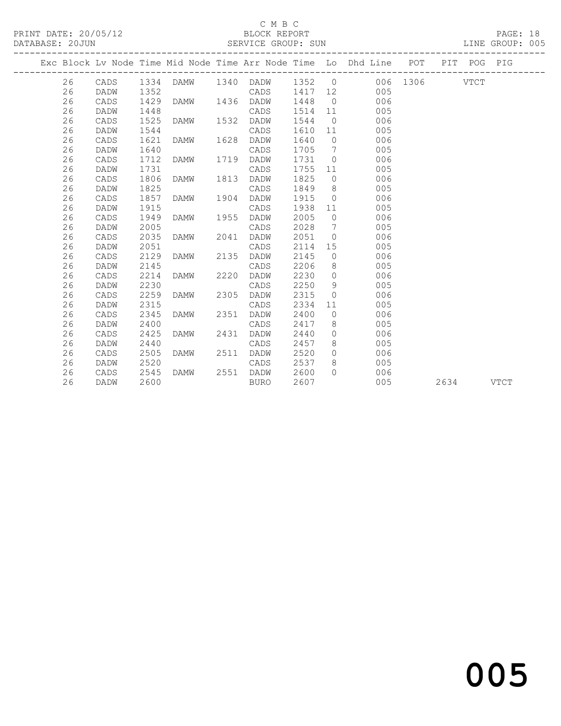### C M B C<br>BLOCK REPORT

|    |      |      |                     |              |                                                  |                |                                                                                                                                                                                                                                       |  | PAGE: 18<br>LINE GROUP: 005 |  |
|----|------|------|---------------------|--------------|--------------------------------------------------|----------------|---------------------------------------------------------------------------------------------------------------------------------------------------------------------------------------------------------------------------------------|--|-----------------------------|--|
|    |      |      |                     |              |                                                  |                | Exc Block Lv Node Time Mid Node Time Arr Node Time Lo Dhd Line POT PIT POG PIG                                                                                                                                                        |  |                             |  |
|    |      |      |                     |              |                                                  |                | 26 CADS 1334 DAMW 1340 DADW 1352 0 006 1306 VTCT                                                                                                                                                                                      |  |                             |  |
| 26 | DADW | 1352 |                     | CADS 1417 12 |                                                  |                | 005                                                                                                                                                                                                                                   |  |                             |  |
| 26 | CADS |      |                     |              |                                                  |                | 1448 0<br>006                                                                                                                                                                                                                         |  |                             |  |
| 26 | DADW | 1448 |                     | CADS         | $\begin{array}{c}\n 1514 \quad 11\n \end{array}$ |                | 005                                                                                                                                                                                                                                   |  |                             |  |
| 26 | CADS | 1525 |                     |              | 1544                                             | $\overline{0}$ | 006                                                                                                                                                                                                                                   |  |                             |  |
| 26 | DADW | 1544 |                     | CADS         | 1610 11                                          |                | 005                                                                                                                                                                                                                                   |  |                             |  |
| 26 | CADS | 1621 |                     |              | 1640                                             | $\overline{0}$ | 006                                                                                                                                                                                                                                   |  |                             |  |
| 26 | DADW | 1640 |                     | CADS         |                                                  |                | 1705 7<br>005                                                                                                                                                                                                                         |  |                             |  |
| 26 | CADS | 1712 | DAMW 1719 DADW      |              | 1731                                             |                | 006<br>$\overline{O}$                                                                                                                                                                                                                 |  |                             |  |
| 26 | DADW | 1731 |                     | CADS         | 1755                                             |                | 005<br>11 — 1                                                                                                                                                                                                                         |  |                             |  |
| 26 | CADS | 1806 | DAMW 1813 DADW      |              | 1825                                             |                | 006<br>$\overline{0}$                                                                                                                                                                                                                 |  |                             |  |
| 26 | DADW | 1825 |                     | CADS         | 1849                                             |                | $8 \overline{)}$<br>005                                                                                                                                                                                                               |  |                             |  |
| 26 | CADS | 1857 | DAMW 1904 DADW      |              | 1915                                             |                | $\overline{0}$<br>006                                                                                                                                                                                                                 |  |                             |  |
| 26 | DADW | 1915 |                     | CADS         | 1938                                             |                | 11<br>005                                                                                                                                                                                                                             |  |                             |  |
| 26 | CADS | 1949 | DAMW 1955 DADW      |              | 2005                                             |                | $\overline{0}$<br>006                                                                                                                                                                                                                 |  |                             |  |
| 26 | DADW | 2005 |                     | CADS         | 2028                                             |                | $7\overline{ }$<br>005                                                                                                                                                                                                                |  |                             |  |
| 26 | CADS | 2035 | DAMW 2041 DADW      |              | 2051                                             |                | $\overline{0}$<br>006                                                                                                                                                                                                                 |  |                             |  |
| 26 | DADW | 2051 |                     | CADS         | 2114                                             |                | 15<br>005                                                                                                                                                                                                                             |  |                             |  |
| 26 | CADS | 2129 | DAMW 2135 DADW      |              | 2145                                             | $\overline{0}$ | 006                                                                                                                                                                                                                                   |  |                             |  |
| 26 | DADW | 2145 |                     | CADS         | 2206                                             | 8 <sup>1</sup> | 005                                                                                                                                                                                                                                   |  |                             |  |
| 26 | CADS | 2214 | DAMW 2220           | DADW         | 2230                                             |                | 006<br>$\overline{O}$                                                                                                                                                                                                                 |  |                             |  |
| 26 | DADW | 2230 |                     | CADS         | 2250                                             |                | 9<br>005                                                                                                                                                                                                                              |  |                             |  |
| 26 | CADS | 2259 | DAMW 2305           | DADW         | 2315                                             |                | 006<br>$\overline{0}$                                                                                                                                                                                                                 |  |                             |  |
| 26 | DADW | 2315 |                     | CADS         | 2334                                             |                | 11 — 11 — 11 — 11 — 11 — 11 — 11 — 11 — 11 — 11 — 11 — 11 — 11 — 11 — 11 — 11 — 11 — 11 — 11 — 11 — 11 — 11 — 11 — 11 — 11 — 11 — 11 — 11 — 11 — 11 — 11 — 11 — 11 — 11 — 11 — 11 — 11 — 11 — 11 — 11 — 11 — 11 — 11 — 11 — 11<br>005 |  |                             |  |
| 26 | CADS | 2345 | DAMW 2351           | DADW         | 2400                                             |                | $\overline{0}$<br>006                                                                                                                                                                                                                 |  |                             |  |
| 26 | DADW | 2400 |                     | CADS         | 2417                                             |                | 8<br>005                                                                                                                                                                                                                              |  |                             |  |
| 26 | CADS | 2425 | DAMW 2431           | DADW         | 2440                                             |                | $\overline{0}$<br>006                                                                                                                                                                                                                 |  |                             |  |
| 26 | DADW | 2440 |                     | CADS         | 2457                                             |                | $8 \overline{)}$<br>005                                                                                                                                                                                                               |  |                             |  |
| 26 | CADS | 2505 | DAMW 2511 DADW      |              | 2520                                             |                | $\overline{0}$<br>006                                                                                                                                                                                                                 |  |                             |  |
| 26 | DADW | 2520 |                     | CADS         | 2537                                             | 8 <sup>8</sup> | 005                                                                                                                                                                                                                                   |  |                             |  |
| 26 | CADS |      | 2545 DAMW 2551 DADW |              | 2600                                             | $\bigcap$      | 006                                                                                                                                                                                                                                   |  |                             |  |

26 DADW 2600 BURO 2607 005 2634 VTCT

# and the contract of  $\sim$  005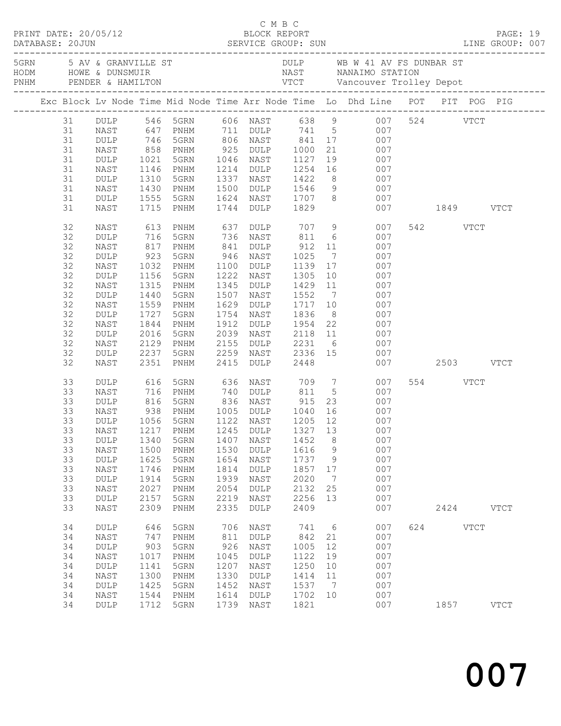|  |          |                                                  |              |                        |      |                                             |                    |    | PRINT DATE: 20/05/12<br>BLOCK REPORT BLOCK PRESSERIES DATABASE: 20JUN SERVICE GROUP: SUN LINE GROUP: 007                    |               |          |             |             |  |
|--|----------|--------------------------------------------------|--------------|------------------------|------|---------------------------------------------|--------------------|----|-----------------------------------------------------------------------------------------------------------------------------|---------------|----------|-------------|-------------|--|
|  |          |                                                  |              |                        |      |                                             |                    |    | 5GRN 5 AV & GRANVILLE ST 5 AV A DULP WB W 41 AV FS DUNBAR ST<br>NAST NANAIMO STATION                                        |               |          |             |             |  |
|  |          |                                                  |              |                        |      |                                             |                    |    | Exc Block Lv Node Time Mid Node Time Arr Node Time Lo Dhd Line POT PIT POG PIG                                              |               |          |             |             |  |
|  |          |                                                  |              |                        |      |                                             |                    |    | 31 DULP 546 5GRN 606 NAST 638 9 007 524 VTCT<br>31 NAST 647 PNHM 711 DULP 741 5 007<br>31 DULP 746 5GRN 806 NAST 841 17 007 |               |          |             |             |  |
|  |          |                                                  |              |                        |      |                                             |                    |    |                                                                                                                             |               |          |             |             |  |
|  |          |                                                  |              |                        |      |                                             |                    |    |                                                                                                                             |               |          |             |             |  |
|  | 31       | NAST                                             |              | 858 PNHM 925 DULP 1000 |      |                                             |                    |    | 21<br>007                                                                                                                   |               |          |             |             |  |
|  | 31       | DULP                                             | 1021         | 5GRN                   |      |                                             |                    |    |                                                                                                                             |               |          |             |             |  |
|  | 31       | NAST                                             |              | 1146 PNHM<br>1310 5GRN |      |                                             |                    |    | 1046 NAST 1127 19 007<br>1214 DULP 1254 16 007<br>1337 NAST 1422 8 007                                                      |               |          |             |             |  |
|  | 31       | DULP                                             |              |                        |      |                                             |                    |    |                                                                                                                             |               |          |             |             |  |
|  | 31       | NAST                                             |              | 1430 PNHM              | 1500 |                                             |                    |    | DULP 1546 9 007                                                                                                             |               |          |             |             |  |
|  | 31       | $\texttt{DULP}$                                  | 1555         | 5GRN                   |      |                                             |                    |    | 1624 NAST 1707 8 007<br>1744 DULP 1829 007                                                                                  |               |          |             |             |  |
|  | 31       | NAST                                             | 1715         | PNHM                   |      |                                             |                    |    |                                                                                                                             | 007 1849 VTCT |          |             |             |  |
|  | 32       | NAST                                             | 613          | PNHM                   | 637  | DULP 707 9                                  |                    |    | 007                                                                                                                         |               | 542 VTCT |             |             |  |
|  | 32       | <b>DULP</b>                                      | 716          | 5GRN                   |      | 736 NAST                                    | 811                |    | $6\overline{6}$<br>007                                                                                                      |               |          |             |             |  |
|  | 32       | NAST                                             | 817<br>923   | PNHM                   | 841  | DULP<br>$946$ NAST                          | $912$ 11<br>1025 7 |    | 007                                                                                                                         |               |          |             |             |  |
|  | 32       | DULP                                             |              | 5GRN                   |      |                                             |                    |    | 007                                                                                                                         |               |          |             |             |  |
|  | 32       | NAST                                             |              | 1032 PNHM              | 1100 | DULP 1139 17                                |                    |    | 007                                                                                                                         |               |          |             |             |  |
|  | 32       | $\texttt{DULP}$                                  | 1156         | 5GRN                   |      | 1222 NAST                                   | 1305               |    | 10<br>007                                                                                                                   |               |          |             |             |  |
|  | 32       | NAST                                             | 1315<br>1440 | PNHM                   |      | 1345 DULP                                   |                    |    | 1429 11<br>1552 7<br>007                                                                                                    |               |          |             |             |  |
|  | 32<br>32 | $\texttt{DULP}$                                  | 1559         | 5GRN                   | 1629 | 1507 NAST                                   | 1717 10            |    | 007<br>007                                                                                                                  |               |          |             |             |  |
|  | 32       | NAST<br>DULP                                     | 1727         | PNHM<br>5GRN           |      | DULP<br>1754 NAST                           | 1836               |    | 007                                                                                                                         |               |          |             |             |  |
|  | 32       | NAST                                             | 1844         | PNHM                   | 1912 | DULP                                        |                    |    | 8 <sup>1</sup><br>007                                                                                                       |               |          |             |             |  |
|  | 32       | $\texttt{DULP}$                                  | 2016         | 5GRN                   | 2039 |                                             |                    |    | 1954 22<br>2118 11<br>2231 6<br>007                                                                                         |               |          |             |             |  |
|  | 32       | NAST                                             |              | 2129 PNHM              | 2155 | NAST<br><b>DULP</b> 2231                    |                    |    | 007                                                                                                                         |               |          |             |             |  |
|  | 32       | DULP                                             | 2237         | 5GRN                   | 2259 | NAST 2336 15                                |                    |    | 007                                                                                                                         |               |          |             |             |  |
|  | 32       | NAST                                             | 2351         | PNHM                   | 2415 | DULP 2448                                   |                    |    |                                                                                                                             | 007 2503 VTCT |          |             |             |  |
|  | 33       | DULP                                             | 616          | 5GRN                   | 636  | NAST 709 7                                  |                    |    | 007                                                                                                                         |               | 554 VTCT |             |             |  |
|  | 33       | NAST                                             | 716          | PNHM                   | 740  | DULP                                        | 811                |    | $5\overline{)}$<br>007                                                                                                      |               |          |             |             |  |
|  | 33       |                                                  |              |                        |      | 836 NAST                                    |                    |    | 23<br>007                                                                                                                   |               |          |             |             |  |
|  | 33       | DULP 816 5GRN<br>NAST 938 PNHM<br>DULP 1056 5GRN |              |                        | 1005 | NAST 915 23<br>DULP 1040 16<br>NAST 1205 12 |                    |    | 007                                                                                                                         |               |          |             |             |  |
|  | 33       |                                                  |              |                        |      | 1122 NAST                                   |                    |    | 007                                                                                                                         |               |          |             |             |  |
|  | 33       | NAST                                             |              | 1217 PNHM              |      |                                             |                    |    | 1245 DULP 1327 13 007                                                                                                       |               |          |             |             |  |
|  | 33       | DULP                                             | 1340         | 5GRN                   | 1407 | NAST                                        | 1452               | 8  | 007                                                                                                                         |               |          |             |             |  |
|  | 33       | NAST                                             | 1500         | PNHM                   | 1530 | <b>DULP</b>                                 | 1616               | 9  | 007                                                                                                                         |               |          |             |             |  |
|  | 33       | $\texttt{DULP}$                                  | 1625         | 5GRN                   | 1654 | NAST                                        | 1737               | 9  | 007                                                                                                                         |               |          |             |             |  |
|  | 33       | NAST                                             | 1746         | PNHM                   | 1814 | <b>DULP</b>                                 | 1857               | 17 | 007                                                                                                                         |               |          |             |             |  |
|  | 33       | DULP                                             | 1914         | 5GRN                   | 1939 | NAST                                        | 2020               | 7  | 007                                                                                                                         |               |          |             |             |  |
|  | 33       | NAST                                             | 2027         | PNHM                   | 2054 | <b>DULP</b>                                 | 2132               | 25 | 007                                                                                                                         |               |          |             |             |  |
|  | 33       | DULP                                             | 2157         | 5GRN                   | 2219 | NAST                                        | 2256               | 13 | 007                                                                                                                         |               |          |             |             |  |
|  | 33       | <b>NAST</b>                                      | 2309         | PNHM                   | 2335 | <b>DULP</b>                                 | 2409               |    | 007                                                                                                                         |               | 2424     |             | <b>VTCT</b> |  |
|  | 34       | DULP                                             | 646          | 5GRN                   | 706  | NAST                                        | 741                | 6  | 007                                                                                                                         | 624           |          | <b>VTCT</b> |             |  |
|  | 34       | NAST                                             | 747          | PNHM                   | 811  | DULP                                        | 842                | 21 | 007                                                                                                                         |               |          |             |             |  |
|  | 34       | $\texttt{DULP}$                                  | 903          | 5GRN                   | 926  | NAST                                        | 1005               | 12 | 007                                                                                                                         |               |          |             |             |  |
|  | 34       | NAST                                             | 1017         | PNHM                   | 1045 | DULP                                        | 1122               | 19 | 007                                                                                                                         |               |          |             |             |  |
|  | 34       | DULP                                             | 1141         | 5GRN                   | 1207 | NAST                                        | 1250               | 10 | 007                                                                                                                         |               |          |             |             |  |
|  | 34       | NAST                                             | 1300         | PNHM                   | 1330 | <b>DULP</b>                                 | 1414               | 11 | 007                                                                                                                         |               |          |             |             |  |
|  | 34       | $\texttt{DULP}$                                  | 1425         | 5GRN                   | 1452 | NAST                                        | 1537               | 7  | 007                                                                                                                         |               |          |             |             |  |
|  | 34       | NAST                                             | 1544         | PNHM                   | 1614 | <b>DULP</b>                                 | 1702               | 10 | 007                                                                                                                         |               |          |             |             |  |
|  | 34       | DULP                                             | 1712         | 5GRN                   | 1739 | NAST                                        | 1821               |    | 007                                                                                                                         |               | 1857     |             | <b>VTCT</b> |  |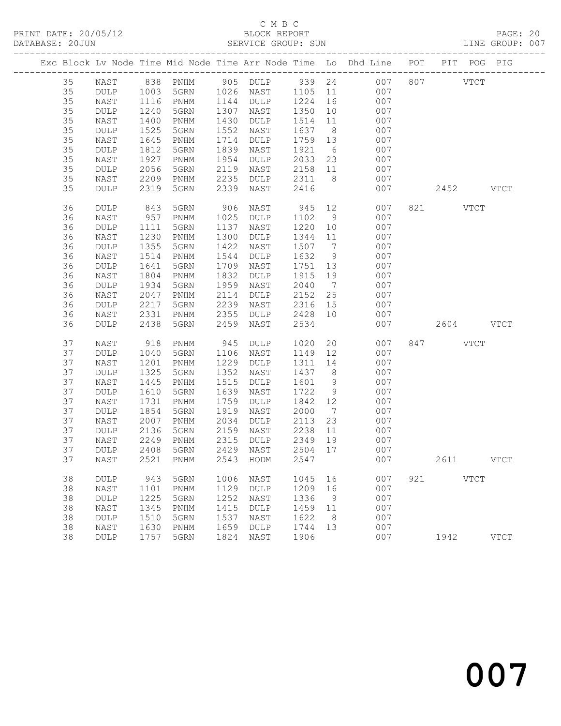|  |          |              |              |              |              |              |                 |                      | Exc Block Lv Node Time Mid Node Time Arr Node Time Lo Dhd Line POT |     |             | PIT POG PIG |
|--|----------|--------------|--------------|--------------|--------------|--------------|-----------------|----------------------|--------------------------------------------------------------------|-----|-------------|-------------|
|  |          |              |              |              |              |              |                 |                      |                                                                    |     |             |             |
|  | 35       | NAST         |              |              |              |              |                 |                      |                                                                    | 807 | VTCT        |             |
|  | 35       | DULP         |              |              |              |              |                 |                      |                                                                    |     |             |             |
|  | 35       | NAST         | 1116         | PNHM         | 1144         | DULP         | 1224 16         |                      | 007                                                                |     |             |             |
|  | 35<br>35 | DULP         | 1240         | 5GRN         | 1307         | NAST         | 1350            | 10                   | 007                                                                |     |             |             |
|  | 35       | NAST<br>DULP | 1400<br>1525 | PNHM<br>5GRN | 1430<br>1552 | DULP<br>NAST | 1514<br>1637    | 11<br>8 <sup>8</sup> | 007<br>007                                                         |     |             |             |
|  | 35       | NAST         | 1645         | PNHM         | 1714         | DULP         | 1759 13         |                      | 007                                                                |     |             |             |
|  | 35       | DULP         | 1812         | 5GRN         | 1839         | NAST         | 1921            | 6                    | 007                                                                |     |             |             |
|  | 35       | NAST         | 1927         | PNHM         | 1954         | DULP         | 2033            | 23                   | 007                                                                |     |             |             |
|  | 35       | DULP         | 2056         | 5GRN         | 2119         | NAST         | 2158 11         |                      | 007                                                                |     |             |             |
|  | 35       | NAST         | 2209         | PNHM         | 2235         | DULP         | 2311            | 8 <sup>8</sup>       | 007                                                                |     |             |             |
|  | 35       | DULP         | 2319         | 5GRN         | 2339         | NAST         | 2416            |                      | 007                                                                |     | 2452 VTCT   |             |
|  |          |              |              |              |              |              |                 |                      |                                                                    |     |             |             |
|  | 36       | DULP         | 843          | 5GRN         | 906          | NAST         | 945             |                      | 12 and $\overline{a}$<br>007                                       |     | 821 VTCT    |             |
|  | 36       | NAST         | 957          | PNHM         | 1025         | DULP         | 1102            | 9                    | 007                                                                |     |             |             |
|  | 36       | DULP         | 1111         | 5GRN         | 1137         | NAST         | 1220            | 10                   | 007                                                                |     |             |             |
|  | 36       | NAST         | 1230         | PNHM         | 1300         | DULP         | 1344            | 11                   | 007                                                                |     |             |             |
|  | 36       | DULP         | 1355         | 5GRN         | 1422         | NAST         | 1507 7          |                      | 007                                                                |     |             |             |
|  | 36<br>36 | NAST         | 1514         | PNHM         | 1544<br>1709 | DULP         | 1632            | 9                    | 007<br>007                                                         |     |             |             |
|  | 36       | DULP<br>NAST | 1641<br>1804 | 5GRN<br>PNHM | 1832         | NAST<br>DULP | 1751 13<br>1915 | 19                   | 007                                                                |     |             |             |
|  | 36       | DULP         | 1934         | 5GRN         | 1959         | NAST         | 2040            | $\overline{7}$       | 007                                                                |     |             |             |
|  | 36       | NAST         | 2047         | PNHM         | 2114         | DULP         | 2152            | 25                   | 007                                                                |     |             |             |
|  | 36       | DULP         | 2217         | 5GRN         | 2239         | NAST         | 2316            | 15                   | 007                                                                |     |             |             |
|  | 36       | NAST         | 2331         | PNHM         | 2355         | DULP         | 2428 10         |                      | 007                                                                |     |             |             |
|  | 36       | DULP         | 2438         | 5GRN         | 2459         | NAST         | 2534            |                      | 007                                                                |     | 2604 VTCT   |             |
|  |          |              |              |              |              |              |                 |                      |                                                                    |     |             |             |
|  | 37       | NAST         | 918          | PNHM         | 945          | DULP         | 1020            |                      | 20<br>007                                                          |     | 847 VTCT    |             |
|  | 37       | DULP         | 1040         | 5GRN         | 1106         | NAST         | 1149            | 12                   | 007                                                                |     |             |             |
|  | 37       | NAST         | 1201         | PNHM         | 1229         | DULP         | 1311            | 14                   | 007                                                                |     |             |             |
|  | 37       | DULP         | 1325         | 5GRN         | 1352         | NAST         | 1437            | 8 <sup>8</sup>       | 007                                                                |     |             |             |
|  | 37       | NAST         | 1445         | PNHM         | 1515         | DULP         | 1601            | 9                    | 007                                                                |     |             |             |
|  | 37<br>37 | DULP         | 1610         | 5GRN         | 1639<br>1759 | NAST         | 1722<br>1842    | 9<br>12              | 007<br>007                                                         |     |             |             |
|  | 37       | NAST<br>DULP | 1731<br>1854 | PNHM<br>5GRN | 1919         | DULP<br>NAST | 2000            | $\overline{7}$       | 007                                                                |     |             |             |
|  | 37       | NAST         | 2007         | PNHM         | 2034         | DULP         | 2113            | 23                   | 007                                                                |     |             |             |
|  | 37       | DULP         | 2136         | 5GRN         | 2159         | NAST         | 2238            | 11                   | 007                                                                |     |             |             |
|  | 37       | NAST         | 2249         | PNHM         | 2315         | DULP         | 2349            | 19                   | 007                                                                |     |             |             |
|  | 37       | DULP         | 2408         | 5GRN         | 2429         | NAST         | 2504 17         |                      | 007                                                                |     |             |             |
|  | 37       | NAST         |              |              |              |              |                 |                      | 2521 PNHM 2543 HODM 2547 007                                       |     | 2611        | <b>VTCT</b> |
|  |          |              |              |              |              |              |                 |                      |                                                                    |     |             |             |
|  | 38       | DULP         | 943          | 5GRN         | 1006         | NAST         | 1045            | 16                   | 007                                                                | 921 | <b>VTCT</b> |             |
|  | 38<br>38 | NAST         | 1101<br>1225 | PNHM         | 1129<br>1252 | DULP         | 1209<br>1336    | 16<br>9              | 007<br>007                                                         |     |             |             |
|  | 38       | DULP<br>NAST | 1345         | 5GRN<br>PNHM | 1415         | NAST<br>DULP | 1459            | 11                   | 007                                                                |     |             |             |
|  | 38       | DULP         | 1510         | 5GRN         | 1537         | NAST         | 1622            | - 8                  | 007                                                                |     |             |             |
|  | 38       | NAST         | 1630         | PNHM         | 1659         | DULP         | 1744            | 13                   | 007                                                                |     |             |             |
|  | 38       | DULP         | 1757         | 5GRN         | 1824         | NAST         | 1906            |                      | 007                                                                |     | 1942        | <b>VTCT</b> |
|  |          |              |              |              |              |              |                 |                      |                                                                    |     |             |             |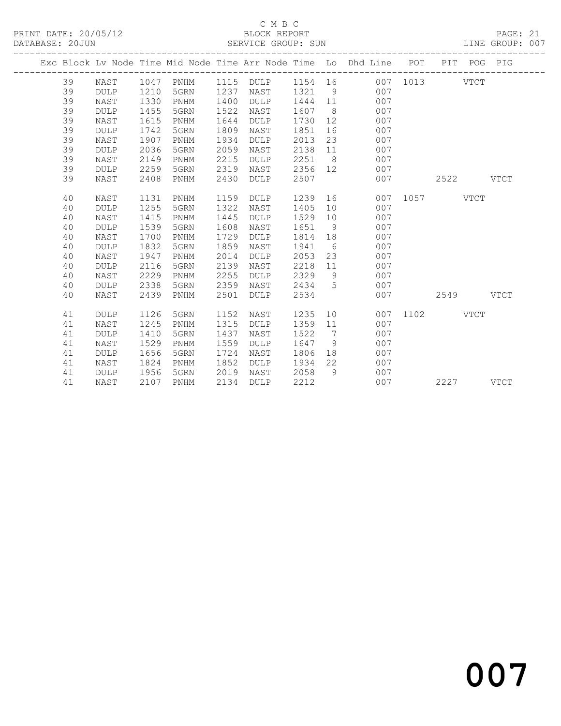## C M B C<br>BLOCK REPORT

| DATABASE: 20JUN |             |      |      |      | SERVICE GROUP: SUN |         |     |                                                                    |      |      |             | LINE GROUP: 007 |
|-----------------|-------------|------|------|------|--------------------|---------|-----|--------------------------------------------------------------------|------|------|-------------|-----------------|
|                 |             |      |      |      |                    |         |     | Exc Block Lv Node Time Mid Node Time Arr Node Time Lo Dhd Line POT |      |      | PIT POG PIG |                 |
| 39              | NAST        | 1047 | PNHM | 1115 | DULP               | 1154 16 |     | 007                                                                | 1013 |      | <b>VTCT</b> |                 |
| 39              | <b>DULP</b> | 1210 | 5GRN | 1237 | NAST               | 1321    | 9   | 007                                                                |      |      |             |                 |
| 39              | NAST        | 1330 | PNHM | 1400 | <b>DULP</b>        | 1444    | 11  | 007                                                                |      |      |             |                 |
| 39              | <b>DULP</b> | 1455 | 5GRN | 1522 | NAST               | 1607    | - 8 | 007                                                                |      |      |             |                 |
| 39              | NAST        | 1615 | PNHM | 1644 | <b>DULP</b>        | 1730    | 12  | 007                                                                |      |      |             |                 |
| 39              | <b>DULP</b> | 1742 | 5GRN | 1809 | NAST               | 1851    | 16  | 007                                                                |      |      |             |                 |
| 39              | NAST        | 1907 | PNHM | 1934 | <b>DULP</b>        | 2013    | 23  | 007                                                                |      |      |             |                 |
| 39              | <b>DULP</b> | 2036 | 5GRN | 2059 | NAST               | 2138    | 11  | 007                                                                |      |      |             |                 |
| 39              | NAST        | 2149 | PNHM | 2215 | <b>DULP</b>        | 2251    | 8   | 007                                                                |      |      |             |                 |
| 39              | <b>DULP</b> | 2259 | 5GRN | 2319 | NAST               | 2356    | 12  | 007                                                                |      |      |             |                 |
| 39              | NAST        | 2408 | PNHM | 2430 | <b>DULP</b>        | 2507    |     | 007                                                                |      | 2522 |             | <b>VTCT</b>     |
| 40              | NAST        | 1131 | PNHM | 1159 | <b>DULP</b>        | 1239    | 16  | 007                                                                | 1057 |      | <b>VTCT</b> |                 |
| 40              | <b>DULP</b> | 1255 | 5GRN | 1322 | NAST               | 1405    | 10  | 007                                                                |      |      |             |                 |
| 40              | NAST        | 1415 | PNHM | 1445 | <b>DULP</b>        | 1529    | 10  | 007                                                                |      |      |             |                 |
| 40              | <b>DULP</b> | 1539 | 5GRN | 1608 | NAST               | 1651    | 9   | 007                                                                |      |      |             |                 |
| 40              | NAST        | 1700 | PNHM | 1729 | <b>DULP</b>        | 1814    | 18  | 007                                                                |      |      |             |                 |
| 40              | <b>DULP</b> | 1832 | 5GRN | 1859 | NAST               | 1941    | - 6 | 007                                                                |      |      |             |                 |
| 40              | NAST        | 1947 | PNHM | 2014 | <b>DULP</b>        | 2053    | 23  | 007                                                                |      |      |             |                 |
| 40              | <b>DULP</b> | 2116 | 5GRN | 2139 | NAST               | 2218    | 11  | 007                                                                |      |      |             |                 |
| 40              | NAST        | 2229 | PNHM | 2255 | <b>DULP</b>        | 2329    | 9   | 007                                                                |      |      |             |                 |
| 40              | <b>DULP</b> | 2338 | 5GRN | 2359 | NAST               | 2434    | 5   | 007                                                                |      |      |             |                 |
| 40              | NAST        | 2439 | PNHM | 2501 | <b>DULP</b>        | 2534    |     | 007                                                                |      | 2549 |             | $_{\rm VTCT}$   |
| 41              | <b>DULP</b> | 1126 | 5GRN | 1152 | NAST               | 1235    | 10  | 007                                                                | 1102 |      | VTCT        |                 |
| 41              | NAST        | 1245 | PNHM | 1315 | <b>DULP</b>        | 1359    | 11  | 007                                                                |      |      |             |                 |
| 41              | <b>DULP</b> | 1410 | 5GRN | 1437 | NAST               | 1522    | 7   | 007                                                                |      |      |             |                 |
| 41              | NAST        | 1529 | PNHM | 1559 | <b>DULP</b>        | 1647    | 9   | 007                                                                |      |      |             |                 |
| 41              | <b>DULP</b> | 1656 | 5GRN | 1724 | NAST               | 1806    | 18  | 007                                                                |      |      |             |                 |
| 41              | NAST        | 1824 | PNHM | 1852 | <b>DULP</b>        | 1934    | 22  | 007                                                                |      |      |             |                 |
| 41              | <b>DULP</b> | 1956 | 5GRN | 2019 | NAST               | 2058    | 9   | 007                                                                |      |      |             |                 |
| 41              | NAST        | 2107 | PNHM | 2134 | <b>DULP</b>        | 2212    |     | 007                                                                |      | 2227 |             | <b>VTCT</b>     |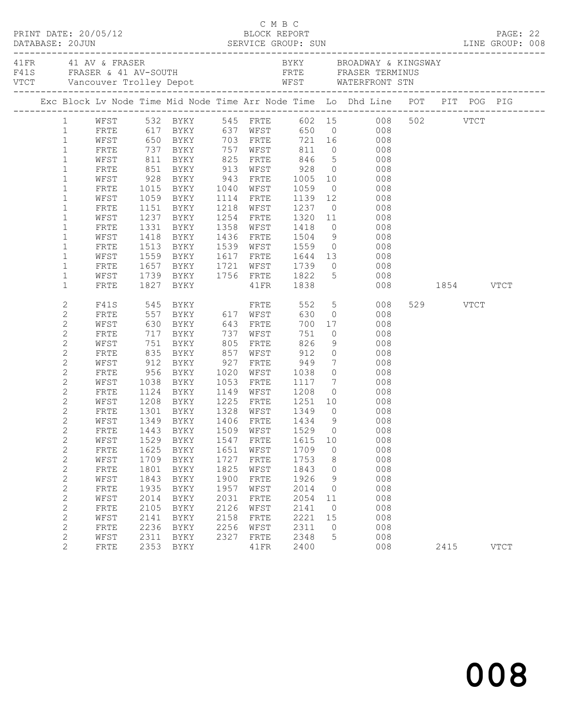|                              |              |      |                                  |      |                             |                     |                | C M B C<br>PRINT DATE: 20/05/12<br>DATABASE: 20JUN SERVICE GROUP: SUN LINE GROUP: 008<br>SERVICE GROUP: SUN LINE GROUP: 008        |               |      |          |             |  |
|------------------------------|--------------|------|----------------------------------|------|-----------------------------|---------------------|----------------|------------------------------------------------------------------------------------------------------------------------------------|---------------|------|----------|-------------|--|
| 41 FR 41 AV & FRASER         |              |      |                                  |      |                             |                     |                | BYKY BROADWAY & KINGSWAY                                                                                                           |               |      |          |             |  |
|                              |              |      |                                  |      |                             |                     |                | Exc Block Lv Node Time Mid Node Time Arr Node Time Lo Dhd Line POT PIT POG PIG                                                     |               |      |          |             |  |
|                              |              |      |                                  |      |                             |                     |                | 1 WFST 532 BYKY 545 FRTE 602 15 008 502 VTCT<br>1 FRTE 617 BYKY 637 WFST 650 0 008 502 VTCT<br>1 WFST 650 BYKY 703 FRTE 721 16 008 |               |      |          |             |  |
|                              |              |      |                                  |      |                             |                     |                |                                                                                                                                    |               |      |          |             |  |
|                              |              |      |                                  |      |                             |                     |                |                                                                                                                                    |               |      |          |             |  |
| $\mathbf{1}$                 | FRTE         |      | 737 BYKY 757 WFST                |      |                             | 811                 |                | $0$ 008                                                                                                                            |               |      |          |             |  |
| $\mathbf{1}$                 | WFST         |      |                                  |      |                             |                     |                | 846 5 008                                                                                                                          |               |      |          |             |  |
| $\mathbf{1}$                 | FRTE         |      |                                  |      |                             |                     |                | $\begin{array}{ccc} 0 & \hspace{1.5cm} 008 \\ 10 & \hspace{1.5cm} 008 \end{array}$                                                 |               |      |          |             |  |
| $\mathbf{1}$                 | WFST         |      |                                  |      |                             |                     |                |                                                                                                                                    |               |      |          |             |  |
| $\mathbf{1}$                 | FRTE         |      | 1015 BYKY 1040 WFST 1059         |      |                             |                     |                | $\overline{O}$<br>008                                                                                                              |               |      |          |             |  |
| $\mathbf{1}$                 | WFST         |      | 1059 BYKY                        |      | 1114 FRTE                   |                     |                | 1139 12<br>008                                                                                                                     |               |      |          |             |  |
| $\mathbf 1$                  | FRTE         |      | 1151 BYKY<br>1237 BYKY           |      | 1218 WFST                   |                     |                | 1237 0<br>1320 11<br>008                                                                                                           |               |      |          |             |  |
| $\mathbf 1$                  | WFST         |      |                                  |      | 1254 FRTE<br>1358 WFST 1418 |                     |                | 008<br>$\overline{O}$                                                                                                              |               |      |          |             |  |
| $\mathbf 1$<br>$\mathbf{1}$  | FRTE         |      | 1331 BYKY                        |      |                             |                     |                | 008<br>008                                                                                                                         |               |      |          |             |  |
|                              | WFST         | 1418 | BYKY                             |      | 1436 FRTE                   | 1504                |                | 9                                                                                                                                  |               |      |          |             |  |
| $\mathbf{1}$<br>$\mathbf{1}$ | FRTE         |      | 1513 BYKY<br>1559 BYKY           |      | 1539 WFST<br>1617 FRTE      |                     |                | 1559 0 008<br>1644 13 008                                                                                                          |               |      |          |             |  |
| $\mathbf{1}$                 | WFST<br>FRTE |      | 1657 BYKY                        |      | 1721 WFST 1739              |                     |                | $0$ 008                                                                                                                            |               |      |          |             |  |
| $\mathbf 1$                  | WFST         |      | 1739 BYKY 1756 FRTE 1822         |      |                             |                     |                | 5 <sub>1</sub><br>008                                                                                                              |               |      |          |             |  |
| $\mathbf{1}$                 | FRTE         |      | 1827 BYKY                        |      | $41\mathrm{FR}$             | 1838                |                |                                                                                                                                    | 008 1854 VTCT |      |          |             |  |
|                              |              |      |                                  |      |                             |                     |                |                                                                                                                                    |               |      |          |             |  |
| $\mathbf{2}$                 |              |      | F41S 545 BYKY                    |      | FRTE 552 5                  |                     |                | 008                                                                                                                                |               |      | 529 VTCT |             |  |
| $\mathbf{2}$                 | FRTE         |      | 557 BYKY 617 WFST                |      |                             | 630                 |                | $\overline{O}$<br>008                                                                                                              |               |      |          |             |  |
| $\mathbf{2}$                 | WFST         |      | 630 BYKY<br>717 BYKY<br>751 BYKY |      |                             | 700                 |                | 17<br>008                                                                                                                          |               |      |          |             |  |
| $\mathbf{2}$                 | FRTE         |      |                                  |      |                             | 751                 |                | $\begin{array}{c} 0 \\ 9 \end{array}$<br>008                                                                                       |               |      |          |             |  |
| $\mathbf{2}$                 | WFST         |      |                                  |      |                             | 826                 |                | 008                                                                                                                                |               |      |          |             |  |
| $\mathbf{2}$                 | FRTE         |      | 835 BYKY 857                     |      | WFST                        | 912                 |                | $\overline{0}$<br>008                                                                                                              |               |      |          |             |  |
| $\mathbf{2}$                 | WFST         |      | 912 BYKY                         | 927  | FRTE                        |                     |                | $\begin{array}{ccc} 7 & 008 \end{array}$                                                                                           |               |      |          |             |  |
| $\mathbf{2}$                 | FRTE         | 956  | BYKY                             | 1020 | WFST                        | 949<br>1038<br>1117 | $\overline{0}$ | 008                                                                                                                                |               |      |          |             |  |
| $\mathbf{2}$                 | WFST         |      | $1038$ BYKY                      | 1053 | FRTE                        |                     |                | $\frac{1}{2}$<br>008                                                                                                               |               |      |          |             |  |
| $\mathbf{2}$                 | FRTE         |      | 1124 BYKY                        |      | 1149 WFST 1208              |                     |                | $\overline{0}$<br>008                                                                                                              |               |      |          |             |  |
| $\mathbf{2}$                 | WFST         | 1208 | BYKY                             | 1225 | FRTE                        | 1251                |                | 10 008                                                                                                                             |               |      |          |             |  |
| $\mathbf{2}$                 | <b>FRTE</b>  |      | 1301 BYKY<br>1349 BYKY           |      | 1328 WFST<br>1406 FRTE      | 1349<br>1434        |                | $\begin{array}{ccc} 0 & \hspace{1.5cm} & 008 \\ 9 & \hspace{1.5cm} & 008 \end{array}$                                              |               |      |          |             |  |
| $\mathbf{2}$                 | WFST         |      |                                  |      |                             |                     | 9              |                                                                                                                                    |               |      |          |             |  |
| $\overline{c}$               |              |      |                                  |      |                             |                     |                | FRTE 1443 BYKY 1509 WFST 1529 0 008                                                                                                |               |      |          |             |  |
| $\mathbf{2}$                 | WFST         | 1529 | BYKY                             | 1547 | FRTE                        | 1615                | 10             | 008                                                                                                                                |               |      |          |             |  |
| $\mathbf{2}$                 | FRTE         | 1625 | BYKY                             | 1651 | WFST                        | 1709                | $\circ$        | 008                                                                                                                                |               |      |          |             |  |
| $\mathbf{2}$                 | WFST         | 1709 | BYKY                             | 1727 | FRTE                        | 1753                | 8              | 008                                                                                                                                |               |      |          |             |  |
| $\mathbf{2}$                 | FRTE         | 1801 | BYKY                             | 1825 | WFST                        | 1843                | $\circ$        | 008                                                                                                                                |               |      |          |             |  |
| $\mathbf{2}$                 | WFST         | 1843 | BYKY                             | 1900 | FRTE                        | 1926                | 9              | 008                                                                                                                                |               |      |          |             |  |
| $\mathbf{2}$                 | FRTE         | 1935 | BYKY                             | 1957 | WFST                        | 2014                | $\circ$        | 008                                                                                                                                |               |      |          |             |  |
| $\mathbf{2}$                 | WFST         | 2014 | BYKY                             | 2031 | FRTE                        | 2054                | 11             | 008                                                                                                                                |               |      |          |             |  |
| $\mathbf{2}$                 | FRTE         | 2105 | BYKY                             | 2126 | WFST                        | 2141                | $\overline{0}$ | 008                                                                                                                                |               |      |          |             |  |
| $\mathbf{2}$                 | WFST         | 2141 | BYKY                             | 2158 | FRTE                        | 2221                | 15             | 008                                                                                                                                |               |      |          |             |  |
| $\mathbf{2}$                 | FRTE         | 2236 | BYKY                             | 2256 | WFST                        | 2311                | $\circ$        | 008                                                                                                                                |               |      |          |             |  |
| $\mathbf{2}$                 | WFST         | 2311 | BYKY                             | 2327 | FRTE                        | 2348                | 5              | 008                                                                                                                                |               |      |          |             |  |
| 2                            | FRTE         | 2353 | BYKY                             |      | 41FR                        | 2400                |                | 008                                                                                                                                |               | 2415 |          | <b>VTCT</b> |  |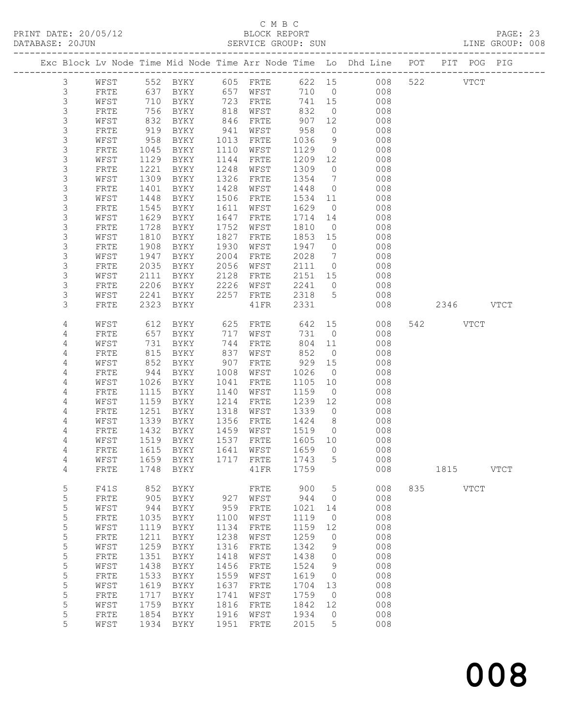#### C M B C<br>BLOCK REPORT SERVICE GROUP: SUN

|  |                  |                      |              |                                 |              |              |                 |                                  | Exc Block Lv Node Time Mid Node Time Arr Node Time Lo Dhd Line POT |     | PIT POG PIG |             |             |
|--|------------------|----------------------|--------------|---------------------------------|--------------|--------------|-----------------|----------------------------------|--------------------------------------------------------------------|-----|-------------|-------------|-------------|
|  | $\mathcal{S}$    | WFST                 |              | 552 BYKY                        |              | 605 FRTE     |                 |                                  | 622 15 008                                                         |     | 522         | <b>VTCT</b> |             |
|  | $\mathsf 3$      | FRTE                 | 637          | BYKY                            |              | 657 WFST     | 710 0           |                                  | 008                                                                |     |             |             |             |
|  | $\mathsf S$      | WFST                 | 710          | BYKY                            | 723          | FRTE         | 741             | 15                               | 008                                                                |     |             |             |             |
|  | 3                | FRTE                 | 756          | BYKY                            | 818          | WFST         | 832             | $\overline{0}$                   | 008                                                                |     |             |             |             |
|  | 3                | WFST                 | 832          | BYKY                            | 846          | FRTE         | 907             | 12                               | 008                                                                |     |             |             |             |
|  | 3                | FRTE                 | 919          | BYKY                            | 941          | WFST         | 958             | $\overline{0}$                   | 008                                                                |     |             |             |             |
|  | $\mathsf S$      | WFST                 | 958          | BYKY                            | 1013         | FRTE         | 1036            | 9                                | 008                                                                |     |             |             |             |
|  | 3                | FRTE                 | 1045         | BYKY                            | 1110         | WFST         | 1129            | $\overline{0}$                   | 008                                                                |     |             |             |             |
|  | 3                | WFST                 | 1129         | BYKY                            | 1144         | FRTE         | 1209            | 12                               | 008                                                                |     |             |             |             |
|  | 3                | FRTE                 | 1221         | BYKY                            | 1248         | WFST         | 1309            | $\overline{0}$                   | 008                                                                |     |             |             |             |
|  | $\mathsf S$      | WFST                 | 1309         | BYKY                            | 1326         | FRTE         | 1354            | $7\phantom{.0}\phantom{.0}7$     | 008                                                                |     |             |             |             |
|  | $\mathsf 3$      | FRTE                 | 1401         | BYKY                            | 1428         | WFST         | 1448            | $\overline{0}$                   | 008                                                                |     |             |             |             |
|  | 3                | WFST                 | 1448         | BYKY                            | 1506         | FRTE         | 1534            | 11                               | 008                                                                |     |             |             |             |
|  | 3                | FRTE                 | 1545         | BYKY                            | 1611         | WFST         | 1629            | $\overline{0}$                   | 008                                                                |     |             |             |             |
|  | $\mathsf S$      | WFST                 | 1629         | BYKY                            | 1647         | FRTE         | 1714            | 14                               | 008                                                                |     |             |             |             |
|  | $\mathsf S$      | FRTE                 | 1728         | BYKY                            | 1752         | WFST         | 1810            | $\overline{0}$                   | 008                                                                |     |             |             |             |
|  | $\mathsf S$      | WFST                 | 1810         | BYKY                            | 1827         | FRTE         | 1853            | 15                               | 008                                                                |     |             |             |             |
|  | 3                | FRTE                 | 1908         | BYKY                            | 1930         | WFST         | 1947            | $\overline{0}$                   | 008                                                                |     |             |             |             |
|  | $\mathsf S$<br>3 | WFST                 | 1947<br>2035 | BYKY                            | 2004<br>2056 | FRTE         | 2028            | $\overline{7}$<br>$\overline{0}$ | 008                                                                |     |             |             |             |
|  | $\mathsf 3$      | ${\tt FRTE}$<br>WFST | 2111         | BYKY                            | 2128         | WFST<br>FRTE | 2111            |                                  | 008<br>008                                                         |     |             |             |             |
|  | 3                |                      |              | BYKY                            | 2226         |              | 2151 15<br>2241 | $\circ$                          | 008                                                                |     |             |             |             |
|  | 3                | FRTE<br>WFST         | 2206<br>2241 | BYKY<br>BYKY                    | 2257         | WFST<br>FRTE | 2318            | 5                                | 008                                                                |     |             |             |             |
|  | 3                | FRTE                 | 2323         | BYKY                            |              | 41FR         | 2331            |                                  | 008                                                                |     | 2346        |             | VTCT        |
|  |                  |                      |              |                                 |              |              |                 |                                  |                                                                    |     |             |             |             |
|  | 4                | WFST                 | 612          | BYKY                            | 625          | FRTE         | 642             | 15                               | 008                                                                |     | 542         | <b>VTCT</b> |             |
|  | 4                | FRTE                 | 657          | BYKY                            | 717          | WFST         | 731             | $\overline{0}$                   | 008                                                                |     |             |             |             |
|  | 4                | WFST                 | 731          | BYKY                            | 744          | FRTE         | 804             | 11                               | 008                                                                |     |             |             |             |
|  | 4                | FRTE                 | 815          | BYKY                            | 837          | WFST         | 852             | $\overline{0}$                   | 008                                                                |     |             |             |             |
|  | 4                | WFST                 | 852          | BYKY                            | 907          | FRTE         | 929             | 15                               | 008                                                                |     |             |             |             |
|  | 4                | FRTE                 | 944          | BYKY                            | 1008         | WFST         | 1026            | $\overline{0}$                   | 008                                                                |     |             |             |             |
|  | 4                | WFST                 | 1026         | BYKY                            | 1041         | FRTE         | 1105            | 10                               | 008                                                                |     |             |             |             |
|  | 4                | FRTE                 | 1115         | BYKY                            | 1140         | WFST         | 1159            | $\overline{0}$                   | 008                                                                |     |             |             |             |
|  | 4                | WFST                 | 1159         | BYKY                            | 1214         | FRTE         | 1239            | 12                               | 008                                                                |     |             |             |             |
|  | 4                | FRTE                 | 1251         | BYKY                            | 1318         | WFST         | 1339            | $\overline{0}$                   | 008                                                                |     |             |             |             |
|  | 4                | WFST                 | 1339         | BYKY                            | 1356         | FRTE         | 1424            | 8 <sup>8</sup>                   | 008                                                                |     |             |             |             |
|  | 4                | FRTE                 | 1432         | BYKY                            | 1459         | WFST         | 1519            | $\overline{0}$                   | 008                                                                |     |             |             |             |
|  | 4                | WFST                 | 1519         | BYKY                            | 1537         | FRTE         | 1605 10         |                                  | 008                                                                |     |             |             |             |
|  | 4                | FRTE                 | 1615         | BYKY                            | 1641         | WFST         | 1659            | $\overline{0}$                   | 008                                                                |     |             |             |             |
|  | 4                |                      |              | WFST 1659 BYKY 1717 FRTE 1743 5 |              |              |                 |                                  | 008                                                                |     |             |             |             |
|  | 4                | FRTE                 | 1748         | BYKY                            |              | 41FR         | 1759            |                                  | 008                                                                |     | 1815        |             | <b>VTCT</b> |
|  | 5                | F41S                 | 852          | <b>BYKY</b>                     |              | FRTE         | 900             | 5                                | 008                                                                | 835 |             | <b>VTCT</b> |             |
|  | 5                | FRTE                 | 905          | BYKY                            | 927          | WFST         | 944             | 0                                | 008                                                                |     |             |             |             |
|  | 5                | WFST                 | 944          | BYKY                            | 959          | ${\tt FRTE}$ | 1021            | 14                               | 008                                                                |     |             |             |             |
|  | 5                | FRTE                 | 1035         | BYKY                            | 1100         | WFST         | 1119            | 0                                | 008                                                                |     |             |             |             |
|  | 5                | WFST                 | 1119         | BYKY                            | 1134         | FRTE         | 1159            | 12                               | 008                                                                |     |             |             |             |
|  | 5                | FRTE                 | 1211         | BYKY                            | 1238         | WFST         | 1259            | 0                                | 008                                                                |     |             |             |             |
|  | 5                | WFST                 | 1259         | BYKY                            | 1316         | FRTE         | 1342            | 9                                | 008                                                                |     |             |             |             |
|  | 5                | FRTE                 | 1351         | BYKY                            | 1418         | WFST         | 1438            | 0                                | 008                                                                |     |             |             |             |
|  | 5                | WFST                 | 1438         | BYKY                            | 1456         | FRTE         | 1524            | 9                                | 008                                                                |     |             |             |             |
|  | 5                | FRTE                 | 1533         | <b>BYKY</b>                     | 1559         | WFST         | 1619            | 0                                | 008                                                                |     |             |             |             |
|  | 5                | WFST                 | 1619         | BYKY                            | 1637         | FRTE         | 1704            | 13                               | 008                                                                |     |             |             |             |
|  | 5                | FRTE                 | 1717         | BYKY                            | 1741         | WFST         | 1759            | $\circ$                          | 008                                                                |     |             |             |             |
|  | 5                | WFST                 | 1759         | BYKY                            | 1816         | FRTE         | 1842            | 12                               | 008                                                                |     |             |             |             |
|  | 5                | FRTE                 | 1854         | BYKY                            | 1916         | WFST         | 1934            | 0                                | 008                                                                |     |             |             |             |
|  | 5                | WFST                 | 1934         | BYKY                            | 1951         | ${\tt FRTE}$ | 2015            | 5                                | 008                                                                |     |             |             |             |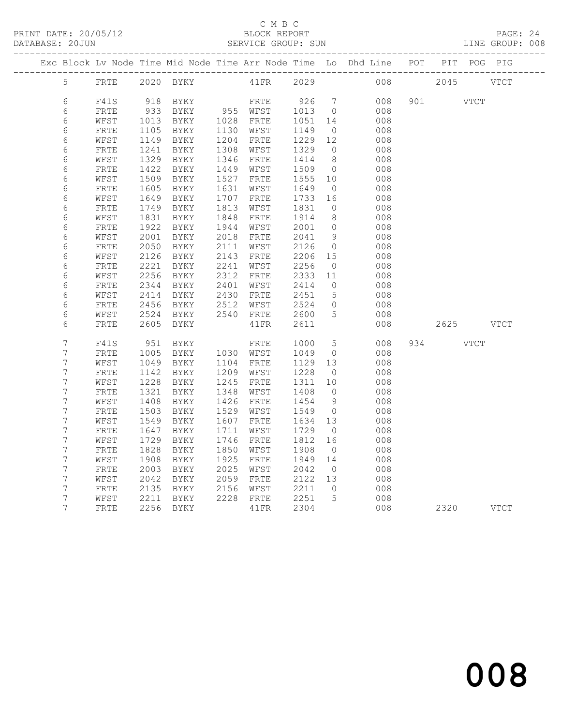## C M B C<br>BLOCK REPORT

|  | DATABASE: 20JUN  |              |      |             |      | SERVICE GROUP: SUN |      |                |                                                                                |     |      |      | LINE GROUP: 008 |
|--|------------------|--------------|------|-------------|------|--------------------|------|----------------|--------------------------------------------------------------------------------|-----|------|------|-----------------|
|  |                  |              |      |             |      |                    |      |                | Exc Block Lv Node Time Mid Node Time Arr Node Time Lo Dhd Line POT PIT POG PIG |     |      |      |                 |
|  | 5                | FRTE         |      | 2020 BYKY   |      | 41FR               | 2029 |                | 008                                                                            |     | 2045 |      | <b>VTCT</b>     |
|  | 6                | F41S         | 918  | BYKY        |      | FRTE               | 926  | $\overline{7}$ | 008                                                                            | 901 |      | VTCT |                 |
|  | 6                | FRTE         | 933  | BYKY        |      | 955 WFST           | 1013 | $\overline{0}$ | 008                                                                            |     |      |      |                 |
|  | 6                | WFST         | 1013 | BYKY        |      | 1028 FRTE          | 1051 | 14             | 008                                                                            |     |      |      |                 |
|  | 6                | FRTE         | 1105 | BYKY        | 1130 | WFST               | 1149 | $\overline{0}$ | 008                                                                            |     |      |      |                 |
|  | $\epsilon$       | WFST         | 1149 | BYKY        | 1204 | FRTE               | 1229 | 12             | 008                                                                            |     |      |      |                 |
|  | 6                | FRTE         | 1241 | BYKY        | 1308 | WFST               | 1329 | $\overline{0}$ | 008                                                                            |     |      |      |                 |
|  | $\sqrt{6}$       | WFST         | 1329 | BYKY        | 1346 | FRTE               | 1414 | 8              | 008                                                                            |     |      |      |                 |
|  | 6                | FRTE         | 1422 | BYKY        | 1449 | WFST               | 1509 | $\overline{0}$ | 008                                                                            |     |      |      |                 |
|  | $\epsilon$       | WFST         | 1509 | BYKY        | 1527 | FRTE               | 1555 | 10             | 008                                                                            |     |      |      |                 |
|  | 6                | FRTE         | 1605 | BYKY        | 1631 | WFST               | 1649 | $\overline{0}$ | 008                                                                            |     |      |      |                 |
|  | 6                | WFST         | 1649 | BYKY        | 1707 | FRTE               | 1733 | 16             | 008                                                                            |     |      |      |                 |
|  | 6                | FRTE         | 1749 | BYKY        | 1813 | WFST               | 1831 | $\circ$        | 008                                                                            |     |      |      |                 |
|  | $\epsilon$       | WFST         | 1831 | BYKY        | 1848 | FRTE               | 1914 | 8              | 008                                                                            |     |      |      |                 |
|  | 6                | FRTE         | 1922 | BYKY        | 1944 | WFST               | 2001 | $\circ$        | 008                                                                            |     |      |      |                 |
|  | 6                | WFST         | 2001 | BYKY        | 2018 | FRTE               | 2041 | 9              | 008                                                                            |     |      |      |                 |
|  | $\epsilon$       | FRTE         | 2050 | BYKY        | 2111 | WFST               | 2126 | $\overline{0}$ | 008                                                                            |     |      |      |                 |
|  | 6                | WFST         | 2126 | BYKY        | 2143 | FRTE               | 2206 | 15             | 008                                                                            |     |      |      |                 |
|  | $\epsilon$       | FRTE         | 2221 | BYKY        | 2241 | WFST               | 2256 | $\overline{0}$ | 008                                                                            |     |      |      |                 |
|  | $\epsilon$       | WFST         | 2256 | BYKY        | 2312 | FRTE               | 2333 | 11             | 008                                                                            |     |      |      |                 |
|  | $\epsilon$       | ${\tt FRTE}$ | 2344 | BYKY        | 2401 | WFST               | 2414 | $\overline{0}$ | 008                                                                            |     |      |      |                 |
|  | 6                | WFST         | 2414 | BYKY        | 2430 | FRTE               | 2451 | 5              | 008                                                                            |     |      |      |                 |
|  | $\epsilon$       | FRTE         | 2456 | BYKY        | 2512 | WFST               | 2524 | $\circ$        | 008                                                                            |     |      |      |                 |
|  | 6                | WFST         | 2524 | BYKY        | 2540 | ${\tt FRTE}$       | 2600 | 5              | 008                                                                            |     |      |      |                 |
|  | 6                | FRTE         | 2605 | BYKY        |      | 41FR               | 2611 |                | 008                                                                            |     | 2625 |      | <b>VTCT</b>     |
|  | $\overline{7}$   | F41S         | 951  | BYKY        |      | FRTE               | 1000 | 5              | 008                                                                            | 934 |      | VTCT |                 |
|  | 7                | FRTE         | 1005 | BYKY        | 1030 | WFST               | 1049 | $\circ$        | 008                                                                            |     |      |      |                 |
|  | 7                | WFST         | 1049 | BYKY        | 1104 | FRTE               | 1129 | 13             | 008                                                                            |     |      |      |                 |
|  | 7                | FRTE         | 1142 | BYKY        | 1209 | WFST               | 1228 | $\overline{0}$ | 008                                                                            |     |      |      |                 |
|  | 7                | WFST         | 1228 | BYKY        | 1245 | FRTE               | 1311 | 10             | 008                                                                            |     |      |      |                 |
|  | $\boldsymbol{7}$ | FRTE         | 1321 | BYKY        | 1348 | WFST               | 1408 | $\overline{0}$ | 008                                                                            |     |      |      |                 |
|  | $\boldsymbol{7}$ | WFST         | 1408 | BYKY        | 1426 | FRTE               | 1454 | 9              | 008                                                                            |     |      |      |                 |
|  | 7                | FRTE         | 1503 | BYKY        | 1529 | WFST               | 1549 | $\overline{0}$ | 008                                                                            |     |      |      |                 |
|  | $\boldsymbol{7}$ | WFST         | 1549 | BYKY        | 1607 | FRTE               | 1634 | 13             | 008                                                                            |     |      |      |                 |
|  | $\boldsymbol{7}$ | FRTE         | 1647 | BYKY        | 1711 | WFST               | 1729 | $\overline{0}$ | 008                                                                            |     |      |      |                 |
|  | 7                | WFST         | 1729 | BYKY        | 1746 | FRTE               | 1812 | 16             | 008                                                                            |     |      |      |                 |
|  | $\boldsymbol{7}$ | ${\tt FRTE}$ | 1828 | <b>BYKY</b> | 1850 | WFST               | 1908 | $\overline{0}$ | 008                                                                            |     |      |      |                 |
|  | $\boldsymbol{7}$ | WFST         | 1908 | BYKY        | 1925 | FRTE               | 1949 | 14             | 008                                                                            |     |      |      |                 |
|  | 7                | FRTE         | 2003 | BYKY        | 2025 | WFST               | 2042 | $\overline{0}$ | 008                                                                            |     |      |      |                 |
|  | $\overline{7}$   | WFST         | 2042 | BYKY        | 2059 | FRTE               | 2122 | 13             | 008                                                                            |     |      |      |                 |
|  | 7                | FRTE         | 2135 | BYKY        | 2156 | WFST               | 2211 | $\circ$        | 008                                                                            |     |      |      |                 |
|  | 7                | WFST         | 2211 | BYKY        | 2228 | FRTE               | 2251 | 5              | 008                                                                            |     |      |      |                 |
|  | 7                | FRTE         | 2256 | BYKY        |      | 41FR               | 2304 |                | 008                                                                            |     | 2320 |      | <b>VTCT</b>     |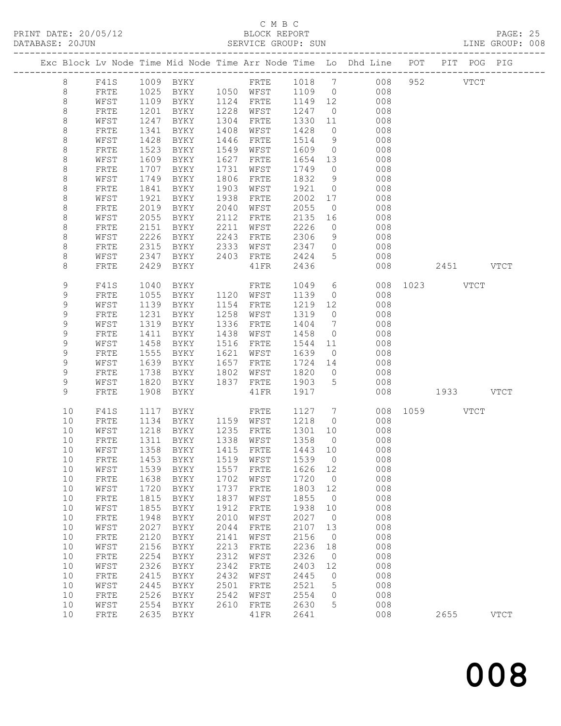## C M B C

| DATABASE: 20JUN |             |              |              |                                |              | SERVICE GROUP: SUN     |                                                      |                               | LINE GROUP: 008                                                                |               |      |             |  |
|-----------------|-------------|--------------|--------------|--------------------------------|--------------|------------------------|------------------------------------------------------|-------------------------------|--------------------------------------------------------------------------------|---------------|------|-------------|--|
|                 |             |              |              |                                |              |                        |                                                      |                               | Exc Block Lv Node Time Mid Node Time Arr Node Time Lo Dhd Line POT PIT POG PIG |               |      |             |  |
|                 | 8           |              |              |                                |              |                        |                                                      |                               | F41S 1009 BYKY 6 FRTE 1018 7 008 952 VTCT                                      |               |      |             |  |
|                 | 8           | FRTE         |              |                                |              |                        |                                                      |                               | 1025 BYKY 1050 WFST 1109 0 008                                                 |               |      |             |  |
|                 | 8           | WFST         |              |                                |              |                        |                                                      |                               | 1109 BYKY 1124 FRTE 1149 12 008                                                |               |      |             |  |
|                 | $\,8\,$     | FRTE         | 1201         | BYKY 1228 WFST                 |              |                        | 1247 0                                               |                               | 008                                                                            |               |      |             |  |
|                 | 8           | WFST         | 1247         | BYKY                           |              | 1304 FRTE              | 1330                                                 |                               | 11<br>008                                                                      |               |      |             |  |
|                 | 8           | FRTE         | 1341         | BYKY                           |              | 1408 WFST              | 1428                                                 |                               | $\overline{0}$<br>008                                                          |               |      |             |  |
|                 | 8           | WFST         | 1428         | BYKY                           | 1446         | FRTE                   | 1514                                                 | 9                             | 008                                                                            |               |      |             |  |
|                 | $\,8\,$     | FRTE         | 1523         | BYKY                           |              | 1549 WFST              | 1609                                                 | $\overline{0}$                | 008                                                                            |               |      |             |  |
|                 | 8           | WFST         | 1609         | BYKY                           | 1627         | FRTE                   | 1654 13                                              |                               | 008                                                                            |               |      |             |  |
|                 | 8           | FRTE         | 1707         | BYKY                           | 1731         | WFST                   | 1749                                                 | $\overline{0}$                | 008                                                                            |               |      |             |  |
|                 | 8           | WFST         | 1749         | BYKY                           | 1806         | FRTE                   | 1832                                                 | 9                             | 008                                                                            |               |      |             |  |
|                 | $\,8\,$     | FRTE         | 1841         | BYKY                           | 1903         | WFST                   | 1921                                                 | $\overline{0}$                | 008                                                                            |               |      |             |  |
|                 | 8           | WFST         | 1921         | BYKY                           | 1938         | FRTE                   | 2002                                                 | 17                            | 008                                                                            |               |      |             |  |
|                 | 8           | FRTE         | 2019         | BYKY                           | 2040         | WFST                   | 2055                                                 | $\overline{0}$                | 008                                                                            |               |      |             |  |
|                 | $\,8\,$     | WFST         | 2055         | BYKY                           | 2112         | FRTE                   | 2135                                                 | 16                            | 008                                                                            |               |      |             |  |
|                 | $\,8\,$     | FRTE         | 2151         | BYKY                           | 2211         | WFST                   | 2226                                                 | $\overline{0}$                | 008                                                                            |               |      |             |  |
|                 | 8           | WFST         | 2226         | BYKY                           | 2243         | FRTE                   | 2306                                                 | 9                             | 008                                                                            |               |      |             |  |
|                 | 8           | FRTE         | 2315<br>2347 | BYKY 2333                      |              | WFST<br>BYKY 2403 FRTE | 2347                                                 | $\overline{0}$<br>$5^{\circ}$ | 008<br>008                                                                     |               |      |             |  |
|                 | 8<br>8      | WFST<br>FRTE | 2429         | BYKY                           |              | $41\mathrm{FR}$        | 2424<br>2436                                         |                               | 008                                                                            | 2451 VTCT     |      |             |  |
|                 |             |              |              |                                |              |                        |                                                      |                               |                                                                                |               |      |             |  |
|                 | 9           | F41S         | 1040         | BYKY                           |              | FRTE                   | 1049                                                 |                               | $6\overline{6}$                                                                | 008 1023 VTCT |      |             |  |
|                 | 9           | FRTE         | 1055         | <b>BYKY</b>                    |              | 1120 WFST              | 1139                                                 | $\overline{0}$                | 008                                                                            |               |      |             |  |
|                 | $\mathsf 9$ | WFST         | 1139         | BYKY                           |              | 1154 FRTE              | 1219                                                 | 12                            | 008                                                                            |               |      |             |  |
|                 | 9           | FRTE         | 1231         | BYKY                           |              | 1258 WFST              | 1319                                                 | $\overline{0}$                | 008                                                                            |               |      |             |  |
|                 | 9           | WFST         | 1319         | BYKY                           | 1336         | FRTE                   | 1404                                                 | $\overline{7}$                | 008                                                                            |               |      |             |  |
|                 | 9           | FRTE         | 1411         | BYKY                           | 1438         | WFST                   | 1458                                                 | $\overline{0}$                | 008                                                                            |               |      |             |  |
|                 | 9           | WFST         | 1458         | BYKY                           | 1516         | FRTE                   | 1544                                                 | 11                            | 008                                                                            |               |      |             |  |
|                 | 9           | FRTE         | 1555         | BYKY                           |              | 1621 WFST              | 1639                                                 | $\overline{0}$                | 008                                                                            |               |      |             |  |
|                 | 9           | WFST         | 1639         | BYKY                           |              | 1657 FRTE              | 1724 14                                              |                               | 008                                                                            |               |      |             |  |
|                 | 9           | FRTE         | 1738         | BYKY 1802 WFST                 |              |                        | 1820                                                 |                               | $\overline{0}$<br>008                                                          |               |      |             |  |
|                 | 9           | WFST         | 1820         | BYKY 1837 FRTE                 |              |                        | 1903                                                 | $5\overline{)}$               | 008                                                                            |               |      |             |  |
|                 | 9           | FRTE         | 1908         | BYKY                           |              | 41FR                   | 1917                                                 |                               | 008                                                                            | 1933 VTCT     |      |             |  |
|                 | 10          | F41S         | 1117         | BYKY                           |              | FRTE                   | 1127 7                                               |                               |                                                                                | 008 1059 VTCT |      |             |  |
|                 | 10          | FRTE         | 1134         | BYKY 1159 WFST                 |              |                        | 1218                                                 | $\overline{0}$                | 008                                                                            |               |      |             |  |
|                 | 10          | WFST         |              | 1218 BYKY<br>1311 BYKY<br>BYKY |              | 1235 FRTE              | 1301 10                                              |                               | 008                                                                            |               |      |             |  |
|                 | 10          | FRTE         |              |                                |              | 1338 WFST              | $\begin{array}{c}\n\overline{1358} & 0\n\end{array}$ |                               | 008                                                                            |               |      |             |  |
|                 |             |              |              |                                |              |                        |                                                      |                               | 10 WFST 1358 BYKY 1415 FRTE 1443 10 008                                        |               |      |             |  |
|                 | 10<br>10    | FRTE         | 1453         | BYKY                           | 1519         | WFST                   | 1539                                                 | $\overline{0}$<br>12          | 008<br>008                                                                     |               |      |             |  |
|                 | 10          | WFST<br>FRTE | 1539<br>1638 | BYKY<br><b>BYKY</b>            | 1557<br>1702 | FRTE<br>WFST           | 1626<br>1720                                         | $\overline{0}$                | 008                                                                            |               |      |             |  |
|                 | 10          | WFST         | 1720         | BYKY                           | 1737         | FRTE                   | 1803                                                 | 12                            | 008                                                                            |               |      |             |  |
|                 | 10          | FRTE         | 1815         | BYKY                           | 1837         | WFST                   | 1855                                                 | $\overline{0}$                | 008                                                                            |               |      |             |  |
|                 | 10          | WFST         | 1855         | BYKY                           | 1912         | ${\tt FRTE}$           | 1938                                                 | 10                            | 008                                                                            |               |      |             |  |
|                 | 10          | FRTE         | 1948         | BYKY                           | 2010         | WFST                   | 2027                                                 | $\overline{0}$                | 008                                                                            |               |      |             |  |
|                 | 10          | WFST         | 2027         | BYKY                           | 2044         | FRTE                   | 2107                                                 | 13                            | 008                                                                            |               |      |             |  |
|                 | 10          | FRTE         | 2120         | BYKY                           | 2141         | WFST                   | 2156                                                 | $\overline{0}$                | 008                                                                            |               |      |             |  |
|                 | 10          | WFST         | 2156         | BYKY                           | 2213         | ${\tt FRTE}$           | 2236                                                 | 18                            | 008                                                                            |               |      |             |  |
|                 | 10          | FRTE         | 2254         | <b>BYKY</b>                    | 2312         | WFST                   | 2326                                                 | $\overline{0}$                | 008                                                                            |               |      |             |  |
|                 | 10          | WFST         | 2326         | BYKY                           | 2342         | ${\tt FRTE}$           | 2403                                                 | 12                            | 008                                                                            |               |      |             |  |
|                 | 10          | FRTE         | 2415         | BYKY                           | 2432         | WFST                   | 2445                                                 | $\overline{0}$                | 008                                                                            |               |      |             |  |
|                 | 10          | WFST         | 2445         | BYKY                           | 2501         | FRTE                   | 2521                                                 | 5                             | 008                                                                            |               |      |             |  |
|                 | 10          | FRTE         | 2526         | BYKY                           | 2542         | WFST                   | 2554                                                 | $\circ$                       | 008                                                                            |               |      |             |  |
|                 | 10          | WFST         | 2554         | BYKY                           | 2610         | FRTE                   | 2630                                                 | 5                             | 008                                                                            |               |      |             |  |
|                 | 10          | FRTE         | 2635         | BYKY                           |              | 41FR                   | 2641                                                 |                               | 008                                                                            |               | 2655 | <b>VTCT</b> |  |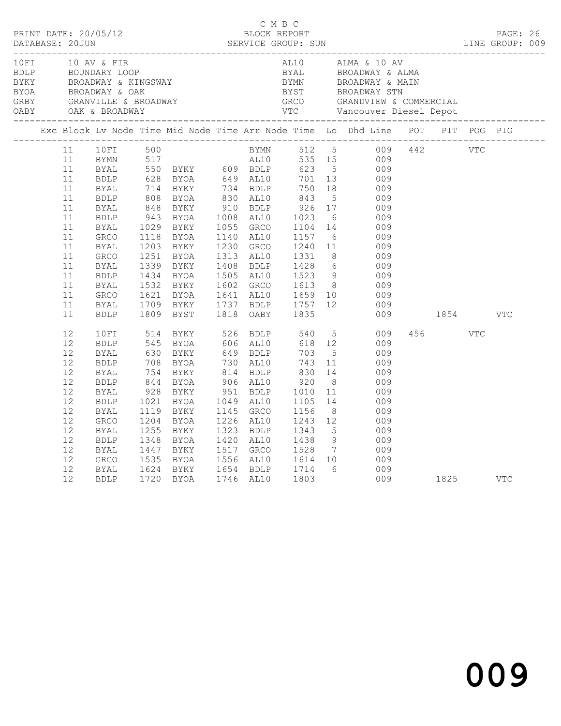| 10FI |                                                                                                          | 10 AV & FIR                                                                                                                                                                            |                                                      |                                                                                                                                                                                                                                                                                                                                                   |                                                                                                                                                                                                   |                                                                                              |                                                                                                                            | AL10 ALMA & 10 AV<br>ENERGY BOUNDARY LOOP<br>BEROADWAY & KINGSWAY<br>BEROADWAY & KINGSWAY<br>BEROADWAY & CAK<br>GREY GRANVILLE & BROADWAY<br>OARY OAK & BROADWAY<br>TC GRANDVIEW & COMMERCIAL<br>CARY OAK & BROADWAY<br>TC Vancouver Diesel Depot<br>---------------- |          |            |     |  |
|------|----------------------------------------------------------------------------------------------------------|----------------------------------------------------------------------------------------------------------------------------------------------------------------------------------------|------------------------------------------------------|---------------------------------------------------------------------------------------------------------------------------------------------------------------------------------------------------------------------------------------------------------------------------------------------------------------------------------------------------|---------------------------------------------------------------------------------------------------------------------------------------------------------------------------------------------------|----------------------------------------------------------------------------------------------|----------------------------------------------------------------------------------------------------------------------------|-----------------------------------------------------------------------------------------------------------------------------------------------------------------------------------------------------------------------------------------------------------------------|----------|------------|-----|--|
|      |                                                                                                          |                                                                                                                                                                                        |                                                      |                                                                                                                                                                                                                                                                                                                                                   |                                                                                                                                                                                                   |                                                                                              |                                                                                                                            | Exc Block Lv Node Time Mid Node Time Arr Node Time Lo Dhd Line POT PIT POG PIG                                                                                                                                                                                        |          |            |     |  |
|      | 11<br>11<br>11<br>11<br>11<br>11<br>11<br>11<br>11<br>11<br>11<br>11<br>11<br>11<br>11<br>11<br>11<br>11 | 10FI<br>BYMN<br>BYAL<br>BDLP<br>BYAL<br>BDLP<br>BYAL<br><b>BDLP</b><br>BYAL<br><b>GRCO</b><br>BYAL<br>GRCO<br><b>BYAL</b><br><b>BDLP</b><br>BYAL<br><b>GRCO</b><br>BYAL<br><b>BDLP</b> | 500<br>1029<br>1203<br>1339<br>1434<br>1621          | 517 AL10 535 15<br>550 BYKY 609 BDLP 623 5<br>628 BYOA 649 AL10 701 13<br>714 BYKY 734 BDLP 750 18<br>808 BYOA 830 AL10 843 5<br>848 BYKY 910 BDLP 926 17<br>943 BYOA 1008 AL10 1023 6<br>1030 BYOA 1008 AL10 1023 6<br>BYKY<br>1118 BYOA<br>BYKY<br>1251 BYOA<br>BYKY<br><b>BYOA</b><br>1434 BYOA<br>1532 BYKY<br>BYOA<br>1709 BYKY<br>1809 BYST | BYMN 512 5<br>1055 GRCO<br>1140 AL10<br>1230 GRCO<br>1313 AL10<br>1641 AL10 1659 10<br>1737 BDLP 1757 12<br>1818 OABY 1835                                                                        | 1104<br>1157<br>1240 11<br>1331 8                                                            | 10                                                                                                                         | 009 442 VTC<br>535 15 009<br>009<br>009<br>009<br>009<br>009<br>009<br>$1020$<br>$1104$ $14$ $003$<br>$ 6$ 009<br>$11$ 009<br>009<br>1408 BDLP 1428 6<br>1505 AL10 1523 9 009<br>1602 GRCO 1613 8 009<br>009<br>009                                                   | 009 1854 |            | VTC |  |
|      | 12<br>12<br>12<br>12<br>12<br>12<br>12<br>12<br>12<br>12<br>12<br>12<br>12<br>12<br>12<br>12             | 10FI<br><b>BDLP</b><br><b>BYAL</b><br><b>BDLP</b><br>BYAL<br>BDLP<br>BYAL<br><b>BDLP</b><br>BYAL<br><b>GRCO</b><br>BYAL<br><b>BDLP</b><br>BYAL<br><b>GRCO</b><br><b>BYAL</b><br>BDLP   | 1021<br>1204<br>1255<br>1348<br>1447<br>1535<br>1624 | 514 BYKY<br>545 BYOA<br>630 BYKY<br>708 BYOA<br>754 BYKY<br>844 BYOA<br>928 BYKY<br>BYOA<br>1119 BYKY<br>BYOA<br>BYKY<br><b>BYOA</b><br><b>BYKY</b><br>BYOA<br>BYKY<br>1720 BYOA                                                                                                                                                                  | 649 BDLP<br>730 AL10<br>814 BDLP<br>906 AL10<br>951 BDLP<br>1049 AL10<br>1145 GRCO<br>1226 AL10<br>1323 BDLP<br>1420 AL10<br>1517 GRCO<br>1556 AL10 1614 10<br>1654 BDLP 1714 6<br>1746 AL10 1803 | 703<br>743<br>830<br>$920$<br>$1010$<br>1105<br>1156<br>1243<br>1243<br>1343<br>1438<br>1528 | 5 <sup>5</sup><br>11<br>14<br>8 <sup>8</sup><br>11<br>14<br>8 <sup>8</sup><br>12<br>$5\overline{)}$<br>9<br>$\overline{7}$ | $\frac{5}{12}$ 009<br>009<br>009<br>009<br>009<br>009<br>009<br>009<br>009<br>009<br>009<br>009<br>009<br>009<br>009<br>009 1825 VTC                                                                                                                                  | 456 7    | <b>VTC</b> |     |  |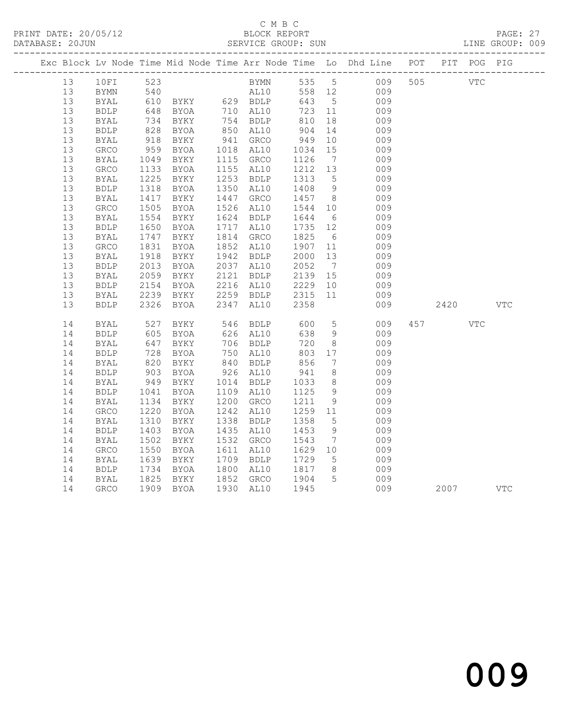|  |          |                     |                   |              |      |                                           |                   |                      | Exc Block Lv Node Time Mid Node Time Arr Node Time Lo Dhd Line POT PIT POG PIG |      |            |            |
|--|----------|---------------------|-------------------|--------------|------|-------------------------------------------|-------------------|----------------------|--------------------------------------------------------------------------------|------|------------|------------|
|  | 13       | 10FI                | 523               |              |      | BYMN 535 5                                |                   |                      | 009 505 VTC                                                                    |      |            |            |
|  | 13       | <b>BYMN</b>         |                   |              |      |                                           |                   |                      |                                                                                |      |            |            |
|  | 13       | <b>BYAL</b>         | 540<br>610<br>648 |              |      |                                           | 643 5             |                      | AL10 558 12 009<br>009                                                         |      |            |            |
|  | 13       | BDLP                |                   | BYOA         |      | 710 AL10                                  | 723 11            |                      | 009                                                                            |      |            |            |
|  | 13       | BYAL                |                   | BYKY         |      |                                           |                   | 18                   | 009                                                                            |      |            |            |
|  | 13       | <b>BDLP</b>         | 734<br>828        | BYOA         |      | 754 BDLP<br>850 AL10                      | 810<br>904        | 14                   | 009                                                                            |      |            |            |
|  | 13       | BYAL                | 918               | BYKY         |      | 941 GRCO                                  | 949               | 10                   | 009                                                                            |      |            |            |
|  | 13       | GRCO                | 959               | BYOA         |      | 1018 AL10                                 | 1034              | 15                   | 009                                                                            |      |            |            |
|  | 13       | <b>BYAL</b>         | 1049              | BYKY         |      | 1115 GRCO                                 | 1126              | $\overline{7}$       | 009                                                                            |      |            |            |
|  | 13       | GRCO                | 1133              | BYOA         |      | 1155 AL10                                 | 1212              | 13                   | 009                                                                            |      |            |            |
|  | 13       | <b>BYAL</b>         | 1225              | BYKY         |      | 1253 BDLP                                 | 1313 5            |                      | 009                                                                            |      |            |            |
|  | 13       | <b>BDLP</b>         | 1318              | BYOA         |      | 1350 AL10                                 | 1408 9            |                      | 009                                                                            |      |            |            |
|  | 13       | <b>BYAL</b>         | 1417              | BYKY         | 1447 | GRCO                                      | 1457 8            |                      | 009                                                                            |      |            |            |
|  | 13       | GRCO                | $\frac{1}{1505}$  | BYOA         | 1526 | AL10                                      | 1544 10           |                      | 009                                                                            |      |            |            |
|  | 13       | <b>BYAL</b>         | 1554              | BYKY         |      | 1624 BDLP                                 | 1644              | 6                    | 009                                                                            |      |            |            |
|  | 13       | <b>BDLP</b>         | 1650              | BYOA         |      | 1717 AL10                                 | 1735 12           |                      | 009                                                                            |      |            |            |
|  | 13       | <b>BYAL</b>         | 1747              | BYKY         |      | 1814 GRCO                                 | 1825              | $6\overline{6}$      | 009                                                                            |      |            |            |
|  | 13       | GRCO                | 1831              | BYOA         |      | 1852 AL10                                 | 1907              | 11                   | 009                                                                            |      |            |            |
|  | 13       | BYAL                | 1918              | BYKY         |      | 1942 BDLP                                 | 2000              | 13                   | 009                                                                            |      |            |            |
|  | 13       | ${\tt BDLP}$        | 2013              | BYOA         |      | 2037 AL10                                 | 2052              | $\overline{7}$       | 009                                                                            |      |            |            |
|  | 13       | <b>BYAL</b>         | 2059              | BYKY         | 2121 | <b>BDLP</b>                               | 2139              | 15                   | 009                                                                            |      |            |            |
|  | 13       | BDLP                | 2154              | BYOA         |      | 2216 AL10                                 | 2229              | 10                   | 009                                                                            |      |            |            |
|  | 13       | <b>BYAL</b>         | 2239              | BYKY         |      | 2259 BDLP                                 | 2315              | 11                   | 009                                                                            |      |            |            |
|  | 13       | <b>BDLP</b>         | 2326              | BYOA         |      | 2347 AL10                                 | 2358              |                      | 009                                                                            | 2420 |            | <b>VTC</b> |
|  | 14       | BYAL                | 527<br>605        | BYKY         |      | 546 BDLP<br>626 AL10                      | 600<br>638        | 5 <sup>5</sup>       | 009                                                                            | 457  | <b>VTC</b> |            |
|  | 14       | <b>BDLP</b>         |                   | BYOA         |      |                                           | 638               | 9                    | 009                                                                            |      |            |            |
|  | 14       | BYAL                | 647               | BYKY         |      | 706 BDLP                                  | 720               | 8 <sup>8</sup>       | 009                                                                            |      |            |            |
|  | 14       | <b>BDLP</b>         | $\frac{1}{820}$   | BYOA         |      | 750 AL10<br>$750$<br>$840$ BDLP<br>$-710$ | 803<br>803<br>856 | 17                   | 009                                                                            |      |            |            |
|  | 14       | BYAL                |                   | BYKY         |      |                                           |                   | $7\overline{ }$      | 009                                                                            |      |            |            |
|  | 14       | <b>BDLP</b>         | 903               | BYOA         |      | 926 AL10                                  | 941               | 8                    | 009                                                                            |      |            |            |
|  | 14       | BYAL                | 949               | BYKY         |      | 1014 BDLP                                 | 1033              | 8 <sup>8</sup>       | 009                                                                            |      |            |            |
|  | 14       | <b>BDLP</b>         | 1041              | BYOA         |      | 1109 AL10                                 | 1125              | 9                    | 009                                                                            |      |            |            |
|  | 14       | BYAL                | 1134              | BYKY         | 1200 | GRCO                                      | 1211              | 9                    | 009                                                                            |      |            |            |
|  | 14       | GRCO                | 1220              | BYOA         | 1242 | AL10                                      | 1259 11           |                      | 009                                                                            |      |            |            |
|  | 14       | BYAL                | 1310              | BYKY         |      | 1338 BDLP                                 | 1358              | $5\overline{)}$      | 009                                                                            |      |            |            |
|  | 14       | <b>BDLP</b>         | 1403              | BYOA         |      | 1435 AL10                                 | 1453              | 9                    | 009                                                                            |      |            |            |
|  | 14       | BYAL                | 1502              | BYKY         | 1532 | GRCO                                      | 1543              | $\overline{7}$       | 009                                                                            |      |            |            |
|  | 14<br>14 | GRCO<br><b>BYAL</b> | 1550<br>1639      | BYOA<br>BYKY | 1611 | AL10<br>1709 BDLP                         | 1629<br>1729      | 10<br>5 <sup>5</sup> | 009<br>009                                                                     |      |            |            |
|  | 14       | <b>BDLP</b>         | 1734              | BYOA         |      | 1800 AL10                                 | 1817              | 8 <sup>8</sup>       | 009                                                                            |      |            |            |
|  | 14       | <b>BYAL</b>         |                   | BYKY         |      | 1852 GRCO                                 | 1904              | $5^{\circ}$          | 009                                                                            |      |            |            |
|  | 14       | <b>GRCO</b>         | 1825              | 1909 BYOA    |      | 1930 AL10                                 | 1945              |                      | 009                                                                            | 2007 |            | <b>VTC</b> |
|  |          |                     |                   |              |      |                                           |                   |                      |                                                                                |      |            |            |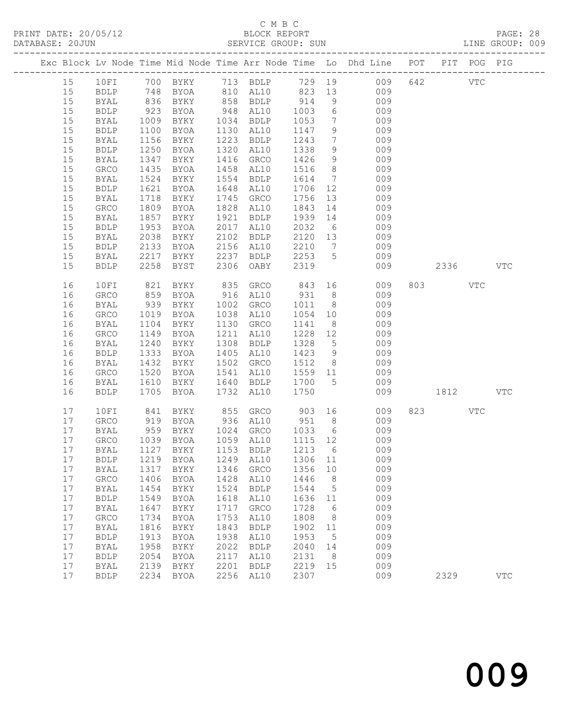|    |    |             |      |                      |      |                                  |                                                                           |                 | Exc Block Lv Node Time Mid Node Time Arr Node Time Lo Dhd Line POT PIT POG PIG |         |              |            |
|----|----|-------------|------|----------------------|------|----------------------------------|---------------------------------------------------------------------------|-----------------|--------------------------------------------------------------------------------|---------|--------------|------------|
| 15 |    | 10FI        |      |                      |      |                                  |                                                                           |                 | 700 BYKY 713 BDLP 729 19 009 642                                               |         | $_{\rm VTC}$ |            |
|    | 15 | BDLP        |      | 748 BYOA             |      |                                  |                                                                           |                 | 810 AL10 823 13 009                                                            |         |              |            |
|    | 15 | BYAL        |      |                      |      |                                  |                                                                           | 9               | 009                                                                            |         |              |            |
|    | 15 | BDLP        |      | 836 BYKY<br>923 BYOA |      | 858 BDLP 914<br>948 AL10 1003    |                                                                           |                 | $\frac{3}{6}$<br>009                                                           |         |              |            |
|    | 15 | BYAL        | 1009 | BYKY                 |      | 1034 BDLP 1053                   |                                                                           |                 | 7 009                                                                          |         |              |            |
|    | 15 | BDLP        | 1100 | BYOA                 |      | 1130 AL10                        | 1147                                                                      | 9               | 009                                                                            |         |              |            |
|    | 15 | BYAL        | 1156 | BYKY                 |      | 1223 BDLP                        | 1243                                                                      | $7\overline{ }$ | 009                                                                            |         |              |            |
|    | 15 | <b>BDLP</b> | 1250 | BYOA                 |      | 1320 AL10                        | 1338                                                                      |                 | 9<br>009                                                                       |         |              |            |
|    | 15 | BYAL        | 1347 | BYKY                 |      | 1416 GRCO                        | 1426                                                                      | 9               | 009                                                                            |         |              |            |
|    | 15 | GRCO        | 1435 | BYOA                 |      | 1458 AL10                        | 1516                                                                      | 8 <sup>8</sup>  | 009                                                                            |         |              |            |
|    | 15 | <b>BYAL</b> | 1524 | BYKY                 |      | 1554 BDLP                        | $\begin{array}{c}\n 1614 \quad 7 \\  \hline\n 1614 \quad 7\n \end{array}$ |                 | 009                                                                            |         |              |            |
|    | 15 | <b>BDLP</b> | 1621 | BYOA                 |      | 1648 AL10                        | 1706 12                                                                   |                 | 009                                                                            |         |              |            |
|    | 15 | BYAL        | 1718 | BYKY                 | 1745 | GRCO                             | 1756 13                                                                   |                 | 009                                                                            |         |              |            |
|    | 15 | GRCO        | 1809 | BYOA                 |      | 1828 AL10                        | 1843                                                                      | 14              | 009                                                                            |         |              |            |
|    | 15 | BYAL        | 1857 | BYKY                 | 1921 | BDLP                             | 1939 14                                                                   |                 | 009                                                                            |         |              |            |
|    | 15 | <b>BDLP</b> | 1953 | BYOA                 |      | 2017 AL10                        | $2032$ 6                                                                  |                 | 009                                                                            |         |              |            |
|    | 15 | BYAL        | 2038 | BYKY                 |      | 2102 BDLP                        |                                                                           |                 | 2120 13<br>009                                                                 |         |              |            |
|    |    |             |      | 2133 BYOA            |      | 2156 AL10                        | 2210 7                                                                    |                 | 009                                                                            |         |              |            |
|    | 15 | BDLP        |      |                      |      |                                  |                                                                           |                 |                                                                                |         |              |            |
|    | 15 | BYAL        |      | 2217 BYKY            |      | 2237 BDLP                        | $2253$ 5<br>2319                                                          |                 | 009                                                                            |         |              |            |
|    | 15 | <b>BDLP</b> | 2258 | BYST                 |      | 2306 OABY                        | 2319                                                                      |                 | 009                                                                            | 2336    |              | VTC        |
|    | 16 | 10FI        | 821  | BYKY                 |      | 835 GRCO                         | 843 16                                                                    |                 | 009                                                                            | 803 VTC |              |            |
|    | 16 | GRCO        | 859  | BYOA                 |      | 916 AL10                         | 931                                                                       | 8 <sup>8</sup>  | 009                                                                            |         |              |            |
|    | 16 | <b>BYAL</b> | 939  | BYKY                 |      | 1002 GRCO                        | 1011                                                                      | 8 <sup>8</sup>  | 009                                                                            |         |              |            |
|    | 16 | GRCO        | 1019 | BYOA                 |      | 1038 AL10                        |                                                                           |                 | 1054 10<br>009                                                                 |         |              |            |
|    | 16 | BYAL        | 1104 | BYKY                 |      | 1130 GRCO                        | 1141                                                                      |                 | $8 - 8$<br>009                                                                 |         |              |            |
|    | 16 | GRCO        | 1149 | BYOA                 | 1211 | AL10                             | 1228 12                                                                   |                 | 009                                                                            |         |              |            |
|    | 16 | BYAL        | 1240 | BYKY                 | 1308 | BDLP                             | 1328                                                                      | 5 <sup>5</sup>  | 009                                                                            |         |              |            |
|    | 16 | BDLP        |      | 1333 BYOA            |      | 1405 AL10                        | 1423                                                                      |                 | 9<br>009                                                                       |         |              |            |
|    | 16 | BYAL        | 1432 | BYKY                 |      | 1502 GRCO                        | 1512 8                                                                    |                 | 009                                                                            |         |              |            |
|    | 16 | GRCO        | 1520 | BYOA                 |      | 1541 AL10                        | 1559 11                                                                   |                 | 009                                                                            |         |              |            |
|    | 16 | BYAL        | 1610 | BYKY                 |      | 1640 BDLP                        | 1700                                                                      | $5^{\circ}$     | 009                                                                            |         |              |            |
|    | 16 | <b>BDLP</b> |      | 1705 BYOA            |      | 1732 AL10                        | 1750                                                                      |                 | 009                                                                            | 1812    |              | <b>VTC</b> |
|    |    |             |      |                      |      |                                  |                                                                           |                 |                                                                                |         |              |            |
|    | 17 | 10FI        | 841  | BYKY                 |      | 855 GRCO                         | 903 16                                                                    |                 | 009                                                                            | 823     | VTC          |            |
|    | 17 | GRCO        |      | 919 BYOA<br>959 BYKY |      | 936 AL10                         | $\begin{array}{c cc} & -3 & & -3 \\ & 951 & & 8 \end{array}$              |                 | 009                                                                            |         |              |            |
|    | 17 | BYAL        |      |                      |      | 1024 GRCO                        | 1033                                                                      | 6               | 009                                                                            |         |              |            |
|    | 17 | GRCO        |      | 1039 BYOA            |      | 1059 AL10 1115 12                |                                                                           |                 | 009                                                                            |         |              |            |
|    | 17 | BYAL        |      | 1127 BYKY            |      | 1153 BDLP                        |                                                                           |                 | 1213 6 009                                                                     |         |              |            |
|    | 17 |             |      |                      |      | BDLP 1219 BYOA 1249 AL10 1306 11 |                                                                           |                 | 009                                                                            |         |              |            |
|    | 17 | <b>BYAL</b> | 1317 | BYKY                 | 1346 | GRCO                             | 1356                                                                      | 10              | 009                                                                            |         |              |            |
|    | 17 | GRCO        | 1406 | BYOA                 | 1428 | AL10                             | 1446                                                                      | 8               | 009                                                                            |         |              |            |
|    | 17 | <b>BYAL</b> | 1454 | BYKY                 | 1524 | <b>BDLP</b>                      | 1544                                                                      | 5               | 009                                                                            |         |              |            |
|    | 17 | <b>BDLP</b> | 1549 | <b>BYOA</b>          | 1618 | AL10                             | 1636                                                                      | 11              | 009                                                                            |         |              |            |
|    | 17 | <b>BYAL</b> | 1647 | BYKY                 | 1717 | GRCO                             | 1728                                                                      | 6               | 009                                                                            |         |              |            |
|    | 17 | GRCO        | 1734 | <b>BYOA</b>          | 1753 | AL10                             | 1808                                                                      | 8               | 009                                                                            |         |              |            |
|    | 17 | <b>BYAL</b> | 1816 | BYKY                 | 1843 | <b>BDLP</b>                      | 1902                                                                      | 11              | 009                                                                            |         |              |            |
|    | 17 | <b>BDLP</b> | 1913 | <b>BYOA</b>          | 1938 | AL10                             | 1953                                                                      | 5               | 009                                                                            |         |              |            |
|    | 17 | <b>BYAL</b> | 1958 | BYKY                 | 2022 | <b>BDLP</b>                      | 2040                                                                      | 14              | 009                                                                            |         |              |            |
|    | 17 | <b>BDLP</b> | 2054 | <b>BYOA</b>          | 2117 | AL10                             | 2131                                                                      | 8               | 009                                                                            |         |              |            |
|    | 17 | <b>BYAL</b> | 2139 | BYKY                 | 2201 | <b>BDLP</b>                      | 2219                                                                      | 15              | 009                                                                            |         |              |            |
|    | 17 | <b>BDLP</b> | 2234 | BYOA                 | 2256 | AL10                             | 2307                                                                      |                 | 009                                                                            | 2329    |              | <b>VTC</b> |
|    |    |             |      |                      |      |                                  |                                                                           |                 |                                                                                |         |              |            |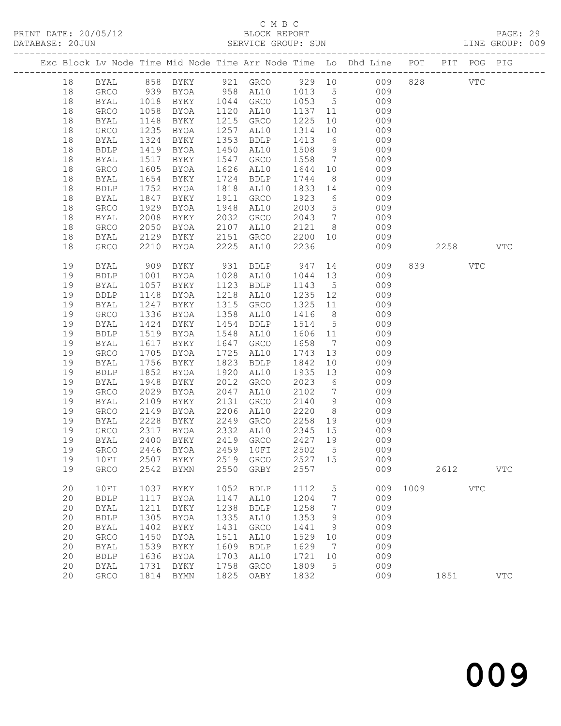|  |    |              |      |                       |      |                                                   |         |                 | Exc Block Lv Node Time Mid Node Time Arr Node Time Lo Dhd Line POT PIT POG PIG |      |      |              |              |
|--|----|--------------|------|-----------------------|------|---------------------------------------------------|---------|-----------------|--------------------------------------------------------------------------------|------|------|--------------|--------------|
|  | 18 | BYAL         |      | 858 BYKY              |      |                                                   |         |                 | 921 GRCO 929 10 009                                                            | 828  |      | <b>VTC</b>   |              |
|  | 18 | GRCO         |      |                       |      | 958 AL10 1013 5                                   |         |                 | 009                                                                            |      |      |              |              |
|  | 18 | BYAL         |      | 939 BYOA<br>1018 BYKY |      | 1044 GRCO                                         | 1053 5  |                 | 009                                                                            |      |      |              |              |
|  | 18 | GRCO         | 1058 | BYOA                  | 1120 | AL10                                              | 1137 11 |                 | 009                                                                            |      |      |              |              |
|  | 18 | BYAL         | 1148 | BYKY                  | 1215 | GRCO                                              | 1225    | 10              | 009                                                                            |      |      |              |              |
|  | 18 | GRCO         | 1235 | BYOA                  | 1257 | AL10                                              | 1314    | 10              | 009                                                                            |      |      |              |              |
|  | 18 | BYAL         | 1324 | BYKY                  | 1353 | <b>BDLP</b>                                       | 1413    | $6\overline{6}$ | 009                                                                            |      |      |              |              |
|  | 18 | ${\tt BDLP}$ | 1419 | BYOA                  | 1450 | AL10                                              | 1508    |                 | 9<br>009                                                                       |      |      |              |              |
|  | 18 | BYAL         | 1517 | BYKY                  | 1547 | GRCO                                              | 1558    |                 | $7\overline{ }$<br>009                                                         |      |      |              |              |
|  | 18 | GRCO         | 1605 | BYOA                  | 1626 | AL10                                              | 1644    | 10              | 009                                                                            |      |      |              |              |
|  | 18 | BYAL         | 1654 | BYKY                  | 1724 | <b>BDLP</b>                                       | 1744    | 8 <sup>8</sup>  | 009                                                                            |      |      |              |              |
|  | 18 | ${\tt BDLP}$ | 1752 | BYOA                  | 1818 | AL10                                              | 1833    | 14              | 009                                                                            |      |      |              |              |
|  | 18 | BYAL         | 1847 | BYKY                  | 1911 | GRCO                                              | 1923    | $6\overline{6}$ | 009                                                                            |      |      |              |              |
|  | 18 | GRCO         | 1929 | BYOA                  | 1948 | AL10                                              | 2003    | $5\overline{)}$ | 009                                                                            |      |      |              |              |
|  | 18 | BYAL         | 2008 | BYKY                  | 2032 | GRCO                                              | 2043    | $7\overline{ }$ | 009                                                                            |      |      |              |              |
|  | 18 | GRCO         | 2050 | BYOA                  | 2107 | AL10                                              | 2121 8  |                 | 009                                                                            |      |      |              |              |
|  | 18 | BYAL         | 2129 | BYKY                  | 2151 | GRCO                                              | 2200    | 10              | 009                                                                            |      |      |              |              |
|  | 18 | GRCO         | 2210 | BYOA                  | 2225 | AL10                                              | 2236    |                 | 009                                                                            |      | 2258 |              | $_{\rm VTC}$ |
|  |    |              |      |                       |      |                                                   |         |                 |                                                                                |      |      |              |              |
|  | 19 | BYAL         | 909  | BYKY                  |      | 931 BDLP                                          | 947     |                 | 14<br>009                                                                      |      | 839  | VTC          |              |
|  | 19 | <b>BDLP</b>  | 1001 | BYOA                  |      | 1028 AL10                                         | 1044 13 |                 | 009                                                                            |      |      |              |              |
|  | 19 | BYAL         | 1057 | BYKY                  | 1123 | <b>BDLP</b>                                       | 1143    | $5\overline{)}$ | 009                                                                            |      |      |              |              |
|  | 19 | <b>BDLP</b>  | 1148 | BYOA                  | 1218 | AL10                                              | 1235    | 12              | 009                                                                            |      |      |              |              |
|  | 19 | BYAL         | 1247 | BYKY                  | 1315 | GRCO                                              | 1325    | 11              | 009                                                                            |      |      |              |              |
|  | 19 | GRCO         | 1336 | BYOA                  | 1358 | AL10                                              | 1416    | 8 <sup>8</sup>  | 009                                                                            |      |      |              |              |
|  | 19 | BYAL         | 1424 | BYKY                  | 1454 | BDLP                                              | 1514    | $5\overline{)}$ | 009                                                                            |      |      |              |              |
|  | 19 | <b>BDLP</b>  | 1519 | BYOA                  | 1548 | AL10                                              | 1606    | 11              | 009                                                                            |      |      |              |              |
|  | 19 | BYAL         | 1617 | BYKY                  | 1647 | GRCO                                              | 1658    | $7\overline{ }$ | 009                                                                            |      |      |              |              |
|  | 19 | GRCO         | 1705 | BYOA                  | 1725 | AL10                                              | 1743    | 13              | 009                                                                            |      |      |              |              |
|  | 19 | BYAL         | 1756 | BYKY                  | 1823 | <b>BDLP</b>                                       | 1842    | 10 <sup>°</sup> | 009                                                                            |      |      |              |              |
|  | 19 | <b>BDLP</b>  | 1852 | BYOA                  | 1920 | AL10                                              | 1935    | 13              | 009                                                                            |      |      |              |              |
|  | 19 | BYAL         | 1948 | BYKY                  | 2012 | GRCO                                              | 2023    | 6               | 009                                                                            |      |      |              |              |
|  | 19 | ${\tt GRCO}$ | 2029 | BYOA                  | 2047 | AL10                                              | 2102    | $\overline{7}$  | 009                                                                            |      |      |              |              |
|  | 19 | BYAL         | 2109 | BYKY                  | 2131 | GRCO                                              | 2140    | 9               | 009                                                                            |      |      |              |              |
|  | 19 | GRCO         | 2149 | BYOA                  | 2206 | AL10                                              | 2220    | 8 <sup>8</sup>  | 009                                                                            |      |      |              |              |
|  | 19 | BYAL         | 2228 | BYKY                  | 2249 | GRCO                                              | 2258    | 19              | 009                                                                            |      |      |              |              |
|  | 19 | GRCO         | 2317 | BYOA                  |      | 2332 AL10                                         | 2345    | 15              | 009                                                                            |      |      |              |              |
|  | 19 | <b>BYAL</b>  | 2400 | BYKY                  |      | 2419 GRCO                                         | 2427 19 |                 | 009                                                                            |      |      |              |              |
|  | 19 | <b>GRCO</b>  | 2446 | BYOA                  |      | 2459 10FI                                         | 2502    | $5^{\circ}$     | 009                                                                            |      |      |              |              |
|  |    |              |      |                       |      | 19   10FI   2507   BYKY   2519   GRCO   2527   15 |         |                 | 009                                                                            |      |      |              |              |
|  | 19 | GRCO         | 2542 | <b>BYMN</b>           | 2550 | GRBY                                              | 2557    |                 | 009                                                                            |      | 2612 |              | $_{\rm VTC}$ |
|  |    |              |      |                       |      |                                                   |         |                 |                                                                                |      |      |              |              |
|  | 20 | 10FI         | 1037 | BYKY                  | 1052 | <b>BDLP</b>                                       | 1112    | 5               | 009                                                                            | 1009 |      | $_{\rm VTC}$ |              |
|  | 20 | <b>BDLP</b>  | 1117 | <b>BYOA</b>           | 1147 | AL10                                              | 1204    | 7               | 009                                                                            |      |      |              |              |
|  | 20 | <b>BYAL</b>  | 1211 | BYKY                  | 1238 | <b>BDLP</b>                                       | 1258    | 7               | 009                                                                            |      |      |              |              |
|  | 20 | <b>BDLP</b>  | 1305 | <b>BYOA</b>           | 1335 | AL10                                              | 1353    | 9               | 009                                                                            |      |      |              |              |
|  | 20 | <b>BYAL</b>  | 1402 | BYKY                  | 1431 | GRCO                                              | 1441    | 9               | 009                                                                            |      |      |              |              |
|  | 20 | GRCO         | 1450 | <b>BYOA</b>           | 1511 | AL10                                              | 1529    | 10              | 009                                                                            |      |      |              |              |
|  | 20 | <b>BYAL</b>  | 1539 | BYKY                  | 1609 | <b>BDLP</b>                                       | 1629    | 7               | 009                                                                            |      |      |              |              |
|  | 20 | ${\tt BDLP}$ | 1636 | <b>BYOA</b>           | 1703 | AL10                                              | 1721    | 10              | 009                                                                            |      |      |              |              |
|  | 20 | <b>BYAL</b>  | 1731 | BYKY                  | 1758 | GRCO                                              | 1809    | 5               | 009                                                                            |      |      |              |              |
|  | 20 | ${\tt GRCO}$ | 1814 | <b>BYMN</b>           | 1825 | OABY                                              | 1832    |                 | 009                                                                            |      | 1851 |              | $_{\rm VTC}$ |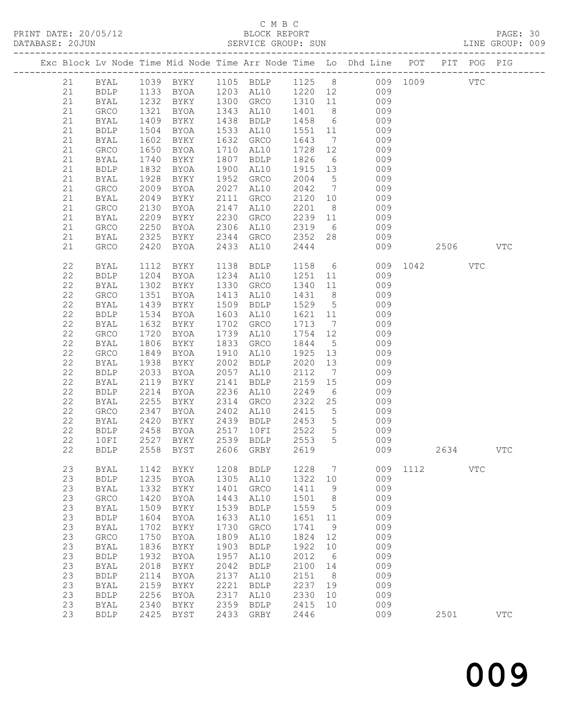## C M B C<br>BLOCK REPORT<br>SERVICE GROUP: SUN

|                                                                                                                                                          |                                                                                                                                                                                                                                           |                                                                                                                                      |                                                                                                                                                                                               |                                                                                                                              |                                                                                                                                                                                                               |                                                                                                                              |                                                                                 | Exc Block Lv Node Time Mid Node Time Arr Node Time Lo Dhd Line POT PIT POG PIG                                                                                                                                                                                                                                                                                                                                                                                 |          |      |            |              |  |
|----------------------------------------------------------------------------------------------------------------------------------------------------------|-------------------------------------------------------------------------------------------------------------------------------------------------------------------------------------------------------------------------------------------|--------------------------------------------------------------------------------------------------------------------------------------|-----------------------------------------------------------------------------------------------------------------------------------------------------------------------------------------------|------------------------------------------------------------------------------------------------------------------------------|---------------------------------------------------------------------------------------------------------------------------------------------------------------------------------------------------------------|------------------------------------------------------------------------------------------------------------------------------|---------------------------------------------------------------------------------|----------------------------------------------------------------------------------------------------------------------------------------------------------------------------------------------------------------------------------------------------------------------------------------------------------------------------------------------------------------------------------------------------------------------------------------------------------------|----------|------|------------|--------------|--|
| 21<br>21<br>21<br>21<br>21<br>21<br>21                                                                                                                   | <b>BYAL</b><br><b>BDLP</b><br><b>BYAL</b><br>GRCO<br>BYAL<br><b>BDLP</b><br>BYAL                                                                                                                                                          | 1409<br>1504<br>1602                                                                                                                 | BYOA<br>1602 BYKY                                                                                                                                                                             |                                                                                                                              | 1533 AL10<br>1632 GRCO                                                                                                                                                                                        |                                                                                                                              |                                                                                 | 1039 BYKY 1105 BDLP 1125 8 009 1009<br>1133 BYOA 1203 AL10 1220 12 009<br>1232 BYKY 1300 GRCO 1310 11 009<br>1321 BYOA 1343 AL10 1401 8 009<br>BYKY 1438 BDLP 1458 6 009<br>1551  11  009<br>1643  7  009<br>$1728$ $12$ 009                                                                                                                                                                                                                                   |          |      | <b>VTC</b> |              |  |
| 21<br>21<br>21<br>21<br>21<br>21<br>21<br>21<br>21<br>21<br>21                                                                                           | GRCO<br>BYAL<br>BDLP<br>BYAL<br>GRCO<br>BYAL<br>GRCO<br><b>BYAL</b><br>GRCO<br>BYAL<br>GRCO                                                                                                                                               | 1650<br>1740<br>1832<br>1928<br>2049<br>2130<br>2209<br>2250<br>2325<br>2420                                                         | BYOA<br>BYKY<br>BYOA<br>BYKY<br>2009 BYOA<br>BYKY<br>BYOA<br>BYKY<br>BYOA<br>BYKY<br>BYOA                                                                                                     |                                                                                                                              | 1710 AL10<br>1807 BDLP 1826<br>1900 AL10<br>1952 GRCO<br>2027 AL10<br>2433 AL10                                                                                                                               | 2444                                                                                                                         |                                                                                 | 6 009<br>1915  13  009<br>2004  5  009<br>2042  7  009<br>2111 GRCO 2120 10 009<br>2147 AL10 2201 8 009<br>2230 GRCO 2239 11 009<br>2306 AL10 2319 6 009<br>2344 GRCO 2352 28 009                                                                                                                                                                                                                                                                              | 009 2506 |      |            | <b>VTC</b>   |  |
| 22<br>22<br>22<br>$2\sqrt{2}$<br>22<br>22<br>$2\sqrt{2}$<br>22<br>22<br>22<br>$2\sqrt{2}$<br>22<br>22<br>22<br>22<br>$2\sqrt{2}$<br>22<br>22<br>22<br>22 | BYAL<br>BDLP<br>BYAL<br>GRCO<br>BYAL<br>BDLP<br>BYAL<br>GRCO<br>BYAL<br>GRCO<br>BYAL<br><b>BDLP</b><br>BYAL<br><b>BDLP</b><br><b>BYAL</b><br>GRCO<br>BYAL<br><b>BDLP</b><br>$10FI$<br><b>BDLP</b>                                         | 1302<br>1351<br>1439<br>1632<br>1720<br>1806<br>1938<br>2033<br>2119<br>2214<br>2255<br>2347<br>2347<br>2420<br>2458<br>2527<br>2558 | 1204 BYOA<br>BYKY<br>BYOA<br>BYKY<br>1534 BYOA<br>BYKY<br><b>BYOA</b><br>BYKY<br>1849 BYOA<br>BYKY<br>BYOA<br>BYKY<br><b>BYOA</b><br>BYKY<br>BYOA<br>2458 BYOA<br>${\tt BYKY}$<br><b>BYST</b> | 2539<br>2606                                                                                                                 | 1330 GRCO<br>1603 AL10<br>1702 GRCO<br>1739 AL10<br>1833 GRCO<br>1910 AL10<br>2002 BDLP<br>2057 AL10<br>2141 BDLP<br>2236 AL10 2249<br>BYKY 2439 BDLP 2453 5<br>BYOA 2517 10FI 2522 5<br>${\tt BDLP}$<br>GRBY | 2553<br>2619                                                                                                                 | 5                                                                               | 1112 BYKY 1138 BDLP 1158 6 009 1042 VTC<br>1234 AL10 1251 11 009<br>1340 11 009<br>1413 AL10 1431 8 009<br>1509 BDLP 1529 5 009<br>$1621$ $11$ 009<br>1713 7 009<br>1754 12 009<br>1844 5 009<br>$\frac{1311}{1925}$ $\frac{3}{13}$ 009<br>2020 13 009<br>$\begin{array}{cccc} 2112 & 7 & 009 \\ 2159 & 15 & 009 \\ 2249 & 6 & 009 \end{array}$<br>2314 GRCO 2322 25 009<br>2402 AL10 2415 5 009<br>2439 BDLP 2453 5 009<br>2517 10FI 2522 5 009<br>009<br>009 |          | 2634 |            | $_{\rm VTC}$ |  |
| 23<br>23<br>23<br>23<br>23<br>23<br>23<br>23<br>23<br>23<br>23<br>23<br>23<br>23<br>23<br>23                                                             | BYAL<br><b>BDLP</b><br><b>BYAL</b><br>${\tt GRCO}$<br><b>BYAL</b><br><b>BDLP</b><br><b>BYAL</b><br>${\tt GRCO}$<br><b>BYAL</b><br><b>BDLP</b><br><b>BYAL</b><br>${\tt BDLP}$<br><b>BYAL</b><br>${\tt BDLP}$<br><b>BYAL</b><br><b>BDLP</b> | 1142<br>1235<br>1332<br>1420<br>1509<br>1604<br>1702<br>1750<br>1836<br>1932<br>2018<br>2114<br>2159<br>2256<br>2340<br>2425         | BYKY<br>BYOA<br>BYKY<br><b>BYOA</b><br>BYKY<br><b>BYOA</b><br>BYKY<br><b>BYOA</b><br>BYKY<br><b>BYOA</b><br>BYKY<br><b>BYOA</b><br>BYKY<br><b>BYOA</b><br>BYKY<br><b>BYST</b>                 | 1208<br>1305<br>1401<br>1443<br>1539<br>1633<br>1730<br>1809<br>1903<br>1957<br>2042<br>2137<br>2221<br>2317<br>2359<br>2433 | <b>BDLP</b><br>AL10<br>GRCO<br>AL10<br><b>BDLP</b><br>AL10<br>GRCO<br>AL10<br><b>BDLP</b><br>AL10<br><b>BDLP</b><br>AL10<br><b>BDLP</b><br>AL10<br><b>BDLP</b><br>GRBY                                        | 1228<br>1322<br>1411<br>1501<br>1559<br>1651<br>1741<br>1824<br>1922<br>2012<br>2100<br>2151<br>2237<br>2330<br>2415<br>2446 | 7<br>10<br>9<br>8<br>5<br>11<br>9<br>12<br>10<br>6<br>14<br>8<br>19<br>10<br>10 | 009<br>009<br>009<br>009<br>009<br>009<br>009<br>009<br>009<br>009<br>009<br>009<br>009<br>009<br>009<br>009                                                                                                                                                                                                                                                                                                                                                   | 1112     | 2501 | <b>VTC</b> | $_{\rm VTC}$ |  |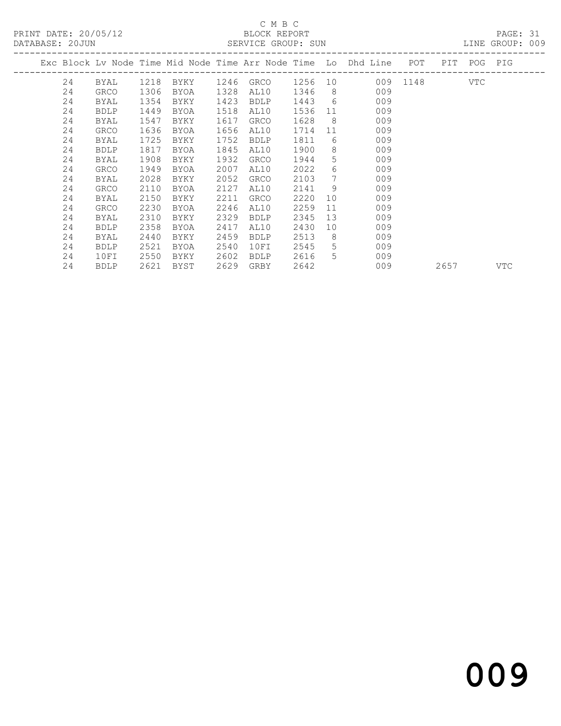PRINT DATE: 20/05/12 BLOCK REPORT<br>
DATABASE: 20.JUN SERVICE GROUP: SUN

## C M B C<br>BLOCK REPORT

PAGE: 31<br>LINE GROUP: 009

| DUIUDUU. TAAA |    |             |      |      |      | ALLATOL GIVOOL. SON |         |                  |                                                                    |          |      |         | DIME GIVOOT . AAD |
|---------------|----|-------------|------|------|------|---------------------|---------|------------------|--------------------------------------------------------------------|----------|------|---------|-------------------|
|               |    |             |      |      |      |                     |         |                  | Exc Block Lv Node Time Mid Node Time Arr Node Time Lo Dhd Line POT |          | PIT  | POG PIG |                   |
|               | 24 | BYAL        | 1218 | BYKY |      | 1246 GRCO           | 1256 10 |                  |                                                                    | 009 1148 |      | VTC     |                   |
|               | 24 | GRCO        | 1306 | BYOA | 1328 | AL10                | 1346    | 8 <sup>8</sup>   | 009                                                                |          |      |         |                   |
|               | 24 | BYAL        | 1354 | BYKY | 1423 | <b>BDLP</b>         | 1443    | 6                | 009                                                                |          |      |         |                   |
|               | 24 | <b>BDLP</b> | 1449 | BYOA | 1518 | AL10                | 1536    | 11               | 009                                                                |          |      |         |                   |
|               | 24 | BYAL        | 1547 | BYKY | 1617 | GRCO                | 1628    | - 8              | 009                                                                |          |      |         |                   |
|               | 24 | <b>GRCO</b> | 1636 | BYOA | 1656 | AL10                | 1714    | 11               | 009                                                                |          |      |         |                   |
|               | 24 | BYAL        | 1725 | BYKY | 1752 | <b>BDLP</b>         | 1811    | 6                | 009                                                                |          |      |         |                   |
|               | 24 | <b>BDLP</b> | 1817 | BYOA | 1845 | AL10                | 1900    | 8                | 009                                                                |          |      |         |                   |
|               | 24 | BYAL        | 1908 | BYKY | 1932 | GRCO                | 1944    | 5                | 009                                                                |          |      |         |                   |
|               | 24 | GRCO        | 1949 | BYOA | 2007 | AL10                | 2022    | $6 \overline{6}$ | 009                                                                |          |      |         |                   |
|               | 24 | BYAL        | 2028 | BYKY | 2052 | <b>GRCO</b>         | 2103    | $7^{\circ}$      | 009                                                                |          |      |         |                   |
|               | 24 | GRCO        | 2110 | BYOA | 2127 | AL10                | 2141    | 9                | 009                                                                |          |      |         |                   |
|               | 24 | BYAL        | 2150 | BYKY | 2211 | GRCO                | 2220    | 10               | 009                                                                |          |      |         |                   |
|               | 24 | <b>GRCO</b> | 2230 | BYOA | 2246 | AL10                | 2259    | 11               | 009                                                                |          |      |         |                   |
|               | 24 | BYAL        | 2310 | BYKY | 2329 | <b>BDLP</b>         | 2345    | 13               | 009                                                                |          |      |         |                   |
|               | 24 | <b>BDLP</b> | 2358 | BYOA | 2417 | AL10                | 2430    | 10               | 009                                                                |          |      |         |                   |
|               | 24 | BYAL        | 2440 | BYKY | 2459 | <b>BDLP</b>         | 2513    | 8                | 009                                                                |          |      |         |                   |
|               | 24 | <b>BDLP</b> | 2521 | BYOA | 2540 | 10FI                | 2545    | 5                | 009                                                                |          |      |         |                   |
|               | 24 | 10FI        | 2550 | BYKY | 2602 | <b>BDLP</b>         | 2616    | 5                | 009                                                                |          |      |         |                   |
|               | 24 | <b>BDLP</b> | 2621 | BYST | 2629 | GRBY                | 2642    |                  | 009                                                                |          | 2657 |         | VTC               |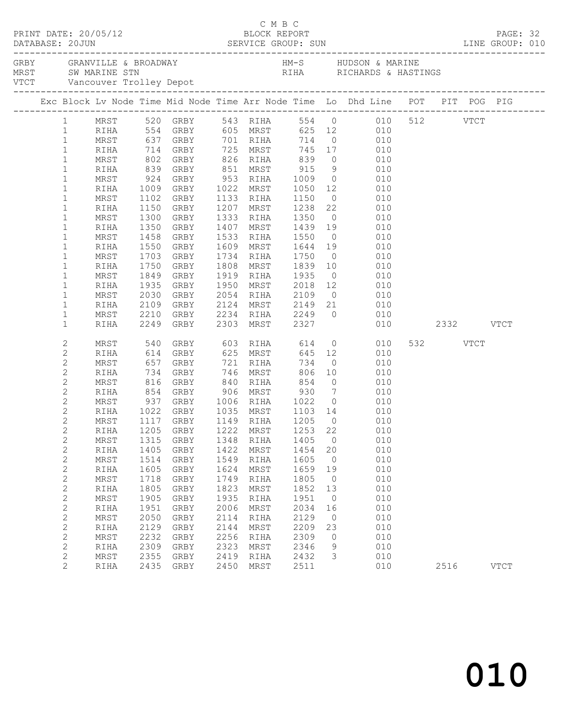|                              |              |              |                                  |      |                                |      |                | Exc Block Lv Node Time Mid Node Time Arr Node Time Lo Dhd Line POT PIT POG PIG                                        |          |      |             |  |
|------------------------------|--------------|--------------|----------------------------------|------|--------------------------------|------|----------------|-----------------------------------------------------------------------------------------------------------------------|----------|------|-------------|--|
|                              |              |              |                                  |      |                                |      |                | 1 MRST 520 GRBY 543 RIHA 554 0 010 512 VTCT                                                                           |          |      |             |  |
| $\mathbf{1}$                 |              |              |                                  |      |                                |      |                | RIHA 554 GRBY 605 MRST 625 12 010                                                                                     |          |      |             |  |
| $\mathbf{1}$                 | MRST         |              |                                  |      |                                |      |                | 637 GRBY 701 RIHA 714 0<br>714 GRBY 725 MRST 745 17 010<br>802 GRBY 826 RIHA 839 0 010<br>839 GRBY 851 MRST 915 9 010 |          |      |             |  |
| $\mathbf{1}$                 | RIHA         |              |                                  |      |                                |      |                |                                                                                                                       |          |      |             |  |
| $\mathbf{1}$                 | MRST         |              |                                  |      |                                |      |                |                                                                                                                       |          |      |             |  |
| $\mathbf{1}$                 | RIHA         |              |                                  |      |                                |      |                |                                                                                                                       |          |      |             |  |
| $\mathbf{1}$                 | MRST         | 924          | GRBY 953 RIHA 1009               |      |                                |      |                | $0$ 010                                                                                                               |          |      |             |  |
| $\mathbf{1}$                 | RIHA         |              | 1009 GRBY<br>1102 GRBY           |      | 1022 MRST                      |      |                | 1022 MRST 1050 12 010<br>1133 RIHA 1150 0 010                                                                         |          |      |             |  |
| $\mathbf{1}$                 | MRST         |              | 1102 GRBY                        |      | 1207 MRST 1238                 |      |                | 22 010                                                                                                                |          |      |             |  |
| $\mathbf 1$                  | RIHA         |              | 1150 GRBY                        |      |                                |      |                |                                                                                                                       |          |      |             |  |
| $\mathbf{1}$                 | MRST         | 1300         | GRBY                             |      | 1333 RIHA 1350                 |      |                | $0$ 010                                                                                                               |          |      |             |  |
| $\mathbf 1$                  | RIHA         | 1350         | GRBY                             |      |                                |      |                | 1407 MRST 1439 19 010<br>1533 RIHA 1550 0 010                                                                         |          |      |             |  |
| $\mathbf{1}$                 | MRST         | 1458         | GRBY                             |      | 1609 MRST 1644 19              |      |                | 010                                                                                                                   |          |      |             |  |
| $\mathbf 1$                  | RIHA         |              | 1550 GRBY                        |      |                                |      |                | 010                                                                                                                   |          |      |             |  |
| $\mathbf{1}$                 | MRST         | 1703         | GRBY                             |      | 1734 RIHA 1750                 |      | $\overline{0}$ |                                                                                                                       |          |      |             |  |
| $\mathbf 1$                  | RIHA         | 1750         | GRBY                             |      | 1808 MRST                      | 1839 | 10             | 010                                                                                                                   |          |      |             |  |
| $\mathbf{1}$<br>$\mathbf{1}$ | MRST         | 1849<br>1935 | GRBY                             |      |                                |      |                | 1919 RIHA 1935 0 010<br>1950 MRST 2018 12 010                                                                         |          |      |             |  |
| $\mathbf{1}$                 | RIHA         | 2030         | GRBY<br>GRBY                     |      | 2054 RIHA 2109                 |      |                | $0$ 010                                                                                                               |          |      |             |  |
| $\mathbf{1}$                 | MRST<br>RIHA |              | 2109 GRBY                        |      |                                |      |                |                                                                                                                       |          |      |             |  |
| $\mathbf{1}$                 | MRST         |              | 2210 GRBY                        |      |                                |      |                | 010                                                                                                                   |          |      |             |  |
| $\mathbf{1}$                 | RIHA         |              | 2210 GRBY<br>2249 GRBY           |      |                                |      |                | 2124 MRST 2149 21 010<br>2234 RIHA 2249 0 010<br>2303 MRST 2327 010<br>$010$ 2332 VTCT                                |          |      |             |  |
| 2                            | MRST         | 540          | GRBY                             |      | 603 RIHA 614                   |      |                | 0 0 0 0 0 0 $\sqrt{ }$                                                                                                | 532 VTCT |      |             |  |
| $\mathbf{2}$                 | RIHA         |              |                                  |      |                                |      |                | 010                                                                                                                   |          |      |             |  |
| $\mathbf{2}$                 | MRST         |              | 614 GRBY<br>657 GRBY             |      | 625 MRST<br>721 RIHA           |      |                | 645 12<br>734 0<br>010                                                                                                |          |      |             |  |
| $\mathbf{2}$                 | RIHA         | 734          | GRBY                             |      | 746 MRST                       | 806  | 10             | 010                                                                                                                   |          |      |             |  |
| $\mathbf{2}$                 | MRST         | 816          | GRBY                             |      | 840 RIHA                       | 854  |                | $0\qquad \qquad 010$                                                                                                  |          |      |             |  |
| $\mathbf{2}$                 | RIHA         |              |                                  |      |                                |      |                |                                                                                                                       |          |      |             |  |
| $\mathbf{2}$                 | MRST         |              | 854 GRBY<br>937 GRBY             |      | 906 MRST 930<br>1006 RIHA 1022 |      |                | $\begin{array}{ccc} 7 & \quad & 010 \\ 0 & \quad & 010 \end{array}$                                                   |          |      |             |  |
| $\mathbf{2}$                 | RIHA         |              | 1022 GRBY 1035 MRST 1103 14      |      |                                |      |                | 010                                                                                                                   |          |      |             |  |
| $\overline{2}$               | MRST         |              | 1117 GRBY 1149 RIHA 1205         |      |                                |      | $\overline{0}$ | 010                                                                                                                   |          |      |             |  |
| $\overline{2}$               |              |              | RIHA 1205 GRBY 1222 MRST 1253 22 |      |                                |      |                | 010                                                                                                                   |          |      |             |  |
| $\mathbf 2$                  | MRST         | 1315         | GRBY                             | 1348 | RIHA                           | 1405 | $\mathbf 0$    | 010                                                                                                                   |          |      |             |  |
| $\mathbf{2}$                 | RIHA         | 1405         | GRBY                             | 1422 | MRST                           | 1454 | 20             | 010                                                                                                                   |          |      |             |  |
| $\mathbf{2}$                 | MRST         | 1514         | GRBY                             | 1549 | RIHA                           | 1605 | 0              | 010                                                                                                                   |          |      |             |  |
| $\mathbf{2}$                 | RIHA         | 1605         | ${\tt GRBY}$                     | 1624 | MRST                           | 1659 | 19             | 010                                                                                                                   |          |      |             |  |
| $\mathbf{2}$                 | MRST         | 1718         | GRBY                             | 1749 | RIHA                           | 1805 | $\circ$        | 010                                                                                                                   |          |      |             |  |
| $\mathbf{2}$                 | RIHA         | 1805         | GRBY                             | 1823 | MRST                           | 1852 | 13             | 010                                                                                                                   |          |      |             |  |
| $\mathbf{2}$                 | MRST         | 1905         | GRBY                             | 1935 | RIHA                           | 1951 | 0              | 010                                                                                                                   |          |      |             |  |
| $\mathbf{2}$                 | RIHA         | 1951         | ${\tt GRBY}$                     | 2006 | MRST                           | 2034 | 16             | 010                                                                                                                   |          |      |             |  |
| $\mathbf{2}$                 | MRST         | 2050         | GRBY                             | 2114 | RIHA                           | 2129 | $\circ$        | 010                                                                                                                   |          |      |             |  |
| $\mathbf 2$                  | RIHA         | 2129         | GRBY                             | 2144 | MRST                           | 2209 | 23             | 010                                                                                                                   |          |      |             |  |
| $\mathbf 2$                  | MRST         | 2232         | GRBY                             | 2256 | RIHA                           | 2309 | 0              | 010                                                                                                                   |          |      |             |  |
| $\mathbf 2$                  | RIHA         | 2309         | GRBY                             | 2323 | MRST                           | 2346 | 9              | 010                                                                                                                   |          |      |             |  |
| $\overline{c}$               | MRST         | 2355         | GRBY                             | 2419 | RIHA                           | 2432 | 3              | 010                                                                                                                   |          |      |             |  |
| $\overline{2}$               | RIHA         | 2435         | GRBY                             | 2450 | MRST                           | 2511 |                | 010                                                                                                                   |          | 2516 | <b>VTCT</b> |  |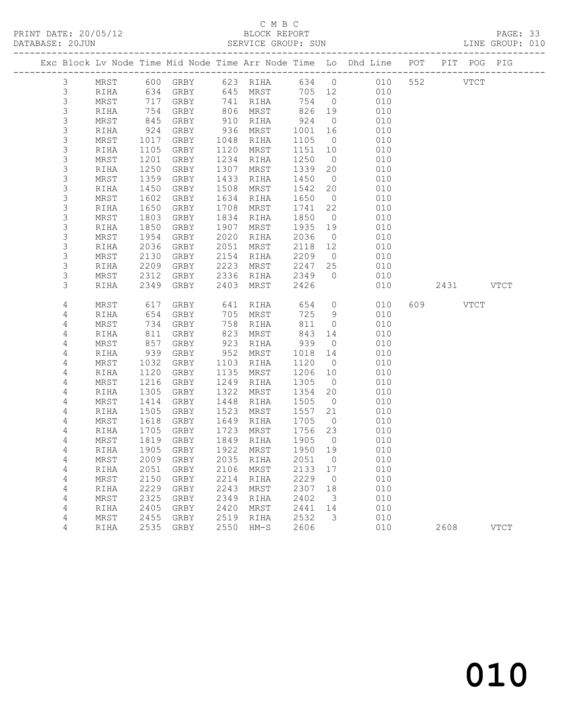PRINT DATE: 20/05/12 BLOCK REPORT BATABASE: 20JUN

## C M B C<br>BLOCK REPORT

PAGE: 33<br>LINE GROUP: 010

|                            |              |              |                                 |              |              |              |                      | Exc Block Lv Node Time Mid Node Time Arr Node Time Lo Dhd Line POT |           | PIT POG PIG |             |
|----------------------------|--------------|--------------|---------------------------------|--------------|--------------|--------------|----------------------|--------------------------------------------------------------------|-----------|-------------|-------------|
| $\mathcal{S}$              | MRST         |              | 600 GRBY 623 RIHA               |              |              |              |                      | 634 0 010                                                          | 552       | <b>VTCT</b> |             |
| $\mathsf 3$                | RIHA         |              | $634$ $GRBY$ $717$ $717$        |              | 645 MRST     | 705 12       |                      | 010                                                                |           |             |             |
| $\mathsf S$                | MRST         | 717          | GRBY                            |              | 741 RIHA     | 754          | $\overline{0}$       | 010                                                                |           |             |             |
| 3                          | RIHA         | 754          | GRBY                            |              | 806 MRST     | 826          | 19                   | 010                                                                |           |             |             |
| 3                          | MRST         | 845          | GRBY                            | 910          | RIHA         | 924          | $\overline{0}$       | 010                                                                |           |             |             |
| 3                          | RIHA         | 924          | GRBY                            | 936          | MRST         | 1001         | 16                   | 010                                                                |           |             |             |
| $\mathsf S$                | MRST         | 1017         | GRBY                            | 1048         | RIHA         | 1105         | $\overline{0}$       | 010                                                                |           |             |             |
| 3                          | RIHA         | 1105         | GRBY                            | 1120         | MRST         | 1151         | 10                   | 010                                                                |           |             |             |
| 3                          | MRST         | 1201         | GRBY                            | 1234         | RIHA         | 1250         | $\overline{0}$       | 010                                                                |           |             |             |
| 3                          | RIHA         | 1250         | GRBY                            | 1307         | MRST         | 1339         | 20                   | 010                                                                |           |             |             |
| $\mathsf S$                | MRST         | 1359         | GRBY                            | 1433         | RIHA         | 1450         | $\overline{0}$       | 010                                                                |           |             |             |
| 3                          | RIHA         | 1450         | GRBY                            | 1508         | MRST         | 1542         | 20                   | 010                                                                |           |             |             |
| 3                          | MRST         | 1602         | GRBY                            | 1634         | RIHA         | 1650         | $\overline{0}$       | 010                                                                |           |             |             |
| 3                          | RIHA         | 1650         | GRBY                            | 1708         | MRST         | 1741         | 22                   | 010                                                                |           |             |             |
| $\mathsf S$<br>$\mathsf S$ | MRST         | 1803<br>1850 | GRBY                            | 1834<br>1907 | RIHA         | 1850<br>1935 | $\overline{0}$       | 010<br>010                                                         |           |             |             |
| $\mathsf S$                | RIHA<br>MRST | 1954         | GRBY<br>GRBY                    | 2020         | MRST<br>RIHA | 2036         | 19<br>$\overline{0}$ | 010                                                                |           |             |             |
| 3                          | RIHA         | 2036         | GRBY                            | 2051         | MRST         | 2118         | 12                   | 010                                                                |           |             |             |
| $\mathsf S$                | MRST         | 2130         | GRBY                            | 2154         | RIHA         | 2209         | $\overline{0}$       | 010                                                                |           |             |             |
| 3                          | RIHA         | 2209         | GRBY                            | 2223         | MRST         | 2247         | 25                   | 010                                                                |           |             |             |
| 3                          | MRST         | 2312         | GRBY                            | 2336         | RIHA         | 2349         | $\overline{0}$       | 010                                                                |           |             |             |
| 3                          | RIHA         | 2349         | GRBY                            | 2403         | MRST         | 2426         |                      | 010                                                                | 2431 VTCT |             |             |
|                            |              |              |                                 |              |              |              |                      |                                                                    |           |             |             |
| 4                          | MRST         | 617          | GRBY                            | 641          | RIHA         | 654          |                      | $\overline{O}$<br>010                                              | 609 VTCT  |             |             |
| 4                          | RIHA         | 654          | GRBY                            |              | 705 MRST     | 725          | $\overline{9}$       | 010                                                                |           |             |             |
| 4                          | MRST         | 734          | GRBY                            | 758          | RIHA         | 811          | $\overline{0}$       | 010                                                                |           |             |             |
| $\overline{4}$             | RIHA         | 811          | GRBY                            | 823          | MRST         | 843          | 14                   | 010                                                                |           |             |             |
| 4                          | MRST         | 857          | GRBY                            | 923          | RIHA         | 939          | $\overline{0}$       | 010                                                                |           |             |             |
| 4                          | RIHA         | 939          | GRBY                            | 952          | MRST         | 1018         | 14                   | 010                                                                |           |             |             |
| 4                          | MRST         | 1032         | GRBY                            | 1103         | RIHA         | 1120         | $\overline{0}$       | 010                                                                |           |             |             |
| 4                          | RIHA         | 1120         | GRBY                            | 1135         | MRST         | 1206         | 10                   | 010                                                                |           |             |             |
| 4                          | MRST         | 1216         | GRBY                            | 1249         | RIHA         | 1305         | $\overline{0}$       | 010                                                                |           |             |             |
| 4                          | RIHA         | 1305         | GRBY                            | 1322         | MRST         | 1354         | 20                   | 010                                                                |           |             |             |
| 4                          | MRST         | 1414         | GRBY                            | 1448         | RIHA         | 1505         | $\overline{0}$       | 010                                                                |           |             |             |
| 4                          | RIHA         | 1505<br>1618 | GRBY                            | 1523         | MRST         | 1557         | 21<br>$\overline{0}$ | 010<br>010                                                         |           |             |             |
| $\overline{4}$<br>4        | MRST<br>RIHA | 1705         | GRBY<br>GRBY                    | 1649<br>1723 | RIHA<br>MRST | 1705<br>1756 | 23                   | 010                                                                |           |             |             |
| 4                          | MRST         | 1819         | GRBY                            | 1849         | RIHA         | 1905         | $\overline{0}$       | 010                                                                |           |             |             |
| 4                          | RIHA         | 1905         | GRBY                            |              | 1922 MRST    | 1950         | 19                   | 010                                                                |           |             |             |
| 4                          |              |              | MRST 2009 GRBY 2035 RIHA 2051 0 |              |              |              |                      | 010                                                                |           |             |             |
| 4                          | RIHA         | 2051         | GRBY                            | 2106         | MRST         | 2133         | 17                   | 010                                                                |           |             |             |
| 4                          | MRST         | 2150         | <b>GRBY</b>                     | 2214         | RIHA         | 2229         | 0                    | 010                                                                |           |             |             |
| 4                          | RIHA         | 2229         | GRBY                            | 2243         | MRST         | 2307         | 18                   | 010                                                                |           |             |             |
| 4                          | MRST         | 2325         | GRBY                            | 2349         | RIHA         | 2402         | 3                    | 010                                                                |           |             |             |
| 4                          | RIHA         | 2405         | GRBY                            | 2420         | MRST         | 2441         | 14                   | 010                                                                |           |             |             |
| 4                          | MRST         | 2455         | <b>GRBY</b>                     | 2519         | RIHA         | 2532         | 3                    | 010                                                                |           |             |             |
| 4                          | <b>RIHA</b>  | 2535         | GRBY                            | 2550         | $HM-S$       | 2606         |                      | 010                                                                | 2608      |             | <b>VTCT</b> |
|                            |              |              |                                 |              |              |              |                      |                                                                    |           |             |             |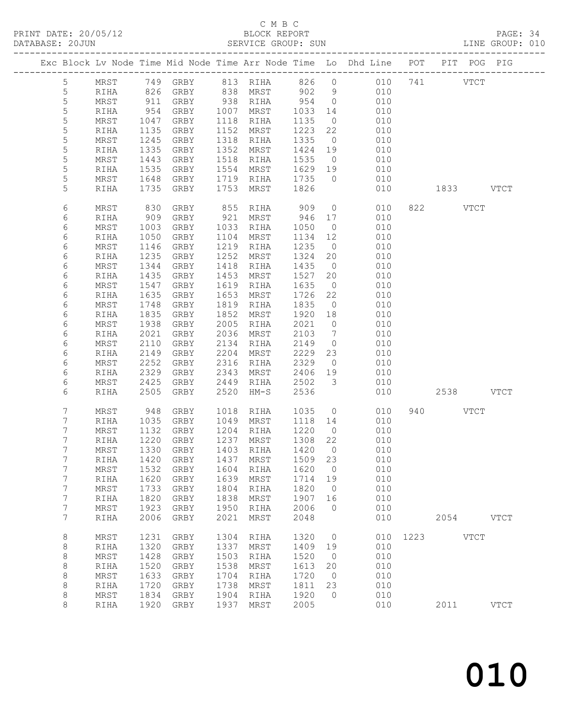## C M B C<br>BLOCK REPORT

| DATABASE: 20JUN |                                   |              |              |              |              | SERVICE GROUP: SUN  |              |                         |                                                                                |           |          |           | LINE GROUP: 010 |
|-----------------|-----------------------------------|--------------|--------------|--------------|--------------|---------------------|--------------|-------------------------|--------------------------------------------------------------------------------|-----------|----------|-----------|-----------------|
|                 |                                   |              |              |              |              |                     |              |                         | Exc Block Lv Node Time Mid Node Time Arr Node Time Lo Dhd Line POT PIT POG PIG |           |          |           |                 |
|                 | 5 <sup>5</sup>                    |              |              |              |              |                     |              |                         | MRST 749 GRBY 813 RIHA 826 0 010 741 VTCT                                      |           |          |           |                 |
|                 | $\overline{5}$                    | RIHA         | 826          |              |              | GRBY 838 MRST 902 9 |              |                         | 010                                                                            |           |          |           |                 |
|                 | $\mathsf S$                       | MRST         | 911          | GRBY         |              | 938 RIHA 954        |              | $\overline{0}$          | 010                                                                            |           |          |           |                 |
|                 | $\mathsf S$                       | RIHA         | 954          | GRBY         |              | 1007 MRST           | 1033         | 14                      | 010                                                                            |           |          |           |                 |
|                 | 5                                 | MRST         | 1047         | GRBY         |              | 1118 RIHA           | 1135         | $\overline{0}$          | 010                                                                            |           |          |           |                 |
|                 | 5                                 | RIHA         | 1135         | GRBY         | 1152         | MRST                | 1223         | 22                      | 010                                                                            |           |          |           |                 |
|                 | 5                                 | MRST         | 1245         | GRBY         | 1318         | RIHA                | 1335         | $\overline{0}$          | 010                                                                            |           |          |           |                 |
|                 | $\mathsf S$                       | RIHA         | 1335         | GRBY         | 1352         | MRST                | 1424 19      |                         | 010                                                                            |           |          |           |                 |
|                 | 5                                 | MRST         | 1443         | GRBY         | 1518         | RIHA                | 1535         | $\overline{0}$          | 010                                                                            |           |          |           |                 |
|                 | 5                                 | RIHA         | 1535         | GRBY         | 1554         | MRST                | 1629 19      |                         | 010                                                                            |           |          |           |                 |
|                 | 5<br>5                            | MRST<br>RIHA | 1648<br>1735 | GRBY<br>GRBY | 1719<br>1753 | RIHA<br>MRST        | 1735<br>1826 | $\overline{0}$          | 010<br>010                                                                     |           |          | 1833 VTCT |                 |
|                 |                                   |              |              |              |              |                     |              |                         |                                                                                |           |          |           |                 |
|                 | 6                                 | MRST         | 830          | GRBY         | 855          | RIHA                | 909          | $\overline{0}$          | 010                                                                            |           | 822 VTCT |           |                 |
|                 | 6                                 | RIHA         | 909          | GRBY         |              | 921 MRST            | 946          | 17                      | 010                                                                            |           |          |           |                 |
|                 | 6                                 | MRST         | 1003         | GRBY         | 1033         | RIHA                | 1050         | $\overline{0}$          | 010                                                                            |           |          |           |                 |
|                 | 6                                 | RIHA         | 1050         | GRBY         | 1104         | MRST                | 1134         | 12<br>$\overline{0}$    | 010                                                                            |           |          |           |                 |
|                 | 6<br>6                            | MRST<br>RIHA | 1146<br>1235 | GRBY<br>GRBY | 1219<br>1252 | RIHA<br>MRST        | 1235<br>1324 | 20                      | 010<br>010                                                                     |           |          |           |                 |
|                 | 6                                 | MRST         | 1344         | GRBY         | 1418         | RIHA                | 1435         | $\overline{0}$          | 010                                                                            |           |          |           |                 |
|                 | 6                                 | RIHA         | 1435         | GRBY         | 1453         | MRST                | 1527         | 20                      | 010                                                                            |           |          |           |                 |
|                 | 6                                 | MRST         | 1547         | GRBY         | 1619         | RIHA                | 1635         | $\overline{0}$          | 010                                                                            |           |          |           |                 |
|                 | 6                                 | RIHA         | 1635         | GRBY         | 1653         | MRST                | 1726         | 22                      | 010                                                                            |           |          |           |                 |
|                 | 6                                 | MRST         | 1748         | GRBY         | 1819         | RIHA                | 1835         | $\overline{0}$          | 010                                                                            |           |          |           |                 |
|                 | 6                                 | RIHA         | 1835         | GRBY         | 1852         | MRST                | 1920         | 18                      | 010                                                                            |           |          |           |                 |
|                 | 6                                 | MRST         | 1938         | GRBY         | 2005         | RIHA                | 2021         | $\overline{0}$          | 010                                                                            |           |          |           |                 |
|                 | 6                                 | RIHA         | 2021         | GRBY         | 2036         | MRST                | 2103         | $\overline{7}$          | 010                                                                            |           |          |           |                 |
|                 | 6                                 | MRST         | 2110         | GRBY         | 2134         | RIHA                | 2149         | $\overline{0}$          | 010                                                                            |           |          |           |                 |
|                 | 6                                 | RIHA         | 2149         | GRBY         | 2204         | MRST                | 2229         | 23                      | 010                                                                            |           |          |           |                 |
|                 | 6                                 | MRST         | 2252         | GRBY         | 2316         | RIHA                | 2329         | $\overline{0}$          | 010                                                                            |           |          |           |                 |
|                 | 6                                 | RIHA         | 2329         | GRBY         | 2343         | MRST                | 2406         | 19                      | 010                                                                            |           |          |           |                 |
|                 | 6                                 | MRST         | 2425         | GRBY         | 2449         | RIHA                | 2502         | $\overline{\mathbf{3}}$ | 010                                                                            |           |          |           |                 |
|                 | 6                                 | RIHA         | 2505         | GRBY         | 2520         | $HM-S$              | 2536         |                         | 010                                                                            |           |          | 2538 VTCT |                 |
|                 | 7                                 | MRST         | 948          | GRBY         | 1018         | RIHA                | 1035         | $\overline{0}$          | 010                                                                            |           | 940 VTCT |           |                 |
|                 | 7                                 | RIHA         | 1035         | GRBY         |              | 1049 MRST           | 1118         | 14                      | 010                                                                            |           |          |           |                 |
|                 | 7                                 | MRST         | 1132         | GRBY         |              | 1204 RIHA           | 1220         | $\overline{0}$          | 010                                                                            |           |          |           |                 |
|                 | 7                                 | RIHA         | 1220         | GRBY         |              | 1237 MRST           | 1308 22      |                         | 010                                                                            |           |          |           |                 |
|                 | 7                                 |              |              |              |              |                     |              |                         | MRST 1330 GRBY 1403 RIHA 1420 0 010                                            |           |          |           |                 |
|                 | 7                                 | RIHA         | 1420         | GRBY         | 1437         | MRST                | 1509         | 23                      | 010                                                                            |           |          |           |                 |
|                 | $7\phantom{.0}$                   | MRST         | 1532         | GRBY         | 1604         | RIHA                | 1620         | $\overline{0}$          | 010                                                                            |           |          |           |                 |
|                 | $7\phantom{.0}$                   | RIHA         | 1620         | GRBY         | 1639         | MRST                | 1714         | 19                      | 010                                                                            |           |          |           |                 |
|                 | $7\phantom{.0}$<br>$7\phantom{.}$ | MRST         | 1733         | GRBY         | 1804<br>1838 | RIHA                | 1820         | $\overline{0}$<br>16    | 010                                                                            |           |          |           |                 |
|                 | $\boldsymbol{7}$                  | RIHA<br>MRST | 1820<br>1923 | GRBY         | 1950         | MRST                | 1907<br>2006 | $\overline{0}$          | 010<br>010                                                                     |           |          |           |                 |
|                 | $7\phantom{.0}$                   | RIHA         | 2006         | GRBY<br>GRBY | 2021         | RIHA<br>MRST        | 2048         |                         | 010                                                                            |           |          | 2054 VTCT |                 |
|                 |                                   |              |              |              |              |                     |              |                         |                                                                                |           |          |           |                 |
|                 | 8                                 | MRST         | 1231         | GRBY         | 1304         | RIHA                | 1320         | $\overline{0}$          | 010                                                                            | 1223 VTCT |          |           |                 |
|                 | 8                                 | RIHA         | 1320         | GRBY         | 1337         | MRST                | 1409         | 19                      | 010                                                                            |           |          |           |                 |
|                 | 8                                 | MRST         | 1428         | GRBY         | 1503<br>1538 | RIHA                | 1520         | $\overline{0}$          | 010<br>010                                                                     |           |          |           |                 |
|                 | 8<br>8                            | RIHA         | 1520<br>1633 | GRBY         | 1704         | MRST                | 1613<br>1720 | 20<br>$\overline{0}$    | 010                                                                            |           |          |           |                 |
|                 | 8                                 | MRST<br>RIHA | 1720         | GRBY<br>GRBY | 1738         | RIHA<br>MRST        | 1811         | 23                      | 010                                                                            |           |          |           |                 |
|                 | 8                                 | MRST         | 1834         | GRBY         | 1904         | RIHA                | 1920         | $\overline{0}$          | 010                                                                            |           |          |           |                 |
|                 | 8                                 | RIHA         |              | 1920 GRBY    | 1937         | MRST                | 2005         |                         | 010                                                                            |           |          | 2011      | <b>VTCT</b>     |
|                 |                                   |              |              |              |              |                     |              |                         |                                                                                |           |          |           |                 |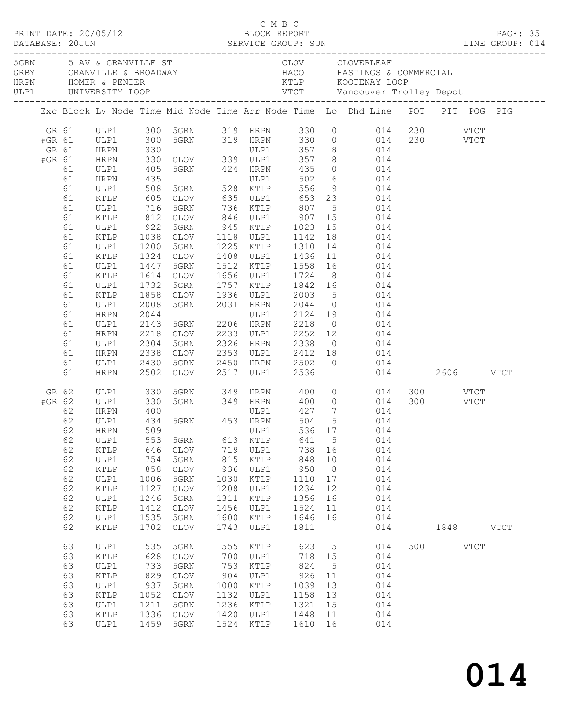|                           |                                                                                                                                  |                                                                                                                                                                                                                                 |                                                                                                                                                  |                                                                                                                                                                                              |                                                                                                      |                                                                                                                             |                                                                                                               |                                                                        | C M B C<br>PRINT DATE: 20/05/12 BLOCK REPORT PAGE: 35<br>DATABASE: 20JUN SERVICE GROUP: SUN LINE GROUP: 014                                                                                                                                                                                                                                                                                                                                                                                                                                                                                                                                                                                                                    |     |      |      |             |  |
|---------------------------|----------------------------------------------------------------------------------------------------------------------------------|---------------------------------------------------------------------------------------------------------------------------------------------------------------------------------------------------------------------------------|--------------------------------------------------------------------------------------------------------------------------------------------------|----------------------------------------------------------------------------------------------------------------------------------------------------------------------------------------------|------------------------------------------------------------------------------------------------------|-----------------------------------------------------------------------------------------------------------------------------|---------------------------------------------------------------------------------------------------------------|------------------------------------------------------------------------|--------------------------------------------------------------------------------------------------------------------------------------------------------------------------------------------------------------------------------------------------------------------------------------------------------------------------------------------------------------------------------------------------------------------------------------------------------------------------------------------------------------------------------------------------------------------------------------------------------------------------------------------------------------------------------------------------------------------------------|-----|------|------|-------------|--|
|                           |                                                                                                                                  |                                                                                                                                                                                                                                 |                                                                                                                                                  |                                                                                                                                                                                              |                                                                                                      |                                                                                                                             |                                                                                                               |                                                                        |                                                                                                                                                                                                                                                                                                                                                                                                                                                                                                                                                                                                                                                                                                                                |     |      |      |             |  |
|                           |                                                                                                                                  |                                                                                                                                                                                                                                 |                                                                                                                                                  |                                                                                                                                                                                              |                                                                                                      |                                                                                                                             |                                                                                                               |                                                                        | Exc Block Lv Node Time Mid Node Time Arr Node Time Lo Dhd Line POT PIT POG PIG                                                                                                                                                                                                                                                                                                                                                                                                                                                                                                                                                                                                                                                 |     |      |      |             |  |
| #GR 61<br>GR 61<br>#GR 61 | 61<br>61<br>61<br>61<br>61<br>61<br>61<br>61<br>61<br>61<br>61<br>61<br>61<br>61<br>61<br>61<br>61<br>61<br>61<br>61<br>61<br>61 | ULP1 300<br>HRPN 330<br>HRPN 330<br><b>HRPN</b><br>ULP1<br>HRPN<br>ULP1<br>KTLP<br>ULP1<br>KTLP<br>ULP1<br>KTLP<br>ULP1<br>KTLP<br>ULP1<br>KTLP<br>ULP1<br>KTLP<br>ULP1<br>HRPN<br>ULP1<br>HRPN<br>ULP1<br>HRPN<br>ULP1<br>HRPN | 405<br>435<br>508<br>605<br>1200<br>1324<br>1447<br>1614<br>1732<br>1858<br>2008<br>2044<br>2044<br>2143<br>2218<br>2304<br>2338<br>2430<br>2502 | 5GRN<br>CLOV<br>5GRN<br>CLOV<br>5GRN<br>5GRN<br>CLOV<br>5GRN<br>CLOV                                                                                                                         |                                                                                                      | 2517 ULP1 2536                                                                                                              |                                                                                                               |                                                                        | GR 61 ULP1 300 5GRN 319 HRPN 330 0 014 230 VTCT<br>5GRN 319 HRPN 330 0 014 230 VTCT<br>ULP1 357 8 014<br>CLOV 339 ULP1 357 8 014<br>5GRN 424 HRPN 435 0 014<br>502 6 014<br>502 6 014<br>560 9 014<br>550 9 014<br>550 9 014<br>716 5GRN 736 KTLP 807 5 014<br>812 CLOV 846 ULP1 907 15 014<br>922 5GRN 945 KTLP 1023 15 014<br>1038 CLOV 1118 ULP1 1142 18 014<br>1225 KTLP 1310 14 014<br>1408 ULP1 1436 11 014<br>1512 KTLP 1558 16 014<br>1656 ULP1 1724 8 014<br>1757 KTLP 1842 16 014<br>CLOV 1936 ULP1 2003 5 014<br>5GRN 2031 HRPN 2044 0 014<br>ULP1 2124 19 014<br>5GRN 2206 HRPN 2218 0 014<br>CLOV 2233 ULP1 2252 12 014<br>2326 HRPN 2338 0 014<br>2353 ULP1 2412 18 014<br>2450 HRPN 2502 0 014<br>014 2606 VTCT |     |      |      |             |  |
| #GR 62                    | GR 62<br>62<br>62<br>62<br>62<br>62<br>62<br>62<br>62<br>62<br>62<br>62<br>62<br>63<br>63<br>63<br>63                            | ULP1<br>ULP1<br>HRPN<br>ULP1<br>62 HRPN 509<br>ULP1<br>$\texttt{KTLP}$<br>ULP1<br>KTLP<br>ULP1<br>KTLP<br>ULP1<br>KTLP<br>ULP1<br>KTLP<br>ULP1<br>KTLP<br>ULP1<br>KTLP                                                          | 330<br>330<br>400<br>553<br>646<br>754<br>858<br>1006<br>1127<br>1246<br>1412<br>1535<br>1702<br>535<br>628<br>733<br>829                        | 400 ULP1<br>434 5GRN 453 HRPN<br>5GRN<br>CLOV<br>5GRN<br>$\mathtt{CLOV}$<br>5GRN<br>$\mathtt{CLOV}$<br>5GRN<br>CLOV<br>5GRN<br><b>CLOV</b><br>5GRN<br><b>CLOV</b><br>5GRN<br>$\mathtt{CLOV}$ | 613<br>719<br>815<br>936<br>1030<br>1208<br>1311<br>1456<br>1600<br>1743<br>555<br>700<br>753<br>904 | ULP1 536 17<br>KTLP<br>ULP1<br>KTLP<br>ULP1<br>KTLP<br>ULP1<br>KTLP<br>ULP1<br>KTLP<br>ULP1<br>KTLP<br>ULP1<br>KTLP<br>ULP1 | 504 5<br>641<br>738<br>848<br>958<br>1110<br>1234<br>1356<br>1524<br>1646<br>1811<br>623<br>718<br>824<br>926 | 5<br>16<br>10<br>8<br>17<br>12<br>16<br>11<br>16<br>5<br>15<br>5<br>11 | 5GRN 349 HRPN 400 0 014 300 VTCT<br>5GRN 349 HRPN 400 0 014 300 VTCT<br>ULP1 427 7 014<br>014<br>014<br>014<br>014<br>014<br>014<br>014<br>014<br>014<br>014<br>014<br>014<br>014<br>014<br>014<br>014                                                                                                                                                                                                                                                                                                                                                                                                                                                                                                                         | 500 | 1848 | VTCT | <b>VTCT</b> |  |
|                           | 63<br>63<br>63<br>63<br>63                                                                                                       | ULP1<br>KTLP<br>ULP1<br>KTLP<br>ULP1                                                                                                                                                                                            | 937<br>1052<br>1211<br>1336<br>1459                                                                                                              | 5GRN<br>$\mathtt{CLOV}$<br>5GRN<br>CLOV<br>5GRN                                                                                                                                              | 1000<br>1132<br>1236<br>1420<br>1524                                                                 | KTLP<br>ULP1<br>KTLP<br>ULP1<br>KTLP                                                                                        | 1039<br>1158<br>1321<br>1448<br>1610                                                                          | 13<br>13<br>15<br>11<br>16                                             | 014<br>014<br>014<br>014<br>014                                                                                                                                                                                                                                                                                                                                                                                                                                                                                                                                                                                                                                                                                                |     |      |      |             |  |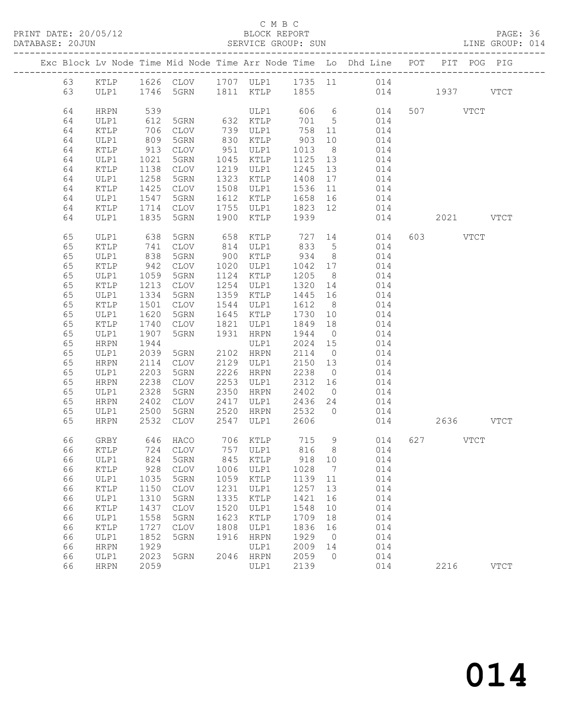PRINT DATE: 20/05/12 BLOCK REPORT BATABASE: 20JUN

### C M B C<br>BLOCK REPORT

PAGE: 36<br>LINE GROUP: 014

|  |          |              |              |                     |              |                     |              |                      | Exc Block Lv Node Time Mid Node Time Arr Node Time Lo Dhd Line POT PIT POG PIG |           |             |
|--|----------|--------------|--------------|---------------------|--------------|---------------------|--------------|----------------------|--------------------------------------------------------------------------------|-----------|-------------|
|  | 63       | KTLP         |              |                     |              |                     |              |                      | 1626 CLOV 1707 ULP1 1735 11 014                                                |           |             |
|  | 63       | ULP1         |              | 1746 5GRN           |              | 1811 KTLP 1855      |              |                      | 014 1937 VTCT                                                                  |           |             |
|  | 64       |              | 539          |                     |              | ULP1                |              |                      | 606 6<br>014                                                                   | 507 VTCT  |             |
|  |          | HRPN         | 612          | 5GRN 632 KTLP       |              |                     |              |                      |                                                                                |           |             |
|  | 64       | ULP1         |              |                     |              |                     | 701          | $5^{\circ}$          | 014                                                                            |           |             |
|  | 64       | KTLP         | 706          | CLOV                | 739          | ULP1                | 758          | 11                   | 014                                                                            |           |             |
|  | 64       | ULP1         | 809<br>913   | 5GRN                | 830          | KTLP                | 903          | 10                   | 014                                                                            |           |             |
|  | 64       | KTLP         |              | CLOV                | 951          | ULP1                | 1013         | 8 <sup>8</sup>       | 014                                                                            |           |             |
|  | 64       | ULP1         | 1021         | 5GRN                | 1045         | KTLP                | 1125         | 13                   | 014                                                                            |           |             |
|  | 64       | KTLP         | 1138         | CLOV<br>5GRN        | 1219<br>1323 | ULP1                | 1245         | 13<br>17             | 014                                                                            |           |             |
|  | 64       | ULP1         | 1258<br>1425 |                     | 1508         | KTLP                | 1408<br>1536 |                      | 014                                                                            |           |             |
|  | 64<br>64 | KTLP<br>ULP1 | 1547         | CLOV<br>5GRN        | 1612         | ULP1<br>KTLP        | 1658         | 11<br>16             | 014<br>014                                                                     |           |             |
|  | 64       | KTLP         | 1714         | CLOV                | 1755         | ULP1                | 1823         | 12                   | 014                                                                            |           |             |
|  | 64       | ULP1         | 1835         | 5GRN                | 1900         | KTLP                | 1939         |                      | 014                                                                            | 2021 VTCT |             |
|  |          |              |              |                     |              |                     |              |                      |                                                                                |           |             |
|  | 65       | ULP1         | 638          | 5GRN                | 658          | KTLP                | 727          | 14                   | 014                                                                            | 603 VTCT  |             |
|  | 65       | KTLP         | 741          | CLOV                | 814          | ULP1                | 833          | $5^{\circ}$          | 014                                                                            |           |             |
|  | 65       | ULP1         | 838          | 5GRN                | 900          | KTLP                | 934          | 8 <sup>8</sup>       | 014                                                                            |           |             |
|  | 65       | KTLP         | 942          | CLOV                | 1020         | ULP1                | 1042         | 17                   | 014                                                                            |           |             |
|  | 65       | ULP1         | 1059         | 5GRN                | 1124         | KTLP                | 1205         | 8 <sup>8</sup>       | 014                                                                            |           |             |
|  | 65       | KTLP         | 1213         | CLOV                | 1254         | ULP1                | 1320         | 14                   | 014                                                                            |           |             |
|  | 65       | ULP1         | 1334         | 5GRN                | 1359         | KTLP                | 1445         | 16                   | 014                                                                            |           |             |
|  | 65       | KTLP         | 1501         | $\mathtt{CLOV}$     | 1544         | ULP1                | 1612         | 8 <sup>8</sup>       | 014                                                                            |           |             |
|  | 65       | ULP1         | 1620         | 5GRN                | 1645         | KTLP                | 1730         | 10                   | 014                                                                            |           |             |
|  | 65       | KTLP         | 1740         | CLOV                | 1821         | ULP1                | 1849         | 18                   | 014                                                                            |           |             |
|  | 65       | ULP1         | 1907         | 5GRN                | 1931         | HRPN                | 1944         | $\overline{0}$       | 014                                                                            |           |             |
|  | 65<br>65 | HRPN         | 1944<br>2039 |                     |              | ULP1<br>2102 HRPN   | 2024<br>2114 | 15<br>$\overline{0}$ | 014                                                                            |           |             |
|  | 65       | ULP1<br>HRPN | 2114         | 5GRN<br><b>CLOV</b> | 2129         | ULP1                | 2150         | 13                   | 014<br>014                                                                     |           |             |
|  | 65       | ULP1         | 2203         | 5GRN                | 2226         | HRPN                | 2238         | $\overline{0}$       | 014                                                                            |           |             |
|  | 65       | HRPN         | 2238         | CLOV                | 2253         | ULP1                | 2312         | 16                   | 014                                                                            |           |             |
|  | 65       | ULP1         | 2328         | 5GRN                | 2350         | HRPN                | 2402         | $\overline{0}$       | 014                                                                            |           |             |
|  | 65       | HRPN         | 2402         | <b>CLOV</b>         | 2417         | ULP1                | 2436         | 24                   | 014                                                                            |           |             |
|  | 65       | ULP1         | 2500         | 5GRN                | 2520         | HRPN                | 2532         | $\overline{0}$       | 014                                                                            |           |             |
|  | 65       | <b>HRPN</b>  | 2532         | CLOV                | 2547         | ULP1                | 2606         |                      | 014                                                                            | 2636 VTCT |             |
|  |          |              |              |                     |              |                     |              |                      |                                                                                |           |             |
|  | 66       | GRBY         |              | 646 HACO            |              | 706 KTLP 715        |              | 9                    | 014                                                                            | 627 VTCT  |             |
|  | 66       | KTLP         |              | 724 CLOV            |              |                     |              |                      | 757 ULP1 816 8 014                                                             |           |             |
|  |          | 66 ULP1      |              | 824 5GRN 845 KTLP   |              |                     | 918 10       |                      | 014                                                                            |           |             |
|  | 66       | KTLP         | 928          | <b>CLOV</b>         | 1006         | ULP1                | 1028         | 7                    | 014                                                                            |           |             |
|  | 66       | ULP1         | 1035         | 5GRN                | 1059         | KTLP                | 1139         | 11                   | 014                                                                            |           |             |
|  | 66       | KTLP         | 1150         | <b>CLOV</b>         | 1231         | ULP1                | 1257         | 13                   | 014                                                                            |           |             |
|  | 66       | ULP1         | 1310         | 5GRN                | 1335<br>1520 | KTLP                | 1421         | 16                   | 014                                                                            |           |             |
|  | 66       | KTLP         | 1437         | <b>CLOV</b>         | 1623         | ULP1                | 1548         | 10                   | 014<br>014                                                                     |           |             |
|  | 66       | ULP1         | 1558<br>1727 | 5GRN                | 1808         | KTLP                | 1709<br>1836 | 18                   | 014                                                                            |           |             |
|  | 66<br>66 | KTLP<br>ULP1 | 1852         | <b>CLOV</b><br>5GRN | 1916         | ULP1<br><b>HRPN</b> | 1929         | 16<br>0              | 014                                                                            |           |             |
|  | 66       | <b>HRPN</b>  | 1929         |                     |              | ULP1                | 2009         | 14                   | 014                                                                            |           |             |
|  | 66       | ULP1         | 2023         | 5GRN                | 2046         | <b>HRPN</b>         | 2059         | $\circ$              | 014                                                                            |           |             |
|  | 66       | <b>HRPN</b>  | 2059         |                     |              | ULP1                | 2139         |                      | 014                                                                            | 2216      | <b>VTCT</b> |
|  |          |              |              |                     |              |                     |              |                      |                                                                                |           |             |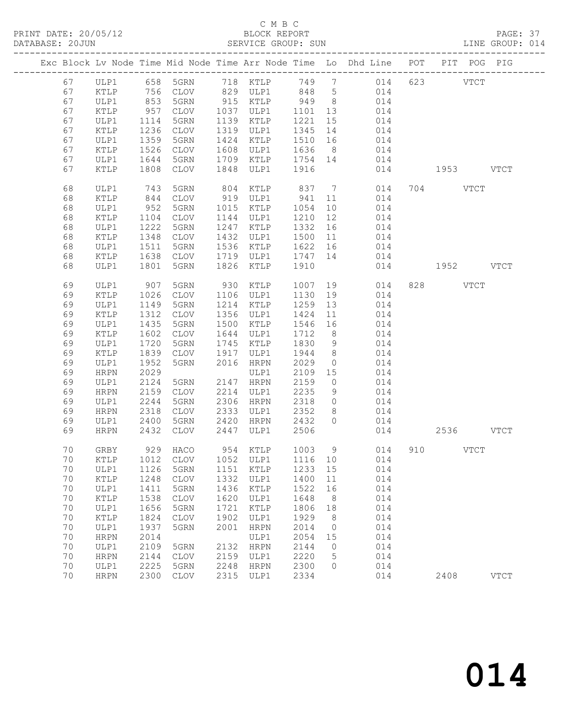# C M B C<br>BLOCK REPORT

| DATABASE: 20JUN |                     |              |              |      | SERVICE GROUP: SUN     |              |                      |                                                                                |               |          |           | LINE GROUP: 014 |
|-----------------|---------------------|--------------|--------------|------|------------------------|--------------|----------------------|--------------------------------------------------------------------------------|---------------|----------|-----------|-----------------|
|                 |                     |              |              |      |                        |              |                      | Exc Block Lv Node Time Mid Node Time Arr Node Time Lo Dhd Line POT PIT POG PIG |               |          |           |                 |
|                 |                     |              |              |      |                        |              |                      | 67 ULP1 658 5GRN 718 KTLP 749 7 014 623 VTCT                                   |               |          |           |                 |
| 67              | KTLP                | 756          |              |      |                        |              |                      | CLOV 829 ULP1 848 5 014                                                        |               |          |           |                 |
| 67              | ULP1                |              | 5GRN         |      |                        |              |                      |                                                                                |               |          |           |                 |
| 67              | KTLP                | 853<br>957   | CLOV         |      |                        |              |                      |                                                                                |               |          |           |                 |
| 67              | ULP1                | 1114         | 5GRN         |      | 1139 KTLP              | 1221         | 15                   | 014                                                                            |               |          |           |                 |
| 67              | KTLP                | 1236         | CLOV         |      | 1319 ULP1              | 1345         | 14                   | 014                                                                            |               |          |           |                 |
| 67              | ULP1                | 1359         | 5GRN         |      | 1424 KTLP              | 1510         | 16                   | 014                                                                            |               |          |           |                 |
| 67              | KTLP                | 1526         | CLOV         |      | 1608 ULP1 1636 8       |              |                      | 014                                                                            |               |          |           |                 |
| 67              | ULP1                | 1644         | 5GRN         |      | 1709 KTLP 1754 14      |              |                      | 014                                                                            |               |          |           |                 |
| 67              | KTLP                | 1808         | CLOV         | 1848 | ULP1 1916              |              |                      |                                                                                | 014 1953 VTCT |          |           |                 |
| 68              | ULP1                | 743<br>844   | 5GRN         |      |                        |              |                      | 804 KTLP 837 7 014 704 VTCT<br>919 ULP1 941 11 014                             |               |          |           |                 |
| 68              | KTLP                |              | CLOV         |      |                        |              |                      |                                                                                |               |          |           |                 |
| 68              | ULP1                | 952          | 5GRN         |      | 1015 KTLP              | 1054         |                      | 10<br>014                                                                      |               |          |           |                 |
| 68              | KTLP                | 1104         | CLOV         |      | 1144 ULP1              | 1210         | 12                   | 014                                                                            |               |          |           |                 |
| 68              | ULP1                | 1222         | 5GRN         |      | 1247 KTLP              | 1332 16      |                      | 014                                                                            |               |          |           |                 |
| 68              | KTLP                | 1348         | CLOV         |      | 1432 ULP1              | 1500 11      |                      | 014                                                                            |               |          |           |                 |
| 68              | ULP1                | 1511         | 5GRN         |      | 1536 KTLP              | 1622 16      |                      | 014                                                                            |               |          |           |                 |
| 68              | KTLP                | 1638         | CLOV         |      | 1719 ULP1              | 1747 14      |                      | 014                                                                            |               |          |           |                 |
| 68              | ULP1                | 1801         | 5GRN         |      | 1826 KTLP              | 1910         |                      |                                                                                | 014 1952 VTCT |          |           |                 |
| 69              | ULP1                | 907          | 5GRN         |      | 930 KTLP               | 1007         |                      | 19<br>014                                                                      |               | 828 VTCT |           |                 |
| 69              | KTLP                | 1026         | CLOV         |      | 1106 ULP1              | 1130         | 19                   | 014                                                                            |               |          |           |                 |
| 69              | ULP1                | 1149         | 5GRN         |      | 1214 KTLP              | 1259         | 13                   | 014                                                                            |               |          |           |                 |
| 69              | KTLP                | 1312         | CLOV         |      | 1356 ULP1              | 1424         | 11                   | 014                                                                            |               |          |           |                 |
| 69              | ULP1                | 1435         | 5GRN         | 1500 | KTLP                   | 1546         | 16                   | 014                                                                            |               |          |           |                 |
| 69              | KTLP                | 1602         | CLOV         |      | 1644 ULP1              | 1712         | 8 <sup>8</sup>       | 014                                                                            |               |          |           |                 |
| 69              | ULP1                | 1720         | 5GRN         |      | 1745 KTLP              | 1830         | 9                    | 014                                                                            |               |          |           |                 |
| 69              | KTLP                | 1839         | CLOV         |      | 1917 ULP1              | 1944         | 8 <sup>8</sup>       | 014                                                                            |               |          |           |                 |
| 69              | ULP1                | 1952         | 5GRN         |      | 2016 HRPN              | 2029         | $\overline{0}$       | 014                                                                            |               |          |           |                 |
| 69              | HRPN                | 2029         |              |      | ULP1                   | 2109         | 15                   | 014                                                                            |               |          |           |                 |
| 69              | ULP1                | 2124         | 5GRN         |      | 2147 HRPN              | 2159         | $\overline{0}$       | 014                                                                            |               |          |           |                 |
| 69              | HRPN                | 2159         | CLOV         |      | 2214 ULP1              | 2235         | 9                    | 014                                                                            |               |          |           |                 |
| 69              | ULP1                | 2244         | 5GRN         |      | 2306 HRPN              | 2318         | $\overline{0}$       | 014<br>014                                                                     |               |          |           |                 |
| 69              | <b>HRPN</b>         | 2318         | CLOV         |      | 2333 ULP1              | 2352         | 8 <sup>8</sup>       |                                                                                |               |          |           |                 |
| 69<br>69        | ULP1<br><b>HRPN</b> | 2400<br>2432 | 5GRN<br>CLOV |      | 2420 HRPN<br>2447 ULP1 | 2432<br>2506 | $\bigcirc$           | 014<br>014                                                                     |               |          | 2536 VTCT |                 |
|                 |                     |              |              |      |                        |              |                      |                                                                                |               |          |           |                 |
|                 |                     |              |              |      |                        |              |                      | 70 GRBY 929 HACO 954 KTLP 1003 9 014 910 VTCT                                  |               |          |           |                 |
| 70              | KTLP                | 1012         | CLOV         | 1052 | ULP1                   | 1116         | 10                   | 014                                                                            |               |          |           |                 |
| 70              | ULP1                | 1126         | 5GRN         | 1151 | KTLP                   | 1233         | 15                   | 014                                                                            |               |          |           |                 |
| 70              | KTLP                | 1248         | <b>CLOV</b>  | 1332 | ULP1                   | 1400         | 11                   | 014                                                                            |               |          |           |                 |
| 70              | ULP1                | 1411         | 5GRN         | 1436 | KTLP                   | 1522         | 16                   | 014                                                                            |               |          |           |                 |
| 70              | KTLP                | 1538         | <b>CLOV</b>  | 1620 | ULP1                   | 1648         | 8                    | 014                                                                            |               |          |           |                 |
| 70              | ULP1                | 1656         | 5GRN         | 1721 | KTLP                   | 1806         | 18                   | 014                                                                            |               |          |           |                 |
| 70              | KTLP                | 1824         | <b>CLOV</b>  | 1902 | ULP1                   | 1929         | 8                    | 014                                                                            |               |          |           |                 |
| 70<br>70        | ULP1                | 1937<br>2014 | 5GRN         | 2001 | <b>HRPN</b>            | 2014         | $\overline{0}$       | 014<br>014                                                                     |               |          |           |                 |
| 70              | <b>HRPN</b>         | 2109         | 5GRN         | 2132 | ULP1<br><b>HRPN</b>    | 2054<br>2144 | 15<br>$\overline{0}$ | 014                                                                            |               |          |           |                 |
| 70              | ULP1<br><b>HRPN</b> | 2144         | CLOV         | 2159 | ULP1                   | 2220         | 5                    | 014                                                                            |               |          |           |                 |
| 70              | ULP1                | 2225         | 5GRN         | 2248 | <b>HRPN</b>            | 2300         | $\circ$              | 014                                                                            |               |          |           |                 |
| 70              | <b>HRPN</b>         | 2300         | CLOV         | 2315 | ULP1                   | 2334         |                      | 014                                                                            |               | 2408     |           | $_{\rm VTCT}$   |
|                 |                     |              |              |      |                        |              |                      |                                                                                |               |          |           |                 |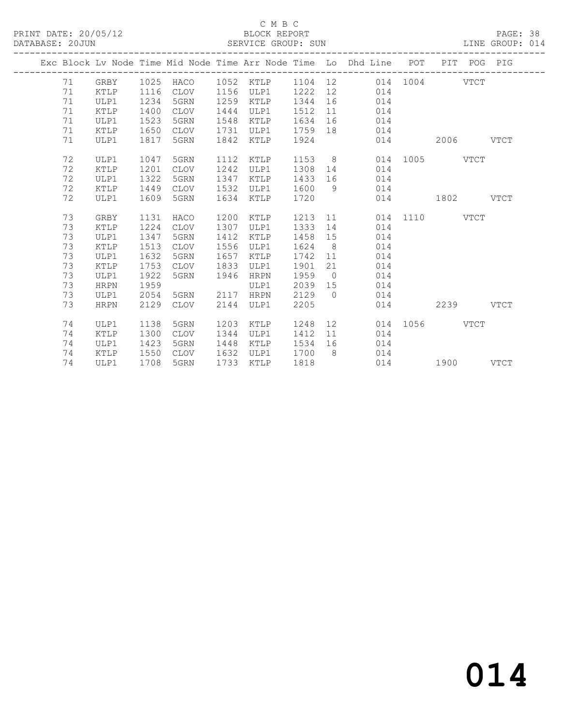# C M B C<br>BLOCK REPORT

PAGE: 38<br>LINE GROUP: 014

|  |    |             |      |             |      |             |      |                | Exc Block Lv Node Time Mid Node Time Arr Node Time Lo Dhd Line POT PIT POG PIG                                                                                                                                                 |               |               |      |
|--|----|-------------|------|-------------|------|-------------|------|----------------|--------------------------------------------------------------------------------------------------------------------------------------------------------------------------------------------------------------------------------|---------------|---------------|------|
|  | 71 | GRBY        |      |             |      |             |      |                | 1025 HACO 1052 KTLP 1104 12 014 1004 VTCT                                                                                                                                                                                      |               |               |      |
|  | 71 | KTLP        | 1116 | CLOV        | 1156 | ULP1        | 1222 |                | 12 014                                                                                                                                                                                                                         |               |               |      |
|  | 71 | ULP1        | 1234 | 5GRN        | 1259 | KTLP        | 1344 | 16             | 014                                                                                                                                                                                                                            |               |               |      |
|  | 71 | KTLP        | 1400 | CLOV        | 1444 | ULP1        | 1512 | 11             | 014                                                                                                                                                                                                                            |               |               |      |
|  | 71 | ULP1        | 1523 | 5GRN        | 1548 | KTLP        | 1634 | 16             | 014                                                                                                                                                                                                                            |               |               |      |
|  | 71 | KTLP        | 1650 | CLOV        | 1731 | ULP1        | 1759 |                | 18 014                                                                                                                                                                                                                         |               |               |      |
|  | 71 | ULP1        | 1817 | 5GRN        | 1842 | KTLP        | 1924 |                |                                                                                                                                                                                                                                | 014           | $2006$ $VTCT$ |      |
|  | 72 | ULP1        | 1047 | 5GRN        | 1112 | KTLP        | 1153 |                | $8 - 8$                                                                                                                                                                                                                        | 014 1005 VTCT |               |      |
|  | 72 | KTLP        | 1201 | CLOV        | 1242 | ULP1        | 1308 | 14             | 014                                                                                                                                                                                                                            |               |               |      |
|  | 72 | ULP1        | 1322 | 5GRN        | 1347 | KTLP        | 1433 | 16             | 014                                                                                                                                                                                                                            |               |               |      |
|  | 72 | KTLP        | 1449 | CLOV        | 1532 | ULP1        | 1600 | 9              | 014                                                                                                                                                                                                                            |               |               |      |
|  | 72 | ULP1        | 1609 | 5GRN        | 1634 | KTLP        | 1720 |                |                                                                                                                                                                                                                                | 014 1802 VTCT |               |      |
|  |    |             |      |             |      |             |      |                |                                                                                                                                                                                                                                |               |               |      |
|  | 73 | GRBY        | 1131 | HACO        | 1200 | KTLP        | 1213 |                | 11 — 11 — 11 — 11 — 11 — 11 — 11 — 11 — 11 — 11 — 11 — 11 — 11 — 11 — 11 — 11 — 11 — 11 — 11 — 11 — 11 — 11 — 11 — 11 — 11 — 11 — 11 — 11 — 11 — 11 — 11 — 11 — 11 — 11 — 11 — 11 — 11 — 11 — 11 — 11 — 11 — 11 — 11 — 11 — 11 | 014 1110 VTCT |               |      |
|  | 73 | KTLP        | 1224 | CLOV        | 1307 | ULP1        | 1333 | 14             | 014                                                                                                                                                                                                                            |               |               |      |
|  | 73 | ULP1        | 1347 | 5GRN        | 1412 | KTLP        | 1458 | 15             | 014                                                                                                                                                                                                                            |               |               |      |
|  | 73 | KTLP        | 1513 | <b>CLOV</b> | 1556 | ULP1        | 1624 | 8 <sup>8</sup> | 014                                                                                                                                                                                                                            |               |               |      |
|  | 73 | ULP1        | 1632 | 5GRN        | 1657 | KTLP        | 1742 | 11             | 014                                                                                                                                                                                                                            |               |               |      |
|  | 73 | KTLP        | 1753 | CLOV        | 1833 | ULP1        | 1901 | 21             | 014                                                                                                                                                                                                                            |               |               |      |
|  | 73 | ULP1        | 1922 | 5GRN        | 1946 | <b>HRPN</b> | 1959 | $\overline{0}$ | 014                                                                                                                                                                                                                            |               |               |      |
|  | 73 | <b>HRPN</b> | 1959 |             |      | ULP1        | 2039 | 15             | 014                                                                                                                                                                                                                            |               |               |      |
|  | 73 | ULP1        | 2054 | 5GRN        | 2117 | <b>HRPN</b> | 2129 | $\bigcirc$     | 014                                                                                                                                                                                                                            |               |               |      |
|  | 73 | HRPN        | 2129 | CLOV        | 2144 | ULP1        | 2205 |                |                                                                                                                                                                                                                                | 014           | 2239          | VTCT |
|  |    |             |      |             |      |             |      |                |                                                                                                                                                                                                                                |               |               |      |
|  | 74 | ULP1        | 1138 | 5GRN        | 1203 | KTLP        | 1248 |                | 12 and $\sim$                                                                                                                                                                                                                  | 014 1056 VTCT |               |      |
|  | 74 | KTLP        | 1300 | <b>CLOV</b> | 1344 | ULP1        | 1412 | 11             | 014                                                                                                                                                                                                                            |               |               |      |
|  | 74 | ULP1        | 1423 | 5GRN        | 1448 | KTLP        | 1534 | 16             | 014                                                                                                                                                                                                                            |               |               |      |
|  | 74 | KTLP        | 1550 | CLOV        | 1632 | ULP1        | 1700 | 8 <sup>8</sup> | 014                                                                                                                                                                                                                            |               |               |      |
|  | 74 | ULP1        | 1708 | 5GRN        | 1733 | KTLP        | 1818 |                | 014                                                                                                                                                                                                                            |               | 1900 VTCT     |      |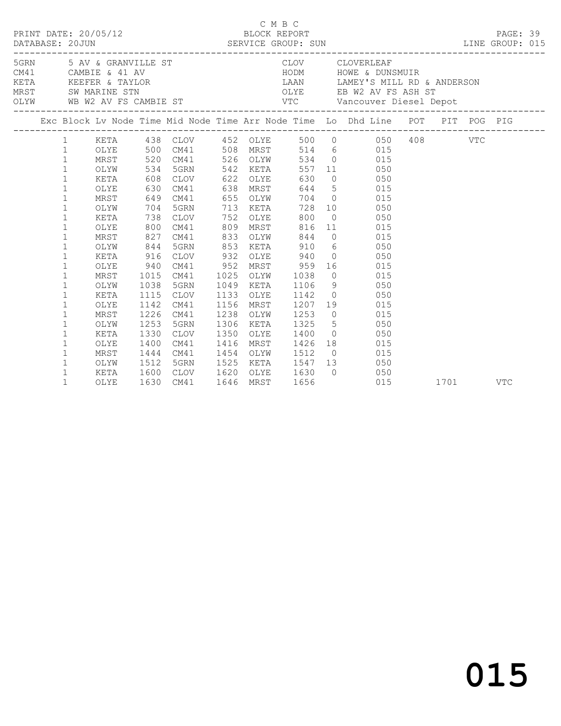|  |              |      |      |          |           |          |      |                                                           | $\begin{tabular}{lllllll} \multicolumn{2}{c}{\begin{tabular}{l}c $\mathbb{R}$\end{tabular}} & $\mathbb{C}$ & $\mathbb{M}$ & $\mathbb{C}$ & $\mathbb{N}$ & $\mathbb{C}$ \\ & $\mathbb{E} \textsc{DCK}$ & $\mathbb{R} \textsc{PORT}$ & & $\mathbb{P} \textsc{AGE}:$ 39 \\ \textsc{DATABASE:} & 20 \text{JUN} & & $\mathbb{S} \textsc{ENTER} \textsc{CE} \textsc{G} \textsc{ROUP}: & $\mathbb{S} \textsc{UN}$ & & $\mathbb{L} \textsc{INE} \textsc{GROUP}: $015$ \\ & $\mathbb{$ |      |            |  |
|--|--------------|------|------|----------|-----------|----------|------|-----------------------------------------------------------|-------------------------------------------------------------------------------------------------------------------------------------------------------------------------------------------------------------------------------------------------------------------------------------------------------------------------------------------------------------------------------------------------------------------------------------------------------------------------------|------|------------|--|
|  |              |      |      |          |           |          |      |                                                           | 5 AV & GRANVILLE ST CLOV CLOVERLEAF<br>CM41 CAMBIE & 41 AV HODM HOWE & DUNSMUIR<br>KETA KEEFER & TAYLOR LAAN LAMEY'S MILL RD & ANDERSON<br>MRST SWAMARINE STN OLYE EB W2 AV FS ASH ST<br>OLYW WB W2 AV FS CAMBIE ST VTC Vancouver Dies                                                                                                                                                                                                                                        |      |            |  |
|  |              |      |      |          |           |          |      |                                                           | Exc Block Lv Node Time Mid Node Time Arr Node Time Lo Dhd Line POT PIT POG PIG                                                                                                                                                                                                                                                                                                                                                                                                |      |            |  |
|  |              |      |      |          |           |          |      |                                                           | 1 KETA 438 CLOV 452 OLYE 500 0 050 408 VTC                                                                                                                                                                                                                                                                                                                                                                                                                                    |      |            |  |
|  | $\mathbf{1}$ |      |      |          |           |          |      |                                                           | OLYE 500 CM41 508 MRST 514 6 015                                                                                                                                                                                                                                                                                                                                                                                                                                              |      |            |  |
|  | $\mathbf{1}$ | MRST |      | 520 CM41 |           | 526 OLYW |      |                                                           | 534 0 015                                                                                                                                                                                                                                                                                                                                                                                                                                                                     |      |            |  |
|  | $\mathbf 1$  | OLYW |      | 534 5GRN | 542       | KETA     |      |                                                           | 557 11 050                                                                                                                                                                                                                                                                                                                                                                                                                                                                    |      |            |  |
|  | $\mathbf{1}$ | KETA |      | 608 CLOV | 622       |          | OLYE | 630                                                       | $0\qquad \qquad 050$                                                                                                                                                                                                                                                                                                                                                                                                                                                          |      |            |  |
|  | $\mathbf 1$  | OLYE | 630  | CM41     | 638       |          | MRST |                                                           | 644 5 015                                                                                                                                                                                                                                                                                                                                                                                                                                                                     |      |            |  |
|  | $\mathbf{1}$ | MRST |      | 649 CM41 | 655       | OLYW     |      |                                                           | 704 0 015                                                                                                                                                                                                                                                                                                                                                                                                                                                                     |      |            |  |
|  | $\mathbf{1}$ | OLYW | 704  | 5GRN     | 713       | KETA     |      | 728                                                       | 10 050                                                                                                                                                                                                                                                                                                                                                                                                                                                                        |      |            |  |
|  | $\mathbf{1}$ | KETA | 738  | CLOV     | 752       | OLYE     |      | 800                                                       | $0$ 050                                                                                                                                                                                                                                                                                                                                                                                                                                                                       |      |            |  |
|  | 1            | OLYE | 800  | CM41     | 809       | MRST     |      | 816                                                       | 11 015                                                                                                                                                                                                                                                                                                                                                                                                                                                                        |      |            |  |
|  | $\mathbf{1}$ | MRST | 827  | CM41     | 833       | OLYW     |      | 844                                                       | $0$ 015                                                                                                                                                                                                                                                                                                                                                                                                                                                                       |      |            |  |
|  | 1            | OLYW | 844  | 5GRN     | 853       | KETA     |      |                                                           | 910 6 050                                                                                                                                                                                                                                                                                                                                                                                                                                                                     |      |            |  |
|  | 1            | KETA | 916  | CLOV     | 932       | OLYE     |      | 940                                                       | $0 \qquad \qquad 050$                                                                                                                                                                                                                                                                                                                                                                                                                                                         |      |            |  |
|  | $\mathbf 1$  | OLYE | 940  | CM41     | 952       | MRST     |      | 959                                                       | 16 015                                                                                                                                                                                                                                                                                                                                                                                                                                                                        |      |            |  |
|  | $\mathbf{1}$ | MRST | 1015 | CM41     | 1025      | OLYW     |      | 1038                                                      | $0$ 015                                                                                                                                                                                                                                                                                                                                                                                                                                                                       |      |            |  |
|  | $\mathbf{1}$ | OLYW | 1038 | 5GRN     | 1049      | KETA     |      | 1106                                                      | 9 050                                                                                                                                                                                                                                                                                                                                                                                                                                                                         |      |            |  |
|  | 1            | KETA | 1115 | CLOV     | 1133      | OLYE     |      | 1142                                                      | $0 \qquad \qquad 050$                                                                                                                                                                                                                                                                                                                                                                                                                                                         |      |            |  |
|  | $\mathbf{1}$ | OLYE | 1142 | CM41     | 1156      | MRST     |      | 1207                                                      | 19 015                                                                                                                                                                                                                                                                                                                                                                                                                                                                        |      |            |  |
|  | $\mathbf{1}$ | MRST | 1226 | CM41     | 1238      | OLYW     |      | 1253                                                      | $0\qquad \qquad 015$                                                                                                                                                                                                                                                                                                                                                                                                                                                          |      |            |  |
|  | $\mathbf{1}$ | OLYW | 1253 | 5GRN     | 1306      | KETA     |      | 1325                                                      | 5 050                                                                                                                                                                                                                                                                                                                                                                                                                                                                         |      |            |  |
|  | $\mathbf{1}$ | KETA | 1330 | CLOV     | 1350      | OLYE     |      | 1400                                                      | $0\qquad \qquad 050$                                                                                                                                                                                                                                                                                                                                                                                                                                                          |      |            |  |
|  | $\mathbf{1}$ | OLYE | 1400 | CM41     | 1416      | MRST     |      | 1426                                                      | 18 015                                                                                                                                                                                                                                                                                                                                                                                                                                                                        |      |            |  |
|  | $\mathbf{1}$ | MRST | 1444 | CM41     |           |          |      | 1454 OLYW 1512 0<br>1525 KETA 1547 13<br>1620 OLYE 1630 0 | $0\qquad \qquad 015$                                                                                                                                                                                                                                                                                                                                                                                                                                                          |      |            |  |
|  | $\mathbf{1}$ | OLYW | 1512 | 5GRN     |           |          |      |                                                           | 050                                                                                                                                                                                                                                                                                                                                                                                                                                                                           |      |            |  |
|  | $\mathbf{1}$ | KETA | 1600 | CLOV     |           |          |      |                                                           | $\begin{matrix} 0 && 050 \\ 015 && \end{matrix}$                                                                                                                                                                                                                                                                                                                                                                                                                              |      |            |  |
|  | $\mathbf{1}$ | OLYE | 1630 | CM41     | 1646 MRST |          |      | 1656                                                      |                                                                                                                                                                                                                                                                                                                                                                                                                                                                               | 1701 | <b>VTC</b> |  |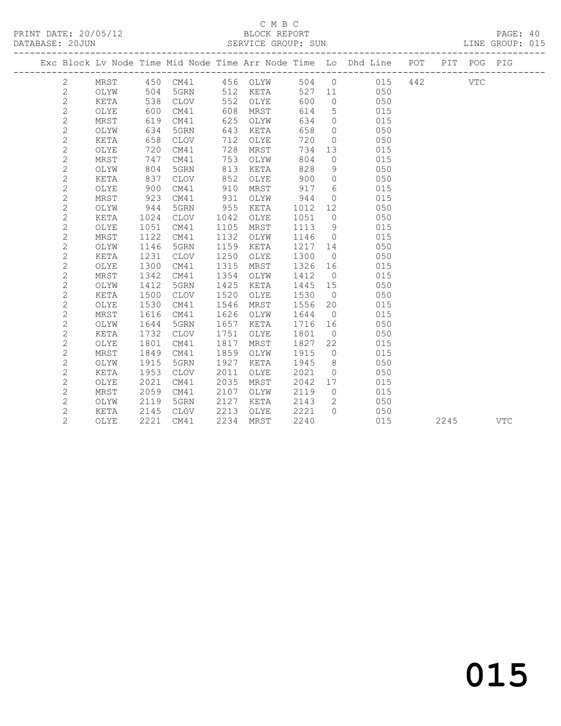# C M B C<br>BLOCK REPORT

PAGE: 40<br>LINE GROUP: 015

|  | COOUN COULD    |      |     |             |     | ADIVATOR GIVOOL. SON |      |                |                                                                |     |     |     | DIND GIVOU. UIJ |
|--|----------------|------|-----|-------------|-----|----------------------|------|----------------|----------------------------------------------------------------|-----|-----|-----|-----------------|
|  |                |      |     |             |     |                      |      |                | Exc Block Lv Node Time Mid Node Time Arr Node Time Lo Dhd Line | POT | PIT | POG | PIG             |
|  | 2.             | MRST | 450 | CM41        | 456 | OLYW                 | 504  | $\overline{0}$ | 015                                                            | 442 |     | VTC |                 |
|  | $\overline{2}$ | OLYW | 504 | 5GRN        | 512 | KETA                 | 527  | 11             | 050                                                            |     |     |     |                 |
|  | 2              | KETA | 538 | <b>CLOV</b> | 552 | OLYE                 | 600  | $\Omega$       | 050                                                            |     |     |     |                 |
|  | 2              | OLYE | 600 | CM41        | 608 | MRST                 | 614  | 5              | 015                                                            |     |     |     |                 |
|  | 2              | MRST | 619 | CM41        | 625 | OLYW                 | 634  | $\circ$        | 015                                                            |     |     |     |                 |
|  | 2              | OLYW | 634 | 5GRN        | 643 | KETA                 | 658  | 0              | 050                                                            |     |     |     |                 |
|  | 2              | KETA | 658 | CLOV        | 712 | OLYE                 | 720  | 0              | 050                                                            |     |     |     |                 |
|  | 2              | OLYE | 720 | CM41        | 728 | MRST                 | 734  | 13             | 015                                                            |     |     |     |                 |
|  | 2              | MRST | 747 | CM41        | 753 | OLYW                 | 804  | $\Omega$       | 015                                                            |     |     |     |                 |
|  | 2              | OLYW | 804 | 5GRN        | 813 | KETA                 | 828  | 9              | 050                                                            |     |     |     |                 |
|  | 2              | KETA | 837 | <b>CLOV</b> | 852 | OLYE                 | 900  | 0              | 050                                                            |     |     |     |                 |
|  | 2              | OLYE | 900 | CM41        | 910 | MRST                 | 917  | 6              | 015                                                            |     |     |     |                 |
|  | 2              | MRST | 923 | CM41        | 931 | OLYW                 | 944  | $\circ$        | 015                                                            |     |     |     |                 |
|  |                | OLYW | 944 | 5GRN        | 955 | KETA                 | 1012 | 12             | 050                                                            |     |     |     |                 |

| 2 | OLYE | 1051 | CM41        | 1105 | MRST | 1113 | 9              | 015 |      |     |
|---|------|------|-------------|------|------|------|----------------|-----|------|-----|
| 2 | MRST | 1122 | CM41        | 1132 | OLYW | 1146 | $\Omega$       | 015 |      |     |
| 2 | OLYW | 1146 | 5GRN        | 1159 | KETA | 1217 | 14             | 050 |      |     |
| 2 | KETA | 1231 | <b>CLOV</b> | 1250 | OLYE | 1300 | $\Omega$       | 050 |      |     |
| 2 | OLYE | 1300 | CM41        | 1315 | MRST | 1326 | 16             | 015 |      |     |
| 2 | MRST | 1342 | CM41        | 1354 | OLYW | 1412 | $\bigcirc$     | 015 |      |     |
| 2 | OLYW | 1412 | 5GRN        | 1425 | KETA | 1445 | 15             | 050 |      |     |
| 2 | KETA | 1500 | <b>CLOV</b> | 1520 | OLYE | 1530 | $\Omega$       | 050 |      |     |
| 2 | OLYE | 1530 | CM41        | 1546 | MRST | 1556 | 20             | 015 |      |     |
| 2 | MRST | 1616 | CM41        | 1626 | OLYW | 1644 | $\bigcirc$     | 015 |      |     |
| 2 | OLYW | 1644 | 5GRN        | 1657 | KETA | 1716 | 16             | 050 |      |     |
| 2 | KETA | 1732 | <b>CLOV</b> | 1751 | OLYE | 1801 | $\circ$        | 050 |      |     |
| 2 | OLYE | 1801 | CM41        | 1817 | MRST | 1827 | 22             | 015 |      |     |
| 2 | MRST | 1849 | CM41        | 1859 | OLYW | 1915 | $\Omega$       | 015 |      |     |
| 2 | OLYW | 1915 | 5GRN        | 1927 | KETA | 1945 | 8              | 050 |      |     |
| 2 | KETA | 1953 | <b>CLOV</b> | 2011 | OLYE | 2021 | $\overline{0}$ | 050 |      |     |
| 2 | OLYE | 2021 | CM41        | 2035 | MRST | 2042 | 17             | 015 |      |     |
| 2 | MRST | 2059 | CM41        | 2107 | OLYW | 2119 | $\Omega$       | 015 |      |     |
| 2 | OLYW | 2119 | 5GRN        | 2127 | KETA | 2143 | 2              | 050 |      |     |
| 2 | KETA | 2145 | <b>CLOV</b> | 2213 | OLYE | 2221 | $\Omega$       | 050 |      |     |
| 2 | OLYE | 2221 | CM41        | 2234 | MRST | 2240 |                | 015 | 2245 | VTC |
|   |      |      |             |      |      |      |                |     |      |     |

2 KETA 1024 CLOV 1042 OLYE 1051 0 050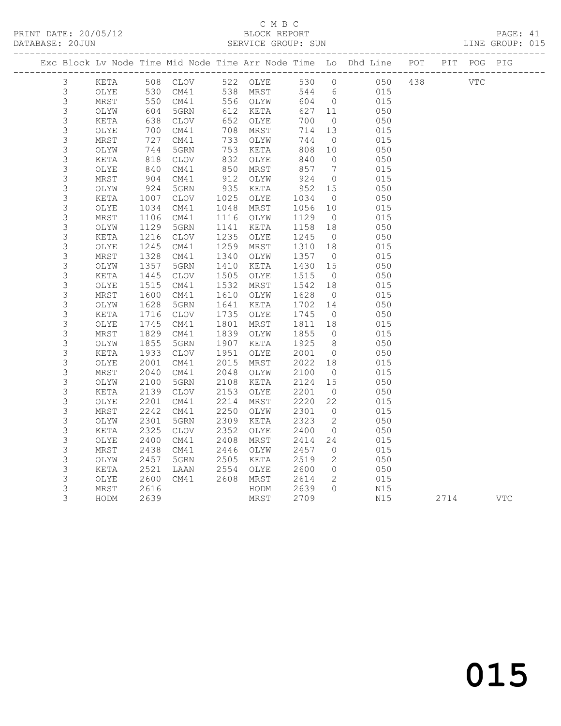# C M B C<br>BLOCK REPORT

| DATABASE: 20JUN | ------------------ |                   |                        |      | SERVICE GROUP: SUN |         |                 | --------------------------------------                                         |  | LINE GROUP: 015 |  |
|-----------------|--------------------|-------------------|------------------------|------|--------------------|---------|-----------------|--------------------------------------------------------------------------------|--|-----------------|--|
|                 |                    |                   |                        |      |                    |         |                 | Exc Block Lv Node Time Mid Node Time Arr Node Time Lo Dhd Line POT PIT POG PIG |  |                 |  |
| 3               |                    |                   | KETA 508 CLOV 522 OLYE |      |                    |         |                 | 530 0 050 438 VTC                                                              |  |                 |  |
| 3               | OLYE               | 530               |                        |      | CM41 538 MRST      |         |                 | 544 6 015                                                                      |  |                 |  |
| 3               | MRST               | 550               |                        |      | CM41 556 OLYW      |         |                 | 604 0 015                                                                      |  |                 |  |
| 3               | OLYW               |                   | 5GRN                   |      | 612 KETA           | 627 11  |                 | 050                                                                            |  |                 |  |
| $\mathsf 3$     | KETA               | 604<br>638        | CLOV                   |      | 652 OLYE           | 700     | $\overline{0}$  | 050                                                                            |  |                 |  |
| $\mathsf S$     | OLYE               | 700               | CM41                   |      | 708 MRST           | 714     | 13              | 015                                                                            |  |                 |  |
| $\mathsf 3$     | MRST               | 727               | CM41                   |      | 733 OLYW           | 744     | $\overline{0}$  | 015                                                                            |  |                 |  |
| 3               | OLYW               | 744               | 5GRN                   |      | 753 KETA           | 808     | 10              | 050                                                                            |  |                 |  |
| 3               | KETA               | 818               | CLOV                   | 832  | OLYE               | 840     | $\overline{0}$  | 050                                                                            |  |                 |  |
| $\mathsf S$     | OLYE               | $818$<br>$840$    | CM41                   | 850  | MRST               | 857     | $7\overline{ }$ | 015                                                                            |  |                 |  |
| 3               | MRST               | 904               | CM41                   | 912  | OLYW               | 924     | $\overline{0}$  | 015                                                                            |  |                 |  |
| 3               | OLYW               | 924               | 5GRN                   | 935  | KETA               | 952 15  |                 | 050                                                                            |  |                 |  |
| $\mathsf S$     | KETA               | 1007              | CLOV                   | 1025 | OLYE               | 1034    | $\overline{0}$  | 050                                                                            |  |                 |  |
| 3               | OLYE               | 1034              | CM41                   | 1048 | MRST               | 1056 10 |                 | 015                                                                            |  |                 |  |
| 3               | MRST               | 1106              | CM41                   |      | 1116 OLYW          | 1129    | $\overline{0}$  | 015                                                                            |  |                 |  |
| 3               | OLYW               | 1129              | 5GRN                   | 1141 | KETA               | 1158 18 |                 | 050                                                                            |  |                 |  |
| 3               | KETA               | 1216              | CLOV                   | 1235 | OLYE               | 1245    | $\overline{0}$  | 050                                                                            |  |                 |  |
| 3               | OLYE               | 1245              | CM41                   | 1259 | MRST               | 1310    | 18              | 015                                                                            |  |                 |  |
| $\mathsf S$     | MRST               | 1328              | CM41                   | 1340 | OLYW               | 1357 0  |                 | 015                                                                            |  |                 |  |
| $\mathsf 3$     | OLYW               | $\frac{1}{1}$ 357 | 5GRN                   | 1410 | KETA               | 1430 15 |                 | 050                                                                            |  |                 |  |
| 3               | KETA               | 1445              | CLOV                   | 1505 | OLYE               | 1515    | $\overline{0}$  | 050                                                                            |  |                 |  |
| 3               | OLYE               | 1515              | CM41                   | 1532 | MRST               | 1542    | 18              | 015                                                                            |  |                 |  |
| 3               | MRST               | 1600              | CM41                   | 1610 | OLYW               | 1628    | $\overline{0}$  | 015                                                                            |  |                 |  |
| 3               | OLYW               | 1628              | 5GRN                   | 1641 | KETA               | 1702 14 |                 | 050                                                                            |  |                 |  |
| 3               | KETA               | 1716              | CLOV                   | 1735 | OLYE               | 1745    | $\overline{0}$  | 050                                                                            |  |                 |  |
| 3               | OLYE               | 1745              | CM41                   | 1801 | MRST               | 1811    | 18              | 015                                                                            |  |                 |  |
| 3               | MRST               | 1829              | CM41                   | 1839 | OLYW               | 1855    | $\overline{0}$  | 015                                                                            |  |                 |  |
| 3               | OLYW               | 1855              | 5GRN                   | 1907 | KETA               | 1925    | 8 <sup>8</sup>  | 050                                                                            |  |                 |  |
| 3               | KETA               | 1933              | CLOV                   | 1951 | OLYE               | 2001 0  |                 | 050                                                                            |  |                 |  |
| 3               | OLYE               | 2001              | CM41                   | 2015 | MRST               | 2022 18 |                 | 015                                                                            |  |                 |  |
| 3               | MRST               | 2040              | CM41                   | 2048 | OLYW               | 2100    | $\overline{0}$  | 015                                                                            |  |                 |  |
| 3               | OLYW               | 2100              | 5GRN                   | 2108 | KETA               | 2124    | 15              | 050                                                                            |  |                 |  |
| 3               | KETA               | 2139              | CLOV                   | 2153 | OLYE               | 2201    | $\overline{0}$  | 050                                                                            |  |                 |  |
| 3               | OLYE               | 2201              | CM41                   | 2214 | MRST               | 2220    | 22              | 015                                                                            |  |                 |  |
| 3               | MRST               | 2242              | CM41                   | 2250 | OLYW               | 2301    | $\overline{0}$  | 015                                                                            |  |                 |  |
| 3               | OLYW               | 2301              | 5GRN                   | 2309 | KETA               | 2323    | $\overline{2}$  | 050                                                                            |  |                 |  |
| 3               | KETA               | 2325              | CLOV                   | 2352 | OLYE               | 2400 0  |                 | 050                                                                            |  |                 |  |
| 3               | OLYE               | 2400              | CM41                   |      | 2408 MRST          | 2414 24 |                 | 015                                                                            |  |                 |  |

 3 MRST 2438 CM41 2446 OLYW 2457 0 015 3 OLYW 2457 5GRN 2505 KETA 2519 2 050 3 KETA 2521 LAAN 2554 OLYE 2600 0 050 3 OLYE 2600 CM41 2608 MRST 2614 2 015 3 MRST 2616 HODM 2639 0 N15

3 HODM 2639 MRST 2709 N15 2714 VTC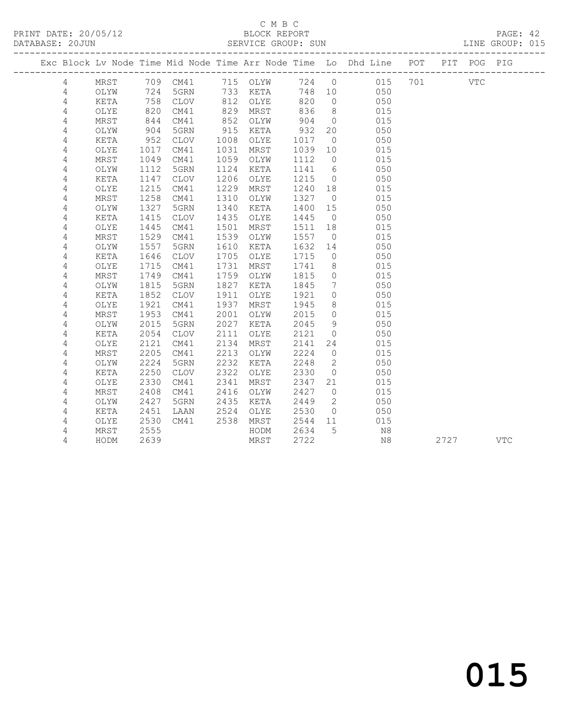# C M B C<br>BLOCK REPORT

| PRINT DATE: 20/05/12<br>DATABASE: 20JUN |                 |      |      |                 |      |          |      |                 |                                                                                |         |  |  |
|-----------------------------------------|-----------------|------|------|-----------------|------|----------|------|-----------------|--------------------------------------------------------------------------------|---------|--|--|
|                                         |                 |      |      |                 |      |          |      |                 | Exc Block Lv Node Time Mid Node Time Arr Node Time Lo Dhd Line POT PIT POG PIG |         |  |  |
|                                         | $4\overline{ }$ |      |      | MRST 709 CM41   |      | 715 OLYW |      |                 | 724 0 015                                                                      | 701 VTC |  |  |
|                                         | 4               | OLYW |      | 724 5GRN        |      | 733 KETA | 748  | 10              | 050                                                                            |         |  |  |
|                                         | $\overline{4}$  | KETA | 758  | CLOV            | 812  | OLYE     | 820  | $\overline{0}$  | 050                                                                            |         |  |  |
|                                         | $\overline{4}$  | OLYE | 820  | CM41            | 829  | MRST     | 836  | 8 <sup>8</sup>  | 015                                                                            |         |  |  |
|                                         | $\overline{4}$  | MRST | 844  | CM41            | 852  | OLYW     | 904  | $\overline{0}$  | 015                                                                            |         |  |  |
|                                         | $\overline{4}$  | OLYW | 904  | 5GRN            | 915  | KETA     | 932  | 20              | 050                                                                            |         |  |  |
|                                         | $\sqrt{4}$      | KETA | 952  | CLOV            | 1008 | OLYE     | 1017 | $\overline{0}$  | 050                                                                            |         |  |  |
|                                         | $\sqrt{4}$      | OLYE | 1017 | CM41            | 1031 | MRST     | 1039 | 10              | 015                                                                            |         |  |  |
|                                         | $\sqrt{4}$      | MRST | 1049 | CM41            | 1059 | OLYW     | 1112 | $\circ$         | 015                                                                            |         |  |  |
|                                         | 4               | OLYW | 1112 | 5GRN            | 1124 | KETA     | 1141 | 6               | 050                                                                            |         |  |  |
|                                         | 4               | KETA | 1147 | <b>CLOV</b>     | 1206 | OLYE     | 1215 | $\circ$         | 050                                                                            |         |  |  |
|                                         | 4               | OLYE | 1215 | CM41            | 1229 | MRST     | 1240 | 18              | 015                                                                            |         |  |  |
|                                         | 4               | MRST | 1258 | CM41            | 1310 | OLYW     | 1327 | $\overline{0}$  | 015                                                                            |         |  |  |
|                                         | 4               | OLYW | 1327 | 5GRN            | 1340 | KETA     | 1400 | 15              | 050                                                                            |         |  |  |
|                                         | 4               | KETA | 1415 | <b>CLOV</b>     | 1435 | OLYE     | 1445 | $\overline{0}$  | 050                                                                            |         |  |  |
|                                         | 4               | OLYE | 1445 | CM41            | 1501 | MRST     | 1511 | 18              | 015                                                                            |         |  |  |
|                                         | 4               | MRST | 1529 | CM41            | 1539 | OLYW     | 1557 | $\circ$         | 015                                                                            |         |  |  |
|                                         | 4               | OLYW | 1557 | 5GRN            | 1610 | KETA     | 1632 | 14              | 050                                                                            |         |  |  |
|                                         | $\sqrt{4}$      | KETA | 1646 | $\mathtt{CLOV}$ | 1705 | OLYE     | 1715 | $\circ$         | 050                                                                            |         |  |  |
|                                         | 4               | OLYE | 1715 | CM41            | 1731 | MRST     | 1741 | 8               | 015                                                                            |         |  |  |
|                                         | $\sqrt{4}$      | MRST | 1749 | CM41            | 1759 | OLYW     | 1815 | $\circ$         | 015                                                                            |         |  |  |
|                                         | 4               | OLYW | 1815 | 5GRN            | 1827 | KETA     | 1845 | $7\phantom{.0}$ | 050                                                                            |         |  |  |
|                                         | $\overline{4}$  | KETA | 1852 | $\mathtt{CLOV}$ | 1911 | OLYE     | 1921 | $\circ$         | 050                                                                            |         |  |  |
|                                         | 4               | OLYE | 1921 | CM41            | 1937 | MRST     | 1945 | 8               | 015                                                                            |         |  |  |
|                                         | $\overline{4}$  | MRST | 1953 | CM41            | 2001 | OLYW     | 2015 | $\circ$         | 015                                                                            |         |  |  |
|                                         | 4               | OLYW | 2015 | 5GRN            | 2027 | KETA     | 2045 | 9               | 050                                                                            |         |  |  |
|                                         | $\sqrt{4}$      | KETA | 2054 | <b>CLOV</b>     | 2111 | OLYE     | 2121 | $\circ$         | 050                                                                            |         |  |  |
|                                         | 4               | OLYE | 2121 | CM41            | 2134 | MRST     | 2141 | 24              | 015                                                                            |         |  |  |
|                                         | 4               | MRST | 2205 | CM41            | 2213 | OLYW     | 2224 | $\circ$         | 015                                                                            |         |  |  |
|                                         | 4               | OLYW | 2224 | 5GRN            | 2232 | KETA     | 2248 | $\mathbf{2}$    | 050                                                                            |         |  |  |
|                                         | $\sqrt{4}$      | KETA | 2250 | CLOV            | 2322 | OLYE     | 2330 | $\circ$         | 050                                                                            |         |  |  |
|                                         | 4               | OLYE | 2330 | CM41            | 2341 | MRST     | 2347 | 21              | 015                                                                            |         |  |  |
|                                         | 4               | MRST | 2408 | CM41            | 2416 | OLYW     | 2427 | $\overline{0}$  | 015                                                                            |         |  |  |
|                                         | 4               | OLYW | 2427 | 5GRN            | 2435 | KETA     | 2449 | $\overline{2}$  | 050                                                                            |         |  |  |

4 HODM 2639 MRST 2722 N8 2727 VTC

 4 KETA 2451 LAAN 2524 OLYE 2530 0 050 4 OLYE 2530 CM41 2538 MRST 2544 11 015 4 MRST 2555 HODM 2634 5 N8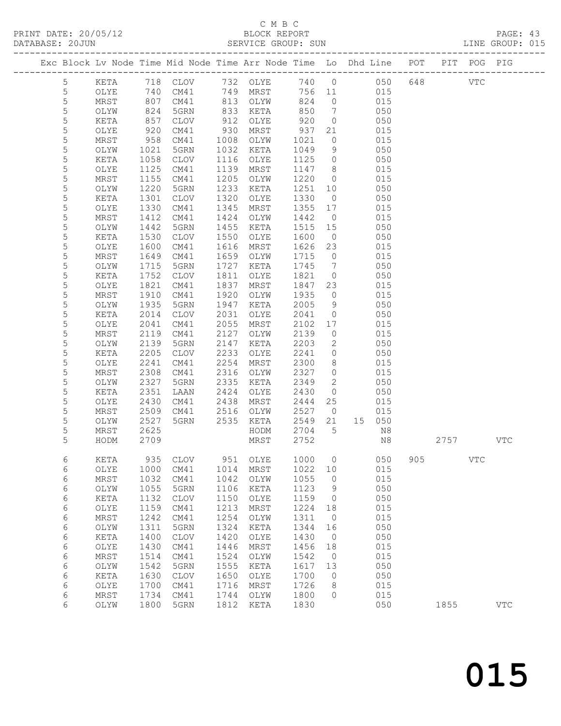# C M B C<br>BLOCK REPORT

|                |                    |              | Exc Block Lv Node Time Mid Node Time Arr Node Time Lo Dhd Line POT PIT POG PIG |              |                          |              |                      |                                                    |     |      |            |              |  |
|----------------|--------------------|--------------|--------------------------------------------------------------------------------|--------------|--------------------------|--------------|----------------------|----------------------------------------------------|-----|------|------------|--------------|--|
| 5              |                    |              | KETA 718 CLOV 732 OLYE 740 0 050 648 VTC                                       |              |                          |              |                      |                                                    |     |      |            |              |  |
| $\overline{5}$ | OLYE               | 740          |                                                                                |              | CM41 749 MRST 756 11 015 |              |                      |                                                    |     |      |            |              |  |
| 5              | MRST               | 807          |                                                                                |              | CM41 813 OLYW            | 824          |                      | 0 015                                              |     |      |            |              |  |
| 5              | OLYW               | 824<br>857   | 5GRN                                                                           |              | 833 KETA                 | 850<br>920   |                      | $\begin{array}{ccc} 7 & 050 \\ 0 & 01 \end{array}$ |     |      |            |              |  |
| $\mathsf S$    | KETA               |              | CLOV                                                                           |              | 912 OLYE                 |              | $\overline{0}$       | 050                                                |     |      |            |              |  |
| 5              | OLYE               | 920          | CM41                                                                           | 930          | MRST                     | 937          |                      | 21 015                                             |     |      |            |              |  |
| 5              | MRST               | 958          | CM41                                                                           | 1008         | OLYW                     | 1021         |                      | $0$ 015                                            |     |      |            |              |  |
| 5              | OLYW               | 1021         | 5GRN                                                                           | 1032         | KETA                     | 1049         |                      | $9 \t 050$                                         |     |      |            |              |  |
| 5              | KETA               | 1058         | CLOV                                                                           | 1116         | OLYE                     | 1125         | $\overline{0}$       | 050                                                |     |      |            |              |  |
| 5              | OLYE               | 1125         | CM41                                                                           | 1139         | MRST                     |              |                      | $1147 \t 8 \t 015$                                 |     |      |            |              |  |
| 5              | MRST               | 1155         | CM41                                                                           | 1205         | OLYW                     | 1220         |                      | 0 015                                              |     |      |            |              |  |
| 5              | OLYW               | 1220         | 5GRN                                                                           | 1233         | KETA                     | 1251         | 10                   | 050                                                |     |      |            |              |  |
| 5              | KETA               | 1301         | CLOV                                                                           | 1320         | OLYE                     | 1330         | $\overline{0}$       | 050                                                |     |      |            |              |  |
| 5              | OLYE               | 1330         | CM41                                                                           | 1345         | MRST                     | 1355         | 17                   | 015                                                |     |      |            |              |  |
| 5<br>5         | MRST               | 1412         | CM41                                                                           | 1424         | OLYW                     | 1442         | $\overline{0}$       | 015                                                |     |      |            |              |  |
| 5              | OLYW<br>KETA       | 1442<br>1530 | 5GRN<br>CLOV                                                                   | 1455<br>1550 | KETA<br>OLYE             | 1515<br>1600 | 15<br>$\overline{0}$ | 050<br>050                                         |     |      |            |              |  |
| 5              | OLYE               | 1600         | CM41                                                                           | 1616         | MRST                     | 1626         | 23                   | 015                                                |     |      |            |              |  |
| 5              | MRST               | 1649         | CM41                                                                           | 1659         | OLYW                     | 1715         | $\overline{0}$       | 015                                                |     |      |            |              |  |
| 5              | OLYW               | 1715         | 5GRN                                                                           | 1727         | KETA                     | 1745         |                      | $7\overline{ }$<br>050                             |     |      |            |              |  |
| 5              | KETA               | 1752         | CLOV                                                                           | 1811         | OLYE                     | 1821         | $\overline{0}$       | 050                                                |     |      |            |              |  |
| 5              | OLYE               | 1821         | CM41                                                                           | 1837         | MRST                     | 1847         | 23                   | 015                                                |     |      |            |              |  |
| 5              | MRST               | 1910         | CM41                                                                           | 1920         | OLYW                     | 1935         |                      | 0 015                                              |     |      |            |              |  |
| 5              | OLYW               | 1935         | 5GRN                                                                           | 1947         | KETA                     | 2005         |                      | 9 050                                              |     |      |            |              |  |
| 5              | KETA               | 2014         | CLOV                                                                           | 2031         | OLYE                     | 2041         | $\overline{O}$       |                                                    |     |      |            |              |  |
| 5              | OLYE               | 2041         | CM41                                                                           | 2055         | MRST                     | 2102         | 17                   | $\begin{array}{c} 050 \\ 015 \end{array}$          |     |      |            |              |  |
| 5              | MRST               | 2119         | CM41                                                                           | 2127         | OLYW                     | 2139         | $\overline{0}$       | 015                                                |     |      |            |              |  |
| 5              | OLYW               | 2139         | 5GRN                                                                           | 2147         | KETA                     | 2203         |                      | 2 050                                              |     |      |            |              |  |
| 5              | KETA               | 2205         | CLOV                                                                           | 2233         | OLYE                     | 2241         | $\overline{0}$       | 050                                                |     |      |            |              |  |
| 5              | OLYE               | 2241         | CM41                                                                           | 2254         | MRST                     | 2300         | 8                    | 015                                                |     |      |            |              |  |
| 5              | MRST               | 2308         | CM41                                                                           | 2316         | OLYW                     | 2327         |                      | $0$ 015                                            |     |      |            |              |  |
| 5              | OLYW               | 2327         | 5GRN                                                                           | 2335         | KETA                     | 2349         |                      | 2 050                                              |     |      |            |              |  |
| 5              | KETA               | 2351         | LAAN                                                                           | 2424         | OLYE                     | 2430         | $\overline{0}$       | 050                                                |     |      |            |              |  |
| 5              | OLYE               | 2430         | CM41                                                                           | 2438         | MRST                     | 2444         | 25                   | 015                                                |     |      |            |              |  |
| 5              | MRST               | 2509         | CM41 2516                                                                      |              | OLYW                     | 2527         | $\overline{0}$       | 015                                                |     |      |            |              |  |
| 5              | OLYW               | 2527         | 5GRN                                                                           | 2535         | KETA                     | 2549 21      |                      | 15 050                                             |     |      |            |              |  |
| 5              | MRST               | 2625         |                                                                                |              | HODM                     | 2704         | 5                    | N8                                                 |     |      |            |              |  |
| 5              | HODM 2709          |              |                                                                                |              | MRST 2752                |              |                      | N8                                                 |     | 2757 |            | $_{\rm VTC}$ |  |
| 6              | KETA               | 935          | <b>CLOV</b>                                                                    | 951          | OLYE                     | 1000         | $\circ$              | 050                                                | 905 |      | <b>VTC</b> |              |  |
| 6              | OLYE               | 1000         | CM41                                                                           | 1014         | MRST                     | 1022         | 10                   | 015                                                |     |      |            |              |  |
| 6              | $\tt MRST$         | 1032         | CM41                                                                           | 1042         | OLYW                     | 1055         | $\circ$              | 015                                                |     |      |            |              |  |
| 6              | OLYW               | 1055         | 5GRN                                                                           | 1106         | KETA                     | 1123         | 9                    | 050<br>050                                         |     |      |            |              |  |
| 6<br>6         | KETA               | 1132<br>1159 | <b>CLOV</b><br>CM41                                                            | 1150<br>1213 | OLYE<br>MRST             | 1159<br>1224 | 0<br>18              | 015                                                |     |      |            |              |  |
| $\epsilon$     | OLYE<br>$\tt MRST$ | 1242         | CM41                                                                           | 1254         | OLYW                     | 1311         | $\circ$              | 015                                                |     |      |            |              |  |
| 6              | OLYW               | 1311         | 5GRN                                                                           | 1324         | KETA                     | 1344         | 16                   | 050                                                |     |      |            |              |  |
| 6              | KETA               | 1400         | $\mathtt{CLOV}$                                                                | 1420         | OLYE                     | 1430         | $\circ$              | 050                                                |     |      |            |              |  |
| 6              | OLYE               | 1430         | CM41                                                                           | 1446         | MRST                     | 1456         | 18                   | 015                                                |     |      |            |              |  |
| $\epsilon$     | $\mbox{MRST}$      | 1514         | CM41                                                                           | 1524         | OLYW                     | 1542         | $\circ$              | 015                                                |     |      |            |              |  |
| 6              | OLYW               | 1542         | 5GRN                                                                           | 1555         | KETA                     | 1617         | 13                   | 050                                                |     |      |            |              |  |
| 6              | $\verb KETA $      | 1630         | $\mathtt{CLOV}$                                                                | 1650         | OLYE                     | 1700         | 0                    | 050                                                |     |      |            |              |  |
| 6              | OLYE               | 1700         | CM41                                                                           | 1716         | MRST                     | 1726         | 8                    | 015                                                |     |      |            |              |  |
| 6              | $\tt MRST$         | 1734         | CM41                                                                           | 1744         | OLYW                     | 1800         | $\circ$              | 015                                                |     |      |            |              |  |
| 6              | OLYW               | 1800         | 5GRN                                                                           | 1812         | KETA                     | 1830         |                      | 050                                                |     | 1855 |            | $_{\rm VTC}$ |  |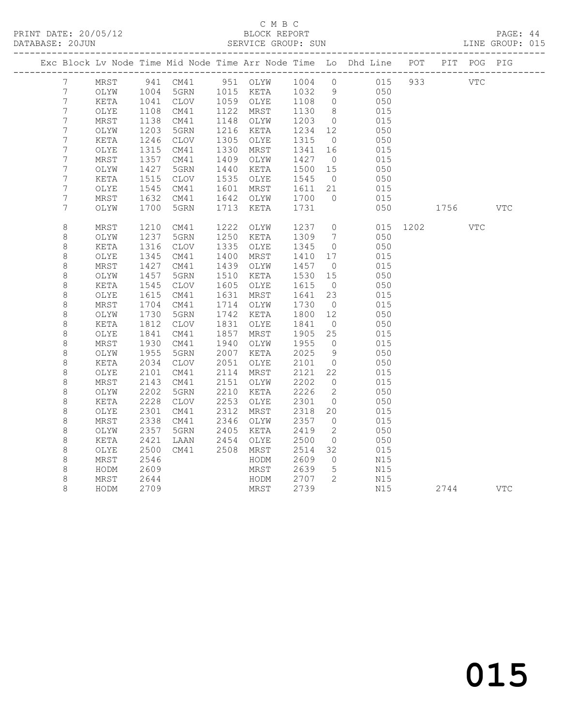# C M B C<br>BLOCK REPORT

PAGE: 44<br>LINE GROUP: 015

|                  |      |      |                          |      |           |         |                          | Exc Block Lv Node Time Mid Node Time Arr Node Time Lo Dhd Line POT |     |              | PIT POG PIG |            |
|------------------|------|------|--------------------------|------|-----------|---------|--------------------------|--------------------------------------------------------------------|-----|--------------|-------------|------------|
| $7\phantom{.0}$  | MRST |      | 941 CM41 951 OLYW 1004 0 |      |           |         |                          | 015                                                                | 933 | <b>VTC</b>   |             |            |
| $7\phantom{.}$   | OLYW | 1004 | 5GRN 1015 KETA 1032      |      |           |         | 9                        | 050                                                                |     |              |             |            |
| $\boldsymbol{7}$ | KETA | 1041 | CLOV                     |      | 1059 OLYE | 1108    | $\overline{0}$           | 050                                                                |     |              |             |            |
| $\boldsymbol{7}$ | OLYE | 1108 | CM41                     | 1122 | MRST      | 1130    | 8 <sup>8</sup>           | 015                                                                |     |              |             |            |
| $\overline{7}$   | MRST | 1138 | CM41                     | 1148 | OLYW      | 1203    | $\overline{0}$           | 015                                                                |     |              |             |            |
| $\boldsymbol{7}$ | OLYW | 1203 | 5GRN                     | 1216 | KETA      | 1234 12 |                          | 050                                                                |     |              |             |            |
| $\boldsymbol{7}$ | KETA | 1246 | CLOV                     | 1305 | OLYE      | 1315    | $\overline{0}$           | 050                                                                |     |              |             |            |
| 7                | OLYE | 1315 | CM41                     | 1330 | MRST      | 1341    | 16                       | 015                                                                |     |              |             |            |
| $\boldsymbol{7}$ | MRST | 1357 | CM41                     | 1409 | OLYW      | 1427    | $\overline{0}$           | 015                                                                |     |              |             |            |
| $\boldsymbol{7}$ | OLYW | 1427 | 5GRN                     | 1440 | KETA      | 1500    | 15                       | 050                                                                |     |              |             |            |
| $\boldsymbol{7}$ | KETA | 1515 | CLOV                     | 1535 | OLYE      | 1545    | $\overline{0}$           | 050                                                                |     |              |             |            |
| $\boldsymbol{7}$ | OLYE | 1545 | CM41                     | 1601 | MRST      | 1611 21 |                          | 015                                                                |     |              |             |            |
| 7                | MRST | 1632 | CM41                     | 1642 | OLYW      | 1700    | $\bigcirc$               | 015                                                                |     |              |             |            |
| 7                | OLYW | 1700 | 5GRN                     | 1713 | KETA      | 1731    |                          | 050                                                                |     | 1756 17      |             | <b>VTC</b> |
| $\,8\,$          | MRST | 1210 | CM41                     | 1222 | OLYW      | 1237    | $\overline{0}$           |                                                                    |     | 015 1202 VTC |             |            |
| $\,8\,$          | OLYW | 1237 | 5GRN                     | 1250 | KETA      | 1309    | $\overline{7}$           | 050                                                                |     |              |             |            |
| $\,8\,$          | KETA | 1316 | CLOV                     | 1335 | OLYE      | 1345    | $\overline{0}$           | 050                                                                |     |              |             |            |
| 8                | OLYE | 1345 | CM41                     | 1400 | MRST      | 1410    | 17                       | 015                                                                |     |              |             |            |
| $\,8\,$          | MRST | 1427 | CM41                     | 1439 | OLYW      | 1457    | $\overline{0}$           | 015                                                                |     |              |             |            |
| $\,8\,$          | OLYW | 1457 | 5GRN                     | 1510 | KETA      | 1530    | 15                       | 050                                                                |     |              |             |            |
| $\,8\,$          | KETA | 1545 | CLOV                     | 1605 | OLYE      | 1615    | $\overline{0}$           | 050                                                                |     |              |             |            |
| 8                | OLYE | 1615 | CM41                     | 1631 | MRST      | 1641    | 23                       | 015                                                                |     |              |             |            |
| $\,8\,$          | MRST | 1704 | CM41                     | 1714 | OLYW      | 1730    | $\overline{0}$           | 015                                                                |     |              |             |            |
| $\,8\,$          | OLYW | 1730 | 5GRN                     | 1742 | KETA      | 1800    | 12                       | 050                                                                |     |              |             |            |
| $\,8\,$          | KETA | 1812 | CLOV                     | 1831 | OLYE      | 1841    | $\overline{0}$           | 050                                                                |     |              |             |            |
| $\,8\,$          | OLYE | 1841 | CM41                     | 1857 | MRST      | 1905    | 25                       | 015                                                                |     |              |             |            |
| $\,8\,$          | MRST | 1930 | CM41                     | 1940 | OLYW      | 1955    | $\overline{0}$           | 015                                                                |     |              |             |            |
| $\,8\,$          | OLYW | 1955 | 5GRN                     | 2007 | KETA      | 2025    | 9                        | 050                                                                |     |              |             |            |
| 8                | KETA | 2034 | CLOV                     | 2051 | OLYE      | 2101    | $\overline{0}$           | 050                                                                |     |              |             |            |
| 8                | OLYE | 2101 | CM41                     | 2114 | MRST      | 2121    | 22                       | 015                                                                |     |              |             |            |
| $\,8\,$          | MRST | 2143 | CM41                     | 2151 | OLYW      | 2202    | $\overline{0}$           | 015                                                                |     |              |             |            |
| $\,8\,$          | OLYW | 2202 | 5GRN                     | 2210 | KETA      | 2226    | $\overline{\phantom{a}}$ | 050                                                                |     |              |             |            |
| $\,8\,$          | KETA | 2228 | <b>CLOV</b>              | 2253 | OLYE      | 2301    | $\overline{0}$           | 050                                                                |     |              |             |            |
| 8                | OLYE | 2301 | CM41                     | 2312 | MRST      | 2318    | 20                       | 015                                                                |     |              |             |            |
| $\,8\,$          | MRST | 2338 | CM41                     | 2346 | OLYW      | 2357    | $\overline{0}$           | 015                                                                |     |              |             |            |
| $\,8\,$          | OLYW | 2357 | 5GRN                     | 2405 | KETA      | 2419    | 2                        | 050                                                                |     |              |             |            |
| 8                | KETA | 2421 | LAAN                     | 2454 | OLYE      | 2500    | $\overline{0}$           | 050                                                                |     |              |             |            |
| $\,8\,$          | OLYE | 2500 | CM41                     | 2508 | MRST      | 2514    | 32                       | 015                                                                |     |              |             |            |
| $\,8\,$          | MRST | 2546 |                          |      | HODM      | 2609    | $\overline{0}$           | N15                                                                |     |              |             |            |
| 8                | HODM | 2609 |                          |      | MRST      | 2639    | $-5$                     | N15                                                                |     |              |             |            |
| 8                | MRST | 2644 |                          |      | HODM      | 2707    | $\overline{2}$           | N15                                                                |     |              |             |            |
| 8                | HODM | 2709 |                          |      | MRST      | 2739    |                          | N15                                                                |     | 2744         |             | <b>VTC</b> |
|                  |      |      |                          |      |           |         |                          |                                                                    |     |              |             |            |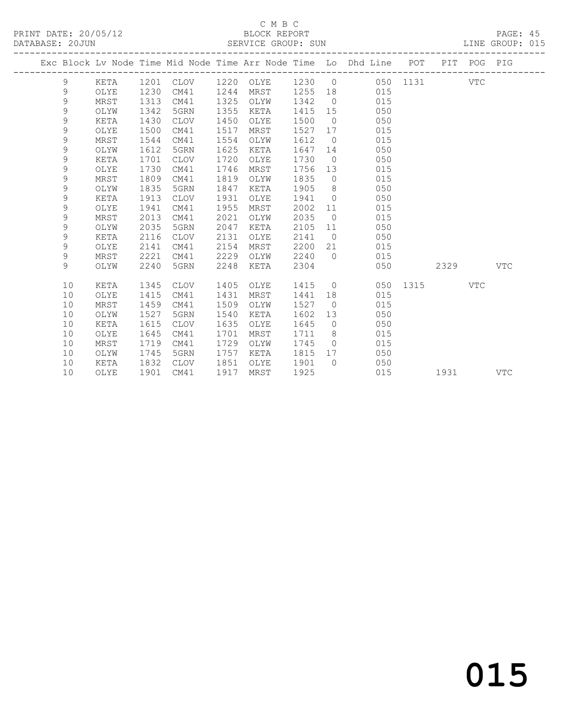## C M B C<br>BLOCK REPORT SERVICE GROUP: SUN

|  |               |      |      |             |      |                  |      |                | Exc Block Lv Node Time Mid Node Time Arr Node Time Lo Dhd Line POT |              |      | PIT POG PIG |            |
|--|---------------|------|------|-------------|------|------------------|------|----------------|--------------------------------------------------------------------|--------------|------|-------------|------------|
|  | 9             | KETA |      | 1201 CLOV   |      | 1220 OLYE 1230 0 |      |                |                                                                    | 050 1131 VTC |      |             |            |
|  | 9             | OLYE | 1230 | CM41        | 1244 | MRST             |      |                | 1255 18 015                                                        |              |      |             |            |
|  | 9             | MRST | 1313 | CM41        | 1325 | OLYW             | 1342 | $\overline{0}$ | 015                                                                |              |      |             |            |
|  | 9             | OLYW | 1342 | 5GRN        | 1355 | KETA             | 1415 | 15             | 050                                                                |              |      |             |            |
|  | $\mathsf 9$   | KETA | 1430 | CLOV        | 1450 | OLYE             | 1500 | $\bigcirc$     | 050                                                                |              |      |             |            |
|  | 9             | OLYE | 1500 | CM41        | 1517 | MRST             | 1527 | 17             | 015                                                                |              |      |             |            |
|  | 9             | MRST | 1544 | CM41        | 1554 | OLYW             | 1612 | $\overline{0}$ | 015                                                                |              |      |             |            |
|  | 9             | OLYW | 1612 | 5GRN        | 1625 | KETA             | 1647 | 14             | 050                                                                |              |      |             |            |
|  | 9             | KETA | 1701 | <b>CLOV</b> | 1720 | OLYE             | 1730 | $\overline{0}$ | 050                                                                |              |      |             |            |
|  | 9             | OLYE | 1730 | CM41        | 1746 | MRST             | 1756 | 13             | 015                                                                |              |      |             |            |
|  | 9             | MRST | 1809 | CM41        | 1819 | OLYW             | 1835 | $\overline{0}$ | 015                                                                |              |      |             |            |
|  | 9             | OLYW | 1835 | 5GRN        | 1847 | KETA             | 1905 | 8 <sup>8</sup> | 050                                                                |              |      |             |            |
|  | 9             | KETA | 1913 | CLOV        | 1931 | OLYE             | 1941 | $\bigcirc$     | 050                                                                |              |      |             |            |
|  | 9             | OLYE | 1941 | CM41        | 1955 | MRST             | 2002 | 11             | 015                                                                |              |      |             |            |
|  | $\mathcal{G}$ | MRST | 2013 | CM41        | 2021 | OLYW             | 2035 | $\overline{0}$ | 015                                                                |              |      |             |            |
|  | $\mathsf 9$   | OLYW | 2035 | 5GRN        | 2047 | KETA             | 2105 | 11             | 050                                                                |              |      |             |            |
|  | 9             | KETA | 2116 | <b>CLOV</b> | 2131 | OLYE             | 2141 | $\overline{0}$ | 050                                                                |              |      |             |            |
|  | 9             | OLYE | 2141 | CM41        | 2154 | MRST             | 2200 | 21             | 015                                                                |              |      |             |            |
|  | 9             | MRST | 2221 | CM41        | 2229 | OLYW             | 2240 | $\bigcirc$     | 015                                                                |              |      |             |            |
|  | 9             | OLYW | 2240 | 5GRN        | 2248 | KETA             | 2304 |                | 050                                                                |              | 2329 |             | <b>VTC</b> |
|  |               |      |      |             |      |                  |      |                |                                                                    |              |      |             |            |
|  | 10            | KETA | 1345 | CLOV        | 1405 | OLYE             | 1415 | $\overline{0}$ |                                                                    | 050 1315     |      | <b>VTC</b>  |            |
|  | 10            | OLYE | 1415 | CM41        | 1431 | MRST             | 1441 | 18             | 015                                                                |              |      |             |            |
|  | 10            | MRST | 1459 | CM41        | 1509 | OLYW             | 1527 | $\overline{0}$ | 015                                                                |              |      |             |            |
|  | 10            | OLYW | 1527 | 5GRN        | 1540 | KETA             | 1602 | 13             | 050                                                                |              |      |             |            |
|  | 10            | KETA | 1615 | CLOV        | 1635 | OLYE             | 1645 | $\overline{0}$ | 050                                                                |              |      |             |            |
|  | 10            | OLYE | 1645 | CM41        | 1701 | MRST             | 1711 | 8 <sup>8</sup> | 015                                                                |              |      |             |            |
|  | 10            | MRST | 1719 | CM41        | 1729 | OLYW             | 1745 | $\bigcirc$     | 015                                                                |              |      |             |            |
|  | 10            | OLYW | 1745 | 5GRN        | 1757 | KETA             | 1815 | 17             | 050                                                                |              |      |             |            |
|  | 10            | KETA | 1832 | CLOV        | 1851 | OLYE             | 1901 | $\overline{0}$ | 050                                                                |              |      |             |            |
|  | 10            | OLYE | 1901 | CM41        | 1917 | MRST             | 1925 |                | 015                                                                |              | 1931 |             | <b>VTC</b> |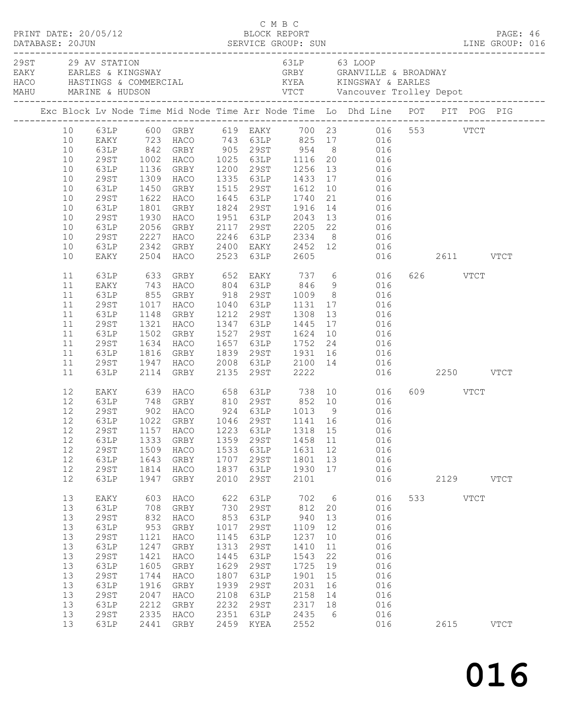|  |                                                                                  | PRINT DATE: 20/05/12                                                                                                                                   |                                                                                                          |                                                                                                              |                                                                                                   | C M B C<br>C M B C<br>BLOCK REPORT                                                                                |                                                                                                           |                                                                                        |                                                                                                                                                                                                                                                                                                                                                                                                                           |                  | PAGE: 46                        |  |
|--|----------------------------------------------------------------------------------|--------------------------------------------------------------------------------------------------------------------------------------------------------|----------------------------------------------------------------------------------------------------------|--------------------------------------------------------------------------------------------------------------|---------------------------------------------------------------------------------------------------|-------------------------------------------------------------------------------------------------------------------|-----------------------------------------------------------------------------------------------------------|----------------------------------------------------------------------------------------|---------------------------------------------------------------------------------------------------------------------------------------------------------------------------------------------------------------------------------------------------------------------------------------------------------------------------------------------------------------------------------------------------------------------------|------------------|---------------------------------|--|
|  |                                                                                  | 29ST 29 AV STATION                                                                                                                                     |                                                                                                          | EAKY EARLES & KINGSWAY                                                                                       |                                                                                                   | 63LP 63 LOOP                                                                                                      |                                                                                                           |                                                                                        | GRBY GRANVILLE & BROADWAY                                                                                                                                                                                                                                                                                                                                                                                                 |                  | ------------------------------- |  |
|  |                                                                                  |                                                                                                                                                        |                                                                                                          |                                                                                                              |                                                                                                   |                                                                                                                   |                                                                                                           |                                                                                        | Exc Block Lv Node Time Mid Node Time Arr Node Time Lo Dhd Line POT PIT POG PIG                                                                                                                                                                                                                                                                                                                                            |                  |                                 |  |
|  | 10<br>10<br>10<br>10<br>10<br>10<br>10<br>10<br>10<br>10<br>10                   | 29ST<br>63LP<br>29ST<br>63LP<br>29ST<br>63LP<br>29ST<br>63LP<br>29ST<br>63LP                                                                           |                                                                                                          | 1450 GRBY<br>1622 HACO<br>1801 GRD<br>1930 HACO<br>2056 GRBY<br>2227 HACO                                    |                                                                                                   | 1515 29ST 1612<br>2246 63LP 2334                                                                                  |                                                                                                           | 10                                                                                     | 10 63LP 600 GRBY 619 EAKY 700 23 016 553 VTCT<br>10 EAKY 723 HACO 743 63LP 825 17 016<br>63LP 842 GRBY 905 29ST 954 8 016<br>1002 HACO 1025 63LP 1116 20 016<br>1136 GRBY 1200 29ST 1256 13 016<br>1309 HACO 1335 63LP 1433 17 016<br>016<br>1645 63LP 1740 21 016<br>1824 29ST 1916 14 016<br>1951 63LP 2043 13 016<br>2117 29ST 2205 22 016<br>8 016<br>2342 GRBY 2400 EAKY 2452 12 016<br>2504 HACO 2523 63LP 2605 016 |                  |                                 |  |
|  | 10<br>11<br>11<br>11<br>11<br>11<br>11<br>11<br>11<br>11<br>11                   | EAKY<br>63LP<br>63LP<br>29ST<br>63LP<br>29ST<br>63LP<br>29ST                                                                                           | 1148<br>1321                                                                                             | GRBY<br>HACO<br>1502 GRBY<br>1634 HACO<br>1816 GRBY<br>1947 HACO                                             |                                                                                                   | 1212 29ST 1308 13                                                                                                 |                                                                                                           |                                                                                        | 016  2611   VTCT<br>633 GRBY 652 EAKY 737 6 016<br>EAKY 743 HACO 804 63LP 846 9 016<br>63LP 855 GRBY 918 29ST 1009 8 016<br>29ST 1017 HACO 1040 63LP 1131 17 016<br>016<br>1347 63LP 1445 17 016<br>1527 29ST 1624 10 016<br>1657 63LP 1752 24 016<br>1839 29ST 1931 16 016                                                                                                                                               | 626 VTCT         |                                 |  |
|  | 11<br>12<br>12<br>12<br>12<br>12<br>$12$<br>12<br>12<br>12                       | 63LP<br>63LP<br>29ST<br>63LP<br>29ST<br>63LP                                                                                                           | 1333<br>1509<br>1643<br>1814<br>1947                                                                     | 2114 GRBY<br>GRBY<br>HACO<br>GRBY<br>HACO<br>GRBY                                                            | 1359<br>1533<br>1707<br>1837<br>2010                                                              | 29ST<br>63LP<br>29ST<br>63LP<br>29ST                                                                              | 1458 11<br>1631 12<br>1801<br>1930<br>2101                                                                | 13<br>17                                                                               | 2008 63LP 2100 14 016<br>2135 29ST 2222 016<br>016  2250  VTCT<br>EAKY 639 HACO 658 63LP 738 10 016<br>63LP 748 GRBY 810 29ST 852 10 016<br>29ST 902 HACO 924 63LP 1013 9 016<br>63LP 1022 GRBY 1046 29ST 1141 16 016<br>12  29ST  1157  HACO  1223  63LP  1318  15  016<br>016<br>016<br>016<br>016<br>016                                                                                                               | 609 VTCT<br>2129 | <b>VTCT</b>                     |  |
|  | 13<br>13<br>13<br>13<br>13<br>13<br>13<br>13<br>13<br>13<br>13<br>13<br>13<br>13 | EAKY<br>63LP<br><b>29ST</b><br>63LP<br><b>29ST</b><br>63LP<br><b>29ST</b><br>63LP<br><b>29ST</b><br>63LP<br><b>29ST</b><br>63LP<br><b>29ST</b><br>63LP | 603<br>708<br>832<br>953<br>1121<br>1247<br>1421<br>1605<br>1744<br>1916<br>2047<br>2212<br>2335<br>2441 | HACO<br>GRBY<br>HACO<br>GRBY<br>HACO<br>GRBY<br>HACO<br>GRBY<br>HACO<br>GRBY<br>HACO<br>GRBY<br>HACO<br>GRBY | 622<br>730<br>853<br>1017<br>1145<br>1313<br>1445<br>1629<br>1807<br>1939<br>2108<br>2232<br>2351 | 63LP<br>29ST<br>63LP<br>29ST<br>63LP<br>29ST<br>63LP<br>29ST<br>63LP<br>29ST<br>63LP<br>29ST<br>63LP<br>2459 KYEA | 702<br>812<br>940<br>1109<br>1237<br>1410<br>1543<br>1725<br>1901<br>2031<br>2158<br>2317<br>2435<br>2552 | $6\overline{6}$<br>20<br>13<br>12<br>10<br>11<br>22<br>19<br>15<br>16<br>14<br>18<br>6 | 016<br>016<br>016<br>016<br>016<br>016<br>016<br>016<br>016<br>016<br>016<br>016<br>016<br>016                                                                                                                                                                                                                                                                                                                            | 533 VTCT<br>2615 | <b>VTCT</b>                     |  |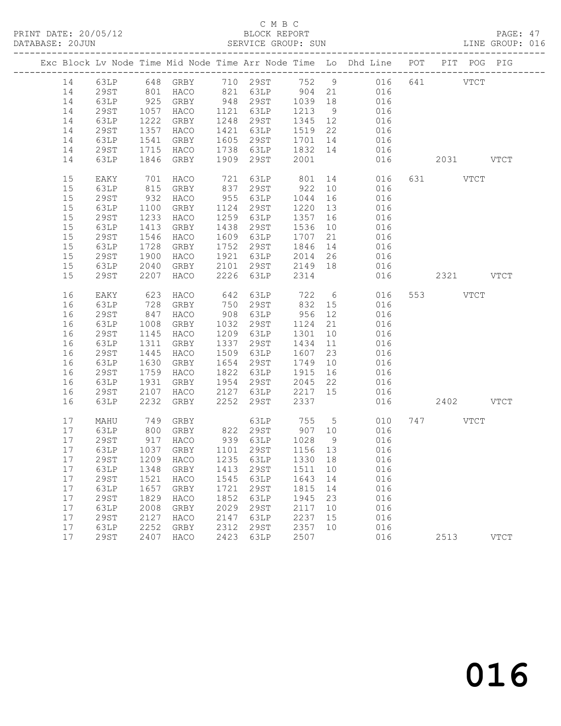PRINT DATE: 20/05/12 BLOCK REPORT<br>DATABASE: 20JUN SERVICE GROUP: SUN

# C M B C<br>BLOCK REPORT

PAGE: 47<br>LINE GROUP: 016

|    |             |                                                                      |                                     |      |                  |         |    | Exc Block Lv Node Time Mid Node Time Arr Node Time Lo Dhd Line POT PIT POG PIG |           |             |
|----|-------------|----------------------------------------------------------------------|-------------------------------------|------|------------------|---------|----|--------------------------------------------------------------------------------|-----------|-------------|
| 14 | 63LP        |                                                                      |                                     |      |                  |         |    | 648 GRBY 710 29ST 752 9 016 641 VTCT                                           |           |             |
| 14 | 29ST        | 801                                                                  | HACO                                |      |                  |         |    | 821 63LP 904 21 016                                                            |           |             |
| 14 | 63LP        |                                                                      |                                     |      | 948 29ST 1039 18 |         |    | 016                                                                            |           |             |
| 14 | 29ST        |                                                                      | 925 GRBY<br>1057 HACO               | 1121 | 63LP             | 1213    | 9  |                                                                                |           |             |
| 14 | 63LP        |                                                                      | 1222 GRBY                           | 1248 | 29ST             | 1345 12 |    | 016                                                                            |           |             |
| 14 | 29ST        | 1357                                                                 | HACO                                | 1421 | 63LP             | 1519 22 |    | 016                                                                            |           |             |
| 14 | 63LP        | 1541                                                                 | GRBY                                | 1605 | 29ST             |         |    |                                                                                |           |             |
| 14 | 29ST        | 1715                                                                 | HACO                                |      | 1738 63LP        |         |    | $\begin{array}{cccc} 1701 & 14 & & & 016 \\ 1832 & 14 & & & 016 \end{array}$   |           |             |
| 14 | 63LP        | 1846                                                                 | GRBY                                | 1909 | 29ST             | 2001    |    | 016                                                                            | 2031 VTCT |             |
|    |             |                                                                      |                                     |      |                  |         |    |                                                                                |           |             |
| 15 | EAKY        |                                                                      | HACO                                | 721  |                  |         |    |                                                                                | 631 VTCT  |             |
| 15 | 63LP        | $\begin{array}{c} \n \sqrt{2} \\  815 \\  \hline\n 22\n \end{array}$ | GRBY                                | 837  | 29ST             | 922 10  |    | 63LP 801 14 016<br>29ST 922 10 016<br>016                                      |           |             |
| 15 | 29ST        | 932                                                                  | HACO                                | 955  | 63LP             | 1044    | 16 | 016                                                                            |           |             |
| 15 | 63LP        | 1100                                                                 | GRBY                                | 1124 | 29ST             | 1220 13 |    | 016                                                                            |           |             |
| 15 | 29ST        | 1233                                                                 | HACO                                | 1259 | 63LP             | 1357 16 |    | 016                                                                            |           |             |
| 15 | 63LP        | 1413                                                                 | GRBY                                | 1438 | 29ST             | 1536    | 10 | 016                                                                            |           |             |
| 15 | 29ST        | 1546                                                                 | HACO                                | 1609 | 63LP             | 1707    | 21 | 016                                                                            |           |             |
| 15 | 63LP        | 1728                                                                 | GRBY                                | 1752 | 29ST             | 1846    | 14 | 016                                                                            |           |             |
| 15 | 29ST        | 1900                                                                 | HACO                                | 1921 | 63LP             | 2014    | 26 | 016                                                                            |           |             |
| 15 | 63LP        | 2040                                                                 | GRBY                                | 2101 | 29ST 2149 18     |         |    | 016                                                                            |           |             |
| 15 | 29ST        | 2207                                                                 | HACO                                | 2226 | 63LP             | 2314    |    | 016                                                                            | 2321 VTCT |             |
|    |             |                                                                      |                                     |      |                  |         |    |                                                                                |           |             |
| 16 | EAKY        | 623                                                                  | HACO                                | 642  | 63LP 722         |         |    | 6 016                                                                          | 553 VTCT  |             |
| 16 | 63LP        | 728                                                                  | GRBY                                | 750  | 29ST             | 832 15  |    | 016                                                                            |           |             |
| 16 | 29ST        | 847                                                                  | HACO                                | 908  | 63LP             | 956     | 12 | 016                                                                            |           |             |
| 16 | 63LP        | 1008                                                                 | GRBY                                | 1032 | 29ST             | 1124    | 21 | 016                                                                            |           |             |
| 16 | 29ST        | 1145                                                                 | HACO                                | 1209 | 63LP             | 1301    | 10 | 016                                                                            |           |             |
| 16 | 63LP        | 1311                                                                 | GRBY                                | 1337 | 29ST             | 1434    | 11 | 016                                                                            |           |             |
| 16 | 29ST        | 1445                                                                 | HACO                                | 1509 | 63LP             | 1607    | 23 | 016                                                                            |           |             |
| 16 | 63LP        | 1630                                                                 | GRBY                                | 1654 | 29ST             | 1749    | 10 | 016                                                                            |           |             |
| 16 | 29ST        | 1759                                                                 | HACO                                | 1822 | 63LP             | 1915    | 16 | 016                                                                            |           |             |
| 16 | 63LP        | 1931                                                                 | GRBY                                | 1954 | 29ST             | 2045    | 22 | 016                                                                            |           |             |
| 16 | 29ST        | 2107                                                                 | HACO                                | 2127 | 63LP             | 2217 15 |    | 016                                                                            |           |             |
| 16 | 63LP        | 2232                                                                 | GRBY                                | 2252 | 29ST             | 2337    |    | 016                                                                            | 2402 VTCT |             |
|    |             |                                                                      |                                     |      |                  |         |    |                                                                                |           |             |
| 17 | MAHU        |                                                                      | 749 GRBY<br>800 GRBY                |      |                  |         |    | 63LP 755 5 010<br>822 29ST 907 10 016                                          | 747 VTCT  |             |
| 17 | 63LP        |                                                                      |                                     |      |                  |         |    |                                                                                |           |             |
| 17 | 29ST        |                                                                      | 917 HACO                            |      | 939 63LP 1028    |         | 9  | 016                                                                            |           |             |
| 17 | 63LP        |                                                                      | 1037 GRBY                           |      | 1101 29ST        | 1156 13 |    | 016                                                                            |           |             |
|    |             |                                                                      | 17 29ST 1209 HACO 1235 63LP 1330 18 |      |                  |         |    | 016                                                                            |           |             |
| 17 | 63LP        | 1348                                                                 | GRBY                                | 1413 | 29ST             | 1511    | 10 | 016                                                                            |           |             |
| 17 | <b>29ST</b> | 1521                                                                 | HACO                                | 1545 | 63LP             | 1643    | 14 | 016                                                                            |           |             |
| 17 | 63LP        | 1657                                                                 | <b>GRBY</b>                         | 1721 | 29ST             | 1815    | 14 | 016                                                                            |           |             |
| 17 | <b>29ST</b> | 1829                                                                 | HACO                                | 1852 | 63LP             | 1945    | 23 | 016                                                                            |           |             |
| 17 | 63LP        | 2008                                                                 | GRBY                                | 2029 | <b>29ST</b>      | 2117    | 10 | 016                                                                            |           |             |
| 17 | <b>29ST</b> | 2127                                                                 | HACO                                | 2147 | 63LP             | 2237    | 15 | 016                                                                            |           |             |
| 17 | 63LP        | 2252                                                                 | GRBY                                | 2312 | 29ST             | 2357    | 10 | 016                                                                            |           |             |
| 17 | <b>29ST</b> | 2407                                                                 | HACO                                | 2423 | 63LP             | 2507    |    | 016                                                                            | 2513      | <b>VTCT</b> |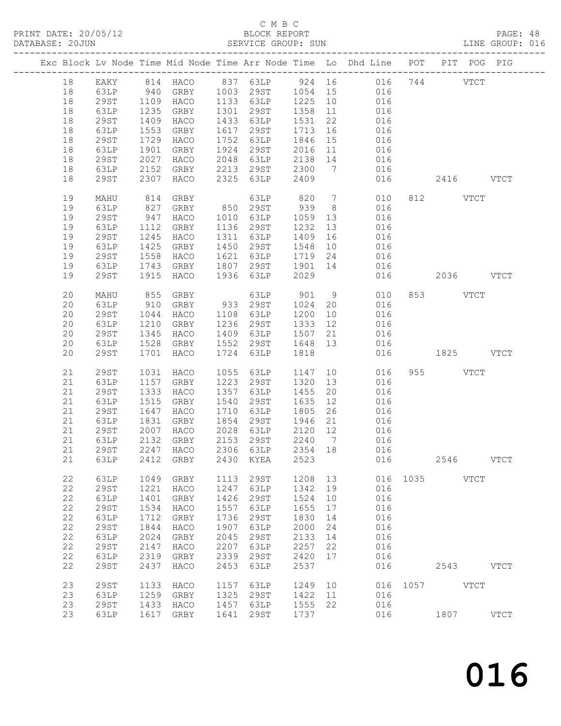# C M B C<br>BLOCK REPORT<br>SERVICE GROUP: SUN

|    |              |                  |                        |      |                |      |                 | Exc Block Lv Node Time Mid Node Time Arr Node Time Lo Dhd Line POT PIT POG PIG                                                                                  |           |          |             |               |  |
|----|--------------|------------------|------------------------|------|----------------|------|-----------------|-----------------------------------------------------------------------------------------------------------------------------------------------------------------|-----------|----------|-------------|---------------|--|
| 18 |              |                  |                        |      |                |      |                 | EAKY 814 HACO 837 63LP 924 16 016 744 VTCT                                                                                                                      |           |          |             |               |  |
| 18 |              |                  |                        |      |                |      |                 |                                                                                                                                                                 |           |          |             |               |  |
| 18 | 63LP<br>29ST |                  |                        |      |                |      |                 |                                                                                                                                                                 |           |          |             |               |  |
| 18 | 63LP         | <sup>1</sup> 235 |                        |      |                |      |                 | 940 GRBY 1003 29ST 1054 15 016<br>1109 HACO 1133 63LP 1225 10 016<br>1235 GRBY 1301 29ST 1358 11 016                                                            |           |          |             |               |  |
| 18 | 29ST         | 1409             | HACO                   |      | 1433 63LP 1531 |      |                 | 22 016                                                                                                                                                          |           |          |             |               |  |
| 18 | 63LP         |                  | GRBY                   |      | 1617 29ST      |      |                 |                                                                                                                                                                 |           |          |             |               |  |
| 18 | 29ST         |                  | 1553 GRBY<br>1729 HACO |      |                |      |                 |                                                                                                                                                                 |           |          |             |               |  |
| 18 | 63LP         | 1901             | GRBY                   |      |                |      |                 | 1617 29ST 1713 16 016<br>1752 63LP 1846 15 016<br>1924 29ST 2016 11 016                                                                                         |           |          |             |               |  |
| 18 | 29ST         | 2027             | HACO                   |      |                |      |                 | 2048 63LP 2138 14 016                                                                                                                                           |           |          |             |               |  |
| 18 | 63LP         | 2152             |                        |      |                |      |                 | GRBY 2213 29ST 2300 7 016                                                                                                                                       |           |          |             |               |  |
| 18 | 29ST         | 2307             | HACO                   |      | 2325 63LP      | 2409 |                 | 016                                                                                                                                                             | 2416 VTCT |          |             |               |  |
| 19 | MAHU         |                  | 814 GRBY               |      |                |      |                 | 63LP 820 7 010                                                                                                                                                  |           | 812 VTCT |             |               |  |
| 19 | 63LP         | 827              |                        |      |                |      |                 | GRBY 850 29ST 939 8 016                                                                                                                                         |           |          |             |               |  |
| 19 | 29ST         | 947              | HACO                   |      |                |      |                 |                                                                                                                                                                 |           |          |             |               |  |
| 19 | 63LP         | 1112             | GRBY                   |      |                |      |                 | 1010 63LP 1059 13 016<br>1136 29ST 1232 13 016                                                                                                                  |           |          |             |               |  |
| 19 | 29ST         | 1245             | HACO                   |      | 1311 63LP      |      |                 | 1409 16 016                                                                                                                                                     |           |          |             |               |  |
| 19 | 63LP         | 1425             | GRBY                   |      |                |      |                 |                                                                                                                                                                 |           |          |             |               |  |
| 19 | 29ST         |                  |                        |      |                |      |                 |                                                                                                                                                                 |           |          |             |               |  |
| 19 | 63LP         |                  | 1558 HACO<br>1743 GRBY |      |                |      |                 | $\begin{array}{cccc} 1450 & 295 \texttt{T} & 1548 & 10 & 016 \\ 1621 & 63 \texttt{LP} & 1719 & 24 & 016 \\ 1807 & 295 \texttt{T} & 1901 & 14 & 016 \end{array}$ |           |          |             |               |  |
| 19 | 29ST         | 1915             | HACO                   |      | 1936 63LP 2029 |      |                 | 016 2036 VTCT                                                                                                                                                   |           |          |             |               |  |
| 20 | MAHU         |                  |                        |      |                |      |                 | GRBY 63LP 901 9 010 853 VTCT<br>GRBY 933 29ST 1024 20 016                                                                                                       |           |          |             |               |  |
| 20 | 63LP         | 855<br>910       |                        |      |                |      |                 |                                                                                                                                                                 |           |          |             |               |  |
| 20 | 29ST         | 1044             | HACO                   |      | 1108 63LP      |      |                 | $1200$ $10$ $016$                                                                                                                                               |           |          |             |               |  |
| 20 | 63LP         | 1210             | GRBY                   |      | 1236 29ST      |      |                 | 1333 12 016                                                                                                                                                     |           |          |             |               |  |
| 20 | 29ST         | 1345             | HACO                   |      | 1409 63LP      | 1507 |                 |                                                                                                                                                                 |           |          |             |               |  |
| 20 | 63LP         |                  | 1528 GRBY              |      |                |      |                 |                                                                                                                                                                 |           |          |             |               |  |
| 20 | 29ST         | 1701             | HACO                   |      |                |      |                 | $\begin{tabular}{llll} 21 & & 016 \\ 13 & & 016 \\ & & 016 \\ & & 016 \end{tabular} \hspace{1.5cm} \text{1825} \hspace{1.5cm} \text{VTCT}$                      |           |          |             |               |  |
| 21 | <b>29ST</b>  | 1031             | HACO                   |      | 1055 63LP      |      |                 |                                                                                                                                                                 |           | 955 VTCT |             |               |  |
| 21 | 63LP         | 1157             | GRBY                   |      | 1223 29ST      |      |                 | 1147 10 016<br>1320 13 016                                                                                                                                      |           |          |             |               |  |
| 21 | 29ST         | 1333             | HACO                   |      | 1357 63LP      | 1455 |                 | 20 016                                                                                                                                                          |           |          |             |               |  |
| 21 | 63LP         | 1515             | GRBY                   |      | 1540 29ST      |      |                 | 1635 12 016                                                                                                                                                     |           |          |             |               |  |
| 21 | 29ST         | 1647             | HACO                   |      |                |      |                 | 1710 63LP 1805 26 016                                                                                                                                           |           |          |             |               |  |
| 21 | 63LP         |                  |                        |      |                |      |                 |                                                                                                                                                                 |           |          |             |               |  |
| 21 | 29ST         |                  | 1831 GRBY<br>2007 HACO |      |                |      |                 | 1854     29ST          1946     21                  016<br>2028     63LP          2120     12                 016                                               |           |          |             |               |  |
| 21 | 63LP         | 2132             | ${\tt GRBY}$           | 2153 | <b>29ST</b>    | 2240 | $7\phantom{.0}$ | 016                                                                                                                                                             |           |          |             |               |  |
| 21 | <b>29ST</b>  | 2247             | HACO                   | 2306 | 63LP           | 2354 | 18              | 016                                                                                                                                                             |           |          |             |               |  |
| 21 | 63LP         | 2412             | GRBY                   | 2430 | KYEA           | 2523 |                 | 016                                                                                                                                                             |           | 2546     |             | <b>VTCT</b>   |  |
| 22 | 63LP         | 1049             | GRBY                   | 1113 | 29ST           | 1208 | 13              | 016                                                                                                                                                             | 1035      |          | <b>VTCT</b> |               |  |
| 22 | <b>29ST</b>  | 1221             | HACO                   | 1247 | 63LP           | 1342 | 19              | 016                                                                                                                                                             |           |          |             |               |  |
| 22 | 63LP         | 1401             | GRBY                   | 1426 | 29ST           | 1524 | 10              | 016                                                                                                                                                             |           |          |             |               |  |
| 22 | <b>29ST</b>  | 1534             | HACO                   | 1557 | 63LP           | 1655 | 17              | 016                                                                                                                                                             |           |          |             |               |  |
| 22 | 63LP         | 1712             | GRBY                   | 1736 | <b>29ST</b>    | 1830 | 14              | 016                                                                                                                                                             |           |          |             |               |  |
| 22 | <b>29ST</b>  | 1844             | HACO                   | 1907 | 63LP           | 2000 | 24              | 016                                                                                                                                                             |           |          |             |               |  |
| 22 | 63LP         | 2024             | GRBY                   | 2045 | 29ST           | 2133 | 14              | 016                                                                                                                                                             |           |          |             |               |  |
| 22 | 29ST         | 2147             | HACO                   | 2207 | 63LP           | 2257 | 22              | 016                                                                                                                                                             |           |          |             |               |  |
| 22 | 63LP         | 2319             | GRBY                   | 2339 | 29ST           | 2420 | 17              | 016                                                                                                                                                             |           |          |             |               |  |
| 22 | <b>29ST</b>  | 2437             | HACO                   | 2453 | 63LP           | 2537 |                 | 016                                                                                                                                                             |           | 2543     |             | <b>VTCT</b>   |  |
| 23 | 29ST         | 1133             | HACO                   | 1157 | 63LP           | 1249 | 10              | 016                                                                                                                                                             | 1057      | VTCT     |             |               |  |
| 23 | 63LP         | 1259             | GRBY                   | 1325 | <b>29ST</b>    | 1422 | 11              | 016                                                                                                                                                             |           |          |             |               |  |
| 23 | <b>29ST</b>  | 1433             | HACO                   | 1457 | 63LP           | 1555 | 22              | 016                                                                                                                                                             |           |          |             |               |  |
| 23 | 63LP         | 1617             | GRBY                   | 1641 | 29ST           | 1737 |                 | 016                                                                                                                                                             |           | 1807     |             | $_{\rm VTCT}$ |  |
|    |              |                  |                        |      |                |      |                 |                                                                                                                                                                 |           |          |             |               |  |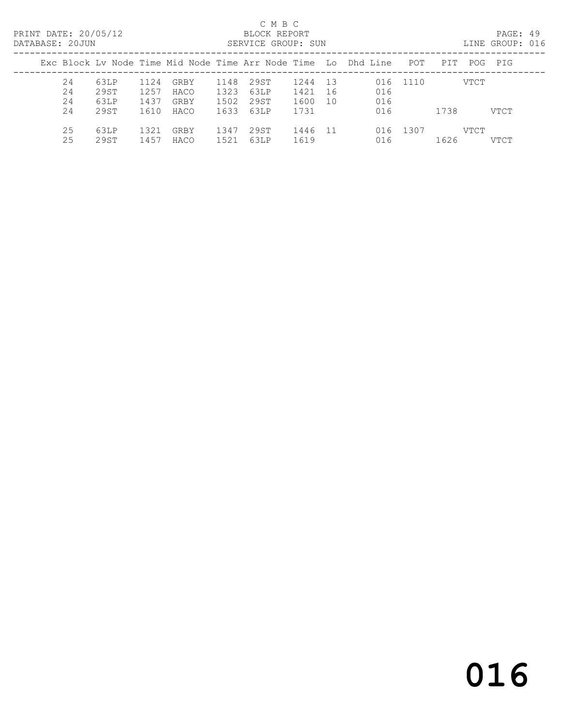PRINT DATE: 20/05/12 BLOCK REPORT<br>DATABASE: 20JUN SERVICE GROUP: SUN

## C M B C<br>BLOCK REPORT

PAGE: 49<br>LINE GROUP: 016

| <u>LIIILILIULI LUUUN</u>                                       |      |      |      |      | DUINTED UNUUL. DUIT |      |     |     |          |      |      | PIND OINCOL . ATU |
|----------------------------------------------------------------|------|------|------|------|---------------------|------|-----|-----|----------|------|------|-------------------|
| Exc Block Ly Node Time Mid Node Time Arr Node Time Lo Dhd Line |      |      |      |      |                     |      |     |     | POT      | PIT  |      | POG PIG           |
| 24                                                             | 63LP | 1124 | GRBY | 1148 | 29ST                | 1244 | 13  |     | 016 1110 |      | VTCT |                   |
| 24                                                             | 29ST | 1257 | HACO | 1323 | 63LP                | 1421 | -16 | 016 |          |      |      |                   |
| 24                                                             | 63LP | 1437 | GRBY | 1502 | 29ST                | 1600 | 10  | 016 |          |      |      |                   |
| 24                                                             | 29ST | 1610 | HACO | 1633 | 63LP                | 1731 |     | 016 |          | 1738 |      | VTCT              |
| 25                                                             | 63LP | 1321 | GRBY | 1347 | 29ST                | 1446 | -11 |     | 016 1307 |      | VTCT |                   |
| 25                                                             | 29ST | 1457 | HACO | 1521 | 63LP                | 1619 |     | 016 |          | 1626 |      | <b>VTCT</b>       |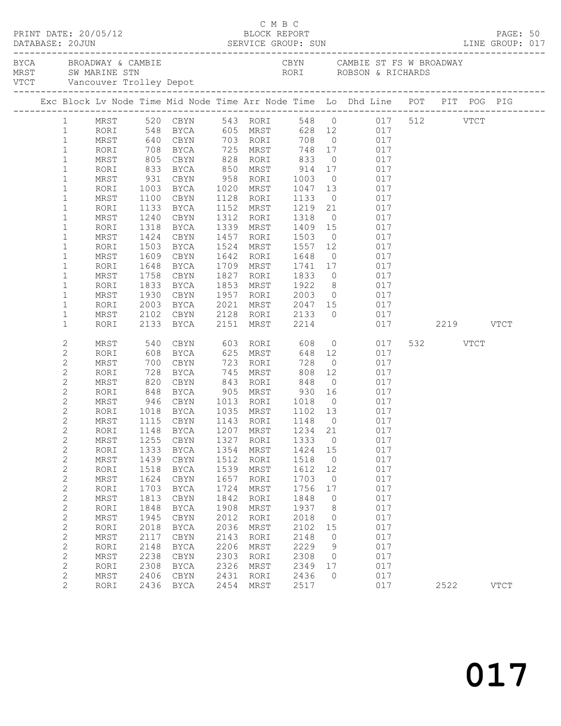| PRINT DATE: 20/05/12<br>DATABASE: 20JUN |                                |              |              | DATABASE: 20JUN SERVICE GROUP: SUN LINE GROUP: 017                                                                       |      | UMBU<br>BLOCK REPORT     |                     |                |                                           |     |          | PAGE: 50    |  |
|-----------------------------------------|--------------------------------|--------------|--------------|--------------------------------------------------------------------------------------------------------------------------|------|--------------------------|---------------------|----------------|-------------------------------------------|-----|----------|-------------|--|
|                                         |                                |              |              |                                                                                                                          |      |                          |                     |                | CBYN CAMBIE ST FS W BROADWAY              |     |          |             |  |
|                                         |                                |              |              | Exc Block Lv Node Time Mid Node Time Arr Node Time Lo Dhd Line POT PIT POG PIG                                           |      |                          |                     |                |                                           |     |          |             |  |
|                                         |                                |              |              | 1 MRST 520 CBYN 543 RORI 548 0 017 512 VTCT<br>1 RORI 548 BYCA 605 MRST 628 12 017<br>1 MRST 640 CBYN 703 RORI 708 0 017 |      |                          |                     |                |                                           |     |          |             |  |
|                                         |                                |              |              |                                                                                                                          |      |                          |                     |                |                                           |     |          |             |  |
|                                         |                                |              |              |                                                                                                                          |      |                          |                     |                |                                           |     |          |             |  |
|                                         | $\mathbf{1}$                   | RORI         |              | 708 BYCA 725 MRST                                                                                                        |      |                          |                     |                | 748 17 017                                |     |          |             |  |
|                                         | $\mathbf{1}$                   | MRST         | 805          | CBYN                                                                                                                     |      | 828 RORI 833             |                     | $\overline{0}$ | 017                                       |     |          |             |  |
|                                         | $\mathbf{1}$                   | RORI         | 833<br>931   | BYCA 850 MRST 914 17 017<br>CBYN 958 RORI 1003 0 017                                                                     |      |                          |                     |                |                                           |     |          |             |  |
|                                         | $\mathbf{1}$                   | MRST         |              |                                                                                                                          |      |                          |                     |                |                                           |     |          |             |  |
|                                         | $\mathbf{1}$                   | RORI         | 1003         | BYCA                                                                                                                     |      | 1020 MRST 1047 13 017    |                     |                |                                           |     |          |             |  |
|                                         | $\mathbf{1}$                   | MRST         | 1100         | CBYN                                                                                                                     |      | 1128 RORI                | 1133                | $\overline{0}$ | 017                                       |     |          |             |  |
|                                         | $\mathbf 1$                    | RORI         | 1133         | BYCA                                                                                                                     |      | 1152 MRST                |                     |                | 1219  21  017<br>1318  0  017             |     |          |             |  |
|                                         | $\mathbf{1}$                   | MRST         | 1240         | CBYN                                                                                                                     |      | 1312 RORI                |                     |                |                                           |     |          |             |  |
|                                         | $\mathbf{1}$                   | RORI         | 1318         | BYCA                                                                                                                     |      | 1339 MRST                | 1409 15             |                | 017                                       |     |          |             |  |
|                                         | $\mathbf{1}$                   | MRST         | 1424         | CBYN                                                                                                                     |      | 1457 RORI                | 1503                |                | 0 0 17                                    |     |          |             |  |
|                                         | $\mathbf 1$                    | RORI         | 1503         | BYCA                                                                                                                     |      | 1524 MRST                |                     |                |                                           |     |          |             |  |
|                                         | $\mathbf{1}$                   | MRST         | 1609         | CBYN                                                                                                                     |      | 1642 RORI                |                     |                | 1741 17 017                               |     |          |             |  |
|                                         | $\mathbf 1$                    | RORI         | 1648<br>1758 | BYCA<br>CBYN                                                                                                             |      | 1709 MRST<br>1827 RORI   | 1833                |                | 0 0 0 1 7                                 |     |          |             |  |
|                                         | $\mathbf{1}$<br>$\mathbf{1}$   | MRST<br>RORI | 1833         | BYCA                                                                                                                     |      | 1853 MRST                |                     |                |                                           |     |          |             |  |
|                                         | 1                              | MRST         | 1930         | CBYN                                                                                                                     |      | 1957 RORI                | 1922<br>2003        |                | 8 017<br>0 017                            |     |          |             |  |
|                                         | $\mathbf{1}$                   | RORI         | 2003         | BYCA                                                                                                                     | 2021 | MRST 2047 15 017         |                     |                |                                           |     |          |             |  |
|                                         | 1                              | MRST         | 2102         | CBYN                                                                                                                     |      | 2128 RORI 2133           |                     |                | 0 0 0 1 7                                 |     |          |             |  |
|                                         | $\mathbf{1}$                   | RORI         |              | 2133 BYCA                                                                                                                |      | 2151 MRST 2214           |                     |                | 017  2219  VTCT                           |     |          |             |  |
|                                         | 2                              | MRST         | 540          | CBYN                                                                                                                     |      | 603 RORI                 | 608                 |                | $0$ 017                                   |     | 532 VTCT |             |  |
|                                         | $\mathbf{2}$                   | RORI         | 608          | BYCA                                                                                                                     |      | 625 MRST                 |                     |                | 648 12 017                                |     |          |             |  |
|                                         | 2                              | MRST         | 700          | CBYN                                                                                                                     |      | 723 RORI                 | 728                 | $\overline{0}$ | 017                                       |     |          |             |  |
|                                         | $\mathbf{2}$                   | RORI         | 728<br>820   | BYCA                                                                                                                     | 745  | MRST                     | 808<br>848          | 12             |                                           | 017 |          |             |  |
|                                         | 2                              | MRST         |              | CBYN                                                                                                                     | 843  | RORI                     |                     |                | $\overline{0}$                            | 017 |          |             |  |
|                                         | 2                              | RORI         | 848          | BYCA                                                                                                                     |      | 905 MRST 930 16          |                     |                | 017                                       |     |          |             |  |
|                                         | 2                              | MRST         | 946          | CBYN                                                                                                                     |      | 1013 RORI 1018           |                     |                | $0 \qquad \qquad 017$                     |     |          |             |  |
|                                         | $\overline{c}$                 | RORI         |              | 1018 BYCA<br>1115 CBYN<br>BYCA                                                                                           |      | 1035 MRST<br>$1143$ RORI | 1102  13<br>1148  0 |                | $\begin{array}{c} 017 \\ 017 \end{array}$ |     |          |             |  |
|                                         | $\overline{c}$<br>$\mathbf{2}$ | MRST         |              | RORI 1148 BYCA 1207 MRST 1234 21 017                                                                                     |      |                          |                     |                |                                           |     |          |             |  |
|                                         | 2                              | MRST         | 1255         | CBYN                                                                                                                     |      | 1327 RORI                | 1333                | $\overline{0}$ |                                           | 017 |          |             |  |
|                                         | $\overline{c}$                 | RORI         | 1333         | BYCA                                                                                                                     | 1354 | MRST                     | 1424                | 15             |                                           | 017 |          |             |  |
|                                         | $\mathbf{2}$                   | MRST         | 1439         | CBYN                                                                                                                     | 1512 | RORI                     | 1518                | $\overline{0}$ |                                           | 017 |          |             |  |
|                                         | $\mathbf{2}$                   | RORI         | 1518         | BYCA                                                                                                                     | 1539 | MRST                     | 1612                | 12             |                                           | 017 |          |             |  |
|                                         | $\mathbf{2}$                   | MRST         | 1624         | CBYN                                                                                                                     | 1657 | RORI                     | 1703                | 0              |                                           | 017 |          |             |  |
|                                         | $\mathbf{2}$                   | RORI         | 1703         | BYCA                                                                                                                     | 1724 | MRST                     | 1756                | 17             |                                           | 017 |          |             |  |
|                                         | $\mathbf{2}$                   | MRST         | 1813         | CBYN                                                                                                                     | 1842 | RORI                     | 1848                | $\circ$        |                                           | 017 |          |             |  |
|                                         | $\mathbf{2}$                   | RORI         | 1848         | BYCA                                                                                                                     | 1908 | MRST                     | 1937                | 8              |                                           | 017 |          |             |  |
|                                         | $\mathbf{2}$                   | MRST         | 1945         | CBYN                                                                                                                     | 2012 | RORI                     | 2018                | 0              |                                           | 017 |          |             |  |
|                                         | $\mathbf{2}$                   | RORI         | 2018         | <b>BYCA</b>                                                                                                              | 2036 | MRST                     | 2102                | 15             |                                           | 017 |          |             |  |
|                                         | $\mathbf{2}$                   | MRST         | 2117         | CBYN                                                                                                                     | 2143 | RORI                     | 2148                | $\circ$        |                                           | 017 |          |             |  |
|                                         | 2                              | RORI         | 2148         | <b>BYCA</b>                                                                                                              | 2206 | MRST                     | 2229                | 9              |                                           | 017 |          |             |  |
|                                         | $\mathbf{2}$                   | MRST         | 2238         | CBYN                                                                                                                     | 2303 | RORI                     | 2308                | 0              |                                           | 017 |          |             |  |
|                                         | 2                              | RORI         | 2308         | BYCA                                                                                                                     | 2326 | MRST                     | 2349                | 17             |                                           | 017 |          |             |  |
|                                         | $\mathbf{2}$                   | MRST         | 2406         | CBYN                                                                                                                     | 2431 | RORI                     | 2436                | $\circ$        |                                           | 017 |          |             |  |
|                                         | $\overline{2}$                 | RORI         |              | 2436 BYCA                                                                                                                | 2454 | MRST                     | 2517                |                |                                           | 017 | 2522     | <b>VTCT</b> |  |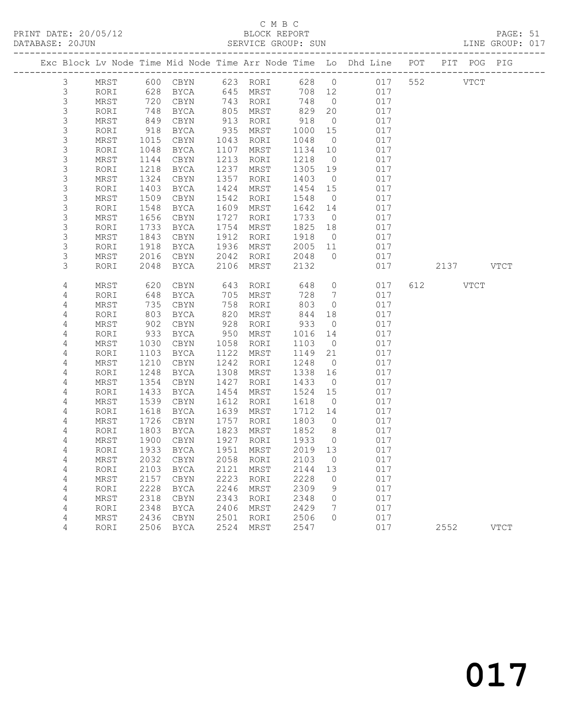# C M B C<br>BLOCK REPORT

PAGE: 51<br>LINE GROUP: 017

|                  |              |              |                            |              |              |              |                      | Exc Block Lv Node Time Mid Node Time Arr Node Time Lo Dhd Line POT |                    | PIT POG PIG |
|------------------|--------------|--------------|----------------------------|--------------|--------------|--------------|----------------------|--------------------------------------------------------------------|--------------------|-------------|
| $\mathfrak{Z}$   | MRST         |              | 600 CBYN                   |              | 623 RORI     | 628 0        |                      | 017                                                                | 552<br><b>VTCT</b> |             |
| $\mathsf 3$      | RORI         | 628          | BYCA                       |              | 645 MRST     | 708 12       |                      | 017                                                                |                    |             |
| $\mathsf S$      | MRST         | 720          | CBYN                       |              | 743 RORI     | 748          | $\overline{0}$       | 017                                                                |                    |             |
| 3                | RORI         | 748          | BYCA                       | 805          | MRST         | 829          | 20                   | 017                                                                |                    |             |
| 3                | MRST         | 849          | CBYN                       | 913          | RORI         | 918          | $\overline{0}$       | 017                                                                |                    |             |
| $\mathsf S$      | RORI         | 918          | BYCA                       | 935          | MRST         | 1000         | 15                   | 017                                                                |                    |             |
| $\mathsf 3$      | MRST         | 1015         | CBYN                       | 1043         | RORI         | 1048         | $\overline{0}$       | 017                                                                |                    |             |
| $\mathsf 3$      | RORI         | 1048         | BYCA                       | 1107         | MRST         | 1134         | 10                   | 017                                                                |                    |             |
| $\mathsf S$      | MRST         | 1144         | CBYN                       | 1213         | RORI         | 1218         | $\overline{0}$       | 017                                                                |                    |             |
| $\mathsf S$      | RORI         | 1218         | BYCA                       | 1237         | MRST         | 1305         | 19                   | 017                                                                |                    |             |
| $\mathsf S$<br>3 | MRST         | 1324         | CBYN                       | 1357         | RORI         | 1403         | $\overline{0}$       | 017                                                                |                    |             |
| 3                | RORI         | 1403         | BYCA                       | 1424         | MRST         | 1454         | 15                   | 017<br>017                                                         |                    |             |
| 3                | MRST<br>RORI | 1509<br>1548 | CBYN<br><b>BYCA</b>        | 1542<br>1609 | RORI<br>MRST | 1548<br>1642 | $\overline{0}$<br>14 | 017                                                                |                    |             |
| $\mathsf S$      | MRST         | 1656         | CBYN                       | 1727         | RORI         | 1733         | $\overline{0}$       | 017                                                                |                    |             |
| $\mathsf 3$      | RORI         | 1733         | BYCA                       | 1754         | MRST         | 1825         | 18                   | 017                                                                |                    |             |
| $\mathsf S$      | MRST         | 1843         | CBYN                       | 1912         | RORI         | 1918         | $\overline{0}$       | 017                                                                |                    |             |
| 3                | RORI         | 1918         | BYCA                       | 1936         | MRST         | 2005         | 11                   | 017                                                                |                    |             |
| 3                | MRST         | 2016         | CBYN                       | 2042         | RORI         | 2048         | $\overline{0}$       | 017                                                                |                    |             |
| 3                | RORI         | 2048         | BYCA                       | 2106         | MRST         | 2132         |                      | 017                                                                | 2137 VTCT          |             |
|                  |              |              |                            |              |              |              |                      |                                                                    |                    |             |
| 4                | MRST         | 620          | CBYN                       | 643          | RORI         | 648          | $\circ$              | 017                                                                | 612 VTCT           |             |
| 4                | RORI         | 648          | BYCA                       | 705          | MRST         | 728          | $\overline{7}$       | 017                                                                |                    |             |
| 4                | MRST         | 735          | CBYN                       | 758          | RORI         | 803          | $\circ$              | 017                                                                |                    |             |
| 4                | RORI         | 803          | BYCA                       | 820          | MRST         | 844          | 18                   | 017                                                                |                    |             |
| 4                | MRST         | 902          | $\tt CBYN$                 | 928          | RORI         | 933          | $\overline{0}$       | 017                                                                |                    |             |
| 4                | RORI         | 933          | BYCA                       | 950          | MRST         | 1016         | 14                   | 017                                                                |                    |             |
| 4                | MRST         | 1030         | CBYN                       | 1058         | RORI         | 1103         | $\overline{0}$       | 017                                                                |                    |             |
| 4                | RORI         | 1103         | BYCA                       | 1122         | MRST         | 1149         | 21                   | 017                                                                |                    |             |
| 4                | MRST         | 1210         | CBYN                       | 1242         | RORI         | 1248         | $\overline{0}$       | 017                                                                |                    |             |
| 4                | RORI         | 1248         | BYCA                       | 1308         | MRST         | 1338         | 16                   | 017                                                                |                    |             |
| 4                | MRST         | 1354         | CBYN                       | 1427         | RORI         | 1433         | $\overline{0}$       | 017                                                                |                    |             |
| 4                | RORI         | 1433         | BYCA                       | 1454         | MRST         | 1524         | 15                   | 017                                                                |                    |             |
| 4                | MRST         | 1539         | CBYN<br><b>BYCA</b>        | 1612         | RORI         | 1618         | $\overline{0}$       | 017                                                                |                    |             |
| 4<br>4           | RORI<br>MRST | 1618<br>1726 | CBYN                       | 1639<br>1757 | MRST<br>RORI | 1712<br>1803 | 14<br>$\overline{0}$ | 017<br>017                                                         |                    |             |
| 4                | RORI         | 1803         | BYCA                       | 1823         | MRST         | 1852         | 8 <sup>8</sup>       | 017                                                                |                    |             |
| 4                | MRST         | 1900         | CBYN                       | 1927         | RORI         | 1933         | $\overline{0}$       | 017                                                                |                    |             |
| 4                | RORI         | 1933         | BYCA                       |              | 1951 MRST    | 2019 13      |                      | 017                                                                |                    |             |
| 4                | MRST         |              | 2032 CBYN 2058 RORI 2103 0 |              |              |              |                      | 017                                                                |                    |             |
| 4                | RORI         | 2103         | <b>BYCA</b>                | 2121         | MRST         | 2144         | 13                   | 017                                                                |                    |             |
| 4                | MRST         | 2157         | CBYN                       | 2223         | RORI         | 2228         | 0                    | 017                                                                |                    |             |
| 4                | RORI         | 2228         | <b>BYCA</b>                | 2246         | MRST         | 2309         | 9                    | 017                                                                |                    |             |
| 4                | MRST         | 2318         | CBYN                       | 2343         | RORI         | 2348         | 0                    | 017                                                                |                    |             |
| 4                | RORI         | 2348         | <b>BYCA</b>                | 2406         | MRST         | 2429         | 7                    | 017                                                                |                    |             |
| 4                | MRST         | 2436         | CBYN                       | 2501         | RORI         | 2506         | 0                    | 017                                                                |                    |             |
| 4                | RORI         | 2506         | <b>BYCA</b>                | 2524         | <b>MRST</b>  | 2547         |                      | 017                                                                | 2552               | <b>VTCT</b> |
|                  |              |              |                            |              |              |              |                      |                                                                    |                    |             |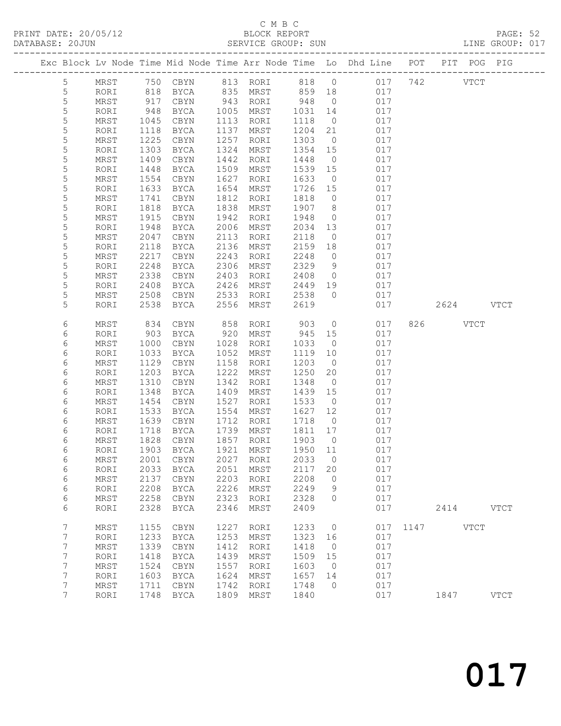# C M B C<br>BLOCK REPORT<br>SERVICE GROUP: SUN

| DATABASE: 20JUN |                 |              |               |              |              | SERVICE GROUP: SUN     |                 |                      | LINE GROUP: 017                                                                |               |           |             |  |
|-----------------|-----------------|--------------|---------------|--------------|--------------|------------------------|-----------------|----------------------|--------------------------------------------------------------------------------|---------------|-----------|-------------|--|
|                 |                 |              |               |              |              |                        |                 |                      | Exc Block Lv Node Time Mid Node Time Arr Node Time Lo Dhd Line POT PIT POG PIG |               |           |             |  |
|                 | 5               |              |               |              |              |                        |                 |                      | MRST 750 CBYN 813 RORI 818 0 017 742 VTCT                                      |               |           |             |  |
|                 | 5               | RORI         | 818           |              |              | BYCA 835 MRST 859 18   |                 |                      | 017                                                                            |               |           |             |  |
|                 | 5               | MRST         | 917           | CBYN         |              | 943 RORI               | 948             | $\overline{0}$       | 017                                                                            |               |           |             |  |
|                 | $\mathsf S$     | RORI         | 948           | BYCA         |              | 1005 MRST              | 1031            | 14                   | 017                                                                            |               |           |             |  |
|                 | 5               | MRST         | 1045          | CBYN         |              | 1113 RORI              | 1118            | $\overline{0}$       | 017                                                                            |               |           |             |  |
|                 | 5               | RORI         | 1118          | BYCA         |              | 1137 MRST              | 1204            | 21                   | 017                                                                            |               |           |             |  |
|                 | 5               | MRST         | 1225          | CBYN         | 1257         | RORI                   | 1303            | $\overline{0}$       | 017                                                                            |               |           |             |  |
|                 | 5               | RORI         | 1303          | BYCA         | 1324         | MRST                   | 1354 15         |                      | 017                                                                            |               |           |             |  |
|                 | 5               | MRST         | 1409          | CBYN         | 1442         | RORI                   | 1448            | $\overline{0}$       | 017                                                                            |               |           |             |  |
|                 | 5               | RORI         | 1448          | BYCA         | 1509         | MRST                   | 1539 15         |                      | 017                                                                            |               |           |             |  |
|                 | 5               | MRST         | 1554          | CBYN         | 1627         | RORI                   | 1633            | $\overline{0}$       | 017                                                                            |               |           |             |  |
|                 | 5               | RORI         | 1633          | BYCA         | 1654         | MRST                   | 1726 15         |                      | 017                                                                            |               |           |             |  |
|                 | 5               | MRST         | 1741          | CBYN         | 1812         | RORI                   | 1818            | $\overline{0}$       | 017                                                                            |               |           |             |  |
|                 | 5               | RORI         | 1818          | BYCA         | 1838         | MRST                   | 1907            | 8 <sup>8</sup>       | 017                                                                            |               |           |             |  |
|                 | 5               | MRST         | 1915          | CBYN         | 1942         | RORI                   | 1948            | $\overline{0}$       | 017                                                                            |               |           |             |  |
|                 | 5               | RORI         | 1948          | BYCA         | 2006         | MRST                   | 2034            | 13                   | 017                                                                            |               |           |             |  |
|                 | 5               | MRST         | 2047          | CBYN         | 2113         | RORI                   | 2118            | $\overline{0}$       | 017                                                                            |               |           |             |  |
|                 | 5               | RORI         | 2118          | BYCA         | 2136         | MRST                   | 2159            | 18                   | 017                                                                            |               |           |             |  |
|                 | 5               | MRST         | 2217          | CBYN         | 2243         | RORI                   | 2248<br>2329    | $\overline{0}$       | 017                                                                            |               |           |             |  |
|                 | 5               | RORI         | 2248          | BYCA         | 2306         | MRST                   |                 | 9                    | 017                                                                            |               |           |             |  |
|                 | 5               | MRST         | 2338          | CBYN         | 2403         | RORI                   | 2408            | $\overline{0}$       | 017                                                                            |               |           |             |  |
|                 | 5<br>5          | RORI         | 2408<br>2508  | BYCA         | 2426<br>2533 | MRST                   | 2449<br>2538    | 19<br>$\overline{0}$ | 017<br>017                                                                     |               |           |             |  |
|                 | 5               | MRST<br>RORI | 2538          | CBYN<br>BYCA | 2556         | RORI<br>MRST           | 2619            |                      | 017                                                                            |               | 2624 VTCT |             |  |
|                 |                 |              |               |              |              |                        |                 |                      |                                                                                |               |           |             |  |
|                 | 6               | MRST         | 834           | CBYN         | 858          | RORI                   | 903             | $\overline{0}$       | 017                                                                            |               | 826 VTCT  |             |  |
|                 | 6               | RORI         | 903           | BYCA         | 920          | MRST                   | 945 15          |                      | 017                                                                            |               |           |             |  |
|                 | 6               | MRST         | 1000          | CBYN         | 1028         | RORI                   | 1033            | $\overline{0}$       | 017                                                                            |               |           |             |  |
|                 | 6               | RORI         | 1033          | BYCA         |              | 1052 MRST              | 1119            | 10                   | 017                                                                            |               |           |             |  |
|                 | 6               | MRST         | 1129          | CBYN         | 1158         | RORI                   | 1203            | $\overline{0}$       | 017                                                                            |               |           |             |  |
|                 | 6               | RORI         | 1203          | BYCA         | 1222         | MRST                   | 1250            | 20                   | 017                                                                            |               |           |             |  |
|                 | 6               | MRST         | 1310          | CBYN         | 1342         | RORI                   | 1348            | $\overline{0}$       | 017                                                                            |               |           |             |  |
|                 | 6               | RORI         | 1348          | BYCA         | 1409         | MRST                   | 1439            | 15                   | 017                                                                            |               |           |             |  |
|                 | 6               | MRST         | 1454          | CBYN         | 1527         | RORI                   | 1533            | $\overline{0}$       | 017                                                                            |               |           |             |  |
|                 | 6               | RORI         | 1533          | BYCA         | 1554         | MRST                   | 1627            | 12                   | 017                                                                            |               |           |             |  |
|                 | 6               | MRST         | 1639          | CBYN         | 1712         | RORI                   | 1718            | $\overline{0}$       | 017                                                                            |               |           |             |  |
|                 | 6               | RORI         |               | BYCA         |              | 1739 MRST<br>1857 RORI | 1811 17         |                      | 017                                                                            |               |           |             |  |
|                 | 6               | MRST         | $1/1$<br>1828 | CBYN         |              |                        | 1903            | $\overline{0}$       | 017                                                                            |               |           |             |  |
|                 | 6               |              |               |              |              |                        |                 |                      | RORI 1903 BYCA 1921 MRST 1950 11 017                                           |               |           |             |  |
|                 | 6               | MRST         | 2001          | CBYN         | 2027         | RORI                   | 2033            | $\overline{0}$       | 017                                                                            |               |           |             |  |
|                 | 6               | RORI         | 2033<br>2137  | BYCA         | 2051<br>2203 | MRST                   | 2117 20<br>2208 | $\overline{0}$       | 017<br>017                                                                     |               |           |             |  |
|                 | 6<br>6          | MRST<br>RORI | 2208          | CBYN<br>BYCA | 2226         | RORI<br>MRST           | 2249            | 9                    | 017                                                                            |               |           |             |  |
|                 | 6               | MRST         | 2258          | CBYN         | 2323         | RORI                   | 2328            | $\overline{0}$       | 017                                                                            |               |           |             |  |
|                 | 6               | RORI         | 2328          | BYCA         | 2346         | MRST                   | 2409            |                      | 017                                                                            |               | 2414 VTCT |             |  |
|                 |                 |              |               |              |              |                        |                 |                      |                                                                                |               |           |             |  |
|                 | 7               | MRST         | 1155          | CBYN         | 1227         | RORI                   | 1233            | $\overline{0}$       |                                                                                | 017 1147 VTCT |           |             |  |
|                 | 7               | RORI         | 1233          | BYCA         | 1253         | MRST                   | 1323            | 16                   | 017                                                                            |               |           |             |  |
|                 | 7               | MRST         | 1339          | CBYN         | 1412         | RORI                   | 1418            | $\overline{0}$       | 017                                                                            |               |           |             |  |
|                 | $\overline{7}$  | RORI         | 1418          | BYCA         | 1439         | MRST                   | 1509            | 15                   | 017                                                                            |               |           |             |  |
|                 | 7               | $\tt MRST$   | 1524          | CBYN         | 1557         | RORI                   | 1603            | $\overline{0}$       | 017                                                                            |               |           |             |  |
|                 | 7               | RORI         | 1603          | BYCA         | 1624         | MRST                   | 1657            | 14                   | 017                                                                            |               |           |             |  |
|                 | 7               | MRST         | 1711          | CBYN         |              | 1742 RORI              | 1748            | $\overline{0}$       | 017                                                                            |               |           |             |  |
|                 | $7\phantom{.0}$ | RORI         |               | 1748 BYCA    |              | 1809 MRST              | 1840            |                      | 017                                                                            |               | 1847      | <b>VTCT</b> |  |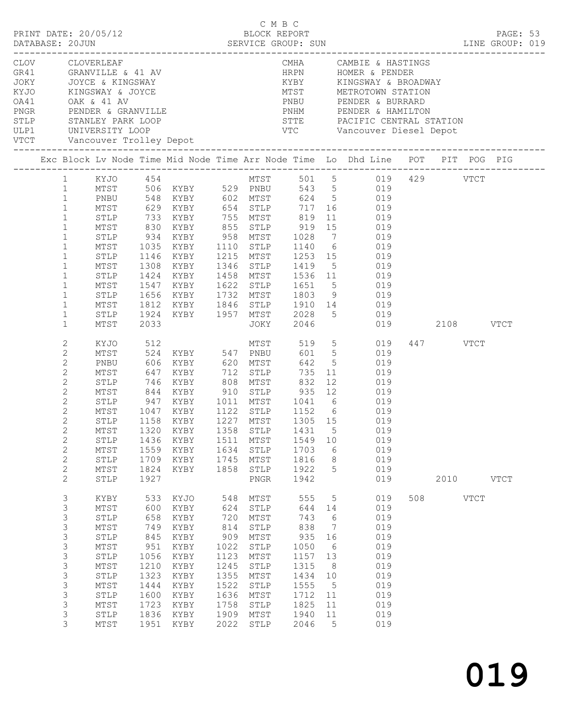|                                                                                                                                                                                                                                              | CLOV CLOVERLEAF<br>GR41 GRANVILLE & 41 AV<br>JOKY JOYCE & KINGSWAY<br>KYJO KINGSWAY & JOYCE<br>OA41 OAK & 41 AV<br>PNGR PENDER & GRANVILLE    |                                                                                                 |                                                                                                                                                                                                                  |                                                                                                         |                                                                                                                              |                                                                                                         |                                                                                                                             | CMHA CAMBIE & HASTINGS<br>HRPN HOMER & PENDER<br>PNHM PENDER & HAMILTON                                                                                                                                                                                                                                                                              |     |                                        |  |
|----------------------------------------------------------------------------------------------------------------------------------------------------------------------------------------------------------------------------------------------|-----------------------------------------------------------------------------------------------------------------------------------------------|-------------------------------------------------------------------------------------------------|------------------------------------------------------------------------------------------------------------------------------------------------------------------------------------------------------------------|---------------------------------------------------------------------------------------------------------|------------------------------------------------------------------------------------------------------------------------------|---------------------------------------------------------------------------------------------------------|-----------------------------------------------------------------------------------------------------------------------------|------------------------------------------------------------------------------------------------------------------------------------------------------------------------------------------------------------------------------------------------------------------------------------------------------------------------------------------------------|-----|----------------------------------------|--|
|                                                                                                                                                                                                                                              | Exc Block Lv Node Time Mid Node Time Arr Node Time Lo Dhd Line POT PIT POG PIG                                                                |                                                                                                 |                                                                                                                                                                                                                  |                                                                                                         |                                                                                                                              |                                                                                                         |                                                                                                                             |                                                                                                                                                                                                                                                                                                                                                      |     |                                        |  |
| $\mathbf{1}$<br>$\mathbf{1}$<br>$\mathbf{1}$<br>$\mathbf{1}$<br>$\mathbf{1}$<br>$\mathbf{1}$<br>$\mathbf{1}$<br>$\mathbf{1}$<br>$\mathbf{1}$<br>$\mathbf{1}$<br>$\mathbf{1}$<br>$\mathbf{1}$<br>$\mathbf{1}$<br>$\mathbf{1}$                 | 1 KYJO 454<br>PNBU<br>STLP<br>MTST<br>STLP<br>MTST<br>STLP<br>MTST<br>STLP<br>MTST<br>STLP                                                    | 934<br>1035<br>1547<br>1812<br>1924                                                             | MTST 506 KYBY 529 PNBU<br>548 KYBY 602 MTST<br>KYBY 958 MTST 1028<br>KYBY<br>1146 KYBY<br>1308 KYBY<br>1424 KYBY<br>1547 KYBY      1622   STLP      1651      5<br>1656   KYBY       1732   MTST      1803     9 |                                                                                                         | 1110 STLP<br>1458 MTST                                                                                                       | 1346 STLP 1419                                                                                          |                                                                                                                             | MTST 501 5 019 429 VTCT<br>543 5 019<br>624 5 019<br>MTST 629 KYBY 654 STLP 717 16 019<br>STLP 733 KYBY 755 MTST 819 11 019<br>MTST 830 KYBY 855 STLP 919 15 019<br>7 019<br>1110 STLP 1140 6 019<br>1215 MTST 1253 15 019<br>$5$ 019<br>1536 11 019<br>$1651$ 5 019<br>1803 9 019<br>019<br>KYBY 1846 STLP 1910 14 019<br>KYBY 1957 MTST 2028 5 019 |     |                                        |  |
| $\mathbf{1}$<br>2<br>$\mathbf{2}$<br>2<br>$\overline{2}$<br>$\mathbf{2}$<br>$\mathbf{2}$<br>$\mathbf{2}$<br>$\overline{2}$<br>$\overline{2}$<br>$\mathbf{2}$<br>$\mathbf{2}$<br>$\mathbf{2}$<br>$\sqrt{2}$<br>$\mathbf{2}$<br>$\overline{2}$ | MTST<br>KYJO<br>MTST<br>PNBU<br>MTST<br>STLP<br>MTST<br>STLP<br>MTST<br>STLP<br>STLP<br>MTST<br>$\texttt{STLP}$<br>MTST<br>STLP               | 2033<br>512<br>606<br>647<br>947<br>1436<br>1559<br>1709<br>1824<br>1927                        | 524 KYBY 547 PNBU<br>KYBY 620 MTST<br>KYBY<br>746 KYBY<br>KYBY<br>1047 KYBY<br>1158 KYBY<br>KYBY<br>KYBY<br>KYBY<br>KYBY                                                                                         | 1745<br>1858                                                                                            | JOKY<br>MTST<br>712 STLP<br>808 MTST<br>1511 MTST<br>1634 STLP<br>MTST<br>STLP<br>PNGR                                       | 2046<br>519<br>735<br>832<br>1549<br>1703<br>1816<br>1922<br>1942                                       | 11<br>10<br>6<br>8<br>5                                                                                                     | 5 019<br>601 5 019<br>642 5 019<br>019<br>12<br>019<br>844 KYBY 910 STLP 935 12 019<br>1011 MTST 1041 6 019<br>1152 6 019<br>1305 15 019<br>MTST 1320 KYBY 1358 STLP 1431 5 019<br>019<br>019<br>019<br>019<br>019                                                                                                                                   |     | 019 2108 VTCT<br>447 VTCT<br>2010 VTCT |  |
| 3<br>3<br>3<br>3<br>3<br>3<br>3<br>3<br>$\mathsf 3$<br>3<br>3<br>3<br>3<br>3                                                                                                                                                                 | KYBY<br>MTST<br>$\texttt{STLP}$<br>MTST<br>$\texttt{STLP}$<br>MTST<br>STLP<br>$\mathtt{MTST}$<br>STLP<br>MTST<br>STLP<br>MTST<br>STLP<br>MTST | 600<br>658<br>749<br>845<br>951<br>1056<br>1210<br>1323<br>1444<br>1600<br>1723<br>1836<br>1951 | 533 KYJO<br>KYBY<br>KYBY<br>KYBY<br>KYBY<br>KYBY<br>KYBY<br>KYBY<br>KYBY<br>KYBY<br>KYBY<br>KYBY<br>KYBY<br>KYBY                                                                                                 | 548<br>624<br>720<br>814<br>909<br>1022<br>1123<br>1245<br>1355<br>1522<br>1636<br>1758<br>1909<br>2022 | MTST<br>STLP<br>MTST<br>STLP<br>MTST<br>${\tt STLP}$<br>MTST<br>${\tt STLP}$<br>MTST<br>STLP<br>MTST<br>STLP<br>MTST<br>STLP | 555<br>644<br>743<br>838<br>935<br>1050<br>1157<br>1315<br>1434<br>1555<br>1712<br>1825<br>1940<br>2046 | 5<br>14<br>6<br>$\overline{7}$<br>16<br>$6\overline{6}$<br>13<br>8 <sup>8</sup><br>10<br>$5^{\circ}$<br>11<br>11<br>11<br>5 | 019<br>019<br>019<br>019<br>019<br>019<br>019<br>019<br>019<br>019<br>019<br>019<br>019<br>019                                                                                                                                                                                                                                                       | 508 | VTCT                                   |  |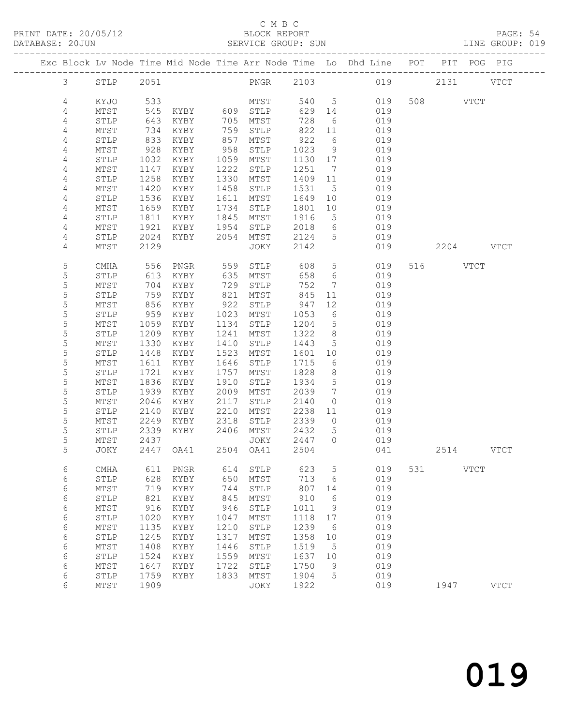PRINT DATE: 20/05/12 BLOCK REPORT BLOCK PRINT PAGE: 54 DATABASE: 20JUN

## C M B C<br>BLOCK REPORT

| LINE GROUP: 019 |
|-----------------|
| POG PIG         |
| VTCT            |
|                 |
|                 |
|                 |
|                 |
|                 |

| 4              | MTST            | 734  | KYBY         | 759  | STLP         | 822  | 11                  | 019 |     |      |               |               |  |
|----------------|-----------------|------|--------------|------|--------------|------|---------------------|-----|-----|------|---------------|---------------|--|
| $\sqrt{4}$     | STLP            | 833  | KYBY         | 857  | MTST         | 922  | 6                   | 019 |     |      |               |               |  |
| $\sqrt{4}$     | $MTST$          | 928  | KYBY         | 958  | STLP         | 1023 | 9                   | 019 |     |      |               |               |  |
| $\overline{4}$ | STLP            | 1032 | KYBY         | 1059 | MTST         | 1130 | $17\,$              | 019 |     |      |               |               |  |
| $\sqrt{4}$     | $\mathtt{MTST}$ | 1147 | KYBY         | 1222 | STLP         | 1251 | $7\phantom{.0}$     | 019 |     |      |               |               |  |
| $\sqrt{4}$     | ${\tt STLP}$    | 1258 | KYBY         | 1330 | MTST         | 1409 | $11$                | 019 |     |      |               |               |  |
| $\sqrt{4}$     | $MTST$          | 1420 | KYBY         | 1458 | ${\tt STLP}$ | 1531 | $\mathsf S$         | 019 |     |      |               |               |  |
| $\sqrt{4}$     | ${\tt STLP}$    | 1536 | KYBY         | 1611 | ${\tt MTST}$ | 1649 | 10                  | 019 |     |      |               |               |  |
| $\sqrt{4}$     | $\mathtt{MTST}$ | 1659 | KYBY         | 1734 | ${\tt STLP}$ | 1801 | $10$                | 019 |     |      |               |               |  |
| $\sqrt{4}$     | STLP            | 1811 | KYBY         | 1845 | MTST         | 1916 | 5                   | 019 |     |      |               |               |  |
| 4              | $MTST$          | 1921 | KYBY         | 1954 | ${\tt STLP}$ | 2018 | 6                   | 019 |     |      |               |               |  |
| $\sqrt{4}$     | STLP            | 2024 | KYBY         | 2054 | MTST         | 2124 | 5                   | 019 |     |      |               |               |  |
| 4              | MTST            | 2129 |              |      | JOKY         | 2142 |                     | 019 |     | 2204 |               | $_{\rm VTCT}$ |  |
|                |                 |      |              |      |              |      |                     |     |     |      |               |               |  |
| 5              | <b>CMHA</b>     | 556  | ${\tt PNGR}$ | 559  | STLP         | 608  | 5                   | 019 | 516 |      | $_{\rm VTCT}$ |               |  |
| 5              | ${\tt STLP}$    | 613  | KYBY         | 635  | MTST         | 658  | $\epsilon$          | 019 |     |      |               |               |  |
| $\mathsf S$    | MTST            | 704  | KYBY         | 729  | STLP         | 752  | 7                   | 019 |     |      |               |               |  |
| 5              | STLP            | 759  | KYBY         | 821  | ${\tt MTST}$ | 845  | $11\,$              | 019 |     |      |               |               |  |
| 5              | $MTST$          | 856  | KYBY         | 922  | STLP         | 947  | 12                  | 019 |     |      |               |               |  |
| $\mathsf S$    | ${\tt STLP}$    | 959  | KYBY         | 1023 | MTST         | 1053 | 6                   | 019 |     |      |               |               |  |
| $\mathsf S$    | $MTST$          | 1059 | KYBY         | 1134 | ${\tt STLP}$ | 1204 | 5                   | 019 |     |      |               |               |  |
| 5              | STLP            | 1209 | KYBY         | 1241 | ${\tt MTST}$ | 1322 | 8                   | 019 |     |      |               |               |  |
| 5              | $\mathtt{MTST}$ | 1330 | KYBY         | 1410 | STLP         | 1443 | 5                   | 019 |     |      |               |               |  |
| 5              | ${\tt STLP}$    | 1448 | KYBY         | 1523 | MTST         | 1601 | 10                  | 019 |     |      |               |               |  |
| 5              | $MTST$          | 1611 | KYBY         | 1646 | ${\tt STLP}$ | 1715 | 6                   | 019 |     |      |               |               |  |
| $\mathsf S$    | ${\tt STLP}$    | 1721 | KYBY         | 1757 | MTST         | 1828 | 8                   | 019 |     |      |               |               |  |
| 5              | MTST            | 1836 | KYBY         | 1910 | STLP         | 1934 | 5                   | 019 |     |      |               |               |  |
| $\mathsf S$    | STLP            | 1939 | KYBY         | 2009 | MTST         | 2039 | 7                   | 019 |     |      |               |               |  |
| 5              | $MTST$          | 2046 | KYBY         | 2117 | ${\tt STLP}$ | 2140 | $\mathsf{O}\xspace$ | 019 |     |      |               |               |  |
| $\mathsf S$    | ${\tt STLP}$    | 2140 | KYBY         | 2210 | MTST         | 2238 | 11                  | 019 |     |      |               |               |  |
| $\mathsf S$    | $\mathtt{MTST}$ | 2249 | KYBY         | 2318 | ${\tt STLP}$ | 2339 | $\mathbb O$         | 019 |     |      |               |               |  |
| 5              | STLP            | 2339 | KYBY         | 2406 | ${\tt MTST}$ | 2432 | 5                   | 019 |     |      |               |               |  |
| 5              | $MTST$          | 2437 |              |      | JOKY         | 2447 | 0                   | 019 |     |      |               |               |  |
| 5              | JOKY            | 2447 | OA41         | 2504 | OA41         | 2504 |                     | 041 |     | 2514 |               | $_{\rm VTCT}$ |  |
|                |                 |      |              |      |              |      |                     |     |     |      |               |               |  |
| $\sqrt{6}$     | <b>CMHA</b>     | 611  | ${\tt PNGR}$ | 614  | STLP         | 623  | 5                   | 019 | 531 |      | <b>VTCT</b>   |               |  |
| $\sqrt{6}$     | STLP            | 628  | KYBY         | 650  | MTST         | 713  | 6                   | 019 |     |      |               |               |  |
| $\epsilon$     | $MTST$          | 719  | KYBY         | 744  | ${\tt STLP}$ | 807  | 14                  | 019 |     |      |               |               |  |
| $\sqrt{6}$     | ${\tt STLP}$    | 821  | KYBY         | 845  | MTST         | 910  | 6                   | 019 |     |      |               |               |  |
| $\epsilon$     | $\mathtt{MTST}$ | 916  | KYBY         | 946  | ${\tt STLP}$ | 1011 | $\mathsf 9$         | 019 |     |      |               |               |  |
| $\sqrt{6}$     | STLP            | 1020 | KYBY         | 1047 | MTST         | 1118 | $17$                | 019 |     |      |               |               |  |
| $\epsilon$     | $MTST$          | 1135 | KYBY         | 1210 | ${\tt STLP}$ | 1239 | $\epsilon$          | 019 |     |      |               |               |  |
| $\epsilon$     | ${\tt STLP}$    | 1245 | KYBY         | 1317 | MTST         | 1358 | 10                  | 019 |     |      |               |               |  |
| $\epsilon$     | MTST            | 1408 | KYBY         | 1446 | STLP         | 1519 | 5                   | 019 |     |      |               |               |  |
| $\sqrt{6}$     | STLP            | 1524 | KYBY         | 1559 | ${\tt MTST}$ | 1637 | $10$                | 019 |     |      |               |               |  |
| 6              | $\mathtt{MTST}$ | 1647 | KYBY         | 1722 | STLP         | 1750 | 9                   | 019 |     |      |               |               |  |
| 6              | ${\tt STLP}$    | 1759 | KYBY         | 1833 | MTST         | 1904 | 5                   | 019 |     |      |               |               |  |
| 6              | $MTST$          | 1909 |              |      | JOKY         | 1922 |                     | 019 |     | 1947 |               | <b>VTCT</b>   |  |
|                |                 |      |              |      |              |      |                     |     |     |      |               |               |  |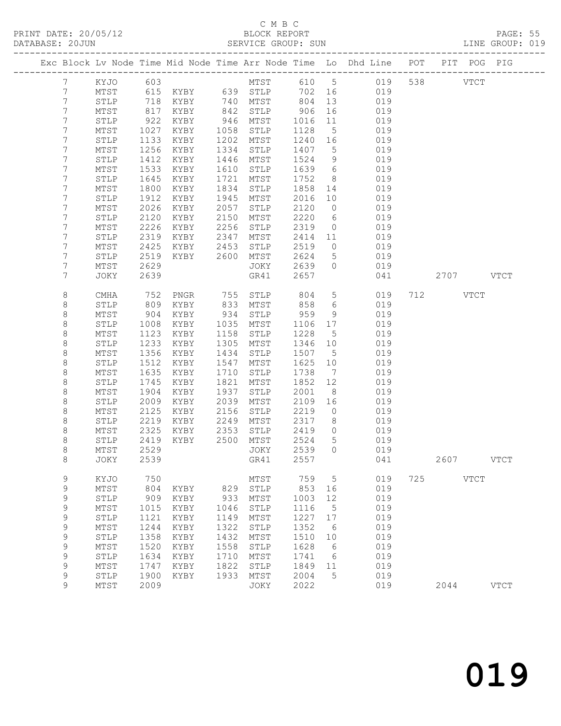## C M B C<br>BLOCK REPORT SERVICE GROUP: SUN

|                  |              |              |                 |              |              |              |                      | Exc Block Lv Node Time Mid Node Time Arr Node Time Lo Dhd Line POT |     | PIT POG PIG |             |             |
|------------------|--------------|--------------|-----------------|--------------|--------------|--------------|----------------------|--------------------------------------------------------------------|-----|-------------|-------------|-------------|
| 7                | KYJO         | 603          |                 |              | MTST         | 610 5        |                      | 019                                                                |     | 538 33      | <b>VTCT</b> |             |
| 7                | MTST         | 615          | $KYBY$ 639 STLP |              |              | 702 16       |                      | 019                                                                |     |             |             |             |
| $\boldsymbol{7}$ | STLP         | 718          | KYBY            |              | 740 MTST     | 804          | 13                   | 019                                                                |     |             |             |             |
| 7                | MTST         | 817          | KYBY            | 842          | STLP         | 906          | 16                   | 019                                                                |     |             |             |             |
| 7                | STLP         | 922          | KYBY            | 946          | MTST         | 1016         | 11                   | 019                                                                |     |             |             |             |
| 7                | MTST         | 1027         | KYBY            | 1058         | STLP         | 1128         | $5^{\circ}$          | 019                                                                |     |             |             |             |
| 7                | STLP         | 1133         | KYBY            | 1202         | MTST         | 1240         | 16                   | 019                                                                |     |             |             |             |
| 7                | MTST         | 1256         | KYBY            | 1334         | STLP         | 1407         | $5\overline{)}$      | 019                                                                |     |             |             |             |
| 7                | STLP         | 1412         | KYBY            | 1446         | MTST         | 1524         | 9                    | 019                                                                |     |             |             |             |
| 7<br>7           | MTST<br>STLP | 1533<br>1645 | KYBY<br>KYBY    | 1610<br>1721 | STLP<br>MTST | 1639<br>1752 | 6<br>8 <sup>8</sup>  | 019<br>019                                                         |     |             |             |             |
| 7                | MTST         | 1800         | KYBY            | 1834         | STLP         | 1858         | 14                   | 019                                                                |     |             |             |             |
| 7                | STLP         | 1912         | KYBY            | 1945         | MTST         | 2016         | 10                   | 019                                                                |     |             |             |             |
| 7                | MTST         | 2026         | KYBY            | 2057         | STLP         | 2120         | $\circ$              | 019                                                                |     |             |             |             |
| 7                | STLP         | 2120         | KYBY            | 2150         | MTST         | 2220         | 6                    | 019                                                                |     |             |             |             |
| 7                | MTST         | 2226         | KYBY            | 2256         | STLP         | 2319         | $\circ$              | 019                                                                |     |             |             |             |
| 7                | STLP         | 2319         | KYBY            | 2347         | MTST         | 2414         | 11                   | 019                                                                |     |             |             |             |
| 7                | MTST         | 2425         | KYBY            | 2453         | STLP         | 2519         | $\circ$              | 019                                                                |     |             |             |             |
| 7                | STLP         | 2519         | KYBY            | 2600         | MTST         | 2624         | $5\phantom{.0}$      | 019                                                                |     |             |             |             |
| 7                | MTST         | 2629         |                 |              | JOKY         | 2639         | $\circ$              | 019                                                                |     |             |             |             |
| 7                | JOKY         | 2639         |                 |              | GR41         | 2657         |                      | 041                                                                |     | 2707 VTCT   |             |             |
| 8                | CMHA         | 752          | PNGR            |              | 755 STLP     | 804          | $5\overline{)}$      | 019                                                                |     | 712 VTCT    |             |             |
| 8                | STLP         | 809          | KYBY            | 833          | MTST         | 858          | 6                    | 019                                                                |     |             |             |             |
| 8                | MTST         | 904          | KYBY            | 934          | STLP         | 959          | 9                    | 019                                                                |     |             |             |             |
| $\,8\,$          | STLP         | 1008         | KYBY            | 1035         | MTST         | 1106         | 17                   | 019                                                                |     |             |             |             |
| $\,8\,$          | MTST         | 1123         | KYBY            | 1158         | STLP         | 1228         | $5^{\circ}$          | 019                                                                |     |             |             |             |
| $\,8\,$          | STLP         | 1233         | KYBY            | 1305         | MTST         | 1346         | 10                   | 019                                                                |     |             |             |             |
| 8                | MTST         | 1356         | KYBY            | 1434         | STLP         | 1507         | $5^{\circ}$          | 019                                                                |     |             |             |             |
| $\,8\,$          | STLP         | 1512         | KYBY            | 1547         | MTST         | 1625         | 10                   | 019                                                                |     |             |             |             |
| $\,8\,$          | MTST         | 1635         | KYBY            | 1710         | STLP         | 1738         | $\overline{7}$       | 019                                                                |     |             |             |             |
| $\,8\,$          | STLP         | 1745         | KYBY            | 1821         | MTST         | 1852         | 12                   | 019                                                                |     |             |             |             |
| 8                | MTST         | 1904         | KYBY            | 1937         | STLP         | 2001         | 8                    | 019                                                                |     |             |             |             |
| $\,8\,$<br>8     | STLP<br>MTST | 2009<br>2125 | KYBY<br>KYBY    | 2039<br>2156 | MTST<br>STLP | 2109<br>2219 | 16<br>$\overline{0}$ | 019<br>019                                                         |     |             |             |             |
| 8                | STLP         | 2219         | KYBY            | 2249         | MTST         | 2317         | 8                    | 019                                                                |     |             |             |             |
| 8                | MTST         | 2325         | KYBY            | 2353         | STLP         | 2419         | $\overline{0}$       | 019                                                                |     |             |             |             |
| $\,8\,$          | STLP         | 2419         | KYBY            | 2500         | MTST         | 2524         | 5                    | 019                                                                |     |             |             |             |
| 8                | MTST         | 2529         |                 |              | JOKY         | 2539         | $\bigcirc$           | 019                                                                |     |             |             |             |
| 8                | JOKY 2539    |              |                 |              | GR41 2557    |              |                      | 041                                                                |     | 2607        |             | <b>VTCT</b> |
| 9                | KYJO         | 750          |                 |              | MTST         | 759          | 5                    | 019                                                                | 725 |             | <b>VTCT</b> |             |
| $\mathsf 9$      | MTST         | 804          | KYBY            | 829          | STLP         | 853          | 16                   | 019                                                                |     |             |             |             |
| $\mathsf 9$      | STLP         | 909          | KYBY            | 933          | MTST         | 1003         | 12                   | 019                                                                |     |             |             |             |
| $\mathsf 9$      | MTST         | 1015         | KYBY            | 1046         | STLP         | 1116         | 5                    | 019                                                                |     |             |             |             |
| 9                | STLP         | 1121         | KYBY            | 1149         | MTST         | 1227         | 17                   | 019                                                                |     |             |             |             |
| $\mathsf 9$      | MTST         | 1244         | KYBY            | 1322         | STLP         | 1352         | 6                    | 019                                                                |     |             |             |             |
| 9                | STLP         | 1358         | KYBY            | 1432         | MTST         | 1510         | 10                   | 019                                                                |     |             |             |             |
| $\mathsf 9$      | MTST         | 1520         | KYBY            | 1558         | STLP         | 1628         | 6                    | 019                                                                |     |             |             |             |
| 9                | STLP         | 1634         | KYBY            | 1710         | MTST         | 1741         | 6                    | 019                                                                |     |             |             |             |
| 9                | MTST         | 1747         | KYBY            | 1822         | STLP         | 1849         | 11                   | 019                                                                |     |             |             |             |
| 9                | STLP         | 1900         | KYBY            | 1933         | MTST         | 2004         | 5                    | 019                                                                |     |             |             |             |
| 9                | MTST         | 2009         |                 |              | JOKY         | 2022         |                      | 019                                                                |     | 2044        |             | <b>VTCT</b> |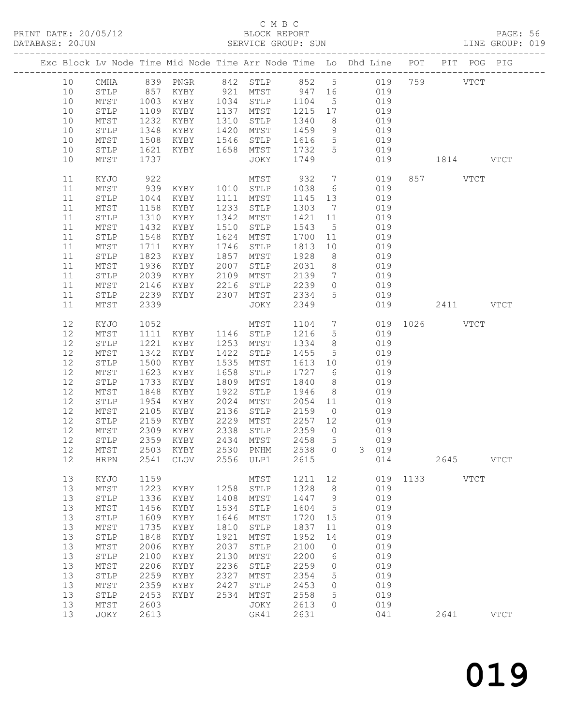# C M B C<br>BLOCK REPORT<br>SERVICE GROUP: SUN

|                                                                                          |                                                                                                                                             |                                                                                                                      |                                                                                                                                                                                                                 |                                                                                              | C M B C                                                                                                                                                              |                                                                                                                      |                                                                                                     |                                                                                                                                                                 |                                                                                                       |                      |          |             |               |  |
|------------------------------------------------------------------------------------------|---------------------------------------------------------------------------------------------------------------------------------------------|----------------------------------------------------------------------------------------------------------------------|-----------------------------------------------------------------------------------------------------------------------------------------------------------------------------------------------------------------|----------------------------------------------------------------------------------------------|----------------------------------------------------------------------------------------------------------------------------------------------------------------------|----------------------------------------------------------------------------------------------------------------------|-----------------------------------------------------------------------------------------------------|-----------------------------------------------------------------------------------------------------------------------------------------------------------------|-------------------------------------------------------------------------------------------------------|----------------------|----------|-------------|---------------|--|
|                                                                                          | Exc Block Lv Node Time Mid Node Time Arr Node Time Lo Dhd Line POT PIT POG PIG                                                              |                                                                                                                      |                                                                                                                                                                                                                 |                                                                                              |                                                                                                                                                                      |                                                                                                                      |                                                                                                     |                                                                                                                                                                 |                                                                                                       |                      |          |             |               |  |
| 10<br>10<br>10<br>10<br>10<br>10<br>10<br>10                                             | 10 CMHA 839 PNGR 842 STLP 852 5 019 759 VTCT<br>STLP 857 KYBY 921 MTST 947 16 019<br>MTST<br>STLP<br>MTST<br>STLP<br>MTST<br>STLP<br>MTST   | 1508<br>1621<br>1737                                                                                                 | 1003 KYBY 1034 STLP 1104 5 019<br>1109 KYBY 1137 MTST 1215 17 019<br>1232 KYBY 1310 STLP 1340 8 019<br>1348 KYBY 1420 MTST 1459 9 019                                                                           |                                                                                              | KYBY 1546 STLP 1616 5 019<br>KYBY 1658 MTST 1732 5 019<br>JOKY 1749                                                                                                  |                                                                                                                      |                                                                                                     |                                                                                                                                                                 |                                                                                                       | 1814 VTCT            |          |             |               |  |
| 11<br>11<br>11<br>11<br>11<br>11<br>11<br>11<br>11<br>11<br>11<br>11<br>11<br>11         | KYJO<br>MTST<br>STLP<br>MTST<br>STLP<br>MTST<br>STLP<br>MTST<br>STLP<br>MTST<br>STLP<br>MTST<br>STLP<br>MTST                                | 1310<br>1432<br>1548<br>1823<br>1936<br>2039<br>2146<br>2339                                                         | 922 MTST 932 7 019<br>939 KYBY 1010 STLP 1038 6 019<br>1044 KYBY 1111 MTST 1145 13 019<br>1158 KYBY 1233 STLP 1303 7 019<br>KYBY<br>KYBY<br>KYBY<br>1711 KYBY<br>KYBY<br>KYBY<br>2239 KYBY 2307 MTST 2334 5 019 | 1857<br>2007                                                                                 | MTST 932 7 019<br>1342 MTST<br>1510 STLP<br>1624 MTST<br>1746 STLP<br>MTST<br>STLP<br>XYBY 2109 MTST 2139 7 019<br>XYBY 2216 STLP 2239 0 019<br>JOKY                 | 1928<br>2349                                                                                                         |                                                                                                     | 019<br>1421 11 019<br>$\begin{array}{cccc} 1543 & 5 & 019 \\ 1700 & 11 & 019 \\ 1813 & 10 & 019 \end{array}$<br>8 019<br>2031 8 019                             |                                                                                                       |                      | 857 VTCT |             |               |  |
| 12<br>12<br>12<br>12<br>12<br>12<br>$12$<br>12<br>12<br>12<br>12<br>12<br>12<br>12<br>12 | KYJO<br>MTST<br>STLP<br>MTST<br>STLP<br>MTST<br>STLP<br>MTST<br>STLP<br>MTST<br>STLP<br>MTST<br>STLP<br>$\mathtt{MTST}$<br><b>HRPN</b>      | 1342<br>1500<br>1623<br>1733<br>1848<br>2309<br>2359<br>2503<br>2541                                                 | 1052 MTST<br>1111 KYBY 1146 STLP<br>1221 KYBY 1253 MTST<br>KYBY<br>KYBY<br>KYBY<br>KYBY<br>KYBY<br>1954 KYBY<br>2105 KYBY<br>2159 KYBY<br>KYBY<br>KYBY<br>KYBY<br><b>CLOV</b>                                   | 1422<br>1658<br>2338<br>2434<br>2530<br>2556                                                 | MTST<br>STLP<br>1535 MTST<br>STLP<br>1809 MTST<br>1922 STLP 1946 8 019<br>2024 MTST 2054 11 019<br>2136 STLP 2159 0 019<br>2229 MTST<br>STLP<br>MTST<br>PNHM<br>ULP1 | 2359<br>2458<br>2538<br>2615                                                                                         | $\circ$<br>5<br>$\circ$                                                                             | 1216 5 019<br>1334 8 019<br>$\begin{array}{cccc} 1455 & 5 & 019 \\ 1613 & 10 & 019 \\ 1727 & 6 & 019 \end{array}$<br>1840 8 019<br>2257 12 019<br>$\mathcal{E}$ | 019<br>019<br>019<br>014                                                                              | 1104 7 019 1026 VTCT | 2645     |             | <b>VTCT</b>   |  |
| 13<br>13<br>13<br>13<br>13<br>13<br>13<br>13<br>13<br>13<br>13<br>13<br>13<br>13<br>13   | KYJO<br>$\mathtt{MTST}$<br>STLP<br>MTST<br>STLP<br>$MTST$<br>STLP<br>MTST<br>STLP<br>$MTST$<br>${\tt STLP}$<br>MTST<br>STLP<br>MTST<br>JOKY | 1159<br>1223<br>1336<br>1456<br>1609<br>1735<br>1848<br>2006<br>2100<br>2206<br>2259<br>2359<br>2453<br>2603<br>2613 | KYBY<br>KYBY<br>KYBY<br>KYBY<br>KYBY<br>KYBY<br>KYBY<br>KYBY<br>KYBY<br>KYBY<br>KYBY<br>KYBY                                                                                                                    | 1258<br>1408<br>1534<br>1646<br>1810<br>1921<br>2037<br>2130<br>2236<br>2327<br>2427<br>2534 | MTST<br>STLP<br>MTST<br>STLP<br>MTST<br>STLP<br>MTST<br>STLP<br>MTST<br>STLP<br>MTST<br>STLP<br>$\mathtt{MTST}$<br>JOKY<br>GR41                                      | 1211<br>1328<br>1447<br>1604<br>1720<br>1837<br>1952<br>2100<br>2200<br>2259<br>2354<br>2453<br>2558<br>2613<br>2631 | 12<br>$\,8\,$<br>9<br>5<br>15<br>11<br>14<br>$\mathbf{0}$<br>6<br>$\circ$<br>5<br>0<br>5<br>$\circ$ |                                                                                                                                                                 | 019<br>019<br>019<br>019<br>019<br>019<br>019<br>019<br>019<br>019<br>019<br>019<br>019<br>019<br>041 | 1133                 | 2641     | <b>VTCT</b> | $_{\rm VTCT}$ |  |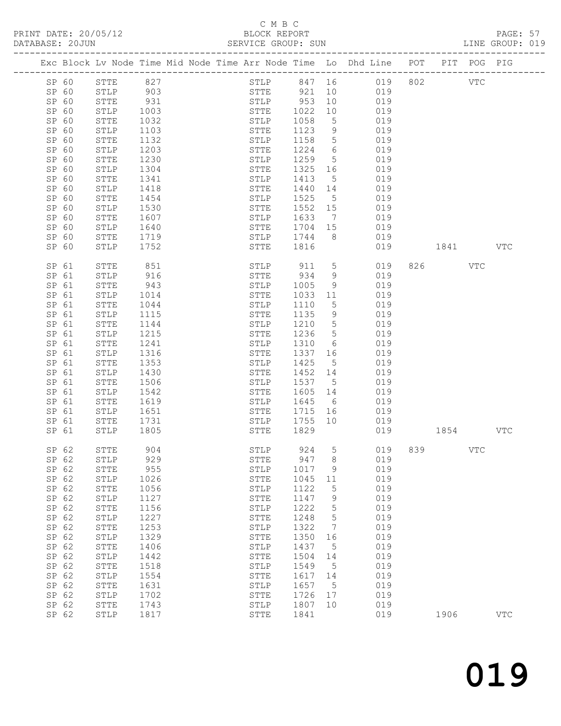# C M B C<br>BLOCK REPORT

| DATABASE: 20JUN |       |              |              | SERVICE GROUP: SUN                                                             |                     |                 |                     |              |         |     | LINE GROUP: 019 |  |
|-----------------|-------|--------------|--------------|--------------------------------------------------------------------------------|---------------------|-----------------|---------------------|--------------|---------|-----|-----------------|--|
|                 |       |              |              | Exc Block Lv Node Time Mid Node Time Arr Node Time Lo Dhd Line POT PIT POG PIG |                     |                 |                     |              |         |     |                 |  |
| SP 60           |       | STTE 827     |              |                                                                                |                     |                 | STLP 847 16 019 802 |              | VTC     |     |                 |  |
|                 | SP 60 | STLP 903     |              | STTE 921 10                                                                    |                     |                 | 019                 |              |         |     |                 |  |
| SP 60           |       | STTE         | 931          | STLP                                                                           | 953<br>1022<br>1058 | 10              | 019                 |              |         |     |                 |  |
| SP 60           |       | STLP         | 1003         | STTE                                                                           |                     | 10              | 019                 |              |         |     |                 |  |
| SP 60           |       | STTE         | 1032         | STLP                                                                           |                     | $5\overline{)}$ | 019                 |              |         |     |                 |  |
| SP 60           |       | STLP         | 1103         | STTE                                                                           | 1123                | 9               | 019                 |              |         |     |                 |  |
| SP 60           |       | STTE         | 1132         | STLP                                                                           | 1158                | $5\overline{)}$ | 019                 |              |         |     |                 |  |
| SP 60           |       | STLP         | 1203         | STTE                                                                           | 1224                | 6               | 019                 |              |         |     |                 |  |
| SP 60           |       | STTE         | 1230         | STLP                                                                           | 1259                | $5\overline{)}$ | 019                 |              |         |     |                 |  |
| SP 60           |       | STLP         | 1304         | STTE                                                                           | 1325 16             |                 | 019                 |              |         |     |                 |  |
| SP 60           |       | STTE         | 1341         | STLP                                                                           | 1413                | $5^{\circ}$     | 019                 |              |         |     |                 |  |
| SP 60           |       | STLP         | 1418         | STTE                                                                           | 1440                | 14              | 019                 |              |         |     |                 |  |
| SP 60           |       | STTE         | 1454         | STLP                                                                           | 1525                | 5 <sup>5</sup>  | 019                 |              |         |     |                 |  |
| SP 60           |       | STLP         | 1530         | STTE                                                                           | 1552                |                 | 15<br>019           |              |         |     |                 |  |
| SP 60           |       | STTE         | 1607         | STLP                                                                           | 1633                | $7\overline{)}$ | 019                 |              |         |     |                 |  |
| SP 60           |       | STLP         | 1640         | STTE                                                                           | 1704 15             |                 | 019                 |              |         |     |                 |  |
| SP 60           |       | STTE         | 1719         | STLP                                                                           | 1704<br>1744        | 8 <sup>8</sup>  | 019                 |              |         |     |                 |  |
| SP 60           |       | STLP         | 1752         | STTE                                                                           | 1816                |                 | 019                 | 1841 VTC     |         |     |                 |  |
| SP 61           |       | STTE         | 851          | STLP                                                                           | 911                 | 5 <sub>5</sub>  | 019                 |              | 826 VTC |     |                 |  |
| SP 61           |       | STLP         | 916          | STTE                                                                           | 934                 | 9               | 019                 |              |         |     |                 |  |
| SP 61           |       | STTE         | 943          | STLP                                                                           | 1005                | 9               | 019                 |              |         |     |                 |  |
| SP 61           |       | STLP         | 1014         | STTE                                                                           | 1033                | 11              | 019                 |              |         |     |                 |  |
| SP 61           |       | STTE         | 1044         | STLP                                                                           | 1110                | 5               | 019                 |              |         |     |                 |  |
| SP 61           |       | STLP         | 1115         | STTE                                                                           | 1135                | 9               | 019                 |              |         |     |                 |  |
| SP 61           |       | STTE         | 1144         | STLP                                                                           | 1210                | $5\overline{)}$ | 019                 |              |         |     |                 |  |
| SP 61           |       | STLP         | 1215         | STTE                                                                           | 1236                | 5 <sup>5</sup>  | 019                 |              |         |     |                 |  |
| SP 61           |       | STTE         | 1241         | STLP                                                                           | 1310                | $6\degree$      | 019                 |              |         |     |                 |  |
| SP 61           |       | STLP         | 1316         | STTE                                                                           | 1337                | 16              | 019                 |              |         |     |                 |  |
| SP 61           |       | STTE         | 1353         | STLP                                                                           | 1425                | 5 <sup>5</sup>  | 019                 |              |         |     |                 |  |
| SP 61           |       | STLP         | 1430         | STTE                                                                           | 1452                | 14              | 019                 |              |         |     |                 |  |
| SP 61           |       | STTE         | 1506         | STLP                                                                           | 1537                | $5^{\circ}$     | 019                 |              |         |     |                 |  |
| SP 61           |       | STLP         | 1542         | STTE                                                                           | 1605                | 14              | 019                 |              |         |     |                 |  |
| SP 61           |       | STTE         | 1619         | STLP                                                                           | 1645                | $6\overline{6}$ | 019                 |              |         |     |                 |  |
| SP 61           |       | STLP         | 1651         | STTE                                                                           | 1715<br>1755 10     |                 | 16<br>019           |              |         |     |                 |  |
| SP 61           |       | STTE<br>STLP | 1731<br>1805 | STLP<br>STTE                                                                   | 1829                |                 | 019                 | 019 1854 VTC |         |     |                 |  |
| SP 61           |       |              |              |                                                                                |                     |                 |                     |              |         |     |                 |  |
| SP 62           |       | ${\tt STTE}$ | 904          | STLP                                                                           | 924                 |                 | 5 019 839           |              |         | VTC |                 |  |
| SP 62           |       | STLP         | 929          | STTE                                                                           | 947                 | 8               | 019                 |              |         |     |                 |  |
| SP 62           |       | STTE         | 955          | STLP                                                                           | 1017                | 9               | 019                 |              |         |     |                 |  |
| SP 62           |       | STLP         | 1026         | STTE                                                                           | 1045                | 11              | 019                 |              |         |     |                 |  |
| SP 62           |       | STTE         | 1056         | STLP                                                                           | 1122                | 5               | 019                 |              |         |     |                 |  |
| SP 62           |       | STLP         | 1127         | STTE                                                                           | 1147                | 9               | 019                 |              |         |     |                 |  |
| SP 62           |       | ${\tt STTE}$ | 1156         | STLP                                                                           | 1222                | 5               | 019                 |              |         |     |                 |  |
| SP 62           |       | STLP         | 1227         | STTE                                                                           | 1248                | 5               | 019                 |              |         |     |                 |  |
| SP 62           |       | STTE         | 1253         | STLP                                                                           | 1322                | 7               | 019                 |              |         |     |                 |  |
| SP 62           |       | STLP         | 1329         | STTE                                                                           | 1350                | 16              | 019                 |              |         |     |                 |  |
| SP 62           |       | ${\tt STTE}$ | 1406         | STLP                                                                           | 1437                | 5               | 019                 |              |         |     |                 |  |
| SP 62           |       | STLP         | 1442         | STTE                                                                           | 1504                | 14              | 019                 |              |         |     |                 |  |
| SP 62           |       | ${\tt STTE}$ | 1518         | STLP                                                                           | 1549                | $5\phantom{.0}$ | 019                 |              |         |     |                 |  |
| SP 62           |       | ${\tt STLP}$ | 1554         | ${\tt STTE}$                                                                   | 1617                | 14              | 019                 |              |         |     |                 |  |
| SP 62           |       | STTE         | 1631         | STLP                                                                           | 1657                | $5^{\circ}$     | 019                 |              |         |     |                 |  |
| SP 62<br>SP 62  |       | STLP<br>STTE | 1702<br>1743 | STTE<br>STLP                                                                   | 1726<br>1807        | 17<br>10        | 019<br>019          |              |         |     |                 |  |
| SP 62           |       | STLP         | 1817         | STTE                                                                           | 1841                |                 | 019                 |              | 1906    |     | <b>VTC</b>      |  |
|                 |       |              |              |                                                                                |                     |                 |                     |              |         |     |                 |  |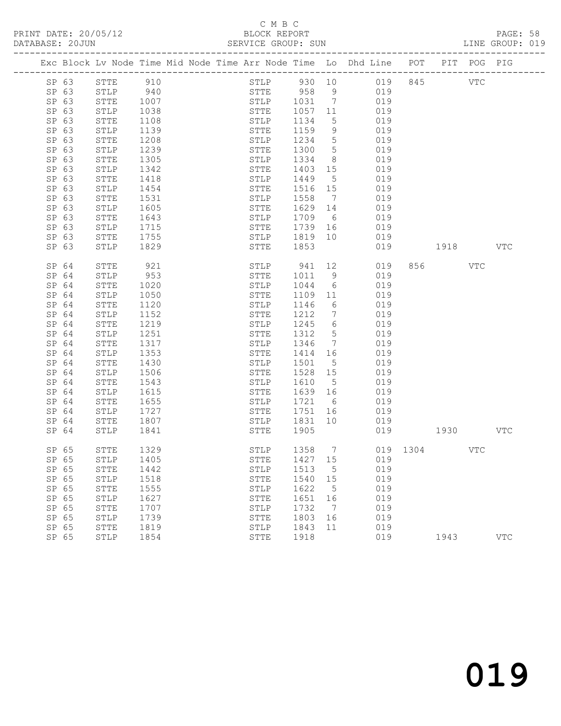# C M B C<br>BLOCK REPORT

| DATABASE: 20JUN |                |              |              |  | SERVICE GROUP: SUN           |              |                       |                                                                                |              |         |     | LINE GROUP: 019 |  |
|-----------------|----------------|--------------|--------------|--|------------------------------|--------------|-----------------------|--------------------------------------------------------------------------------|--------------|---------|-----|-----------------|--|
|                 |                |              |              |  |                              |              |                       | Exc Block Lv Node Time Mid Node Time Arr Node Time Lo Dhd Line POT PIT POG PIG |              |         |     |                 |  |
|                 | SP 63          | STTE 910     |              |  |                              |              |                       | STLP 930 10 019 845 VTC                                                        |              |         |     |                 |  |
|                 | SP 63          | STLP 940     |              |  |                              |              |                       | STTE 958 9 019                                                                 |              |         |     |                 |  |
|                 | SP 63          | STTE         | 1007         |  | STLP 1031 7<br>STTE 1057 11  |              |                       | 019                                                                            |              |         |     |                 |  |
|                 | SP 63          | STLP         | 1038         |  |                              |              |                       | 019                                                                            |              |         |     |                 |  |
|                 | SP 63          | STTE         | 1108         |  | STLP                         | 1134         | $5\overline{)}$       | 019                                                                            |              |         |     |                 |  |
|                 | SP 63          | STLP         | 1139         |  | STTE                         | 1159         | 9                     | 019                                                                            |              |         |     |                 |  |
|                 | SP 63          | STTE         | 1208         |  | STLP                         | 1234         | $5\overline{)}$       | 019                                                                            |              |         |     |                 |  |
|                 | SP 63          | STLP         | 1239         |  | STTE                         | 1300         | $5\overline{)}$       | 019                                                                            |              |         |     |                 |  |
|                 | SP 63          | STTE         | 1305         |  | STLP                         | 1334         | 8 <sup>8</sup>        | 019                                                                            |              |         |     |                 |  |
|                 | SP 63          | STLP         | 1342         |  | STTE                         | 1403         | 15                    | 019                                                                            |              |         |     |                 |  |
|                 | SP 63          | STTE         | 1418         |  | STLP                         | 1449         | $5\overline{)}$       | 019                                                                            |              |         |     |                 |  |
|                 | SP 63          | STLP         | 1454         |  | STTE                         | 1516 15      |                       | 019                                                                            |              |         |     |                 |  |
|                 | SP 63          | STTE         | 1531         |  | STLP                         | 1558         | $7\overline{ }$       | 019                                                                            |              |         |     |                 |  |
|                 | SP 63          | STLP         | 1605         |  | STTE                         | 1629         | 14                    | 019                                                                            |              |         |     |                 |  |
|                 | SP 63          | STTE         | 1643         |  | STLP                         | 1709         | $6\overline{6}$       | 019                                                                            |              |         |     |                 |  |
|                 | SP 63          | STLP         | 1715         |  | STTE 1739 16<br>STLP 1819 10 |              | 16                    | 019                                                                            |              |         |     |                 |  |
|                 | SP 63          | STTE         | 1755         |  |                              | 1853         |                       | 019                                                                            |              |         |     |                 |  |
|                 | SP 63          | STLP         | 1829         |  | STTE                         |              |                       |                                                                                | 019 1918 VTC |         |     |                 |  |
|                 | SP 64          | STTE         | 921          |  | STLP                         | 941          | 12                    | 019                                                                            |              | 856 VTC |     |                 |  |
|                 | SP 64          | STLP         | 953          |  | STTE                         | 1011         | 9                     | 019                                                                            |              |         |     |                 |  |
|                 | SP 64          | STTE         | 1020         |  | STLP                         | 1044         | $6\overline{6}$       | 019                                                                            |              |         |     |                 |  |
|                 | SP 64          | STLP         | 1050         |  | STTE                         | 1109         | 11                    | 019                                                                            |              |         |     |                 |  |
|                 | SP 64          | STTE         | 1120         |  | STLP                         | 1146         | 6                     | 019                                                                            |              |         |     |                 |  |
|                 | SP 64          | STLP         | 1152         |  | STTE                         | 1212         | $\overline{7}$        | 019                                                                            |              |         |     |                 |  |
|                 | SP 64          | STTE         | 1219         |  | STLP                         | 1245         | $6\overline{6}$       | 019                                                                            |              |         |     |                 |  |
|                 | SP 64          | STLP         | 1251         |  | STTE                         | 1312         | $5^{\circ}$           | 019                                                                            |              |         |     |                 |  |
|                 | SP 64          | STTE         | 1317         |  | STLP                         | 1346         | $\overline{7}$        | 019                                                                            |              |         |     |                 |  |
|                 | SP 64          | STLP         | 1353         |  | STTE                         | 1414         | 16                    | 019                                                                            |              |         |     |                 |  |
|                 | SP 64          | STTE         | 1430         |  | STLP                         | 1501         | $5\overline{)}$       | 019                                                                            |              |         |     |                 |  |
|                 | SP 64          | STLP         | 1506         |  | STTE                         | 1528         | 15<br>$5\overline{)}$ | 019                                                                            |              |         |     |                 |  |
|                 | SP 64<br>SP 64 | STTE<br>STLP | 1543<br>1615 |  | STLP<br>STTE                 | 1610<br>1639 | 16                    | 019<br>019                                                                     |              |         |     |                 |  |
|                 | SP 64          | STTE         | 1655         |  | STLP                         | 1721 6       |                       | 019                                                                            |              |         |     |                 |  |
|                 | SP 64          | STLP         | 1727         |  | STTE                         | 1751         |                       | 019                                                                            |              |         |     |                 |  |
|                 | SP 64          | STTE         | 1807         |  | STLP 1831 10                 |              |                       | 019                                                                            |              |         |     |                 |  |
|                 | SP 64          | STLP         | 1841         |  | STTE                         | 1905         |                       |                                                                                | 019 1930 VTC |         |     |                 |  |
|                 |                |              |              |  |                              |              |                       |                                                                                |              |         |     |                 |  |
|                 | SP 65          | ${\tt STTE}$ | 1329         |  |                              |              |                       | STLP 1358 7 019 1304                                                           |              |         | VTC |                 |  |
|                 | SP 65          | STLP         | 1405         |  | STTE                         | 1427 15      |                       | 019                                                                            |              |         |     |                 |  |
|                 | SP 65          | STTE         | 1442         |  | STLP                         | 1513         | $5^{\circ}$           | 019                                                                            |              |         |     |                 |  |
|                 | SP 65          | STLP         | 1518         |  | STTE                         | 1540         | 15                    | 019                                                                            |              |         |     |                 |  |
|                 | SP 65          | STTE         | 1555         |  | STLP                         | 1622         | $5\phantom{0}$        | 019                                                                            |              |         |     |                 |  |
|                 | SP 65          | STLP         | 1627         |  | STTE                         | 1651         | 16                    | 019                                                                            |              |         |     |                 |  |
|                 | SP 65          | STTE         | 1707         |  | STLP                         | 1732         | $\overline{7}$        | 019                                                                            |              |         |     |                 |  |
|                 | SP 65          | STLP         | 1739         |  | STTE                         | 1803         | 16                    | 019                                                                            |              |         |     |                 |  |
|                 | SP 65          | STTE         | 1819         |  | STLP                         | 1843         | 11                    | 019                                                                            |              |         |     |                 |  |
|                 | SP 65          | STLP         | 1854         |  | STTE                         | 1918         |                       | 019                                                                            |              | 1943    |     | <b>VTC</b>      |  |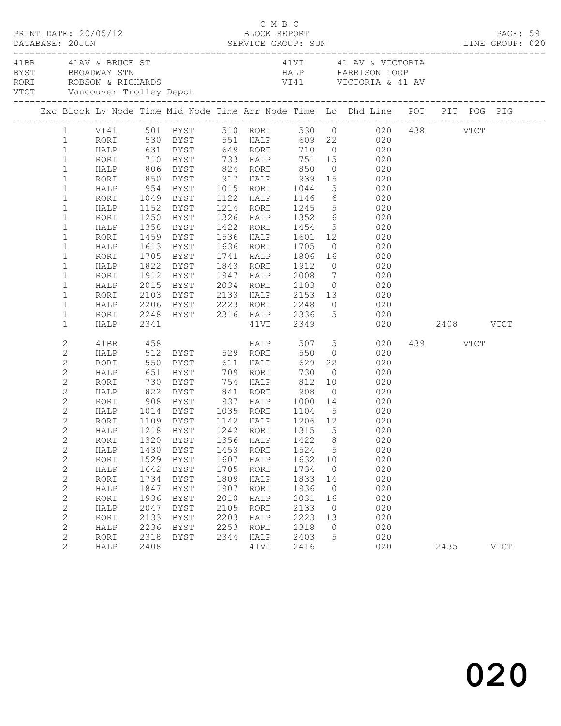| PRINT DATE: 20/05/12 |                                                                                                                                                                                                                                                                                                                                          |                                                                                                                                                      |                                                                                                            |                                                                                                                                                                                                                                                                                         |                                                                                      | C M B C<br>BLOCK REPORT                                                                                     |                                                                                                     |                                                                                                      |                                                                                                                                                                                                                                                                                                                                                                                                                                                                                                                                                                                                 |                  | PAGE: 59    |  |
|----------------------|------------------------------------------------------------------------------------------------------------------------------------------------------------------------------------------------------------------------------------------------------------------------------------------------------------------------------------------|------------------------------------------------------------------------------------------------------------------------------------------------------|------------------------------------------------------------------------------------------------------------|-----------------------------------------------------------------------------------------------------------------------------------------------------------------------------------------------------------------------------------------------------------------------------------------|--------------------------------------------------------------------------------------|-------------------------------------------------------------------------------------------------------------|-----------------------------------------------------------------------------------------------------|------------------------------------------------------------------------------------------------------|-------------------------------------------------------------------------------------------------------------------------------------------------------------------------------------------------------------------------------------------------------------------------------------------------------------------------------------------------------------------------------------------------------------------------------------------------------------------------------------------------------------------------------------------------------------------------------------------------|------------------|-------------|--|
| 41BR 41AV & BRUCE ST |                                                                                                                                                                                                                                                                                                                                          |                                                                                                                                                      |                                                                                                            |                                                                                                                                                                                                                                                                                         |                                                                                      |                                                                                                             |                                                                                                     |                                                                                                      | 41VI 41 AV & VICTORIA<br>BYST BROADWAY STN HALP HARRISON LOOP<br>RORI ROBSON & RICHARDS VI41 VICTORIA & 41 AV<br>VTCT Vancouver Trolley Depot VI41 VICTORIA & 41 AV                                                                                                                                                                                                                                                                                                                                                                                                                             |                  |             |  |
|                      |                                                                                                                                                                                                                                                                                                                                          |                                                                                                                                                      |                                                                                                            |                                                                                                                                                                                                                                                                                         |                                                                                      |                                                                                                             |                                                                                                     |                                                                                                      | Exc Block Lv Node Time Mid Node Time Arr Node Time Lo Dhd Line POT PIT POG PIG                                                                                                                                                                                                                                                                                                                                                                                                                                                                                                                  |                  |             |  |
|                      | $\mathbf{1}$<br>$\mathbf{1}$<br>$\mathbf{1}$<br>$\mathbf{1}$<br>$1\,$<br>$\mathbf{1}$<br>$\mathbf{1}$<br>$\mathbf{1}$<br>$\mathbf 1$<br>$\mathbf{1}$<br>$\mathbf 1$<br>$\mathbf{1}$<br>$\mathbf 1$<br>$\mathbf{1}$<br>$\mathbf 1$<br>$\mathbf{1}$                                                                                        | RORI<br>HALP<br>RORI<br>HALP<br>RORI<br>HALP<br>RORI<br>HALP<br>RORI<br>HALP<br>RORI                                                                 |                                                                                                            | HALP 954 BYST 1015 RORI 1044<br>1358 BYST<br>1459 BYST<br>1613 BYST<br>1705 BYST<br>1822 BYST<br>1912 BYST                                                                                                                                                                              |                                                                                      |                                                                                                             | 1843 RORI 1912                                                                                      |                                                                                                      | 1 VI41 501 BYST 510 RORI 530 0 020 438 VTCT<br>1 RORI 530 BYST 551 HALP 609 22 020<br>HALP 631 BYST 649 RORI 710 0 020<br>RORI 710 BYST 733 HALP 751 15 020<br>HALP 806 BYST 824 RORI 850 0 020<br>RORI 850 BYST 917 HALP 939 15 020<br>5 020<br>1049 BYST 1122 HALP 1146 6 020<br>1152 BYST 1214 RORI 1245 5 020<br>1250 BYST 1326 HALP 1352 6 020<br>1422 RORI 1454 5 020<br>1536 HALP 1601 12 020<br>1636 RORI 1705 0 020<br>1741 HALP 1806 16 020<br>$0$ 020<br>1947 HALP 2008 7 020<br>2015 BYST 2034 RORI 2103 0 020<br>2103 BYST 2133 HALP 2153 13 020<br>2206 BYST 2223 RORI 2248 0 020 |                  |             |  |
|                      | $\mathbf{1}$<br>$\mathbf{1}$<br>$\mathbf{1}$                                                                                                                                                                                                                                                                                             | HALP<br>RORI<br>HALP                                                                                                                                 | 2341                                                                                                       |                                                                                                                                                                                                                                                                                         |                                                                                      |                                                                                                             |                                                                                                     |                                                                                                      | 2248 BYST 2316 HALP 2336 5 020<br>41VI 2349 020 2408 VTCT                                                                                                                                                                                                                                                                                                                                                                                                                                                                                                                                       |                  |             |  |
|                      | 2<br>$\mathbf{2}$<br>$\mathbf{2}$<br>$\mathbf{2}$<br>$\mathbf{2}$<br>$\mathbf{2}$<br>$\mathbf{2}$<br>$\overline{c}$<br>$\mathbf{2}$<br>$\overline{c}$<br>$\mathbf{2}$<br>$\mathbf{2}$<br>$\mathbf{2}$<br>$\mathbf{2}$<br>$\mathbf{2}$<br>$\mathbf{2}$<br>$\mathbf{2}$<br>$\mathbf{2}$<br>$\mathbf{2}$<br>$\mathbf{2}$<br>$\sqrt{2}$<br>2 | 41BR<br>RORI<br>HALP<br>RORI<br>RORI<br>HALP<br>RORI<br>RORI<br>HALP<br>RORI<br>HALP<br>RORI<br>HALP<br>RORI<br>HALP<br>RORI<br>HALP<br>RORI<br>HALP | 458<br>908<br>1320<br>1430<br>1529<br>1642<br>1734<br>1847<br>1936<br>2047<br>2133<br>2236<br>2318<br>2408 | HALP 512 BYST 529 RORI<br>HALP 822 BYST 841 RORI 908<br>1014    BYST         1035     RORI         1104       5<br>1109     BYST         1142     HALP         1206     12<br>BYST<br>BYST<br>BYST<br>BYST<br><b>BYST</b><br><b>BYST</b><br><b>BYST</b><br>BYST<br>BYST<br>BYST<br>BYST | 1356<br>1453<br>1607<br>1705<br>1809<br>1907<br>2010<br>2105<br>2203<br>2253<br>2344 | <b>HALP</b><br>HALP<br>RORI<br>HALP<br>RORI<br>HALP<br>RORI<br>HALP<br>RORI<br>HALP<br>RORI<br>HALP<br>41VI | 550<br>1422<br>1524<br>1632<br>1734<br>1833<br>1936<br>2031<br>2133<br>2223<br>2318<br>2403<br>2416 | 8<br>5<br>10<br>$\overline{0}$<br>14<br>$\overline{0}$<br>16<br>$\overline{0}$<br>13<br>$\circ$<br>5 | 507 5 020<br>$0 \qquad 020$<br>550 BYST 611 HALP 629 22 020<br>651 BYST 709 RORI 730 0 020<br>730 BYST 754 HALP 812 10 020<br>$0 \qquad \qquad 020$<br>BYST 937 HALP 1000 14 020<br>$\begin{array}{c} 020 \\ 020 \end{array}$<br>HALP 1218 BYST 1242 RORI 1315 5 020<br>020<br>020<br>020<br>020<br>020<br>020<br>020<br>020<br>020<br>020<br>020<br>020                                                                                                                                                                                                                                        | 439 VTCT<br>2435 | <b>VTCT</b> |  |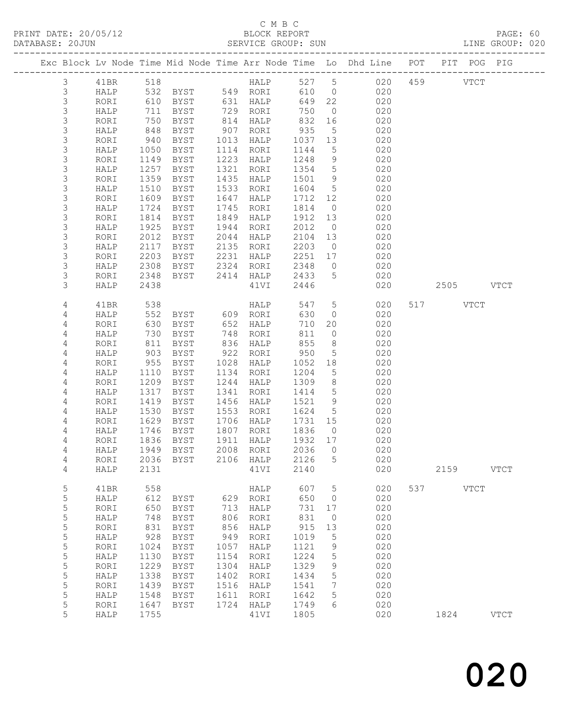# C M B C

| DATABASE: 20JUN |             |      |                   |                                  |      | SERVICE GROUP: SUN                                          |                      |                               |                                                                                |           | LINE GROUP: 020 |
|-----------------|-------------|------|-------------------|----------------------------------|------|-------------------------------------------------------------|----------------------|-------------------------------|--------------------------------------------------------------------------------|-----------|-----------------|
|                 |             |      |                   |                                  |      |                                                             |                      |                               | Exc Block Lv Node Time Mid Node Time Arr Node Time Lo Dhd Line POT PIT POG PIG |           |                 |
|                 | 3           |      |                   |                                  |      |                                                             |                      |                               | 41BR 518 HALP 527 5 020 459 VTCT                                               |           |                 |
|                 | 3           |      |                   |                                  |      | HALP 532 BYST 549 RORI                                      |                      |                               | 610 0 020                                                                      |           |                 |
|                 | 3           | RORI | 610               |                                  |      | BYST 631 HALP 649<br>BYST 729 RORI 750<br>BYST 814 HALP 832 | 649 22               |                               | 020                                                                            |           |                 |
|                 | $\mathsf S$ | HALP | 711               |                                  |      |                                                             |                      | $\overline{0}$                | 020                                                                            |           |                 |
|                 | $\mathsf S$ | RORI | 750               |                                  |      |                                                             |                      | 16                            | 020                                                                            |           |                 |
|                 | $\mathsf S$ | HALP | 848               | BYST                             |      | 907 RORI                                                    | 935                  | 5 <sup>5</sup>                | 020                                                                            |           |                 |
|                 | 3           | RORI | 940               | BYST                             |      | 1013 HALP                                                   | 1037                 | 13                            | 020                                                                            |           |                 |
|                 | $\mathsf S$ | HALP | 1050              | BYST                             |      | 1114 RORI                                                   | 1144                 | $5\overline{)}$               | 020                                                                            |           |                 |
|                 | $\mathsf S$ | RORI | 1149              | BYST                             |      | 1223 HALP                                                   | 1248                 | 9                             | 020                                                                            |           |                 |
|                 | 3           | HALP | 1257              | BYST                             | 1321 | RORI                                                        | 1354                 | $5\overline{)}$               | 020                                                                            |           |                 |
|                 | 3           | RORI | 1359              | BYST                             | 1435 | HALP                                                        | 1501                 | 9                             | 020                                                                            |           |                 |
|                 | $\mathsf S$ | HALP | 1510              | BYST                             |      | 1533 RORI                                                   | 1604 5               |                               | 020                                                                            |           |                 |
|                 | $\mathsf S$ | RORI | 1609              | BYST                             |      | 1647 HALP                                                   | 1712 12              |                               | 020                                                                            |           |                 |
|                 | 3           | HALP | 1724              | <b>BYST</b>                      |      | 1745 RORI                                                   | 1814                 | $\overline{0}$                | 020                                                                            |           |                 |
|                 | $\mathsf S$ | RORI | 1814              | BYST                             |      | 1849 HALP                                                   | 1912                 | 13                            | 020                                                                            |           |                 |
|                 | 3           | HALP | 1925              | BYST                             |      | 1944 RORI                                                   | 2012                 | $\overline{0}$                | 020                                                                            |           |                 |
|                 | $\mathsf S$ | RORI | 2012              | BYST                             |      | $2044$ HALP                                                 | 2104 13              |                               | 020                                                                            |           |                 |
|                 | 3           | HALP | 2117              | BYST 2135 RORI                   |      |                                                             | 2203                 | $\overline{0}$                | 020                                                                            |           |                 |
|                 | 3           | RORI | 2203              | BYST                             |      | 2231 HALP                                                   | 2251 17              |                               | 020                                                                            |           |                 |
|                 | 3           | HALP | 2308              |                                  |      |                                                             | 2348                 | $\overline{0}$                | 020                                                                            |           |                 |
|                 | 3           | RORI | 2348              | BYST 2324 RORI<br>BYST 2414 HALP |      |                                                             | 2433                 | $5\overline{)}$               | 020                                                                            |           |                 |
|                 | 3           | HALP | 2438              |                                  |      | 41VI                                                        | 2446                 |                               | 020                                                                            | 2505 VTCT |                 |
|                 | 4           | 41BR |                   |                                  |      |                                                             | 547                  | $5\overline{)}$               | 020                                                                            | 517 VTCT  |                 |
|                 | 4           | HALP | 538               |                                  |      |                                                             | 630                  | $\overline{0}$                | 020                                                                            |           |                 |
|                 | 4           | RORI | 552<br>630        | BYST 652 HALP                    |      |                                                             | 710                  | 20                            | 020                                                                            |           |                 |
|                 | 4           | HALP | 730               | BYST 748 RORI                    |      |                                                             | 811                  | $\overline{0}$                | 020                                                                            |           |                 |
|                 | 4           | RORI | 811               | BYST                             |      | 836 HALP                                                    | 855                  | 8 <sup>8</sup>                | 020                                                                            |           |                 |
|                 | 4           | HALP |                   | BYST                             |      | 922 RORI                                                    | 950                  | $5\overline{)}$               | 020                                                                            |           |                 |
|                 | 4           | RORI | 811<br>903<br>955 | BYST                             |      | 1028 HALP                                                   | 1052                 | 18                            | 020                                                                            |           |                 |
|                 | 4           | HALP | 1110              | <b>BYST</b>                      |      | 1134 RORI                                                   | 1204                 | $5\overline{)}$               | 020                                                                            |           |                 |
|                 | 4           | RORI | 1209              | BYST                             |      | 1244 HALP                                                   | 1309                 | 8 <sup>8</sup>                | 020                                                                            |           |                 |
|                 | 4           | HALP | 1317              | BYST                             |      | 1341 RORI                                                   | 1414 5               |                               | 020                                                                            |           |                 |
|                 | 4           | RORI | 1419              | BYST                             |      | 1456 HALP                                                   | 1521 9               |                               | 020                                                                            |           |                 |
|                 | 4           | HALP | 1530              | BYST                             |      | 1553 RORI                                                   | 1624 5               |                               | 020                                                                            |           |                 |
|                 | 4           | RORI | 1629              | BYST                             |      | 1706 HALP                                                   | 1731 15              |                               | 020                                                                            |           |                 |
|                 | 4           | HALP |                   | BYST                             |      | 1807 RORI                                                   | 1836                 | $\overline{0}$                | 020                                                                            |           |                 |
|                 | 4           | RORI |                   | 1746 BYST<br>1836 BYST           |      | 1911 HALP                                                   | $\overline{1932}$ 17 |                               | 020                                                                            |           |                 |
|                 | 4           |      |                   |                                  |      |                                                             |                      |                               | HALP 1949 BYST 2008 RORI 2036 0 020                                            |           |                 |
|                 | 4           | RORI |                   | 2036 BYST                        |      | 2106 HALP                                                   | 2126                 | 5                             | 020                                                                            |           |                 |
|                 | 4           | HALP | 2131              |                                  |      | 41VI                                                        | 2140                 |                               | 020                                                                            | 2159      | <b>VTCT</b>     |
|                 |             |      | 558               |                                  |      |                                                             | 607                  |                               | 020                                                                            | 537 VTCT  |                 |
|                 | 5<br>5      | 41BR | 612               |                                  |      | HALP<br>629 RORI                                            | 650                  | $5^{\circ}$<br>$\overline{0}$ | 020                                                                            |           |                 |
|                 | $\mathsf S$ | HALP | 650               | BYST                             | 713  |                                                             |                      | 17                            | 020                                                                            |           |                 |
|                 |             | RORI |                   | BYST                             |      | HALP                                                        | 731                  |                               |                                                                                |           |                 |
|                 | $\mathsf S$ | HALP | 748               | BYST                             | 806  | RORI                                                        | 831                  | $\overline{0}$                | 020                                                                            |           |                 |
|                 | 5           | RORI | 831               | BYST                             | 856  | HALP                                                        | 915                  | 13                            | 020                                                                            |           |                 |
|                 | 5           | HALP | 928               | BYST                             | 949  | RORI                                                        | 1019                 | 5                             | 020                                                                            |           |                 |
|                 | 5           | RORI | 1024              | BYST                             | 1057 | HALP                                                        | 1121                 | 9                             | 020                                                                            |           |                 |
|                 | 5           | HALP | 1130              | BYST                             | 1154 | RORI                                                        | 1224                 | $\mathsf S$                   | 020                                                                            |           |                 |
|                 | 5           | RORI | 1229              | BYST                             | 1304 | HALP                                                        | 1329                 | 9                             | 020                                                                            |           |                 |
|                 | 5           | HALP | 1338              | BYST                             | 1402 | RORI                                                        | 1434                 | 5                             | 020                                                                            |           |                 |
|                 | 5           | RORI | 1439              | <b>BYST</b>                      | 1516 | HALP                                                        | 1541                 | 7                             | 020                                                                            |           |                 |
|                 | $\mathsf S$ | HALP | 1548              | BYST                             | 1611 | RORI                                                        | 1642                 | 5                             | 020                                                                            |           |                 |
|                 | 5           | RORI | 1647              | BYST                             | 1724 | HALP                                                        | 1749                 | 6                             | 020                                                                            |           |                 |
|                 | 5           | HALP | 1755              |                                  |      | 41VI                                                        | 1805                 |                               | 020                                                                            | 1824      | $_{\rm VTCT}$   |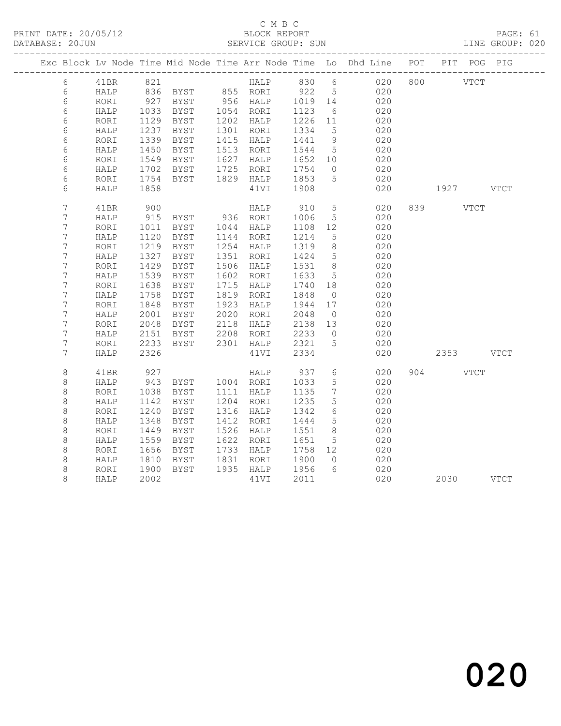# C M B C<br>BLOCK REPORT

PAGE: 61<br>LINE GROUP: 020

|  |                  |      |             |                                 |      |             |                     |                 | Exc Block Lv Node Time Mid Node Time Arr Node Time Lo Dhd Line POT |           | PIT POG PIG |  |
|--|------------------|------|-------------|---------------------------------|------|-------------|---------------------|-----------------|--------------------------------------------------------------------|-----------|-------------|--|
|  |                  |      |             |                                 |      |             |                     |                 |                                                                    |           |             |  |
|  | $6\overline{6}$  | 41BR | 821         |                                 |      |             |                     |                 | HALP 830 6 020 800 VTCT                                            |           |             |  |
|  | 6                | HALP |             | 836 BYST 855 RORI 922 5         |      |             |                     |                 | 020                                                                |           |             |  |
|  | 6                | RORI | 927<br>1033 | BYST 956 HALP                   |      |             | $1019$ 14<br>1123 6 |                 | 020                                                                |           |             |  |
|  | 6                | HALP |             | BYST                            |      | 1054 RORI   | 1123                | 6               | 020                                                                |           |             |  |
|  | 6                | RORI | 1129        | BYST                            |      | 1202 HALP   | 1226 11             |                 | 020                                                                |           |             |  |
|  | 6                | HALP | 1237        | BYST                            |      | 1301 RORI   | 1334                | $5^{\circ}$     | 020                                                                |           |             |  |
|  | 6                | RORI | 1339        | BYST                            |      | 1415 HALP   | 1441                | 9               | 020                                                                |           |             |  |
|  | 6                | HALP | 1450        | BYST                            |      | 1513 RORI   | 1544                | $5^{\circ}$     | 020                                                                |           |             |  |
|  | 6                | RORI | 1549        | BYST                            | 1627 | HALP        | 1652                | 10              | 020                                                                |           |             |  |
|  | 6                | HALP | 1702        | BYST                            |      | 1725 RORI   | 1754                | $\overline{0}$  | 020                                                                |           |             |  |
|  | 6                | RORI | 1754        | BYST 1829 HALP                  |      |             | 1853                | $5\overline{)}$ | 020                                                                |           |             |  |
|  | 6                | HALP | 1858        |                                 |      | 41VI        | 1908                |                 | 020                                                                | 1927 VTCT |             |  |
|  | $\overline{7}$   | 41BR | 900         |                                 |      | HALP        | 910                 | $5\overline{)}$ | 020                                                                | 839 VTCT  |             |  |
|  | $\overline{7}$   | HALP | 915         | BYST 936 RORI<br>BYST 1044 HALP |      |             | 1006                | $5\overline{)}$ | 020                                                                |           |             |  |
|  | 7                | RORI | 1011        |                                 |      |             | 1108                | 12              | 020                                                                |           |             |  |
|  | 7                | HALP | 1120        | BYST                            |      | 1144 RORI   | 1214                | 5               | 020                                                                |           |             |  |
|  | 7                | RORI | 1219        | BYST                            |      | 1254 HALP   | 1319                | 8 <sup>8</sup>  | 020                                                                |           |             |  |
|  | $\boldsymbol{7}$ | HALP | 1327        | BYST                            |      | 1351 RORI   | 1424                | $5\overline{)}$ | 020                                                                |           |             |  |
|  | 7                | RORI | 1429        | BYST                            | 1506 | HALP        | 1531                | 8 <sup>8</sup>  | 020                                                                |           |             |  |
|  | $\overline{7}$   | HALP | 1539        | BYST                            | 1602 | RORI        | 1633                | $5\overline{)}$ | 020                                                                |           |             |  |
|  | $\overline{7}$   | RORI | 1638        | BYST                            |      | 1715 HALP   | 1740                | 18              | 020                                                                |           |             |  |
|  | 7                | HALP | 1758        | BYST                            | 1819 | RORI        | 1848                | $\overline{0}$  | 020                                                                |           |             |  |
|  | $\boldsymbol{7}$ | RORI | 1848        | BYST                            | 1923 | HALP        | 1944                | 17              | 020                                                                |           |             |  |
|  | $\overline{7}$   | HALP | 2001        | BYST                            |      | 2020 RORI   | 2048                | $\overline{0}$  | 020                                                                |           |             |  |
|  | 7                | RORI | 2048        | BYST                            |      | 2118 HALP   | 2138                | 13              | 020                                                                |           |             |  |
|  | $\overline{7}$   | HALP | 2151        | BYST                            |      | $2208$ RORI | 2233                | $\overline{0}$  | 020                                                                |           |             |  |
|  | $\overline{7}$   | RORI | 2233        | BYST                            |      | 2301 HALP   | 2321                | $5\overline{)}$ | 020                                                                |           |             |  |
|  | 7                | HALP | 2326        |                                 |      | 41VI        | 2334                |                 | 020                                                                | 2353 VTCT |             |  |
|  | $\,8\,$          | 41BR | 927         |                                 |      | HALP        | 937                 | $6\overline{6}$ | 020                                                                | 904 VTCT  |             |  |
|  | 8                | HALP | 943         | BYST 1004 RORI                  |      |             | 1033                | 5 <sup>5</sup>  | 020                                                                |           |             |  |
|  | $\,8\,$          | RORI | 1038        | BYST                            |      | 1111 HALP   | 1135                | 7               | 020                                                                |           |             |  |
|  | $\,8\,$          | HALP | 1142        | BYST                            | 1204 | RORI        | 1235                | 5               | 020                                                                |           |             |  |
|  | $\,8\,$          | RORI | 1240        | BYST                            |      | 1316 HALP   | 1342                | 6               | 020                                                                |           |             |  |
|  | 8                | HALP | 1348        | BYST                            | 1412 | RORI        | 1444                | $5\overline{)}$ | 020                                                                |           |             |  |
|  | $\,8\,$          | RORI | 1449        | BYST                            | 1526 | HALP        | 1551                | 8               | 020                                                                |           |             |  |
|  | $\,8\,$          | HALP | 1559        | BYST                            |      | 1622 RORI   | 1651                | $5\overline{)}$ | 020                                                                |           |             |  |
|  | 8                | RORI | 1656        | BYST                            |      | 1733 HALP   | 1758 12             |                 | 020                                                                |           |             |  |
|  | $\,8\,$          | HALP | 1810        | BYST                            | 1831 | RORI        | 1900                | $\overline{0}$  | 020                                                                |           |             |  |
|  | 8                | RORI | 1010        | BYST                            |      | 1935 HALP   | 1956                | 6               | 020                                                                |           |             |  |
|  | 8                | HALP | 2002        |                                 |      | 41VI        | 2011                |                 | 020                                                                | 2030 VTCT |             |  |
|  |                  |      |             |                                 |      |             |                     |                 |                                                                    |           |             |  |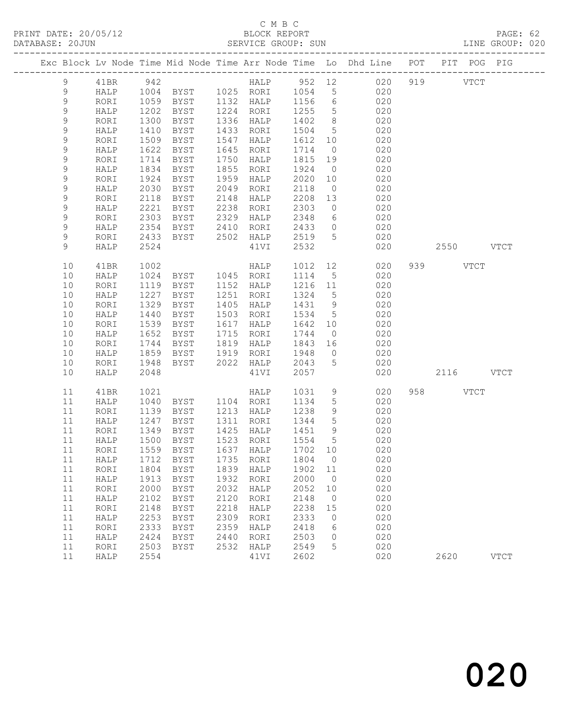# C M B C<br>BLOCK REPORT

PAGE: 62<br>LINE GROUP: 020

|                  |              |              |                            |              |                                    |              |                      | Exc Block Lv Node Time Mid Node Time Arr Node Time Lo Dhd Line POT PIT POG PIG |           |               |             |
|------------------|--------------|--------------|----------------------------|--------------|------------------------------------|--------------|----------------------|--------------------------------------------------------------------------------|-----------|---------------|-------------|
| 9                | 41BR         | 942          |                            |              |                                    |              |                      | HALP 952 12 020                                                                | 919       | $_{\rm VTCT}$ |             |
| 9                | HALP         | 1004         |                            |              | BYST 1025 RORI 1054                |              | 5 <sub>5</sub>       | 020                                                                            |           |               |             |
| $\mathsf 9$      | RORI         |              | 1059 BYST                  |              | 1132 HALP                          | 1156         | $6\overline{6}$      | 020                                                                            |           |               |             |
| 9                | HALP         | 1202         | BYST                       |              | 1224 RORI                          | 1255         | $5\overline{)}$      | 020                                                                            |           |               |             |
| 9                | RORI         | 1300         | BYST                       | 1336         | HALP                               | 1402         | 8 <sup>8</sup>       | 020                                                                            |           |               |             |
| 9                | HALP         | 1410         | BYST                       | 1433         | RORI                               | 1504         | $5^{\circ}$          | 020                                                                            |           |               |             |
| 9                | RORI         | 1509         | BYST                       | 1547         | HALP                               | 1612         | 10                   | 020                                                                            |           |               |             |
| 9                | HALP         | 1622         | BYST                       | 1645         | RORI                               | 1714         | $\overline{0}$       | 020                                                                            |           |               |             |
| 9<br>$\mathsf 9$ | RORI         | 1714<br>1834 | <b>BYST</b><br><b>BYST</b> | 1750<br>1855 | HALP                               | 1815<br>1924 | 19                   | 020                                                                            |           |               |             |
| $\mathsf 9$      | HALP         | 1924         |                            | 1959         | RORI                               | 2020         | $\overline{0}$<br>10 | 020<br>020                                                                     |           |               |             |
| $\mathsf 9$      | RORI<br>HALP | 2030         | BYST<br>BYST               | 2049         | HALP<br>RORI                       | 2118         | $\overline{0}$       | 020                                                                            |           |               |             |
| 9                | RORI         | 2118         | BYST                       | 2148         | HALP                               | 2208         | 13                   | 020                                                                            |           |               |             |
| 9                | HALP         | 2221         | BYST                       | 2238         | RORI                               | 2303         | $\overline{0}$       | 020                                                                            |           |               |             |
| 9                | RORI         | 2303         | BYST                       | 2329         | HALP                               | 2348         | 6                    | 020                                                                            |           |               |             |
| $\mathsf 9$      | HALP         | 2354         | BYST                       | 2410         | RORI                               | 2433         | $\overline{0}$       | 020                                                                            |           |               |             |
| 9                | RORI         | 2433         | BYST                       | 2502         | HALP                               | 2519         | 5                    | 020                                                                            |           |               |             |
| 9                | HALP         | 2524         |                            |              | 41VI                               | 2532         |                      | 020                                                                            |           | 2550 VTCT     |             |
| 10               | 41BR         | 1002         |                            |              | HALP                               | 1012         | 12                   | 020                                                                            | 939 VTCT  |               |             |
| 10               | HALP         | 1024         | BYST 1045 RORI             |              |                                    | 1114         | $5\overline{)}$      | 020                                                                            |           |               |             |
| 10               | RORI         | 1119         | BYST                       | 1152         | HALP                               | 1216         | 11                   | 020                                                                            |           |               |             |
| 10               | HALP         | 1227         | BYST                       | 1251         | RORI                               | 1324         | $5^{\circ}$          | 020                                                                            |           |               |             |
| 10               | RORI         | 1329         | BYST                       | 1405         | HALP                               | 1431         | 9                    | 020                                                                            |           |               |             |
| 10               | HALP         | 1440         | BYST                       | 1503         | RORI                               | 1534         | $5\overline{)}$      | 020                                                                            |           |               |             |
| 10               | RORI         | 1539         | BYST                       | 1617         | HALP                               | 1642         | 10                   | 020                                                                            |           |               |             |
| 10               | HALP         | 1652         | BYST                       | 1715         | RORI                               | 1744         | $\overline{0}$       | 020                                                                            |           |               |             |
| 10               | RORI         | 1744         | BYST                       | 1819         | HALP                               | 1843         | 16                   | 020                                                                            |           |               |             |
| 10               | HALP         | 1859         | BYST                       | 1919         | RORI                               | 1948         | $\overline{0}$       | 020                                                                            |           |               |             |
| 10               | RORI         | 1948         | BYST                       | 2022         | HALP                               | 2043         | $5^{\circ}$          | 020                                                                            |           |               |             |
| 10               | HALP         | 2048         |                            |              | 41VI                               | 2057         |                      | 020                                                                            | 2116 VTCT |               |             |
| 11               | 41BR         | 1021         |                            |              | HALP                               | 1031         | 9                    | 020                                                                            | 958 VTCT  |               |             |
| 11               | HALP         | 1040         | BYST                       |              | 1104 RORI                          | 1134         | $5\phantom{.0}$      | 020                                                                            |           |               |             |
| 11               | RORI         | 1139         | BYST                       |              | 1213 HALP                          | 1238         | 9                    | 020                                                                            |           |               |             |
| 11               | HALP         | 1247         | BYST                       | 1311         | RORI                               | 1344         | $5\overline{)}$      | 020                                                                            |           |               |             |
| 11               | RORI         | 1349         | BYST                       |              | 1425 HALP                          | 1451         | 9                    | 020                                                                            |           |               |             |
| 11               | HALP         | 1500         | BYST                       |              | 1523 RORI                          | 1554         | $5^{\circ}$          | 020                                                                            |           |               |             |
| 11               | RORI         |              | 1559 BYST                  |              | 1637 HALP                          | 1702 10      |                      | 020                                                                            |           |               |             |
|                  |              |              |                            |              | 11 HALP 1712 BYST 1735 RORI 1804 0 |              |                      | 020                                                                            |           |               |             |
| 11               | RORI         | 1804         | BYST                       | 1839         | HALP                               | 1902         | 11                   | 020                                                                            |           |               |             |
| 11               | HALP         | 1913         | <b>BYST</b>                | 1932         | RORI                               | 2000         | $\overline{0}$       | 020                                                                            |           |               |             |
| 11               | RORI         | 2000         | <b>BYST</b>                | 2032         | HALP                               | 2052         | 10                   | 020                                                                            |           |               |             |
| 11               | HALP         | 2102         | <b>BYST</b>                | 2120         | RORI                               | 2148         | $\overline{0}$       | 020                                                                            |           |               |             |
| 11               | RORI         | 2148         | BYST                       | 2218         | HALP                               | 2238         | 15                   | 020                                                                            |           |               |             |
| 11               | HALP         | 2253         | <b>BYST</b>                | 2309         | RORI                               | 2333         | 0                    | 020                                                                            |           |               |             |
| 11<br>11         | RORI         | 2333<br>2424 | <b>BYST</b>                | 2359<br>2440 | HALP                               | 2418<br>2503 | 6<br>0               | 020<br>020                                                                     |           |               |             |
| 11               | HALP<br>RORI | 2503         | <b>BYST</b><br><b>BYST</b> | 2532         | RORI<br>HALP                       | 2549         | 5                    | 020                                                                            |           |               |             |
| 11               | HALP         | 2554         |                            |              | 41VI                               | 2602         |                      | 020                                                                            | 2620      |               | <b>VTCT</b> |
|                  |              |              |                            |              |                                    |              |                      |                                                                                |           |               |             |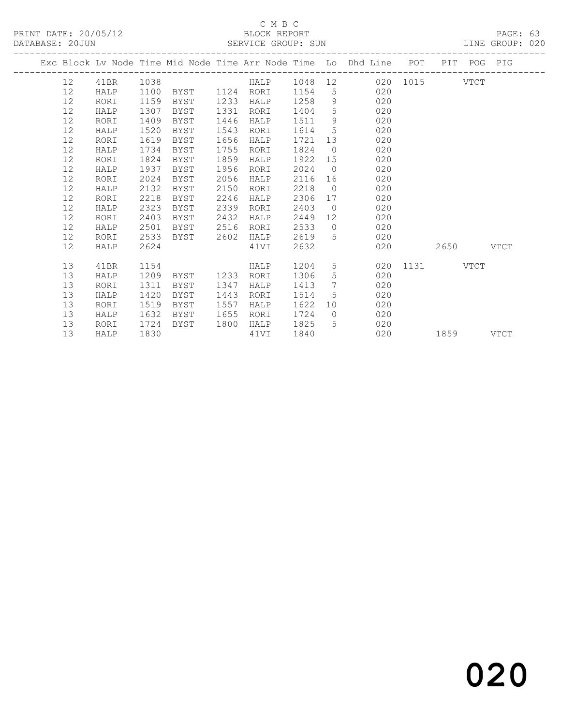## C M B C<br>BLOCK REPORT SERVICE GROUP: SUN

|  |      |      |      | ------------------------------------ |      |      |      |                | Exc Block Lv Node Time Mid Node Time Arr Node Time Lo Dhd Line POT |               |           | PIT POG PIG |  |
|--|------|------|------|--------------------------------------|------|------|------|----------------|--------------------------------------------------------------------|---------------|-----------|-------------|--|
|  | 12   | 41BR | 1038 |                                      |      |      |      |                | HALP 1048 12 020 1015 VTCT                                         |               |           |             |  |
|  | 12   | HALP | 1100 | BYST 1124 RORI                       |      |      | 1154 |                | 020<br>$5^{\circ}$                                                 |               |           |             |  |
|  | 12   | RORI | 1159 | BYST                                 | 1233 | HALP | 1258 | 9              | 020                                                                |               |           |             |  |
|  | 12   | HALP | 1307 | BYST                                 | 1331 | RORI | 1404 | 5              | 020                                                                |               |           |             |  |
|  | 12   | RORI | 1409 | BYST                                 | 1446 | HALP | 1511 | 9              | 020                                                                |               |           |             |  |
|  | 12   | HALP | 1520 | BYST                                 | 1543 | RORI | 1614 | 5 <sup>5</sup> | 020                                                                |               |           |             |  |
|  | 12   | RORI | 1619 | BYST                                 | 1656 | HALP | 1721 |                | 13<br>020                                                          |               |           |             |  |
|  | 12   | HALP | 1734 | BYST                                 | 1755 | RORI | 1824 | $\overline{0}$ | 020                                                                |               |           |             |  |
|  | 12   | RORI | 1824 | BYST                                 | 1859 | HALP | 1922 | 15             | 020                                                                |               |           |             |  |
|  | 12   | HALP | 1937 | BYST                                 | 1956 | RORI | 2024 | $\bigcirc$     | 020                                                                |               |           |             |  |
|  | 12   | RORI | 2024 | BYST                                 | 2056 | HALP | 2116 |                | 020                                                                |               |           |             |  |
|  | 12   | HALP | 2132 | BYST                                 | 2150 | RORI | 2218 | $\bigcirc$     | 020                                                                |               |           |             |  |
|  | 12   | RORI | 2218 | BYST                                 | 2246 | HALP | 2306 | 17             | 020                                                                |               |           |             |  |
|  | $12$ | HALP | 2323 | BYST                                 | 2339 | RORI | 2403 | $\overline{0}$ | 020                                                                |               |           |             |  |
|  | 12   | RORI | 2403 | BYST                                 | 2432 | HALP | 2449 |                | 12 —<br>020                                                        |               |           |             |  |
|  | 12   | HALP | 2501 | BYST                                 | 2516 | RORI | 2533 | $\overline{0}$ | 020                                                                |               |           |             |  |
|  | 12   | RORI | 2533 | BYST                                 | 2602 | HALP | 2619 | 5 <sup>5</sup> | 020                                                                |               |           |             |  |
|  | 12   | HALP | 2624 |                                      |      | 41VI | 2632 |                | 020                                                                |               | 2650 VTCT |             |  |
|  |      |      |      |                                      |      |      |      |                |                                                                    |               |           |             |  |
|  | 13   | 41BR | 1154 |                                      |      | HALP | 1204 |                | $5 \quad \bullet$                                                  | 020 1131 VTCT |           |             |  |
|  | 13   | HALP | 1209 | BYST                                 | 1233 | RORI | 1306 | 5              | 020                                                                |               |           |             |  |
|  | 13   | RORI | 1311 | BYST                                 | 1347 | HALP | 1413 | 7              | 020                                                                |               |           |             |  |
|  | 13   | HALP | 1420 | BYST                                 | 1443 | RORI | 1514 | 5 <sup>5</sup> | 020                                                                |               |           |             |  |
|  | 13   | RORI | 1519 | BYST                                 | 1557 | HALP | 1622 |                | 10<br>020                                                          |               |           |             |  |
|  | 13   | HALP | 1632 | BYST                                 | 1655 | RORI | 1724 | $\overline{0}$ | 020                                                                |               |           |             |  |
|  | 13   | RORI | 1724 | BYST                                 | 1800 | HALP | 1825 | 5 <sup>5</sup> | 020                                                                |               |           |             |  |
|  | 13   | HALP | 1830 |                                      |      | 41VI | 1840 |                | 020                                                                |               | 1859 VTCT |             |  |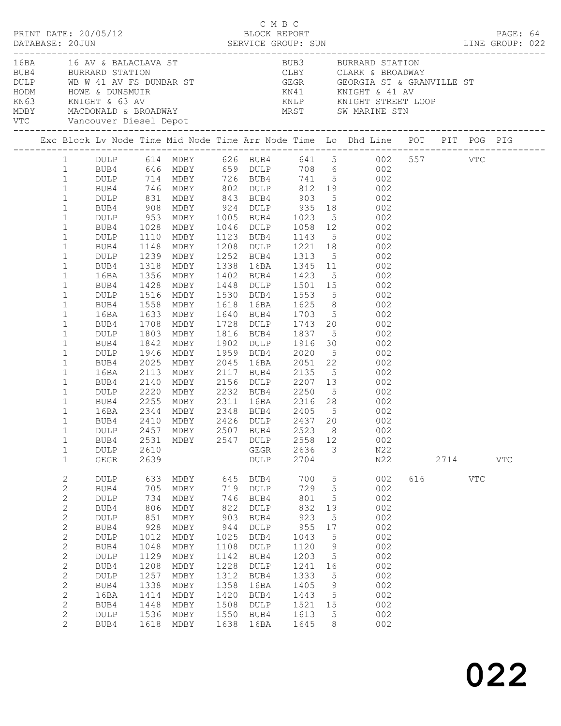|                                                                                                                                                                                                                                                                                                                                                                                                                                   |                                                                                                                                                                          |                                                                                                                        |                                                                                                                                   |                                                                                                                        |                                                                                                                                                 |                                                                                                                                |                                                                                                              | EUBY CLARK & BROADWAY<br>BUBA BURRARD STATION<br>ME WARD STATION<br>HODM HOWE & DUNSMUIR<br>KN63 KNIGHT & 63 AV KNILP KNIGHT STREET LOOP<br>MESY MACDONALD & BROADWAY<br>MEST SW MARINE STN<br>MEST SW MARINE STN                                                                                                                                                                                                                                                                                                                                                                                                                                                                                                                                                                                                                                                                                                                                                                                                                   |     |             |              |  |
|-----------------------------------------------------------------------------------------------------------------------------------------------------------------------------------------------------------------------------------------------------------------------------------------------------------------------------------------------------------------------------------------------------------------------------------|--------------------------------------------------------------------------------------------------------------------------------------------------------------------------|------------------------------------------------------------------------------------------------------------------------|-----------------------------------------------------------------------------------------------------------------------------------|------------------------------------------------------------------------------------------------------------------------|-------------------------------------------------------------------------------------------------------------------------------------------------|--------------------------------------------------------------------------------------------------------------------------------|--------------------------------------------------------------------------------------------------------------|-------------------------------------------------------------------------------------------------------------------------------------------------------------------------------------------------------------------------------------------------------------------------------------------------------------------------------------------------------------------------------------------------------------------------------------------------------------------------------------------------------------------------------------------------------------------------------------------------------------------------------------------------------------------------------------------------------------------------------------------------------------------------------------------------------------------------------------------------------------------------------------------------------------------------------------------------------------------------------------------------------------------------------------|-----|-------------|--------------|--|
|                                                                                                                                                                                                                                                                                                                                                                                                                                   |                                                                                                                                                                          |                                                                                                                        |                                                                                                                                   |                                                                                                                        |                                                                                                                                                 |                                                                                                                                |                                                                                                              | Exc Block Lv Node Time Mid Node Time Arr Node Time Lo Dhd Line POT PIT POG PIG                                                                                                                                                                                                                                                                                                                                                                                                                                                                                                                                                                                                                                                                                                                                                                                                                                                                                                                                                      |     |             |              |  |
| $\mathbf{1}$<br>$\mathbf{1}$<br>$\mathbf{1}$<br>$\mathbf{1}$<br>$\mathbf{1}$<br>$\mathbf{1}$<br>$\mathbf{1}$<br>$\mathbf{1}$<br>$\mathbf{1}$<br>$\mathbf{1}$<br>$\mathbf{1}$<br>$\mathbf{1}$<br>$\mathbf{1}$<br>$\mathbf{1}$<br>$\mathbf{1}$<br>$\mathbf{1}$<br>$\mathbf{1}$<br>$\mathbf{1}$<br>$\mathbf{1}$<br>$\mathbf{1}$<br>$\mathbf{1}$<br>$\mathbf{1}$<br>$\mathbf{1}$<br>$\mathbf{1}$<br>1<br>$\mathbf{1}$<br>$\mathbf{1}$ | BUB4<br>16BA<br>16BA<br>BUB4<br>DULP<br>BUB4<br>DULP<br>BUB4<br>16BA<br>BUB4<br>DULP 2220<br>BUB4<br>16BA<br>BUB4<br>DULP 2457 MDBY 2507 BUB4 2523 8 002<br>BUB4<br>DULP | 1708<br>1803<br>1842<br>1946<br>2025<br>2113<br>2140<br>2531<br>2610                                                   | MDBY<br>MDBY<br>MDBY<br>MDBY<br>MDBY                                                                                              |                                                                                                                        | 2547 DULP<br>GEGR                                                                                                                               | 2558 12<br>2636                                                                                                                | 3                                                                                                            | 1 DULP 614 MDBY 626 BUB4 641 5 002 557 VTC<br>1 BUB4 646 MDBY 659 DULP 708 6 002<br>1 DULP 714 MDBY 726 BUB4 741 5 002<br>1 BUB4 746 MDBY 802 DULP 812 19 002<br>001<br>DULP 831 MDBY 843 BUB4 903 5 002<br>BUB4 908 MDBY 924 DULP 935 18 002<br>DULP 953 MDBY 1005 BUB4 1023 5 002<br>BUB4 1028 MDBY 1046 DULP 1058 12 002<br>001<br>DULP 1110 MDBY 1123 BUB4 1143 5 002<br>BUB4 1148 MDBY 1208 DULP 1221 18 002<br>DULP 1239 MDBY 1252 BUB4 1313 5 002<br>1318 MDBY 1338 16BA 1345 11 002<br>1356 MDBY 1402 BUB4 1423 5 002<br>BUB4 1428 MDBY 1448 DULP 1501 15 002<br>DULP 1516 MDBY 1530 BUB4 1553 5 002<br>BUB4 1558 MDBY 1618 16BA 1625 8 002<br>1633 MDBY 1640 BUB4 1703 5 002<br>MDBY 1728 DULP 1743 20 002<br>MDBY 1816 BUB4 1837 5 002<br>MDBY 1902 DULP 1916 30 002<br>1959 BUB4 2020 5 002<br>2045 16BA 2051 22 002<br>2117 BUB4 2135 5 002<br>2156 DULP 2207 13 002<br>MDBY 2232 BUB4 2250 5 002<br>2255 MDBY 2311 16BA 2316 28 002<br>2344 MDBY 2348 BUB4 2405 5 002<br>2410 MDBY 2426 DULP 2437 20 002<br>002<br>N22 |     |             |              |  |
| $\mathbf{1}$<br>$\mathbf{2}$<br>$\mathbf{2}$<br>$\mathbf{2}$<br>2<br>$\mathbf{2}$<br>$\mathbf{2}$<br>$\sqrt{2}$<br>$\mathbf{2}$<br>$\mathbf{2}$<br>$\mathbf{2}$<br>$\sqrt{2}$<br>$\mathbf{2}$<br>$\mathbf{2}$<br>2<br>$\mathbf{2}$<br>2                                                                                                                                                                                           | ${\tt GEGR}$<br>DULP<br>BUB4<br>DULP<br>BUB4<br>DULP<br>BUB4<br>$\texttt{DULP}$<br>BUB4<br>DULP<br>BUB4<br>DULP<br>BUB4<br>16BA<br>BUB4<br>DULP<br>BUB4                  | 2639<br>633<br>705<br>734<br>806<br>851<br>928<br>1012<br>1048<br>1129<br>1208<br>1257<br>1338<br>1414<br>1448<br>1536 | MDBY<br>MDBY<br>MDBY<br>MDBY<br>MDBY<br>MDBY<br>MDBY<br>MDBY<br>MDBY<br>MDBY<br>MDBY<br>MDBY<br>MDBY<br>MDBY<br>MDBY<br>1618 MDBY | 645<br>719<br>746<br>822<br>903<br>944<br>1025<br>1108<br>1142<br>1228<br>1312<br>1358<br>1420<br>1508<br>1550<br>1638 | DULP<br>BUB4<br>DULP<br>BUB4<br>DULP<br>BUB4<br>DULP<br>BUB4<br>DULP<br>BUB4<br>$\texttt{DULP}$<br>BUB4<br>16BA<br>BUB4<br>DULP<br>BUB4<br>16BA | 2704<br>700<br>729<br>801<br>832<br>923<br>955<br>1043<br>1120<br>1203<br>1241<br>1333<br>1405<br>1443<br>1521<br>1613<br>1645 | 5<br>$5\phantom{.0}$<br>5<br>19<br>5<br>17<br>5<br>9<br>5<br>16<br>$5\phantom{.0}$<br>9<br>5<br>15<br>5<br>8 | N22<br>002<br>002<br>002<br>002<br>002<br>002<br>002<br>002<br>002<br>002<br>002<br>002<br>002<br>002<br>002<br>002                                                                                                                                                                                                                                                                                                                                                                                                                                                                                                                                                                                                                                                                                                                                                                                                                                                                                                                 | 616 | 2714<br>VTC | $_{\rm VTC}$ |  |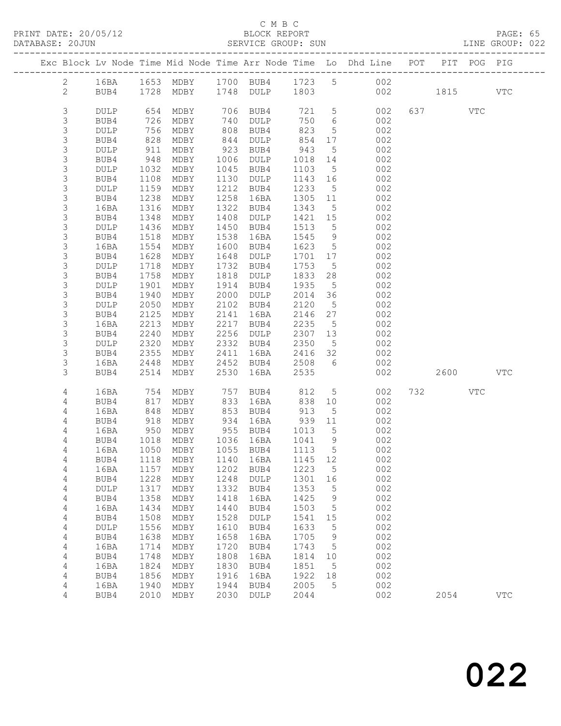PRINT DATE: 20/05/12 BLOCK REPORT<br>DATABASE: 20JUN SERVICE GROUP: SUN

## C M B C<br>BLOCK REPORT

PAGE: 65<br>LINE GROUP: 022

|                |                        |              |                        |              |                        |              |                       | Exc Block Lv Node Time Mid Node Time Arr Node Time Lo Dhd Line POT PIT POG PIG |           |     |              |
|----------------|------------------------|--------------|------------------------|--------------|------------------------|--------------|-----------------------|--------------------------------------------------------------------------------|-----------|-----|--------------|
| $2^{\circ}$    | 16BA                   |              |                        |              |                        |              |                       | 1653 MDBY 1700 BUB4 1723 5 002                                                 |           |     |              |
| $\mathbf{2}$   | BUB4                   |              | 1728 MDBY              |              | 1748 DULP              | 1803         |                       | 002                                                                            | 1815      |     | $_{\rm VTC}$ |
| $\mathfrak{Z}$ | DULP                   |              | 654 MDBY               | 706          | BUB4                   | 721 5        |                       | 002                                                                            | 637 VTC   |     |              |
| 3              | BUB4                   | 726          | MDBY                   | 740          | DULP                   | 750          | $6\overline{6}$       | 002                                                                            |           |     |              |
| 3              | <b>DULP</b>            | 756          | MDBY                   | 808          | BUB4                   | 823          | $5\overline{)}$       | 002                                                                            |           |     |              |
| $\mathfrak{Z}$ | BUB4                   | 828          | MDBY                   | 844          | <b>DULP</b>            | 854          | 17                    | 002                                                                            |           |     |              |
| 3              | DULP                   | 911          | MDBY                   | 923          | BUB4                   | 943          | $5\overline{)}$       | 002                                                                            |           |     |              |
| 3              | BUB4                   | 948          | MDBY                   | 1006         | DULP                   | 1018         | 14                    | 002                                                                            |           |     |              |
| 3              | DULP                   | 1032         | MDBY                   | 1045         | BUB4                   | 1103         | $5\overline{)}$       | 002                                                                            |           |     |              |
| 3<br>3         | BUB4<br>DULP           | 1108<br>1159 | MDBY<br>MDBY           | 1130<br>1212 | DULP<br>BUB4           | 1143<br>1233 | 16<br>$5^{\circ}$     | 002<br>002                                                                     |           |     |              |
| 3              | BUB4                   | 1238         | MDBY                   | 1258         | 16BA                   | 1305         | 11                    | 002                                                                            |           |     |              |
| 3              | 16BA                   | 1316         | MDBY                   | 1322         | BUB4                   | 1343         | $5\overline{)}$       | 002                                                                            |           |     |              |
| 3              | BUB4                   | 1348         | MDBY                   | 1408         | DULP                   | 1421         | 15                    | 002                                                                            |           |     |              |
| 3              | DULP                   | 1436         | MDBY                   | 1450         | BUB4                   | 1513         | 5                     | 002                                                                            |           |     |              |
| 3              | BUB4                   | 1518         | MDBY                   | 1538         | 16BA                   | 1545         | 9                     | 002                                                                            |           |     |              |
| 3              | 16BA                   | 1554         | MDBY                   | 1600         | BUB4                   | 1623         | $5\phantom{.0}$       | 002                                                                            |           |     |              |
| 3              | BUB4                   | 1628         | MDBY                   | 1648         | DULP                   | 1701         | 17                    | 002                                                                            |           |     |              |
| $\mathfrak{Z}$ | DULP                   | 1718         | MDBY                   | 1732         | BUB4                   | 1753         | $5^{\circ}$           | 002                                                                            |           |     |              |
| 3              | BUB4<br><b>DULP</b>    | 1758<br>1901 | MDBY                   | 1818<br>1914 | DULP<br>BUB4           | 1833<br>1935 | 28                    | 002<br>002                                                                     |           |     |              |
| 3<br>3         | BUB4                   | 1940         | MDBY<br>MDBY           | 2000         | DULP                   | 2014         | $5\overline{)}$<br>36 | 002                                                                            |           |     |              |
| $\mathsf 3$    | DULP                   | 2050         | MDBY                   | 2102         | BUB4                   | 2120         | $5\overline{)}$       | 002                                                                            |           |     |              |
| 3              | BUB4                   | 2125         | MDBY                   | 2141         | 16BA                   | 2146         | 27                    | 002                                                                            |           |     |              |
| $\mathfrak{Z}$ | 16BA                   | 2213         | MDBY                   | 2217         | BUB4                   | 2235         | $5^{\circ}$           | 002                                                                            |           |     |              |
| 3              | BUB4                   | 2240         | MDBY                   | 2256         | DULP                   | 2307         | 13                    | 002                                                                            |           |     |              |
| $\mathfrak{Z}$ | DULP                   | 2320         | MDBY                   | 2332         | BUB4                   | 2350         | $5\overline{)}$       | 002                                                                            |           |     |              |
| 3              | BUB4                   | 2355         | MDBY                   | 2411         | 16BA                   | 2416         | 32                    | 002                                                                            |           |     |              |
| 3              | 16BA                   | 2448         | MDBY                   | 2452         | BUB4                   | 2508         | $6\overline{6}$       | 002                                                                            |           |     |              |
| 3              | BUB4                   | 2514         | MDBY                   | 2530         | 16BA                   | 2535         |                       | 002                                                                            | 2600 2600 |     | <b>VTC</b>   |
| 4              | 16BA                   | 754          | MDBY                   | 757          | BUB4                   | 812          | $5\overline{)}$       | 002                                                                            | 732       | VTC |              |
| 4              | BUB4                   | 817          | MDBY                   | 833          | 16BA                   | 838          | 10 <sup>°</sup>       | 002                                                                            |           |     |              |
| 4              | 16BA                   | 848          | MDBY                   | 853          | BUB4                   | 913          | 5                     | 002                                                                            |           |     |              |
| 4              | BUB4                   | 918<br>950   | MDBY                   | 934          | 16BA                   | 939          | 11                    | 002                                                                            |           |     |              |
| 4              | 16BA                   |              | MDBY                   |              | 955 BUB4               | 1013         | $5\overline{)}$       | 002                                                                            |           |     |              |
| 4<br>4         | BUB4                   |              | 1018 MDBY<br>1050 MDBY |              | 1036 16BA<br>1055 BUB4 | 1041<br>1113 | 9<br>$5^{\circ}$      | 002<br>002                                                                     |           |     |              |
| 4              | 16BA<br>BUB4 1118 MDBY |              |                        |              | 1140 16BA 1145 12      |              |                       | 002                                                                            |           |     |              |
| 4              | 16BA                   | 1157         | MDBY                   | 1202         | BUB4                   | 1223         | 5                     | 002                                                                            |           |     |              |
| 4              | BUB4                   | 1228         | MDBY                   | 1248         | DULP                   | 1301         | 16                    | 002                                                                            |           |     |              |
| 4              | DULP                   | 1317         | MDBY                   | 1332         | BUB4                   | 1353         | 5                     | 002                                                                            |           |     |              |
| 4              | BUB4                   | 1358         | MDBY                   | 1418         | 16BA                   | 1425         | 9                     | 002                                                                            |           |     |              |
| 4              | 16BA                   | 1434         | MDBY                   | 1440         | BUB4                   | 1503         | 5                     | 002                                                                            |           |     |              |
| 4              | BUB4                   | 1508         | MDBY                   | 1528         | DULP                   | 1541         | 15                    | 002                                                                            |           |     |              |
| 4              | <b>DULP</b>            | 1556         | MDBY                   | 1610         | BUB4                   | 1633         | 5                     | 002                                                                            |           |     |              |
| 4              | BUB4                   | 1638         | MDBY                   | 1658         | 16BA                   | 1705         | 9                     | 002<br>002                                                                     |           |     |              |
| 4<br>4         | 16BA<br>BUB4           | 1714<br>1748 | MDBY<br>MDBY           | 1720<br>1808 | BUB4<br>16BA           | 1743<br>1814 | 5<br>10               | 002                                                                            |           |     |              |
| 4              | 16BA                   | 1824         | MDBY                   | 1830         | BUB4                   | 1851         | 5                     | 002                                                                            |           |     |              |
| 4              | BUB4                   | 1856         | MDBY                   | 1916         | 16BA                   | 1922         | 18                    | 002                                                                            |           |     |              |
| 4              | 16BA                   | 1940         | MDBY                   | 1944         | BUB4                   | 2005         | 5                     | 002                                                                            |           |     |              |
| 4              | BUB4                   | 2010         | MDBY                   | 2030         | DULP                   | 2044         |                       | 002                                                                            | 2054      |     | $_{\rm VTC}$ |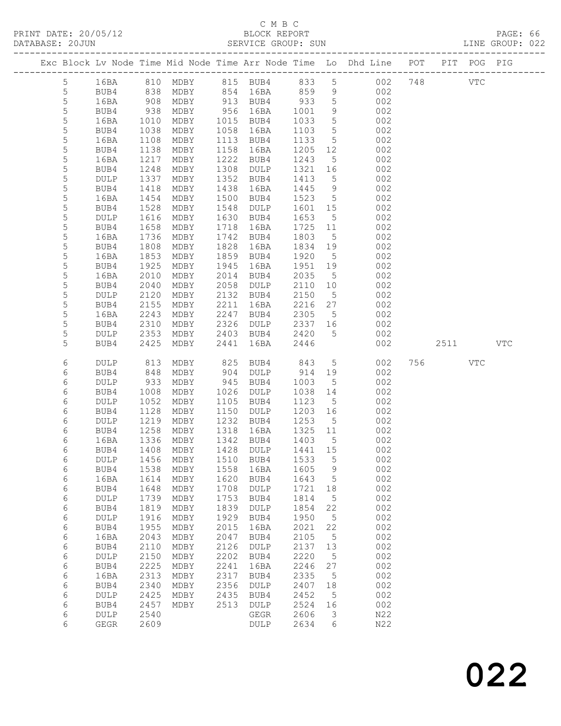# C M B C<br>BLOCK REPOI

| PRINT DATE: 20/05/12 |  | BLOCK REPORT       | PAGE: 66        |  |
|----------------------|--|--------------------|-----------------|--|
| DATABASE: 20JUN      |  | SERVICE GROUP: SUN | LINE GROUP: 022 |  |
|                      |  |                    |                 |  |

|  |                 |                            |              |              |              |                                 |              |                  | Exc Block Lv Node Time Mid Node Time Arr Node Time Lo Dhd Line POT PIT POG PIG |     |            |     |
|--|-----------------|----------------------------|--------------|--------------|--------------|---------------------------------|--------------|------------------|--------------------------------------------------------------------------------|-----|------------|-----|
|  |                 |                            |              |              |              |                                 |              |                  |                                                                                |     |            |     |
|  | $5\phantom{.0}$ | 16BA                       |              |              |              | 810 MDBY 815 BUB4 833 5         |              |                  | 002                                                                            | 748 | <b>VTC</b> |     |
|  | $\overline{5}$  | BUB4                       |              | 838 MDBY     |              | 854 16BA 859                    |              | 9                | 002                                                                            |     |            |     |
|  | 5               | 16BA                       | 908          | MDBY         |              | 913 BUB4                        | 933          | $5^{\circ}$      | 002                                                                            |     |            |     |
|  | 5               | BUB4                       | 938          | MDBY         |              | 956 16BA                        | 1001         | 9                | 002                                                                            |     |            |     |
|  | $\mathsf S$     | 16BA                       | 1010         | MDBY         |              | 1015 BUB4                       | 1033         | $5\overline{)}$  | 002                                                                            |     |            |     |
|  | 5               | BUB4                       | 1038         | MDBY         | 1058         | 16BA                            | 1103         | $5\overline{)}$  | 002                                                                            |     |            |     |
|  | 5               | 16BA                       | 1108         | MDBY         |              | 1113 BUB4                       | 1133         | $5\overline{)}$  | 002                                                                            |     |            |     |
|  | 5               | BUB4                       | 1138         | MDBY         | 1158         | 16BA                            | 1205         | 12               | 002                                                                            |     |            |     |
|  | $\mathsf S$     | 16BA                       | 1217         | MDBY         | 1222         | BUB4                            | 1243         | $5^{\circ}$      | 002                                                                            |     |            |     |
|  | 5               | BUB4                       | 1248         | MDBY         | 1308         | DULP                            | 1321         | 16               | 002                                                                            |     |            |     |
|  | 5<br>5          | <b>DULP</b>                | 1337         | MDBY         | 1352         | BUB4                            | 1413<br>1445 | $5^{\circ}$<br>9 | 002<br>002                                                                     |     |            |     |
|  | 5               | BUB4<br>16BA               | 1418<br>1454 | MDBY<br>MDBY | 1438<br>1500 | 16BA<br>BUB4                    | 1523         | $5\overline{)}$  | 002                                                                            |     |            |     |
|  | 5               | BUB4                       | 1528         | MDBY         | 1548         | DULP                            | 1601         | 15               | 002                                                                            |     |            |     |
|  | 5               | DULP                       | 1616         | MDBY         | 1630         | BUB4                            | 1653         | $5\phantom{.0}$  | 002                                                                            |     |            |     |
|  | 5               | BUB4                       | 1658         | MDBY         | 1718         | 16BA                            | 1725         | 11               | 002                                                                            |     |            |     |
|  | 5               | 16BA                       | 1736         | MDBY         |              | 1742 BUB4                       | 1803         | $5\overline{)}$  | 002                                                                            |     |            |     |
|  | 5               | BUB4                       | 1808         | MDBY         | 1828         | 16BA                            | 1834         | 19               | 002                                                                            |     |            |     |
|  | 5               | 16BA                       | 1853         | MDBY         | 1859         | BUB4                            | 1920         | $5^{\circ}$      | 002                                                                            |     |            |     |
|  | 5               | BUB4                       | 1925         | MDBY         | 1945         | 16BA                            | 1951         | 19               | 002                                                                            |     |            |     |
|  | 5               | 16BA                       | 2010         | MDBY         | 2014         | BUB4                            | 2035         | $5^{\circ}$      | 002                                                                            |     |            |     |
|  | 5               | BUB4                       | 2040         | MDBY         | 2058         | DULP                            | 2110         | 10               | 002                                                                            |     |            |     |
|  | 5               | $\texttt{DULP}$            | 2120         | MDBY         |              | 2132 BUB4                       | 2150         | $5\overline{)}$  | 002                                                                            |     |            |     |
|  | 5               | BUB4                       | 2155         | MDBY         | 2211         | 16BA                            | 2216         | 27               | 002                                                                            |     |            |     |
|  | 5               | 16BA                       | 2243         | MDBY         | 2247         | BUB4                            | 2305         | 5 <sup>5</sup>   | 002                                                                            |     |            |     |
|  | 5               | BUB4                       | 2310         | MDBY         | 2326         | DULP                            | 2337 16      |                  | 002                                                                            |     |            |     |
|  | 5               | DULP                       | 2353         | MDBY         |              | 2403 BUB4                       | 2420         | $5\overline{)}$  | 002                                                                            |     |            |     |
|  | 5               | BUB4                       | 2425         | MDBY         | 2441         | 16BA                            | 2446         |                  | 002                                                                            |     | 2511       | VTC |
|  |                 |                            |              |              |              |                                 |              |                  |                                                                                |     |            |     |
|  | 6               | DULP                       | 813          | MDBY         | 825          | BUB4                            | 843          | 5 <sup>5</sup>   | 002                                                                            | 756 | VTC        |     |
|  | 6               | BUB4                       | 848          | MDBY         | 904          | DULP                            | 914          | 19               | 002                                                                            |     |            |     |
|  | 6               | <b>DULP</b>                | 933          | MDBY         | 945          | BUB4                            | 1003         | $5^{\circ}$      | 002                                                                            |     |            |     |
|  | 6               | BUB4                       | 1008         | MDBY         | 1026         | DULP                            | 1038         | 14               | 002                                                                            |     |            |     |
|  | 6               | <b>DULP</b>                | 1052         | MDBY         | 1105         | BUB4                            | 1123         | $5\overline{)}$  | 002                                                                            |     |            |     |
|  | 6               | BUB4                       | 1128         | MDBY         | 1150         | DULP                            | 1203         | 16               | 002                                                                            |     |            |     |
|  | 6               | DULP                       | 1219         | MDBY         | 1232         | BUB4                            | 1253         | $5^{\circ}$      | 002                                                                            |     |            |     |
|  | 6               | BUB4                       | 1258         | MDBY         | 1318         | 16BA                            | 1325         | 11               | 002                                                                            |     |            |     |
|  | 6               | 16BA                       | 1336         | MDBY         |              | 1342 BUB4                       | 1403         | $5\overline{)}$  | 002                                                                            |     |            |     |
|  | 6               | BUB4                       | 1408         | MDBY         |              | 1428 DULP                       | 1441 15      |                  | 002                                                                            |     |            |     |
|  | 6               |                            |              |              |              | DULP 1456 MDBY 1510 BUB4 1533 5 |              |                  | 002                                                                            |     |            |     |
|  | 6               | BUB4                       | 1538         | MDBY         | 1558         | 16BA                            | 1605         | 9                | 002                                                                            |     |            |     |
|  | 6               | 16BA                       | 1614         | MDBY         | 1620         | BUB4                            | 1643         | $5^{\circ}$      | 002                                                                            |     |            |     |
|  | 6               | BUB4                       | 1648         | MDBY         | 1708         | DULP                            | 1721         | 18               | 002                                                                            |     |            |     |
|  | 6               | DULP                       | 1739         | MDBY         | 1753         | BUB4                            | 1814         | $5\phantom{.0}$  | 002                                                                            |     |            |     |
|  | 6               | BUB4                       | 1819         | MDBY         | 1839         | DULP                            | 1854         | 22               | 002                                                                            |     |            |     |
|  | 6               | DULP                       | 1916         | MDBY         | 1929         | BUB4                            | 1950         | $5^{\circ}$      | 002                                                                            |     |            |     |
|  | 6               | BUB4                       | 1955         | MDBY         | 2015         | 16BA                            | 2021         | 22               | 002                                                                            |     |            |     |
|  | 6               | 16BA                       | 2043         | MDBY         | 2047         | BUB4                            | 2105         | $5\phantom{.0}$  | 002                                                                            |     |            |     |
|  | 6               | BUB4                       | 2110         | MDBY         | 2126         | DULP                            | 2137         | 13               | 002                                                                            |     |            |     |
|  | 6               | DULP                       | 2150         | MDBY         | 2202         | BUB4                            | 2220         | $5\phantom{.0}$  | 002                                                                            |     |            |     |
|  | 6               | BUB4                       | 2225         | MDBY         | 2241         | 16BA                            | 2246         | 27               | 002                                                                            |     |            |     |
|  | 6               | 16BA                       | 2313         | MDBY         | 2317         | BUB4                            | 2335         | $5\phantom{.0}$  | 002                                                                            |     |            |     |
|  | 6               | BUB4                       | 2340         | MDBY         | 2356         | DULP                            | 2407         | 18               | 002                                                                            |     |            |     |
|  | 6               | DULP                       | 2425         | MDBY         | 2435         | BUB4                            | 2452         | 5                | 002                                                                            |     |            |     |
|  | 6               | BUB4                       | 2457         | MDBY         | 2513         | DULP                            | 2524         | 16               | 002                                                                            |     |            |     |
|  | 6<br>6          | <b>DULP</b><br><b>GEGR</b> | 2540<br>2609 |              |              | GEGR<br><b>DULP</b>             | 2606<br>2634 | 3<br>6           | N22<br>N22                                                                     |     |            |     |
|  |                 |                            |              |              |              |                                 |              |                  |                                                                                |     |            |     |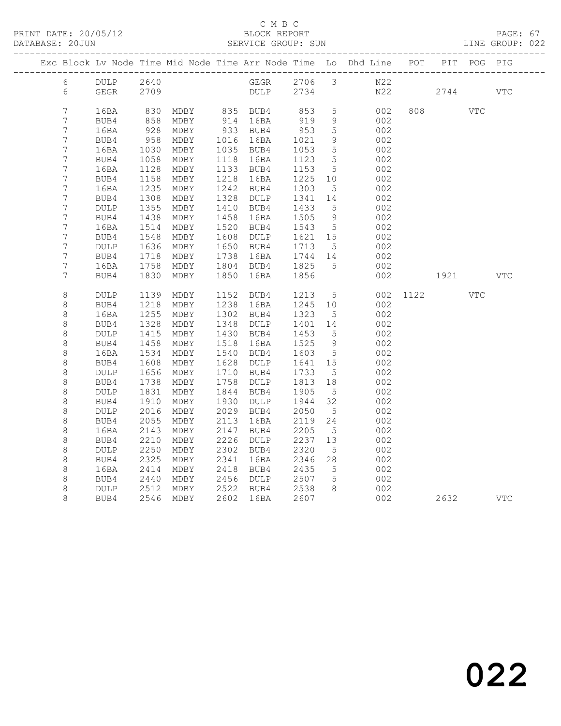#### C M B C<br>BLOCK REPORT SERVICE GROUP: SUN

|  |                  |              |                  |                       |              |                   |                 |                      | Exc Block Lv Node Time Mid Node Time Arr Node Time Lo Dhd Line POT |     | PIT    | POG PIG    |            |
|--|------------------|--------------|------------------|-----------------------|--------------|-------------------|-----------------|----------------------|--------------------------------------------------------------------|-----|--------|------------|------------|
|  | 6                | DULP         | 2640             |                       |              |                   |                 |                      | GEGR 2706 3 N22                                                    |     |        |            |            |
|  | 6                | GEGR         | 2709             |                       |              | DULP 2734         |                 |                      |                                                                    | N22 | 2744   |            | <b>VTC</b> |
|  | $\overline{7}$   |              |                  |                       |              |                   |                 |                      |                                                                    |     |        |            |            |
|  | $7\phantom{.}$   | 16BA<br>BUB4 | 830<br>858       | MDBY 835 BUB4<br>MDBY |              | 914 16BA          | 853<br>919      | $5\overline{)}$<br>9 | 002<br>002                                                         |     | 808 80 | <b>VTC</b> |            |
|  | $\overline{7}$   | 16BA         | 928              | MDBY                  |              | 933 BUB4          | 953             | $5\overline{)}$      | 002                                                                |     |        |            |            |
|  | $\overline{7}$   | BUB4         | 958              | MDBY                  |              | 1016 16BA         | 1021            | 9                    | 002                                                                |     |        |            |            |
|  | $\boldsymbol{7}$ | 16BA         | 1030             | MDBY                  |              | 1035 BUB4         | 1053            | 5                    | 002                                                                |     |        |            |            |
|  | $\boldsymbol{7}$ | BUB4         | 1058             | MDBY                  |              | 1118 16BA         | 1123            | $5\overline{)}$      | 002                                                                |     |        |            |            |
|  | $7\phantom{.0}$  | 16BA         | 1128             | MDBY                  |              | 1133 BUB4         | 1153            | $5\overline{)}$      | 002                                                                |     |        |            |            |
|  | 7                | BUB4         | 1158             | MDBY                  | 1218         | 16BA              | 1225            | 10                   | 002                                                                |     |        |            |            |
|  | $\overline{7}$   | 16BA         | 1235             | MDBY                  |              | 1242 BUB4         | 1303            | $5\overline{)}$      | 002                                                                |     |        |            |            |
|  | $\overline{7}$   | BUB4         | 1308             | MDBY                  |              | 1328 DULP         | 1341            | 14                   | 002                                                                |     |        |            |            |
|  | 7<br>7           | DULP<br>BUB4 | 1355<br>1438     | MDBY<br>MDBY          | 1458         | 1410 BUB4<br>16BA | 1433<br>1505    | $5^{\circ}$<br>9     | 002<br>002                                                         |     |        |            |            |
|  | 7                | 16BA         | 1514             | MDBY                  | 1520         | BUB4              | 1543            | $5^{\circ}$          | 002                                                                |     |        |            |            |
|  | $\boldsymbol{7}$ | BUB4         | 1548             | MDBY                  | 1608         | DULP              | 1621            | 15                   | 002                                                                |     |        |            |            |
|  | 7                | <b>DULP</b>  | 1636             | MDBY                  | 1650         | BUB4              | 1713            | $5^{\circ}$          | 002                                                                |     |        |            |            |
|  | 7                | BUB4         | 1718             | MDBY                  | 1738         | 16BA              | 1744 14         |                      | 002                                                                |     |        |            |            |
|  | $\overline{7}$   | 16BA         | 1758             | MDBY                  |              | 1804 BUB4         | 1825            | $5^{\circ}$          | 002                                                                |     |        |            |            |
|  | 7                | BUB4         | 1830             | MDBY                  | 1850         | 16BA              | 1856            |                      | 002                                                                |     | 1921   |            | VTC        |
|  |                  |              |                  |                       |              |                   |                 |                      |                                                                    |     |        |            |            |
|  | $\,8\,$          | DULP         | 1139             | MDBY                  |              | 1152 BUB4         | 1213            | $5\overline{)}$      | 002                                                                |     | 1122   | VTC        |            |
|  | 8                | BUB4         | 1218<br>1255     | MDBY<br>MDBY          | 1238<br>1302 | 16BA              | 1245 10<br>1323 |                      | 002<br>002                                                         |     |        |            |            |
|  | 8<br>$\,8\,$     | 16BA<br>BUB4 | 1328             | MDBY                  | 1348         | BUB4<br>DULP      | 1401            | $-5$<br>14           | 002                                                                |     |        |            |            |
|  | $\,8\,$          | <b>DULP</b>  | 1415             | MDBY                  |              | 1430 BUB4         | 1453            | $5^{\circ}$          | 002                                                                |     |        |            |            |
|  | $\,8\,$          | BUB4         | 1458             | MDBY                  | 1518         | 16BA              | 1525            | 9                    | 002                                                                |     |        |            |            |
|  | $\,8\,$          | 16BA         | 1534             | MDBY                  | 1540         | BUB4              | 1603            | $5^{\circ}$          | 002                                                                |     |        |            |            |
|  | 8                | BUB4         | 1608             | MDBY                  | 1628         | DULP              | 1641            | 15                   | 002                                                                |     |        |            |            |
|  | $\,8\,$          | <b>DULP</b>  | 1656             | MDBY                  | 1710         | BUB4              | 1733            | $5^{\circ}$          | 002                                                                |     |        |            |            |
|  | $\,8\,$          | BUB4         | 1738             | MDBY                  | 1758         | DULP              | 1813            | 18                   | 002                                                                |     |        |            |            |
|  | $\,8\,$          | DULP         | 1831             | MDBY                  | 1844         | BUB4              | 1905            | $5^{\circ}$          | 002                                                                |     |        |            |            |
|  | $\,8\,$          | BUB4         | 1910             | MDBY                  | 1930         | DULP              | 1944            | 32                   | 002                                                                |     |        |            |            |
|  | $\,8\,$          | <b>DULP</b>  | 2016             | MDBY                  | 2029         | BUB4              | 2050            | $5^{\circ}$          | 002                                                                |     |        |            |            |
|  | $\,8\,$          | BUB4         | 2055             | MDBY                  | 2113         | 16BA              | 2119            | 24                   | 002                                                                |     |        |            |            |
|  | $\,8\,$          | 16BA         | 2143             | MDBY                  | 2147         | BUB4              | 2205            | $-5$                 | 002                                                                |     |        |            |            |
|  | $\,8\,$<br>8     | BUB4<br>DULP | 2210<br>2250     | MDBY<br>MDBY          | 2226<br>2302 | DULP<br>BUB4      | 2237<br>2320    | 13<br>5              | 002<br>002                                                         |     |        |            |            |
|  | $\,8\,$          | BUB4         | 2325             | MDBY                  | 2341         | 16BA              | 2346            | 28                   | 002                                                                |     |        |            |            |
|  | 8                | 16BA         | 2414             | MDBY                  |              | 2418 BUB4         | 2435            | $5^{\circ}$          | 002                                                                |     |        |            |            |
|  | 8                | BUB4         | 2440             | MDBY                  | 2456         | DULP              | 2507            | 5                    | 002                                                                |     |        |            |            |
|  | 8                | DULP         | $2440$<br>$2512$ | MDBY                  |              | 2522 BUB4         | 2538            | - 8                  | 002                                                                |     |        |            |            |
|  | 8                | BUB4         |                  | 2546 MDBY             |              | 2602 16BA         | 2607            |                      | 002                                                                |     | 2632   |            | <b>VTC</b> |
|  |                  |              |                  |                       |              |                   |                 |                      |                                                                    |     |        |            |            |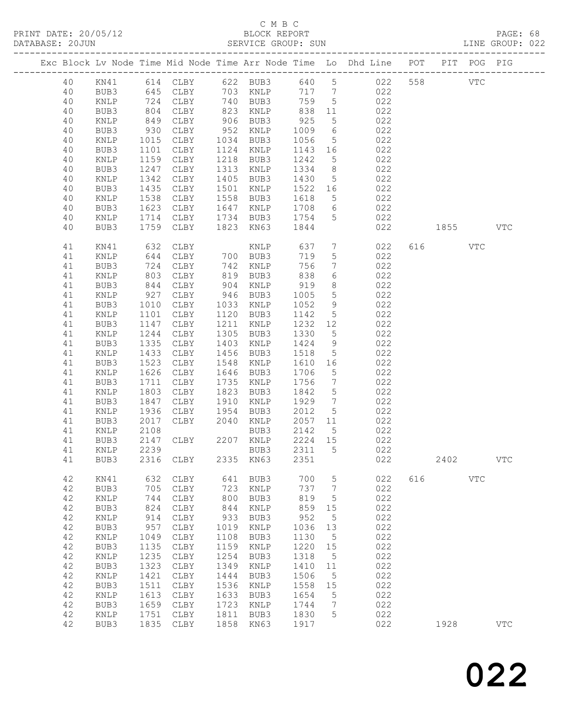# C M B C<br>BLOCK REPORT

| DATABASE: 20JUN |         |                 |                   |                     |      | SERVICE GROUP: SUN               |            |                 |                                                                                |                                                                                                                                                                                                                               |     | LINE GROUP: 022 |  |
|-----------------|---------|-----------------|-------------------|---------------------|------|----------------------------------|------------|-----------------|--------------------------------------------------------------------------------|-------------------------------------------------------------------------------------------------------------------------------------------------------------------------------------------------------------------------------|-----|-----------------|--|
|                 |         |                 |                   |                     |      |                                  |            |                 | Exc Block Lv Node Time Mid Node Time Arr Node Time Lo Dhd Line POT PIT POG PIG |                                                                                                                                                                                                                               |     |                 |  |
|                 | 40      |                 |                   |                     |      |                                  |            |                 | KN41 614 CLBY 622 BUB3 640 5 022 558 VTC                                       |                                                                                                                                                                                                                               |     |                 |  |
|                 | 40      | BUB3            |                   | 645 CLBY 703 KNLP   |      |                                  |            |                 | 717 7 022                                                                      |                                                                                                                                                                                                                               |     |                 |  |
|                 | 40      | KNLP            |                   | CLBY                |      | 740 BUB3<br>823 KNLP<br>906 BUB3 | 759 5      |                 | 022                                                                            |                                                                                                                                                                                                                               |     |                 |  |
|                 | 40      | BUB3            | 724<br>804<br>849 | CLBY                |      |                                  |            | 11              | 022                                                                            |                                                                                                                                                                                                                               |     |                 |  |
|                 | 40      | KNLP            |                   | CLBY                |      |                                  | 838<br>925 | $5\overline{)}$ | 022                                                                            |                                                                                                                                                                                                                               |     |                 |  |
|                 | 40      | BUB3            | 930               | CLBY                |      | 952 KNLP                         | 1009       | 6               | 022                                                                            |                                                                                                                                                                                                                               |     |                 |  |
|                 | 40      | KNLP            | 1015              | CLBY                |      | 1034 BUB3                        | 1056       | 5 <sup>5</sup>  | 022                                                                            |                                                                                                                                                                                                                               |     |                 |  |
|                 | 40      | BUB3            | 1101              | CLBY                |      | 1124 KNLP                        | 1143 16    |                 | 022                                                                            |                                                                                                                                                                                                                               |     |                 |  |
|                 | 40      | KNLP            | 1159              | CLBY                |      | 1218 BUB3                        | 1242       | $5\overline{)}$ | 022                                                                            |                                                                                                                                                                                                                               |     |                 |  |
|                 | 40      | BUB3            | 1247              | CLBY                | 1313 | KNLP                             | 1334       | 8 <sup>8</sup>  | 022                                                                            |                                                                                                                                                                                                                               |     |                 |  |
|                 | 40      | KNLP            | 1342              | CLBY                | 1405 | BUB3                             | 1430       | $5\overline{)}$ | 022                                                                            |                                                                                                                                                                                                                               |     |                 |  |
|                 | 40      |                 | 1435              |                     |      | 1501 KNLP                        | 1522 16    |                 | 022                                                                            |                                                                                                                                                                                                                               |     |                 |  |
|                 |         | BUB3            |                   | CLBY                |      |                                  |            |                 |                                                                                |                                                                                                                                                                                                                               |     |                 |  |
|                 | 40      | KNLP            | 1538              | CLBY                |      | 1558 BUB3                        | 1618       | $5\overline{)}$ | 022                                                                            |                                                                                                                                                                                                                               |     |                 |  |
|                 | 40      | BUB3            | 1623              | CLBY                |      | 1647 KNLP 1708                   |            |                 | $6\overline{6}$<br>022                                                         |                                                                                                                                                                                                                               |     |                 |  |
|                 | 40      | KNLP            | 1714              | CLBY                |      | 1734 BUB3                        | 1754       | 5 <sup>5</sup>  | 022                                                                            |                                                                                                                                                                                                                               |     |                 |  |
|                 | 40      | BUB3            | 1759              | CLBY                |      | 1823 KN63                        | 1844       |                 | 022                                                                            | 1855   1860   1860   1860   1860   1860   1860   1860   1860   1860   1860   1860   1860   1860   1860   1860   1860   1860   1860   1860   1860   1860   1860   1860   1860   1860   1860   1860   1860   1860   1860   1870 |     | <b>VTC</b>      |  |
|                 | 41      | KN41            | 632               | CLBY                |      | KNLP                             | 637        | $7\overline{ }$ | 022                                                                            | 616 7                                                                                                                                                                                                                         | VTC |                 |  |
|                 | 41      | KNLP            | 644               | CLBY                |      | 700 BUB3                         | 719        | $5\phantom{.0}$ | 022                                                                            |                                                                                                                                                                                                                               |     |                 |  |
|                 | 41      | BUB3            | 724               | CLBY                |      | $742$ is $819$ BUB3              | 756        | $7\overline{ }$ | 022                                                                            |                                                                                                                                                                                                                               |     |                 |  |
|                 | 41      | $\texttt{KNLP}$ | 803               | CLBY                |      |                                  | 838        | $6\overline{6}$ | 022                                                                            |                                                                                                                                                                                                                               |     |                 |  |
|                 | 41      | BUB3            | 844               | CLBY                |      | 904 KNLP                         | 919        | 8               | 022                                                                            |                                                                                                                                                                                                                               |     |                 |  |
|                 | 41      | KNLP            | 927               | CLBY                |      | 946 BUB3                         | 1005       | $5\overline{)}$ | 022                                                                            |                                                                                                                                                                                                                               |     |                 |  |
|                 | 41      | BUB3            | 1010              | CLBY                |      | 1033 KNLP                        | 1052       | 9               | 022                                                                            |                                                                                                                                                                                                                               |     |                 |  |
|                 | 41      | KNLP            | 1101              | CLBY                |      | 1120 BUB3                        | 1142       | $5\overline{)}$ | 022                                                                            |                                                                                                                                                                                                                               |     |                 |  |
|                 | 41      | BUB3            | 1147              | CLBY                | 1211 | KNLP                             | 1232 12    |                 | 022                                                                            |                                                                                                                                                                                                                               |     |                 |  |
|                 | 41      | KNLP            | 1244              | CLBY                |      | 1305 BUB3                        | 1330       | $5\overline{)}$ | 022                                                                            |                                                                                                                                                                                                                               |     |                 |  |
|                 | 41      | BUB3            | 1335              | CLBY                |      | 1403 KNLP                        | 1424       | 9               | 022                                                                            |                                                                                                                                                                                                                               |     |                 |  |
|                 | 41      | KNLP            | 1433              | CLBY                |      | 1456 BUB3                        | 1518       | $5\overline{)}$ | 022                                                                            |                                                                                                                                                                                                                               |     |                 |  |
|                 | 41      | BUB3            | 1523              | CLBY                |      | 1548 KNLP                        | 1610       | 16              | 022                                                                            |                                                                                                                                                                                                                               |     |                 |  |
|                 | 41      | KNLP            | 1626              | CLBY                |      | 1646 BUB3                        | 1706       | $5\overline{)}$ | 022                                                                            |                                                                                                                                                                                                                               |     |                 |  |
|                 | 41      | BUB3            | 1711              | CLBY                |      | 1735 KNLP                        | 1756       | $\overline{7}$  | 022                                                                            |                                                                                                                                                                                                                               |     |                 |  |
|                 | 41      | KNLP            | 1803              | CLBY                | 1823 | BUB3                             | 1842       | $5\overline{)}$ | 022                                                                            |                                                                                                                                                                                                                               |     |                 |  |
|                 | 41      | BUB3            | 1847              | CLBY                | 1910 | KNLP                             | 1929       | $\overline{7}$  | 022                                                                            |                                                                                                                                                                                                                               |     |                 |  |
|                 | 41      | KNLP            | 1936              | CLBY                | 1954 | BUB3                             | 2012       | $5\overline{)}$ | 022                                                                            |                                                                                                                                                                                                                               |     |                 |  |
|                 | 41      | BUB3            | 2017              | CLBY                | 2040 | KNLP                             | 2057 11    |                 | 022                                                                            |                                                                                                                                                                                                                               |     |                 |  |
|                 | 41      | KNLP            | 2108              |                     |      | BUB3                             | 2142       | $5^{\circ}$     | 022                                                                            |                                                                                                                                                                                                                               |     |                 |  |
|                 | 41      | BUB3            |                   | 2147 CLBY 2207 KNLP |      |                                  | 2224 15    |                 | 022                                                                            |                                                                                                                                                                                                                               |     |                 |  |
|                 | 41 KNLP |                 |                   |                     |      |                                  |            |                 | 2239 BUB3 2311 5 022                                                           |                                                                                                                                                                                                                               |     |                 |  |
|                 | 41      | BUB3            |                   | 2316 CLBY 2335 KN63 |      |                                  | 2351       |                 | 022                                                                            | 2402                                                                                                                                                                                                                          |     | <b>VTC</b>      |  |
|                 |         |                 |                   |                     |      |                                  |            |                 |                                                                                |                                                                                                                                                                                                                               |     |                 |  |
|                 | 42      | KN41            | 632               | CLBY                |      | 641 BUB3                         | 700        | $5\overline{)}$ | 022                                                                            | 616 VTC                                                                                                                                                                                                                       |     |                 |  |
|                 | 42      | BUB3            | 705               | CLBY                | 723  | KNLP                             | 737        | $\overline{7}$  | 022                                                                            |                                                                                                                                                                                                                               |     |                 |  |
|                 | 42      | KNLP            | 744               | CLBY                | 800  | BUB3                             | 819        | $5^{\circ}$     | 022                                                                            |                                                                                                                                                                                                                               |     |                 |  |
|                 | 42      | BUB3            | 824               | CLBY                | 844  | KNLP                             | 859        | 15              | 022                                                                            |                                                                                                                                                                                                                               |     |                 |  |
|                 | 42      | $\texttt{KNLP}$ | 914               | CLBY                | 933  | BUB3                             | 952        | $5\phantom{.0}$ | 022                                                                            |                                                                                                                                                                                                                               |     |                 |  |
|                 | 42      | BUB3            | 957               | CLBY                | 1019 | KNLP                             | 1036 13    |                 | 022                                                                            |                                                                                                                                                                                                                               |     |                 |  |
|                 | 42      | KNLP            | 1049              | CLBY                | 1108 | BUB3                             | 1130       | $5^{\circ}$     | 022                                                                            |                                                                                                                                                                                                                               |     |                 |  |
|                 | 42      | BUB3            | 1135              | CLBY                | 1159 | KNLP                             | 1220 15    |                 | 022                                                                            |                                                                                                                                                                                                                               |     |                 |  |
|                 | 42      | $\texttt{KNLP}$ | 1235              | CLBY                | 1254 | BUB3                             | 1318       | $5^{\circ}$     | 022                                                                            |                                                                                                                                                                                                                               |     |                 |  |
|                 | 42      | BUB3            | 1323              | CLBY                | 1349 | KNLP                             | 1410       | 11              | 022                                                                            |                                                                                                                                                                                                                               |     |                 |  |
|                 | 42      | KNLP            | 1421              | CLBY                | 1444 | BUB3                             | 1506       | $5^{\circ}$     | 022                                                                            |                                                                                                                                                                                                                               |     |                 |  |
|                 | 42      | BUB3            | 1511              | CLBY                | 1536 | KNLP                             | 1558       | 15              | 022                                                                            |                                                                                                                                                                                                                               |     |                 |  |
|                 | 42      | KNLP            | 1613              | CLBY                | 1633 | BUB3                             | 1654       | $5^{\circ}$     | 022                                                                            |                                                                                                                                                                                                                               |     |                 |  |
|                 | 42      | BUB3            | 1659              | CLBY                | 1723 | KNLP                             | 1744       | $\overline{7}$  | 022                                                                            |                                                                                                                                                                                                                               |     |                 |  |
|                 | 42      | KNLP            | 1751              | CLBY                | 1811 | BUB3                             | 1830       | 5               | 022                                                                            |                                                                                                                                                                                                                               |     |                 |  |
|                 | 42      | BUB3            |                   | 1835 CLBY           |      | 1858 KN63                        | 1917       |                 | 022                                                                            | 1928                                                                                                                                                                                                                          |     | <b>VTC</b>      |  |
|                 |         |                 |                   |                     |      |                                  |            |                 |                                                                                |                                                                                                                                                                                                                               |     |                 |  |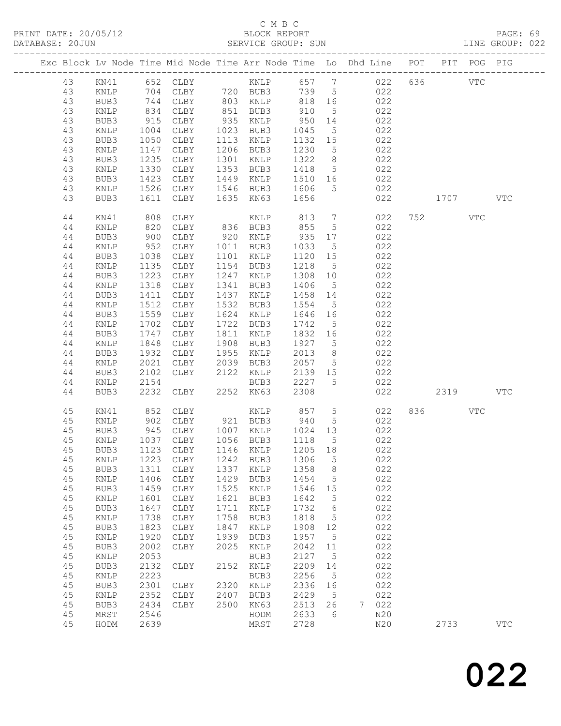#### C M B C<br>BLOCK REPORT SERVICE GROUP: SUN

|          |              |              | Exc Block Lv Node Time Mid Node Time Arr Node Time Lo Dhd Line POT |                   |              |                          |                 |     |            |         | PIT POG PIG |              |
|----------|--------------|--------------|--------------------------------------------------------------------|-------------------|--------------|--------------------------|-----------------|-----|------------|---------|-------------|--------------|
| 43       |              |              |                                                                    |                   |              |                          |                 |     |            | 636 VTC |             |              |
| 43       |              |              |                                                                    |                   |              |                          |                 |     |            |         |             |              |
| 43       |              |              |                                                                    |                   |              |                          |                 |     |            |         |             |              |
| 43       | KNLP         | 834          | CLBY                                                               | 851 BUB3          |              | 910                      | $5\overline{)}$ |     | 022        |         |             |              |
| 43       | BUB3         | 915          | CLBY                                                               | 935               | KNLP         | 950                      | 14              |     | 022        |         |             |              |
| 43       | KNLP         | 1004         | CLBY                                                               | 1023 BUB3         |              | 1045                     | 5 <sup>5</sup>  |     | 022        |         |             |              |
| 43       | BUB3         | 1050         | CLBY                                                               | 1113              | KNLP         | 1132 15                  |                 |     | 022        |         |             |              |
| 43       | KNLP         | 1147         | CLBY                                                               | 1206 BUB3         |              | 1230                     | $5^{\circ}$     | 022 |            |         |             |              |
| 43       | BUB3         | 1235         | CLBY                                                               | 1301              | KNLP         | 1322                     | 8 <sup>8</sup>  |     | 022        |         |             |              |
| 43       | KNLP         | 1330         | CLBY                                                               | 1353 BUB3         |              | 1418                     | $5\overline{)}$ |     | 022        |         |             |              |
| 43       | BUB3         | 1423         | CLBY                                                               | 1449 KNLP         |              | 1510 16                  |                 |     | 022        |         |             |              |
| 43       | KNLP         | 1526         | CLBY                                                               |                   |              | 1546 BUB3 1606           | $5^{\circ}$     | 022 |            |         |             |              |
| 43       | BUB3         | 1611         | CLBY                                                               |                   |              | 1635 KN63 1656           |                 |     | 022        | 1707    |             | VTC          |
| 44       | KN41         | 808          | CLBY                                                               |                   | KNLP         | 813                      | $7\overline{ }$ |     | 022        | 752     | VTC         |              |
| 44       | KNLP         | 820          | CLBY                                                               | 836 BUB3          |              | 855                      | $5^{\circ}$     |     | 022        |         |             |              |
| 44       | BUB3         | 900          | CLBY                                                               | 920               | KNLP         | 935                      | 17              |     | 022        |         |             |              |
| 44       | KNLP         | 952          | CLBY                                                               | 1011 BUB3         |              | 1033                     | $5\overline{)}$ |     | 022        |         |             |              |
| 44       | BUB3         | 1038         | CLBY                                                               | 1101              | KNLP         | 1120 15                  |                 |     | 022        |         |             |              |
| 44       | KNLP         | 1135         | CLBY                                                               | 1154              | BUB3         | 1218                     | $5^{\circ}$     |     | 022        |         |             |              |
| 44       | BUB3         | 1223         | CLBY                                                               | 1247              | KNLP         | 1308                     | 10              |     | 022        |         |             |              |
| 44       | KNLP         | 1318         | CLBY                                                               | 1341              | BUB3         | 1406                     | $5\overline{)}$ |     | 022        |         |             |              |
| 44       | BUB3         | 1411<br>1512 | CLBY<br>CLBY                                                       | 1437 KNLP<br>1532 |              | 1458 14                  |                 |     | 022<br>022 |         |             |              |
| 44<br>44 | KNLP<br>BUB3 | 1559         | CLBY                                                               | 1624 KNLP         | BUB3         | 1554<br>1646 16          | $5\overline{)}$ | 022 |            |         |             |              |
| 44       | KNLP         | 1702         | CLBY                                                               | 1722 BUB3         |              | 1742                     | $5\overline{)}$ |     | 022        |         |             |              |
| 44       | BUB3         | 1747         | CLBY                                                               | 1811 KNLP         |              | 1832 16                  |                 |     | 022        |         |             |              |
| 44       | KNLP         | 1848         | CLBY                                                               | 1908 BUB3         |              | 1927 5                   |                 |     | 022        |         |             |              |
| 44       | BUB3         | 1932         | CLBY                                                               | 1955              | KNLP         | 2013                     | 8 <sup>8</sup>  |     | 022        |         |             |              |
| 44       | KNLP         | 2021         | CLBY                                                               | 2039              | BUB3         | 2057                     | $5\overline{)}$ |     | 022        |         |             |              |
| 44       | BUB3         | 2102         | CLBY                                                               | 2122 KNLP         |              | 2139 15                  |                 |     | 022        |         |             |              |
| 44       | KNLP         | 2154         |                                                                    |                   | BUB3         | 2227                     | $5^{\circ}$     |     | 022        |         |             |              |
| 44       | BUB3         | 2232         | CLBY                                                               | 2252 KN63         |              | 2308                     |                 |     | 022        | 2319    |             | <b>VTC</b>   |
| 45       | KN41         | 852          | CLBY                                                               |                   |              |                          |                 |     | 022        | 836 VTC |             |              |
| 45       | KNLP         | 902          | CLBY                                                               | 921 BUB3          |              | KNLP 857 5<br>BUB3 940 5 |                 |     | 022        |         |             |              |
| 45       | BUB3         | 945          | CLBY 1007 KNLP 1024 13                                             |                   |              |                          |                 | 022 |            |         |             |              |
| 45       | KNLP         | 1037         | CLBY                                                               | 1056 BUB3         |              | 1118                     | $5\overline{)}$ |     | 022        |         |             |              |
| 45       | BUB3         |              | 1123 CLBY                                                          | 1146 KNLP         |              | 1205 18                  |                 |     | 022        |         |             |              |
|          |              |              | 45 KNLP 1223 CLBY 1242 BUB3 1306 5                                 |                   |              |                          |                 |     | 022        |         |             |              |
| 45       | BUB3         | 1311         | CLBY                                                               | 1337              | KNLP         | 1358                     | 8 <sup>8</sup>  |     | 022        |         |             |              |
| 45       | KNLP         | 1406         | CLBY                                                               | 1429              | BUB3         | 1454                     | 5               |     | 022        |         |             |              |
| 45       | BUB3         | 1459         | CLBY                                                               | 1525              | KNLP         | 1546                     | 15              |     | 022        |         |             |              |
| 45       | KNLP         | 1601         | CLBY                                                               | 1621              | BUB3         | 1642                     | 5               |     | 022        |         |             |              |
| 45       | BUB3         | 1647         | CLBY                                                               | 1711              | KNLP         | 1732                     | $6\overline{6}$ |     | 022        |         |             |              |
| 45       | KNLP         | 1738         | CLBY                                                               | 1758              | BUB3         | 1818                     | 5               |     | 022        |         |             |              |
| 45       | BUB3         | 1823         | CLBY                                                               | 1847              | KNLP         | 1908                     | 12              |     | 022<br>022 |         |             |              |
| 45<br>45 | KNLP         | 1920<br>2002 | CLBY                                                               | 1939<br>2025      | BUB3         | 1957<br>2042             | $5^{\circ}$     |     | 022        |         |             |              |
| 45       | BUB3<br>KNLP | 2053         | CLBY                                                               |                   | KNLP<br>BUB3 | 2127                     | 11<br>5         |     | 022        |         |             |              |
| 45       | BUB3         | 2132         | CLBY                                                               | 2152              | KNLP         | 2209                     | 14              |     | 022        |         |             |              |
| 45       | KNLP         | 2223         |                                                                    |                   | BUB3         | 2256                     | $5\phantom{.0}$ |     | 022        |         |             |              |
| 45       | BUB3         | 2301         | CLBY                                                               | 2320              | KNLP         | 2336                     | 16              |     | 022        |         |             |              |
| 45       | KNLP         | 2352         | CLBY                                                               | 2407              | BUB3         | 2429                     | 5               |     | 022        |         |             |              |
| 45       | BUB3         | 2434         | CLBY                                                               | 2500              | KN63         | 2513                     | 26              | 7   | 022        |         |             |              |
| 45       | MRST         | 2546         |                                                                    |                   | HODM         | 2633                     | 6               |     | N20        |         |             |              |
| 45       | HODM         | 2639         |                                                                    |                   | MRST         | 2728                     |                 |     | N20        | 2733    |             | $_{\rm VTC}$ |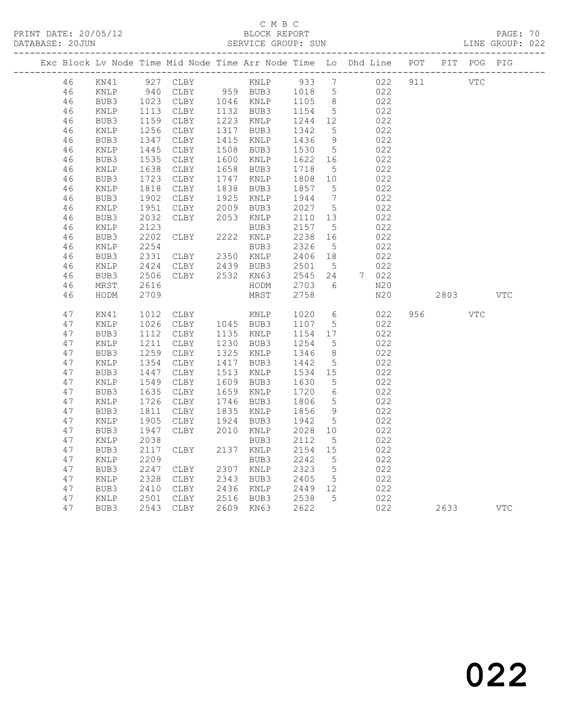# C M B C<br>BLOCK REPORT

PAGE: 70<br>LINE GROUP: 022

|          |                 |                          |                                            |                        |                  |                              | Exc Block Lv Node Time Mid Node Time Arr Node Time Lo Dhd Line POT PIT POG PIG |     |            |            |            |
|----------|-----------------|--------------------------|--------------------------------------------|------------------------|------------------|------------------------------|--------------------------------------------------------------------------------|-----|------------|------------|------------|
| 46       | KN41            |                          | 927 CLBY                                   |                        | 933 7            |                              | 022                                                                            | 911 | <b>VTC</b> |            |            |
| 46       | KNLP            | 940                      |                                            |                        | 1018 5           |                              | 022                                                                            |     |            |            |            |
| 46       | BUB3            |                          | 1023 CLBY 1046 KNLP<br>1113 CLBY 1132 BUB3 |                        | 1105 8<br>1154 5 |                              | 022                                                                            |     |            |            |            |
| 46       | KNLP            |                          |                                            |                        | 1154             | $5\overline{)}$              | 022                                                                            |     |            |            |            |
| 46       | BUB3            | ----<br>1159<br>1256     | CLBY                                       | 1223 KNLP              | 1244 12          |                              | 022                                                                            |     |            |            |            |
| 46       | KNLP            | 1256                     | CLBY                                       | 1317 BUB3              | 1342             | $5\overline{)}$              | 022                                                                            |     |            |            |            |
| 46       | BUB3            | 1347                     | CLBY                                       | 1415 KNLP              | 1436             | 9                            | 022                                                                            |     |            |            |            |
| 46       | KNLP            | $14 - 1535$              | CLBY                                       | 1508 BUB3              | 1530             | $5\overline{)}$              | 022                                                                            |     |            |            |            |
| 46       | BUB3            |                          | CLBY                                       | 1600 KNLP<br>1658 BUB3 | 1622             | 16                           | 022                                                                            |     |            |            |            |
| 46<br>46 | KNLP<br>BUB3    | 1638<br>$1630$<br>$1723$ | CLBY<br>CLBY                               | 1747 KNLP              | 1718<br>1808 10  | $5\overline{)}$              | 022<br>022                                                                     |     |            |            |            |
| 46       | KNLP            |                          | CLBY                                       | 1838 BUB3              | 1857             | 5                            | 022                                                                            |     |            |            |            |
| 46       | BUB3            | 1818<br>1902             | CLBY                                       | 1925 KNLP              | 1944             | $7\phantom{.0}\phantom{.0}7$ | 022                                                                            |     |            |            |            |
| 46       | $\texttt{KNLP}$ | 1951                     | CLBY                                       | 2009 BUB3              | 2027             | $5^{\circ}$                  | 022                                                                            |     |            |            |            |
| 46       | BUB3            | 2032                     | CLBY                                       | 2053 KNLP              | 2110 13          |                              | 022                                                                            |     |            |            |            |
| 46       | KNLP            | 2123                     |                                            | BUB3                   | 2157             | $5^{\circ}$                  | 022                                                                            |     |            |            |            |
| 46       | BUB3            | 2202                     | CLBY                                       | 2222 KNLP              | 2238             | 16                           | 022                                                                            |     |            |            |            |
| 46       | KNLP            | 2254                     |                                            | BUB3                   | 2326             | $5\overline{)}$              | 022                                                                            |     |            |            |            |
| 46       | BUB3            | 2331                     | CLBY 2350 KNLP<br>CLBY 2439 BUB3           |                        | 2406             | 18                           | 022                                                                            |     |            |            |            |
| 46       | KNLP            | 2424                     | CLBY                                       | 2439 BUB3              | 2501             | $5\overline{)}$              | 022                                                                            |     |            |            |            |
| 46       | BUB3            | 2506                     | CLBY                                       | 2532 KN63              | 2545             | 24                           | 7 022                                                                          |     |            |            |            |
| 46       | MRST            | 2616                     |                                            | HODM                   | 2703             | 6                            | N20                                                                            |     |            |            |            |
| 46       | HODM            | 2709                     |                                            | MRST                   | 2758             |                              | N20                                                                            |     | 2803       |            | <b>VTC</b> |
| 47       | KN41            | 1012                     | CLBY                                       | KNLP                   | 1020             | $6\overline{6}$              | 022                                                                            | 956 |            | <b>VTC</b> |            |
| 47       | KNLP            | 1026                     | CLBY 1045 BUB3                             |                        | 1107 5           |                              | 022                                                                            |     |            |            |            |
| 47       | BUB3            | 1112                     | CLBY                                       | 1135 KNLP              | 1154 17          |                              | 022                                                                            |     |            |            |            |
| 47       | $\texttt{KNLP}$ | 1211                     | CLBY                                       | 1230 BUB3              | 1254             | $5\overline{)}$              | 022                                                                            |     |            |            |            |
| 47       | BUB3            | $\frac{1}{1259}$         | CLBY                                       | 1325 KNLP              | 1346             | 8 <sup>8</sup>               | 022                                                                            |     |            |            |            |
| 47       | KNLP            | 1354<br>1447             | CLBY                                       | 1417 BUB3              | 1442             | 5                            | 022                                                                            |     |            |            |            |
| 47       | BUB3            |                          | CLBY                                       | 1513 KNLP              | 1534 15          |                              | 022                                                                            |     |            |            |            |
| 47       | $\texttt{KNLP}$ | 1549<br>1635             | CLBY                                       | 1609 BUB3              | 1630             | $5^{\circ}$                  | 022                                                                            |     |            |            |            |
| 47       | BUB3            |                          | CLBY                                       | 1659 KNLP              | 1720             | $6\overline{6}$              | 022                                                                            |     |            |            |            |
| 47       | KNLP            | 1726                     | CLBY                                       | 1746 BUB3              | 1806             | 5                            | 022                                                                            |     |            |            |            |
| 47       | BUB3            | 1811                     | CLBY                                       | 1835 KNLP              | 1856             | 9                            | 022                                                                            |     |            |            |            |
| 47<br>47 | KNLP<br>BUB3    | 1905<br>1947             | CLBY<br>CLBY                               | 1924 BUB3<br>2010 KNLP | 1942<br>2028     | $5\overline{)}$<br>10        | 022<br>022                                                                     |     |            |            |            |
| 47       | KNLP            | 2038                     |                                            | BUB3                   | 2112             | $5^{\circ}$                  | 022                                                                            |     |            |            |            |
| 47       | BUB3            | 2117                     | CLBY                                       | 2137 KNLP              | 2154             | 15                           | 022                                                                            |     |            |            |            |
| 47       | KNLP            | 2209                     |                                            | BUB3                   | 2242             | $5^{\circ}$                  | 022                                                                            |     |            |            |            |
| 47       | BUB3            | 2247                     | CLBY                                       | 2307 KNLP              | 2323             | $5^{\circ}$                  | 022                                                                            |     |            |            |            |
| 47       | $\texttt{KNLP}$ | 2328                     | CLBY                                       | 2343 BUB3              | 2405             | $5\overline{)}$              | 022                                                                            |     |            |            |            |
| 47       | BUB3            | 2410                     | CLBY                                       | 2436 KNLP              | 2449 12          |                              | 022                                                                            |     |            |            |            |
| 47       | $\texttt{KNLP}$ | 2501                     | CLBY                                       | 2516 BUB3              | 2538             | $5\overline{)}$              | 022                                                                            |     |            |            |            |
| 47       | BUB3            |                          | 2543 CLBY                                  | 2609 KN63              | 2622             |                              | 022                                                                            |     | 2633       |            | <b>VTC</b> |
|          |                 |                          |                                            |                        |                  |                              |                                                                                |     |            |            |            |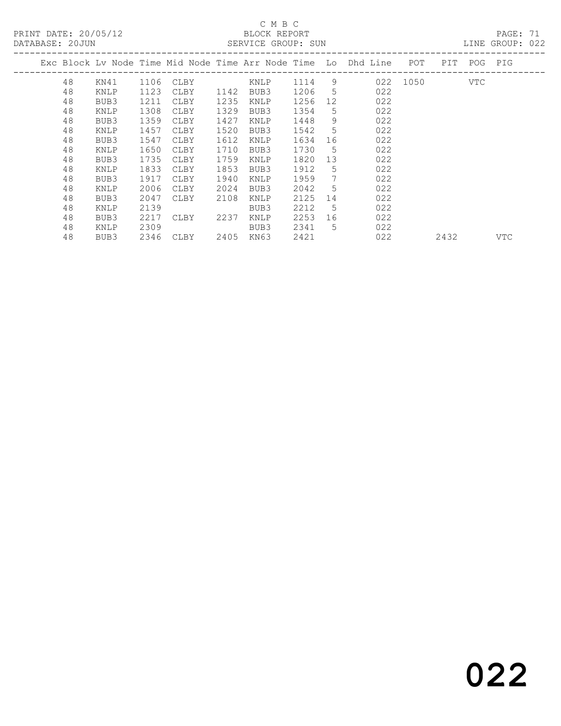PRINT DATE: 20/05/12 BLOCK REPORT<br>DATABASE: 20JUN SERVICE GROUP: SUN

# C M B C<br>BLOCK REPORT

PAGE: 71<br>LINE GROUP: 022

| <i>PHILIPHOL.</i> 2000N |  |    |      |      | AUTO 101001. |      |           |      |                 |                                                                    |          |      |             |     |  |  |  |
|-------------------------|--|----|------|------|--------------|------|-----------|------|-----------------|--------------------------------------------------------------------|----------|------|-------------|-----|--|--|--|
|                         |  |    |      |      |              |      |           |      |                 | Exc Block Lv Node Time Mid Node Time Arr Node Time Lo Dhd Line POT |          |      | PIT POG PIG |     |  |  |  |
|                         |  | 48 | KN41 | 1106 | CLBY         |      | KNLP      | 1114 | 9               |                                                                    | 022 1050 |      | VTC         |     |  |  |  |
|                         |  | 48 | KNLP | 1123 | CLBY         | 1142 | BUB3      | 1206 | 5               | 022                                                                |          |      |             |     |  |  |  |
|                         |  | 48 | BUB3 | 1211 | CLBY         | 1235 | KNLP      | 1256 | 12              | 022                                                                |          |      |             |     |  |  |  |
|                         |  | 48 | KNLP | 1308 | CLBY         | 1329 | BUB3      | 1354 | 5               | 022                                                                |          |      |             |     |  |  |  |
|                         |  | 48 | BUB3 | 1359 | CLBY         | 1427 | KNLP      | 1448 | 9               | 022                                                                |          |      |             |     |  |  |  |
|                         |  | 48 | KNLP | 1457 | CLBY         | 1520 | BUB3      | 1542 | 5               | 022                                                                |          |      |             |     |  |  |  |
|                         |  | 48 | BUB3 | 1547 | CLBY         | 1612 | KNLP      | 1634 | 16              | 022                                                                |          |      |             |     |  |  |  |
|                         |  | 48 | KNLP | 1650 | CLBY         | 1710 | BUB3      | 1730 | 5               | 022                                                                |          |      |             |     |  |  |  |
|                         |  | 48 | BUB3 | 1735 | CLBY         | 1759 | KNLP      | 1820 | 13 <sup>°</sup> | 022                                                                |          |      |             |     |  |  |  |
|                         |  | 48 | KNLP | 1833 | CLBY         | 1853 | BUB3      | 1912 | 5               | 022                                                                |          |      |             |     |  |  |  |
|                         |  | 48 | BUB3 | 1917 | CLBY         | 1940 | KNLP      | 1959 | $7\phantom{.0}$ | 022                                                                |          |      |             |     |  |  |  |
|                         |  | 48 | KNLP | 2006 | CLBY         | 2024 | BUB3      | 2042 | 5               | 022                                                                |          |      |             |     |  |  |  |
|                         |  | 48 | BUB3 | 2047 | CLBY         | 2108 | KNLP      | 2125 | 14              | 022                                                                |          |      |             |     |  |  |  |
|                         |  | 48 | KNLP | 2139 |              |      | BUB3      | 2212 | -5              | 022                                                                |          |      |             |     |  |  |  |
|                         |  | 48 | BUB3 | 2217 | CLBY         | 2237 | KNLP      | 2253 | 16              | 022                                                                |          |      |             |     |  |  |  |
|                         |  | 48 | KNLP | 2309 |              |      | BUB3      | 2341 | 5               | 022                                                                |          |      |             |     |  |  |  |
|                         |  | 48 | BUB3 |      | 2346 CLBY    |      | 2405 KN63 | 2421 |                 | 022                                                                |          | 2432 |             | VTC |  |  |  |
|                         |  |    |      |      |              |      |           |      |                 |                                                                    |          |      |             |     |  |  |  |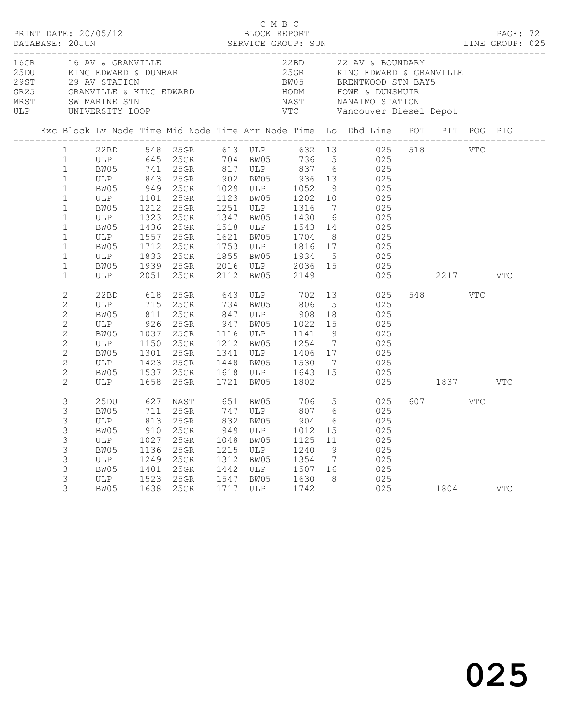| D M B C<br>PRINT DATE: 20/05/12<br>DATABASE: 20JUN SERVICE GROUP: SUN SERVICE SUN LINE GROUP: 025 |                                                                                                                                                                                                                   |                                                                                     |                                                                            | C M B C                                                                                                              |                                                                                                                                                                                                                                        |                                                                                                                                                     |                                   |                                            |                                                                                                                                                                                                                                                                                                  |  |          |            |            |  |
|---------------------------------------------------------------------------------------------------|-------------------------------------------------------------------------------------------------------------------------------------------------------------------------------------------------------------------|-------------------------------------------------------------------------------------|----------------------------------------------------------------------------|----------------------------------------------------------------------------------------------------------------------|----------------------------------------------------------------------------------------------------------------------------------------------------------------------------------------------------------------------------------------|-----------------------------------------------------------------------------------------------------------------------------------------------------|-----------------------------------|--------------------------------------------|--------------------------------------------------------------------------------------------------------------------------------------------------------------------------------------------------------------------------------------------------------------------------------------------------|--|----------|------------|------------|--|
|                                                                                                   |                                                                                                                                                                                                                   |                                                                                     |                                                                            |                                                                                                                      | 16GR 16 AV & GRANVILLE 22BD 22 AV & BOUNDARY<br>25DU KING EDWARD & DUNBAR 25GR KING EDWARD & GRANVILLE<br>29 AV STATION BW05 BRENTWOOD STN BAY5<br>GR25 GRANVILLE & KING EDWARD HODM HOWE & DUNSMUIR<br>MRST SW_MARINE_STN NAST NANAIM |                                                                                                                                                     |                                   |                                            |                                                                                                                                                                                                                                                                                                  |  |          |            |            |  |
|                                                                                                   |                                                                                                                                                                                                                   |                                                                                     |                                                                            |                                                                                                                      |                                                                                                                                                                                                                                        |                                                                                                                                                     |                                   |                                            | Exc Block Lv Node Time Mid Node Time Arr Node Time Lo Dhd Line POT PIT POG PIG                                                                                                                                                                                                                   |  |          |            |            |  |
|                                                                                                   | 1<br>$\mathbf{1}$<br>$\mathbf{1}$<br>$\mathbf{1}$<br>$\mathbf{1}$<br>$\mathbf{1}$<br>$\mathbf{1}$<br>$\mathbf{1}$<br>$\mathbf{1}$<br>$\mathbf{1}$<br>$\mathbf{1}$<br>$\mathbf{1}$<br>$\mathbf{1}$<br>$\mathbf{1}$ | ULP 1101 25GR<br>BW05 1212 25GR<br>ULP<br>BW05<br>ULP<br>BW05<br>ULP<br>BW05<br>ULP | 1323<br>1436<br>1712<br>2051                                               | 25GR<br>25GR<br>1557 25GR<br>25GR<br>1833 25GR<br>1939 25GR<br>25GR                                                  | 2112                                                                                                                                                                                                                                   | 1123 BW05 1202 10<br>1251 ULP 1316 7<br>1621 BW05 1704 8<br>1753 ULP 1816 17<br>1855 BW05 1934 5<br>2016 ULP 2036 15<br>BW05                        | 2149                              |                                            | 22BD 548 25GR 613 ULP 632 13 025 518 VTC<br>ULP 645 25GR 704 BW05 736 5 025<br>BW05 741 25GR 817 ULP 837 6 025<br>ULP 843 25GR 902 BW05 936 13 025<br>BW05 949 25GR 1029 ULP 1052 9 025<br>025<br>025<br>1347 BW05 1430 6 025<br>1518 ULP 1543 14 025<br>$025$<br>$025$<br>$025$<br>$025$<br>025 |  | 2217     |            | <b>VTC</b> |  |
|                                                                                                   | $\overline{c}$<br>$\overline{2}$<br>$\overline{c}$<br>$\sqrt{2}$<br>$\overline{2}$<br>$\mathbf{2}$<br>$\overline{c}$<br>$\overline{2}$<br>$\overline{c}$<br>$\overline{c}$                                        | 22BD<br>ULP<br>BW05<br>ULP 926<br>BW05<br>ULP<br>BW05<br>ULP<br>BW05<br>ULP         | 618<br>715<br>811<br>1150<br>1423<br>1658                                  | 25GR 643 ULP 702<br>25GR 734 BW05 806<br>25GR<br>25GR<br>1037 25GR<br>25GR<br>1301 25GR<br>25GR<br>1537 25GR<br>25GR |                                                                                                                                                                                                                                        | 847 ULP 908 18<br>947 BW05 1022 15<br>1116 ULP 1141<br>1212 BW05 1254<br>1341 ULP 1406 17<br>1448 BW05 1530 7<br>1618 ULP 1643 15<br>1721 BW05 1802 |                                   | $5^{\circ}$<br>9<br>$\overline{7}$         | 13 025<br>025<br>025<br>025<br>025<br>025<br>025<br>025<br>025                                                                                                                                                                                                                                   |  | 025 1837 | <b>VTC</b> | VTC        |  |
|                                                                                                   | 3<br>3<br>3<br>3<br>3<br>3<br>3<br>3<br>3<br>3                                                                                                                                                                    | 25DU<br>BW05<br>ULP<br>BW05<br>ULP<br>BW05<br>ULP<br>BW05<br>ULP<br>BW05<br>BW05    | 627<br>$711$<br>813<br>910<br>1027<br>1136<br>1249<br>1249<br>1401<br>1523 | NAST 651 BW05<br>25GR<br>25GR<br>25GR<br>25GR<br>25GR<br>25GR<br>25GR<br>25GR<br>1638 25GR                           |                                                                                                                                                                                                                                        | 747 ULP<br>832 BW05<br>$949$ ULP $1012$<br>1048 BW05<br>1215 ULP<br>1312 BW05 1354 7<br>1442 ULP 1507 16<br>1547 BW05 1630 8<br>1717 ULP 1742       | 706<br>807<br>904<br>1125<br>1240 | 6<br>6<br>15<br>11<br>9<br>$7\overline{ }$ | 5 <sub>5</sub><br>025<br>025<br>025<br>025<br>025<br>025<br>025<br>025<br>025<br>025 1804 VTC                                                                                                                                                                                                    |  | 607 VTC  |            |            |  |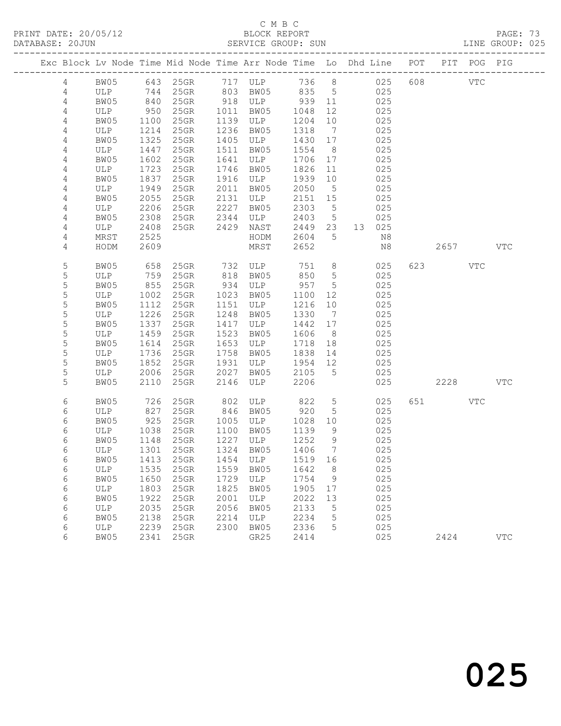PRINT DATE: 20/05/12 BLOCK REPORT BATABASE: 20JUN

### C M B C<br>BLOCK REPORT

PAGE: 73<br>LINE GROUP: 025

| Exc Block Lv Node Time Mid Node Time Arr Node Time Lo Dhd Line POT |            |      |                                 |      |                |      |                              |        |         | PIT POG PIG |            |
|--------------------------------------------------------------------|------------|------|---------------------------------|------|----------------|------|------------------------------|--------|---------|-------------|------------|
| $\overline{4}$                                                     | BW05       |      |                                 |      |                |      |                              |        | 608 VTC |             |            |
| 4                                                                  | ULP        |      |                                 |      |                |      |                              |        |         |             |            |
| 4                                                                  | BW05       | 840  | 25GR                            |      | 918 ULP 939 11 |      |                              | 025    |         |             |            |
| 4                                                                  | ULP        | 950  | $25$ GR                         | 1011 | BW05           | 1048 | 12                           | 025    |         |             |            |
| 4                                                                  | BW05       | 1100 | 25GR                            | 1139 | ULP            | 1204 | 10                           | 025    |         |             |            |
| $\overline{4}$                                                     | ULP        | 1214 | 25GR                            | 1236 | BW05           | 1318 | $\overline{7}$               | 025    |         |             |            |
| 4                                                                  | BW05       | 1325 | 25GR                            | 1405 | ULP            | 1430 | 17                           | 025    |         |             |            |
| 4                                                                  | ULP        | 1447 | 25GR                            | 1511 | BW05           | 1554 | 8 <sup>8</sup>               | 025    |         |             |            |
| 4                                                                  | BW05       | 1602 | $25$ GR                         | 1641 | ULP            | 1706 | 17                           | 025    |         |             |            |
| $\overline{4}$                                                     | ULP        | 1723 | 25GR                            | 1746 | BW05           | 1826 | 11                           | 025    |         |             |            |
| 4                                                                  | BW05       | 1837 | $25$ GR                         | 1916 | ULP            | 1939 | 10                           | 025    |         |             |            |
| 4                                                                  | ULP        | 1949 | 25GR                            | 2011 | BW05           | 2050 | $5\overline{)}$              | 025    |         |             |            |
| 4                                                                  | BW05       | 2055 | 25GR                            | 2131 | ULP            | 2151 | 15                           | 025    |         |             |            |
| 4                                                                  | ULP        | 2206 | $25$ GR                         | 2227 | BW05           | 2303 | $5^{\circ}$                  | 025    |         |             |            |
| $\overline{4}$                                                     | BW05       | 2308 | 25GR                            | 2344 | ULP            | 2403 | $5\overline{)}$              | 025    |         |             |            |
| 4                                                                  | ULP        | 2408 | 25GR                            | 2429 | NAST           | 2449 | 23                           | 13 025 |         |             |            |
| 4                                                                  | MRST       | 2525 |                                 |      | HODM           | 2604 | $5\overline{)}$              | N8     |         |             |            |
| 4                                                                  | HODM       | 2609 |                                 |      | MRST           | 2652 |                              | N8     | 2657    |             | VTC        |
| 5                                                                  | BW05       | 658  |                                 |      | 25GR 732 ULP   | 751  | 8 <sup>8</sup>               | 025    | 623 VTC |             |            |
| 5                                                                  | ULP        | 759  | $25$ GR                         | 818  | BW05           | 850  | $5^{\circ}$                  | 025    |         |             |            |
| 5                                                                  | BW05       | 855  | 25GR                            | 934  | ULP            | 957  | $5\phantom{.0}$              | 025    |         |             |            |
| 5                                                                  | ULP        | 1002 | 25GR                            | 1023 | BW05           | 1100 | 12                           | 025    |         |             |            |
| 5                                                                  | BW05       | 1112 | $25$ GR                         | 1151 | ULP            | 1216 | 10                           | 025    |         |             |            |
| 5                                                                  | ULP        | 1226 | 25GR                            | 1248 | BW05           | 1330 | $\overline{7}$               | 025    |         |             |            |
| 5                                                                  | BW05       | 1337 | $25$ GR                         | 1417 | ULP            | 1442 | 17                           | 025    |         |             |            |
| $\mathsf S$                                                        | ULP        | 1459 | 25GR                            | 1523 | BW05           | 1606 | 8 <sup>8</sup>               | 025    |         |             |            |
| 5                                                                  | BW05       | 1614 | $25$ GR                         | 1653 | ULP            | 1718 | 18                           | 025    |         |             |            |
| 5                                                                  | ULP        | 1736 | 25GR                            | 1758 | BW05           | 1838 | 14                           | 025    |         |             |            |
| 5                                                                  | BW05       | 1852 | 25GR                            | 1931 | ULP            | 1954 | 12                           | 025    |         |             |            |
| 5                                                                  | ULP        | 2006 | 25GR                            | 2027 | BW05           | 2105 | $5^{\circ}$                  | 025    |         |             |            |
| 5                                                                  | BW05       | 2110 | 25GR                            | 2146 | ULP            | 2206 |                              | 025    | 2228    |             | <b>VTC</b> |
| 6                                                                  | BW05       | 726  | 25GR                            | 802  | ULP            | 822  | $5\overline{)}$              | 025    | 651 000 | VTC         |            |
| 6                                                                  | ULP        | 827  | $25$ GR                         |      | 846 BW05       | 920  | 5                            | 025    |         |             |            |
| 6                                                                  | BW05       | 925  | $25$ GR                         | 1005 | ULP            | 1028 | 10                           | 025    |         |             |            |
| 6                                                                  | ULP        | 1038 | 25GR                            | 1100 | BW05           | 1139 | 9                            | 025    |         |             |            |
| 6                                                                  | BW05       | 1148 | $25$ GR                         | 1227 | ULP            | 1252 | 9                            | 025    |         |             |            |
| 6                                                                  | ULP        | 1301 | $25$ GR                         |      | 1324 BW05      | 1406 | $7\phantom{.0}\phantom{.0}7$ | 025    |         |             |            |
| 6                                                                  |            |      | BW05 1413 25GR 1454 ULP 1519 16 |      |                |      |                              | 025    |         |             |            |
| 6                                                                  | ULP        | 1535 | 25GR                            | 1559 | BW05           | 1642 | 8 <sup>8</sup>               | 025    |         |             |            |
| 6                                                                  | BW05       | 1650 | 25GR                            | 1729 | ULP            | 1754 | 9                            | 025    |         |             |            |
| 6                                                                  | <b>ULP</b> | 1803 | 25GR                            | 1825 | BW05           | 1905 | 17                           | 025    |         |             |            |
| 6                                                                  | BW05       | 1922 | 25GR                            | 2001 | ULP            | 2022 | 13                           | 025    |         |             |            |
| 6                                                                  | ULP        | 2035 | 25GR                            | 2056 | BW05           | 2133 | 5                            | 025    |         |             |            |
| 6                                                                  | BW05       | 2138 | 25GR                            | 2214 | ULP            | 2234 | 5                            | 025    |         |             |            |
| 6                                                                  | ULP        | 2239 | 25GR                            | 2300 | BW05           | 2336 | 5                            | 025    |         |             |            |
| 6                                                                  | BW05       | 2341 | 25GR                            |      | GR25           | 2414 |                              | 025    | 2424    |             | <b>VTC</b> |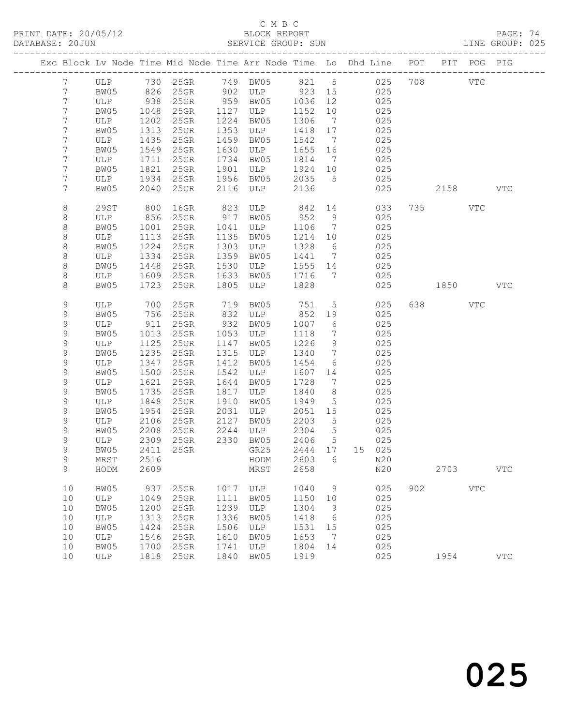PRINT DATE: 20/05/12 BLOCK REPORT BATABASE: 20JUN

## C M B C<br>BLOCK REPORT

PAGE: 74<br>LINE GROUP: 025

|                 |             |              |                 |              |                |                 |                              | Exc Block Lv Node Time Mid Node Time Arr Node Time Lo Dhd Line POT PIT POG PIG |         |            |            |
|-----------------|-------------|--------------|-----------------|--------------|----------------|-----------------|------------------------------|--------------------------------------------------------------------------------|---------|------------|------------|
| $7\phantom{.0}$ |             |              |                 |              |                |                 |                              | ULP 730 25GR 749 BW05 821 5 025                                                | 708 VTC |            |            |
| $7\phantom{.0}$ | BW05        |              | 826 25GR        |              | 902 ULP 923 15 |                 |                              | 025                                                                            |         |            |            |
| $\overline{7}$  | ULP         | 938          | $25$ GR         |              | 959 BW05       | 1036 12         |                              | 025                                                                            |         |            |            |
| $7\phantom{.}$  | BW05        | 1048         | $25$ GR         |              | 1127 ULP       | 1152            | 10                           | 025                                                                            |         |            |            |
| $7\phantom{.}$  | ULP         | 1202         | $25$ GR         | 1224         | BW05           | 1306            | $\overline{7}$               | 025                                                                            |         |            |            |
| 7               | BW05        | 1313         | $25$ GR         | 1353         | ULP            | 1418            | 17                           | 025                                                                            |         |            |            |
| 7               | ULP         | 1435         | $25$ GR         |              | 1459 BW05      | 1542            | $\overline{7}$               | 025                                                                            |         |            |            |
| 7               | BW05        | 1549         | $25$ GR         |              | 1630 ULP       | 1655            | 16                           | 025                                                                            |         |            |            |
| $7\phantom{.}$  | ULP         | 1711         | $25$ GR         |              | 1734 BW05      | 1814            | $\overline{7}$               | 025                                                                            |         |            |            |
| $7\phantom{.}$  | BW05        | 1821         | $25$ GR         |              | 1901 ULP       | 1924 10         |                              | 025                                                                            |         |            |            |
| $7\phantom{.}$  | ULP         | 1934         | $25$ GR         |              | 1956 BW05      | 2035            | $5^{\circ}$                  | 025                                                                            |         |            |            |
| 7               | BW05        | 2040         | 25GR            | 2116         | ULP            | 2136            |                              | 025                                                                            | 2158    |            | <b>VTC</b> |
| 8               | 29ST        | 800          | 16GR            | 823          | ULP            | 842 14          |                              | 033                                                                            | 735     | VTC        |            |
| 8               | ULP         | 856          | $25$ GR         | 917          | BW05           | 952             | 9                            | 025                                                                            |         |            |            |
| 8               | BW05        | 1001         | 25GR            | 1041         | ULP            | 1106            | $\overline{7}$               | 025                                                                            |         |            |            |
| 8               | ULP         | 1113         | 25GR            | 1135         | BW05           | 1214 10         |                              | 025                                                                            |         |            |            |
| 8               | BW05        | 1224         | 25GR            | 1303         | ULP            | 1328            | $6\overline{6}$              | 025                                                                            |         |            |            |
| 8               | ULP         | 1334         | 25GR            | 1359         | BW05           | 1441            | $\overline{7}$               | 025                                                                            |         |            |            |
| 8               | BW05        | 1448         | 25GR            | 1530         | ULP            | 1555 14         |                              | 025                                                                            |         |            |            |
| 8               | ULP         | 1609         | 25GR            | 1633         | BW05           | 1716            | $\overline{7}$               | 025                                                                            |         |            |            |
| 8               | BW05        | 1723         | 25GR            |              | 1805 ULP       | 1828            |                              | 025                                                                            | 1850    |            | <b>VTC</b> |
| 9               | ULP         | 700          | $25$ GR         | 719          | BW05           | 751             | $5\overline{)}$              | 025                                                                            | 638 8   | VTC        |            |
| 9               | BW05        | 756          | 25GR            |              | 832 ULP        | 852             | 19                           | 025                                                                            |         |            |            |
| 9               | ULP         | 911          | 25GR            |              | 932 BW05       | 1007            | 6                            | 025                                                                            |         |            |            |
| $\mathsf 9$     | BW05        | 1013         | 25GR            | 1053         | ULP            | 1118            | $7\phantom{.0}\phantom{.0}7$ | 025                                                                            |         |            |            |
| 9               | ULP         | 1125         | $25$ GR         | 1147         | BW05           | 1226            | 9                            | 025                                                                            |         |            |            |
| 9               | BW05        | 1235         | 25GR            | 1315         | ULP            | 1340            | $7\phantom{.0}\phantom{.0}7$ | 025                                                                            |         |            |            |
| $\mathsf 9$     | ULP         | 1347         | $25$ GR         | 1412         | BW05           | 1454            | 6                            | 025                                                                            |         |            |            |
| $\mathsf 9$     | BW05        | 1500         | $25$ GR         | 1542         | ULP            | 1607            | 14                           | 025                                                                            |         |            |            |
| 9               | ULP         | 1621         | $25$ GR         | 1644         | BW05           | 1728            | $\overline{7}$               | 025                                                                            |         |            |            |
| 9               | BW05        | 1735         | $25$ GR         | 1817         | ULP            | 1840            | 8                            | 025                                                                            |         |            |            |
| $\mathsf 9$     | ULP         | 1848         | $25$ GR         | 1910         | BW05           | 1949            | $5^{\circ}$                  | 025                                                                            |         |            |            |
| 9<br>9          | BW05<br>ULP | 1954<br>2106 | 25GR<br>$25$ GR | 2031<br>2127 | ULP<br>BW05    | 2051 15<br>2203 | 5                            | 025<br>025                                                                     |         |            |            |
| 9               | BW05        | 2208         | $25$ GR         | 2244         | ULP            | 2304            | $5\overline{)}$              | 025                                                                            |         |            |            |
| $\mathsf 9$     | ULP         | 2309         | $25$ GR         |              | 2330 BW05      | 2406            | $5\overline{)}$              | 025                                                                            |         |            |            |
| $\mathsf 9$     | BW05        |              | 2411 25GR       |              | GR25           | 2444 17         |                              | 15 025                                                                         |         |            |            |
| 9               | MRST        |              | 2516 2516       |              |                |                 |                              | HODM 2603 6 N20                                                                |         |            |            |
| 9               | HODM        | 2609         |                 |              | MRST           | 2658            |                              | N20                                                                            | 2703    |            | <b>VTC</b> |
| 10              | BW05        | 937          | 25GR            | 1017         | ULP            | 1040            | 9                            | 025                                                                            | 902 200 | <b>VTC</b> |            |
| 10              | ULP         | 1049         | 25GR            | 1111         | BW05           | 1150            | 10                           | 025                                                                            |         |            |            |
| 10              | BW05        | 1200         | 25GR            | 1239         | ULP            | 1304            | 9                            | 025                                                                            |         |            |            |
| 10              | ULP         | 1313         | 25GR            | 1336         | BW05           | 1418            | 6                            | 025                                                                            |         |            |            |
| 10              | BW05        | 1424         | 25GR            | 1506         | ULP            | 1531            | 15                           | 025                                                                            |         |            |            |
| 10              | ULP         | 1546         | 25GR            | 1610         | BW05           | 1653            | $\overline{7}$               | 025                                                                            |         |            |            |
| 10              | BW05        | 1700         | 25GR            | 1741         | ULP            | 1804            | 14                           | 025                                                                            |         |            |            |
| 10              | ULP         | 1818         | $25$ GR         | 1840         | BW05           | 1919            |                              | 025                                                                            | 1954    |            | <b>VTC</b> |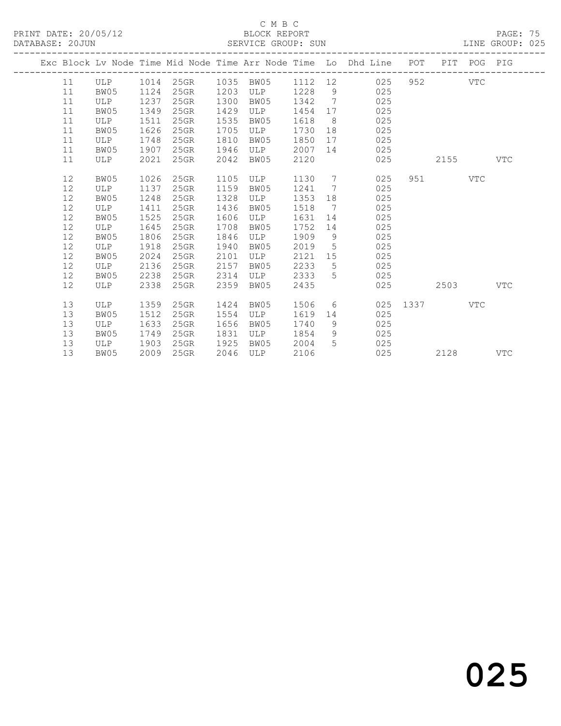PRINT DATE: 20/05/12 BLOCK REPORT BATABASE: 20JUN

### C M B C<br>BLOCK REPORT

PAGE: 75<br>LINE GROUP: 025

|  |      |            |      |           |      |           |         |                | Exc Block Lv Node Time Mid Node Time Arr Node Time Lo Dhd Line POT PIT POG PIG |                                                                                                                                                                                                                               |         |     |            |
|--|------|------------|------|-----------|------|-----------|---------|----------------|--------------------------------------------------------------------------------|-------------------------------------------------------------------------------------------------------------------------------------------------------------------------------------------------------------------------------|---------|-----|------------|
|  | 11   | ULP        |      | 1014 25GR |      | 1035 BW05 | 1112 12 |                | 025                                                                            |                                                                                                                                                                                                                               | 952 VTC |     |            |
|  | 11   | BW05       | 1124 | $25$ GR   | 1203 | ULP       | 1228    | 9              | 025                                                                            |                                                                                                                                                                                                                               |         |     |            |
|  | 11   | ULP        | 1237 | $25$ GR   | 1300 | BW05      | 1342    | $\overline{7}$ | 025                                                                            |                                                                                                                                                                                                                               |         |     |            |
|  | 11   | BW05       | 1349 | $25$ GR   | 1429 | ULP       | 1454    | 17             | 025                                                                            |                                                                                                                                                                                                                               |         |     |            |
|  | 11   | ULP        | 1511 | 25GR      | 1535 | BW05      | 1618    | 8 <sup>8</sup> | 025                                                                            |                                                                                                                                                                                                                               |         |     |            |
|  | 11   | BW05       | 1626 | 25GR      | 1705 | ULP       | 1730    |                | 025                                                                            |                                                                                                                                                                                                                               |         |     |            |
|  | 11   | ULP        | 1748 | 25GR      | 1810 | BW05      | 1850    |                | 025                                                                            |                                                                                                                                                                                                                               |         |     |            |
|  | 11   | BW05       | 1907 | 25GR      | 1946 | ULP       | 2007    | 14             | 025                                                                            |                                                                                                                                                                                                                               |         |     |            |
|  | 11   | ULP        | 2021 | $25$ GR   | 2042 | BW05      | 2120    |                | 025                                                                            |                                                                                                                                                                                                                               | 2155    |     | <b>VTC</b> |
|  | 12   | BW05       | 1026 | 25GR      | 1105 | ULP       | 1130    |                | $7\overline{ }$<br>025                                                         |                                                                                                                                                                                                                               | 951 VTC |     |            |
|  | 12   | ULP        | 1137 | 25GR      | 1159 | BW05      | 1241    | $\overline{7}$ | 025                                                                            |                                                                                                                                                                                                                               |         |     |            |
|  | 12   | BW05       | 1248 | 25GR      | 1328 | ULP       | 1353    | 18             | 025                                                                            |                                                                                                                                                                                                                               |         |     |            |
|  | 12   | ULP        | 1411 | 25GR      | 1436 | BW05      | 1518    | $\overline{7}$ | 025                                                                            |                                                                                                                                                                                                                               |         |     |            |
|  | 12   | BW05       | 1525 | $25$ GR   | 1606 | ULP       | 1631    | 14             | 025                                                                            |                                                                                                                                                                                                                               |         |     |            |
|  | $12$ | ULP        | 1645 | $25$ GR   | 1708 | BW05      | 1752    | 14             | 025                                                                            |                                                                                                                                                                                                                               |         |     |            |
|  | 12   | BW05       | 1806 | 25GR      | 1846 | ULP       | 1909    | 9              | 025                                                                            |                                                                                                                                                                                                                               |         |     |            |
|  | 12   | ULP        | 1918 | 25GR      | 1940 | BW05      | 2019    | $5^{\circ}$    | 025                                                                            |                                                                                                                                                                                                                               |         |     |            |
|  | 12   | BW05       | 2024 | 25GR      | 2101 | ULP       | 2121    | 15             | 025                                                                            |                                                                                                                                                                                                                               |         |     |            |
|  | 12   | ULP        | 2136 | 25GR      | 2157 | BW05      | 2233    | 5              | 025                                                                            |                                                                                                                                                                                                                               |         |     |            |
|  | 12   | BW05       | 2238 | $25$ GR   | 2314 | ULP       | 2333    | 5 <sup>5</sup> | 025                                                                            |                                                                                                                                                                                                                               |         |     |            |
|  | 12   | ULP        | 2338 | $25$ GR   | 2359 | BW05      | 2435    |                | 025                                                                            |                                                                                                                                                                                                                               | 2503    |     | VTC        |
|  | 13   | <b>ULP</b> | 1359 | 25GR      | 1424 | BW05      | 1506    |                | $6 \qquad \qquad$<br>025                                                       | 1337   1337   1337   1337   1337   1337   1337   1337   1338   1338   1338   1339   1338   1338   1338   1338   1339   1339   1339   1339   1339   1339   1339   1339   1339   1339   1339   1339   1339   1339   1339   1339 |         | VTC |            |
|  | 13   | BW05       | 1512 | $25$ GR   | 1554 | ULP       | 1619    | 14             | 025                                                                            |                                                                                                                                                                                                                               |         |     |            |
|  | 13   | ULP        | 1633 | 25GR      | 1656 | BW05      | 1740    | 9              | 025                                                                            |                                                                                                                                                                                                                               |         |     |            |
|  | 13   | BW05       | 1749 | 25GR      | 1831 | ULP       | 1854    | 9              | 025                                                                            |                                                                                                                                                                                                                               |         |     |            |
|  | 13   | ULP        | 1903 | 25GR      | 1925 | BW05      | 2004    | 5 <sup>5</sup> | 025                                                                            |                                                                                                                                                                                                                               |         |     |            |
|  | 13   | BW05       | 2009 | 25GR      | 2046 | ULP       | 2106    |                | 025                                                                            |                                                                                                                                                                                                                               | 2128    |     | <b>VTC</b> |
|  |      |            |      |           |      |           |         |                |                                                                                |                                                                                                                                                                                                                               |         |     |            |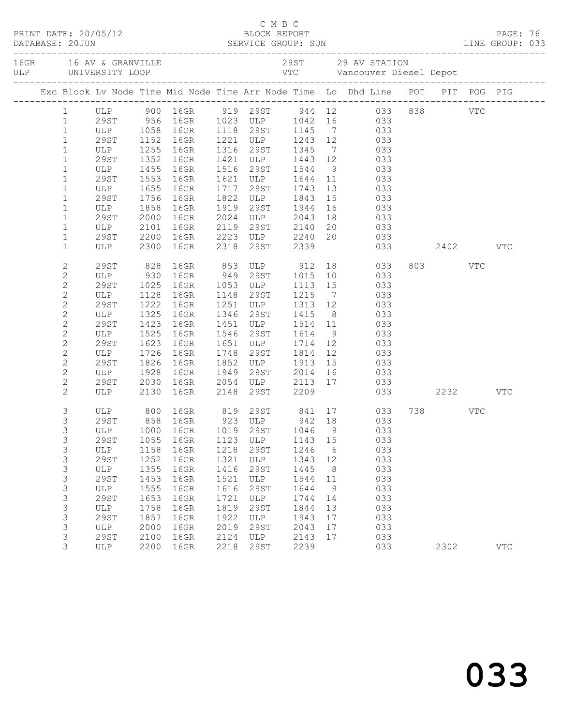|  |                             |                                 |      |                               |      |                                       |      |                 | C M B C<br>PRINT DATE: 20/05/12 BLOCK REPORT<br>DATABASE: 20JUN SERVICE GROUP: SUN LINE GROUP: 033 |         |            |  |
|--|-----------------------------|---------------------------------|------|-------------------------------|------|---------------------------------------|------|-----------------|----------------------------------------------------------------------------------------------------|---------|------------|--|
|  |                             |                                 |      |                               |      |                                       |      |                 |                                                                                                    |         |            |  |
|  |                             |                                 |      |                               |      |                                       |      |                 | Exc Block Lv Node Time Mid Node Time Arr Node Time Lo Dhd Line POT PIT POG PIG                     |         |            |  |
|  |                             |                                 |      |                               |      |                                       |      |                 |                                                                                                    |         |            |  |
|  |                             |                                 |      |                               |      |                                       |      |                 |                                                                                                    |         |            |  |
|  | $\mathbf{1}$                |                                 |      |                               |      |                                       |      |                 | ULP 1058 16GR 1118 29ST 1145 7 033                                                                 |         |            |  |
|  | $\mathbf{1}$                | 29ST 1152 16GR<br>ULP 1255 16GR |      |                               |      |                                       |      |                 | 1221 ULP 1243 12 033<br>1316 29ST 1345 7 033<br>1421 ULP 1443 12 033                               |         |            |  |
|  | $\mathbf{1}$                |                                 |      |                               |      |                                       |      |                 |                                                                                                    |         |            |  |
|  | $\mathbf{1}$                | 29ST                            | 1352 | 16GR                          |      |                                       |      |                 |                                                                                                    |         |            |  |
|  | $\mathbf{1}$                | ULP                             |      | 1455 16GR                     |      | 1516 29ST 1544                        |      |                 | 9 033                                                                                              |         |            |  |
|  | $\mathbf{1}$                | 29ST                            | 1553 | 16GR                          |      |                                       |      |                 | 1621 ULP 1644 11 033<br>1717 29ST 1743 13 033<br>1822 ULP 1843 15 033                              |         |            |  |
|  | $\mathbf{1}$                | ULP<br>29ST                     | 1655 | 16GR                          |      |                                       |      |                 | $rac{0}{033}$                                                                                      |         |            |  |
|  | $\mathbf{1}$                | 29ST<br>ULP                     |      | 1756 16GR                     |      | 1919 29ST 1944                        |      |                 | 033                                                                                                |         |            |  |
|  | $\mathbf{1}$                |                                 | 1858 | 16GR                          |      |                                       |      | 16              |                                                                                                    |         |            |  |
|  | $\mathbf{1}$<br>$\mathbf 1$ | 29ST                            | 2000 | 16GR                          |      |                                       |      |                 | 2024 ULP 2043 18 033<br>2119 29ST 2140 20 033<br>2223 ULP 2240 20 033                              |         |            |  |
|  | $\mathbf{1}$                | ULP<br>29ST                     |      | 2101 IOGR<br>2200 16GR        |      |                                       |      |                 |                                                                                                    |         |            |  |
|  | $\mathbf 1$                 | ULP 2300 16GR                   |      |                               |      | 2318 29ST 2339                        |      |                 | 033 2402 VTC                                                                                       |         |            |  |
|  |                             |                                 |      |                               |      |                                       |      |                 |                                                                                                    |         |            |  |
|  | 2                           |                                 |      | 29ST 828 16GR<br>ULP 930 16GR |      |                                       |      |                 | 16GR 853 ULP 912 18 033<br>16GR 949 29ST 1015 10 033                                               | 803 VTC |            |  |
|  | $\mathbf{2}$                |                                 |      |                               |      |                                       |      |                 |                                                                                                    |         |            |  |
|  | $\mathbf{2}$                | 29ST                            | 1025 | 16GR                          |      | 1053 ULP 1113 15                      |      |                 | 033                                                                                                |         |            |  |
|  | $\mathbf{2}$                | ULP                             | 1128 | 16GR                          |      | 1148  29ST  1215                      |      | $7\overline{)}$ | 033                                                                                                |         |            |  |
|  | $\mathbf{2}$                | 29ST<br>ULP                     | 1222 | 16GR                          |      | 1251 ULP 1313 12<br>1346 29ST 1415 8  |      |                 | 033                                                                                                |         |            |  |
|  | $\mathbf{2}$                |                                 |      | 1325 16GR                     | 1346 |                                       |      |                 | 033                                                                                                |         |            |  |
|  | $\mathbf{2}$                | 29ST                            |      | 1423 16GR                     | 1451 | ULP 1514 11                           |      |                 | 033                                                                                                |         |            |  |
|  | $\mathbf{2}$                | ULP                             | 1525 | 16GR                          |      | 1546 29ST 1614                        |      |                 | 9 033                                                                                              |         |            |  |
|  | $\overline{c}$              | 29ST                            | 1623 | 16GR                          |      | 1651 ULP 1714 12<br>1748 29ST 1814 12 |      |                 | 033                                                                                                |         |            |  |
|  | $\mathbf{2}$                | ULP                             | 1726 | 16GR                          | 1748 |                                       |      |                 | 033                                                                                                |         |            |  |
|  | $\mathbf{2}$                | 29ST                            |      | 1826 16GR                     |      | 1852 ULP 1913 15                      |      |                 | 033                                                                                                |         |            |  |
|  | $\overline{c}$              | ULP                             | 1928 | 16GR                          |      |                                       |      |                 | 1949 29ST 2014 16 033                                                                              |         |            |  |
|  | $\overline{c}$              | 29ST                            | 2030 | 16GR                          |      |                                       |      |                 | 2054 ULP 2113 17 033<br>2148 29ST 2209 033                                                         |         |            |  |
|  | $\overline{2}$              | ULP                             |      | 2130 16GR                     |      |                                       |      |                 | 033 2232                                                                                           |         | VTC        |  |
|  | 3                           |                                 |      |                               |      |                                       |      |                 | ULP 800 16GR 819 29ST 841 17 033                                                                   | 738 VTC |            |  |
|  | 3                           | 29ST                            |      |                               |      |                                       |      |                 | 858 16GR 923 ULP 942 18 033                                                                        |         |            |  |
|  | 3                           |                                 |      |                               |      |                                       |      |                 | ULP 1000 16GR 1019 29ST 1046 9 033                                                                 |         |            |  |
|  | 3                           | 29ST                            | 1055 | 16GR                          | 1123 | ULP                                   | 1143 | 15              | 033                                                                                                |         |            |  |
|  | 3                           | ULP                             | 1158 | 16GR                          | 1218 | 29ST                                  | 1246 | 6               | 033                                                                                                |         |            |  |
|  | 3                           | <b>29ST</b>                     | 1252 | 16GR                          | 1321 | ULP                                   | 1343 | 12              | 033                                                                                                |         |            |  |
|  | 3                           | ULP                             | 1355 | 16GR                          | 1416 | <b>29ST</b>                           | 1445 | 8               | 033                                                                                                |         |            |  |
|  | 3                           | <b>29ST</b>                     | 1453 | 16GR                          | 1521 | ULP                                   | 1544 | 11              | 033                                                                                                |         |            |  |
|  | 3                           | ULP                             | 1555 | 16GR                          | 1616 | 29ST                                  | 1644 | 9               | 033                                                                                                |         |            |  |
|  | 3                           | 29ST                            | 1653 | 16GR                          | 1721 | ULP                                   | 1744 | 14              | 033                                                                                                |         |            |  |
|  | 3                           | ULP                             | 1758 | 16GR                          | 1819 | 29ST                                  | 1844 | 13              | 033                                                                                                |         |            |  |
|  | 3                           | <b>29ST</b>                     | 1857 | 16GR                          | 1922 | ULP                                   | 1943 | 17              | 033                                                                                                |         |            |  |
|  | 3                           | ULP                             | 2000 | 16GR                          | 2019 | 29ST                                  | 2043 | 17              | 033                                                                                                |         |            |  |
|  | 3                           | 29ST                            | 2100 | 16GR                          | 2124 | ULP                                   | 2143 | 17              | 033                                                                                                |         |            |  |
|  | 3                           | ULP                             | 2200 | 16GR                          | 2218 | 29ST                                  | 2239 |                 | 033                                                                                                | 2302    | <b>VTC</b> |  |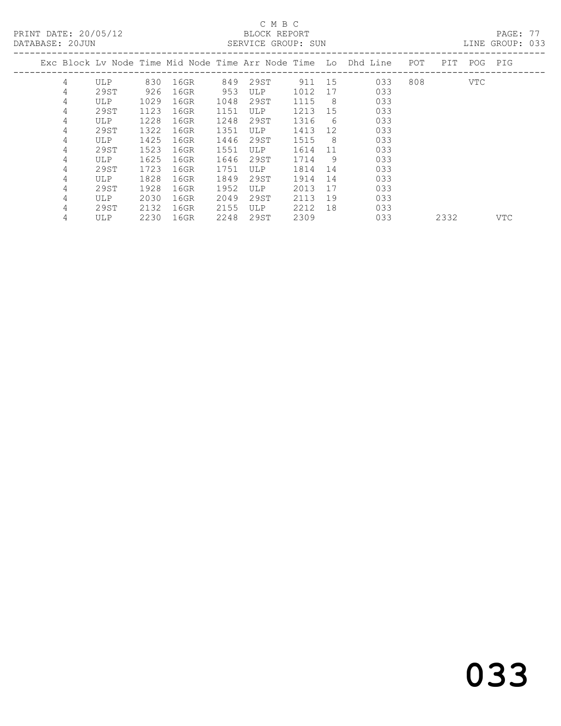PRINT DATE: 20/05/12 BLOCK REPORT<br>DATABASE: 20JUN SERVICE GROUP: SUN

## C M B C<br>BLOCK REPORT

PAGE: 77<br>LINE GROUP: 033

|   |            |      |      |      |            |      |     | Exc Block Lv Node Time Mid Node Time Arr Node Time Lo Dhd Line | POT | PIT  | POG        | PIG        |
|---|------------|------|------|------|------------|------|-----|----------------------------------------------------------------|-----|------|------------|------------|
| 4 | <b>ULP</b> | 830  | 16GR | 849  | 29ST       | 911  | 15  | 033                                                            | 808 |      | <b>VTC</b> |            |
| 4 | 29ST       | 926  | 16GR | 953  | ULP        | 1012 | 17  | 033                                                            |     |      |            |            |
| 4 | ULP        | 1029 | 16GR | 1048 | 29ST       | 1115 | -8  | 033                                                            |     |      |            |            |
| 4 | 29ST       | 1123 | 16GR | 1151 | <b>ULP</b> | 1213 | 15  | 033                                                            |     |      |            |            |
| 4 | ULP        | 1228 | 16GR | 1248 | 29ST       | 1316 | -6  | 033                                                            |     |      |            |            |
| 4 | 29ST       | 1322 | 16GR | 1351 | <b>ULP</b> | 1413 | 12  | 033                                                            |     |      |            |            |
| 4 | <b>ULP</b> | 1425 | 16GR | 1446 | 29ST       | 1515 | - 8 | 033                                                            |     |      |            |            |
| 4 | 29ST       | 1523 | 16GR | 1551 | <b>ULP</b> | 1614 | 11  | 033                                                            |     |      |            |            |
| 4 | ULP        | 1625 | 16GR | 1646 | 29ST       | 1714 | 9   | 033                                                            |     |      |            |            |
| 4 | 29ST       | 1723 | 16GR | 1751 | <b>ULP</b> | 1814 | 14  | 033                                                            |     |      |            |            |
| 4 | ULP        | 1828 | 16GR | 1849 | 29ST       | 1914 | 14  | 033                                                            |     |      |            |            |
| 4 | 29ST       | 1928 | 16GR | 1952 | <b>ULP</b> | 2013 | 17  | 033                                                            |     |      |            |            |
| 4 | ULP        | 2030 | 16GR | 2049 | 29ST       | 2113 | 19  | 033                                                            |     |      |            |            |
| 4 | 29ST       | 2132 | 16GR | 2155 | <b>ULP</b> | 2212 | 18  | 033                                                            |     |      |            |            |
| 4 | ULP        | 2230 | 16GR | 2248 | 29ST       | 2309 |     | 033                                                            |     | 2332 |            | <b>VTC</b> |
|   |            |      |      |      |            |      |     |                                                                |     |      |            |            |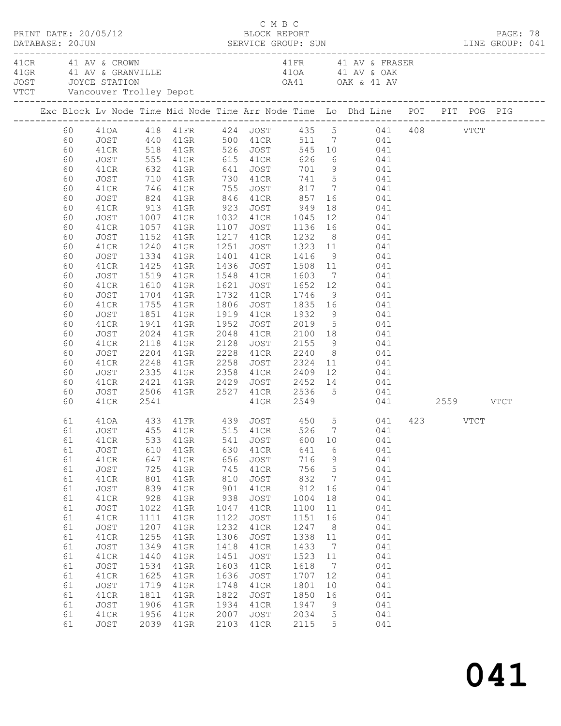|  |                                                                                                                                                          | PRINT DATE: 20/05/12                                                                                                                                                                                 |                                                                                                                                               | DATABASE: 20JUN SERVICE GROUP: SUN LINE GROUP: 041                                                                                                                                                                                                                                                                                                                                                                                                                                                                                                                                                                                                                                      |                                                                                                                                                       | C M B C<br>BLOCK REPORT                                                                                                                                      |                                                                                                                                                        |                                                                                                                                                                                       |                                                                                                                                                                                                                                                                                                         |  | PAGE: 78 |  |
|--|----------------------------------------------------------------------------------------------------------------------------------------------------------|------------------------------------------------------------------------------------------------------------------------------------------------------------------------------------------------------|-----------------------------------------------------------------------------------------------------------------------------------------------|-----------------------------------------------------------------------------------------------------------------------------------------------------------------------------------------------------------------------------------------------------------------------------------------------------------------------------------------------------------------------------------------------------------------------------------------------------------------------------------------------------------------------------------------------------------------------------------------------------------------------------------------------------------------------------------------|-------------------------------------------------------------------------------------------------------------------------------------------------------|--------------------------------------------------------------------------------------------------------------------------------------------------------------|--------------------------------------------------------------------------------------------------------------------------------------------------------|---------------------------------------------------------------------------------------------------------------------------------------------------------------------------------------|---------------------------------------------------------------------------------------------------------------------------------------------------------------------------------------------------------------------------------------------------------------------------------------------------------|--|----------|--|
|  |                                                                                                                                                          | 41 CR 41 AV & CROWN                                                                                                                                                                                  |                                                                                                                                               |                                                                                                                                                                                                                                                                                                                                                                                                                                                                                                                                                                                                                                                                                         |                                                                                                                                                       |                                                                                                                                                              |                                                                                                                                                        |                                                                                                                                                                                       | 41 FR 41 AV & FRASER                                                                                                                                                                                                                                                                                    |  |          |  |
|  |                                                                                                                                                          |                                                                                                                                                                                                      |                                                                                                                                               | Exc Block Lv Node Time Mid Node Time Arr Node Time Lo Dhd Line POT PIT POG PIG                                                                                                                                                                                                                                                                                                                                                                                                                                                                                                                                                                                                          |                                                                                                                                                       |                                                                                                                                                              |                                                                                                                                                        |                                                                                                                                                                                       |                                                                                                                                                                                                                                                                                                         |  |          |  |
|  | 60<br>60<br>60<br>60<br>60<br>60<br>60<br>60<br>60<br>60<br>60<br>60<br>60<br>60<br>60<br>60<br>60<br>60<br>60<br>60<br>60<br>60<br>60<br>60<br>60<br>60 | JOST<br>41CR<br>JOST<br>41CR<br>JOST<br>41CR<br>JOST<br>41CR<br>JOST<br>41CR<br>JOST<br>41CR<br>JOST<br>41CR<br>JOST<br>41CR<br>JOST<br>41CR<br>JOST<br>41CR<br>JOST<br>41CR<br>JOST<br>41CR<br>41CR | 1240<br>1519<br>1610<br>1851<br>1941<br>2024<br>2118<br>2541                                                                                  | 60 410A 418 41FR 424 JOST 435 5 041 408 VTCT<br>60 JOST 440 41GR 500 41CR 511 7 041<br>60 41CR 518 41GR 526 JOST 545 10 041<br>555 41GR 615 41CR 626<br>632 41GR 641 JOST 701 9 041<br>710 41GR 730 41CR 741 5 041<br>746 41GR 755 JOST 817 7 041<br>824 41GR 846 41CR<br>913 41GR 923 JOST 949 18 041<br>1007 41GR 1032 41CR 1045 12 041<br>1057 41GR 1107 JOST 1136 16 041<br>1152 41GR 1217 41CR 1232 8 041<br>41GR<br>1334 41GR<br>1425 41GR<br>41GR<br>41GR<br>1704 41GR<br>1755 41GR<br>41GR<br>41GR<br>41GR<br>41GR<br>2204 41GR<br>2248 41GR 2258 JOST 2324 11 041<br>2335 41GR 2358 41CR 2409 12 041<br>2421 41GR 2429 JOST 2452 14 041<br>JOST 2506 41GR 2527 41CR 2536 5 041 | 1952                                                                                                                                                  | 1548 41CR 1603<br>2228 41CR 2240<br>41GR 2549                                                                                                                | 857                                                                                                                                                    |                                                                                                                                                                                       | 6 041<br>16 041<br>1251 JOST 1323 11 041<br>1401 41CR 1416 9 041<br>1436 JOST 1508 11 041<br>7 041<br>1621 JOST 1652 12 041<br>1732 41CR 1746 9 041<br>1806 JOST 1835 16 041<br>1919 41CR 1932 9 041<br>1952 JOST 2019 5 041<br>2048 41CR 2100 18 041<br>2128 JOST 2155 9 041<br>8 041<br>041 2559 VTCT |  |          |  |
|  | 61<br>61<br>61<br>61<br>61<br>61<br>61<br>61<br>61<br>61<br>61<br>61<br>61<br>61<br>61<br>61<br>61<br>61<br>61<br>61<br>61                               | 41CR<br>JOST<br>41CR<br>JOST<br>41CR<br>JOST<br>41CR<br>JOST<br>41CR<br>JOST<br>41CR<br>JOST<br>41CR<br>JOST<br>41CR<br>JOST<br>41CR<br>JOST<br>41CR<br>JOST                                         | 533<br>610<br>647<br>725<br>801<br>839<br>928<br>1022<br>1111<br>1207<br>1255<br>1349<br>1440<br>1534<br>1625<br>1719<br>1811<br>1906<br>1956 | 410A 433 41FR 439 JOST 450 5 041 423 VTCT<br>61 JOST 455 41GR 515 41CR 526 7 041<br>41GR<br>$41$ GR<br>41GR<br>$41$ GR<br>41GR<br>41GR<br>41GR<br>$41$ GR<br>41GR<br>$41$ GR<br>41GR<br>$41$ GR<br>$41$ GR<br>41GR<br>41GR<br>41GR<br>41GR<br>41GR<br>41GR<br>2039 41GR                                                                                                                                                                                                                                                                                                                                                                                                                 | 541<br>630<br>656<br>745<br>810<br>901<br>938<br>1047<br>1122<br>1232<br>1306<br>1418<br>1451<br>1603<br>1636<br>1748<br>1822<br>1934<br>2007<br>2103 | JOST<br>41CR<br>JOST<br>41CR<br>JOST<br>41CR<br>JOST<br>41CR<br>JOST<br>41CR<br>JOST<br>41CR<br>JOST<br>41CR<br>JOST<br>41CR<br>JOST<br>41CR<br>JOST<br>41CR | 600<br>641<br>716<br>756<br>832<br>912<br>1004<br>1100<br>1151<br>1247<br>1338<br>1433<br>1523<br>1618<br>1707<br>1801<br>1850<br>1947<br>2034<br>2115 | 10<br>6<br>$\overline{9}$<br>5<br>$\overline{7}$<br>16<br>18<br>11<br>16<br>8 <sup>8</sup><br>11<br>$\overline{7}$<br>11<br>$\overline{7}$<br>12<br>10<br>16<br>9<br>$5^{\circ}$<br>5 | 041<br>041<br>041<br>041<br>041<br>041<br>041<br>041<br>041<br>041<br>041<br>041<br>041<br>041<br>041<br>041<br>041<br>041<br>041<br>041                                                                                                                                                                |  |          |  |

041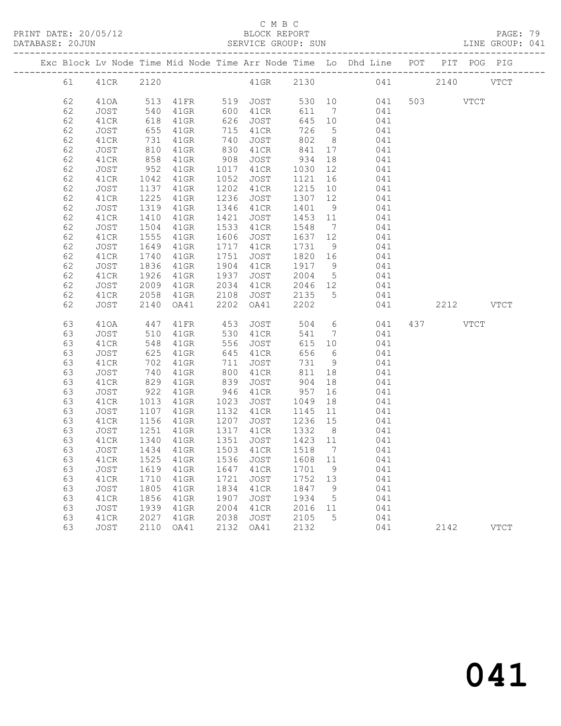PRINT DATE: 20/05/12 BLOCK REPORT PAGE: 79

# C M B C<br>BLOCK REPORT<br>SERVICE GROUP: SUN

|  | DATABASE: 20JUN |             |      |         |      | SERVICE GROUP: SUN |        |                |                                                                                |     |      |             | LINE GROUP: 041 |  |
|--|-----------------|-------------|------|---------|------|--------------------|--------|----------------|--------------------------------------------------------------------------------|-----|------|-------------|-----------------|--|
|  |                 |             |      |         |      |                    |        |                | Exc Block Lv Node Time Mid Node Time Arr Node Time Lo Dhd Line POT PIT POG PIG |     |      |             |                 |  |
|  | 61              | 41CR        | 2120 |         |      | $41$ GR            | 2130   |                | 041                                                                            |     | 2140 |             | <b>VTCT</b>     |  |
|  | 62              | 410A        | 513  | 41FR    | 519  | JOST               | 530 10 |                | 041                                                                            | 503 |      | <b>VTCT</b> |                 |  |
|  | 62              | JOST        | 540  | 41GR    | 600  | 41CR               | 611    | 7              | 041                                                                            |     |      |             |                 |  |
|  | 62              | 41CR        | 618  | 41GR    | 626  | JOST               | 645    | 10             | 041                                                                            |     |      |             |                 |  |
|  | 62              | JOST        | 655  | 41GR    | 715  | 41CR               | 726    | 5              | 041                                                                            |     |      |             |                 |  |
|  | 62              | 41CR        | 731  | 41GR    | 740  | <b>JOST</b>        | 802    | 8              | 041                                                                            |     |      |             |                 |  |
|  | 62              | JOST        | 810  | 41GR    | 830  | 41CR               | 841    | 17             | 041                                                                            |     |      |             |                 |  |
|  | 62              | 41CR        | 858  | 41GR    | 908  | JOST               | 934    | 18             | 041                                                                            |     |      |             |                 |  |
|  | 62              | JOST        | 952  | 41GR    | 1017 | 41CR               | 1030   | 12             | 041                                                                            |     |      |             |                 |  |
|  | 62              | 41CR        | 1042 | 41GR    | 1052 | <b>JOST</b>        | 1121   | 16             | 041                                                                            |     |      |             |                 |  |
|  | 62              | JOST        | 1137 | $41$ GR | 1202 | 41CR               | 1215   | 10             | 041                                                                            |     |      |             |                 |  |
|  | 62              | 41CR        | 1225 | 41GR    | 1236 | JOST               | 1307   | 12             | 041                                                                            |     |      |             |                 |  |
|  | 62              | JOST        | 1319 | 41GR    | 1346 | 41CR               | 1401   | $\overline{9}$ | 041                                                                            |     |      |             |                 |  |
|  | 62              | 41CR        | 1410 | 41GR    | 1421 | <b>JOST</b>        | 1453   | 11             | 041                                                                            |     |      |             |                 |  |
|  | 62              | JOST        | 1504 | 41GR    | 1533 | 41CR               | 1548   | $\overline{7}$ | 041                                                                            |     |      |             |                 |  |
|  | 62              | 41CR        | 1555 | 41GR    | 1606 | JOST               | 1637   | 12             | 041                                                                            |     |      |             |                 |  |
|  | 62              | JOST        | 1649 | $41$ GR | 1717 | 41CR               | 1731   | 9              | 041                                                                            |     |      |             |                 |  |
|  | 62              | 41CR        | 1740 | 41GR    | 1751 | JOST               | 1820   | 16             | 041                                                                            |     |      |             |                 |  |
|  | 62              | JOST        | 1836 | 41GR    | 1904 | 41CR               | 1917   | 9              | 041                                                                            |     |      |             |                 |  |
|  | 62              | 41CR        | 1926 | 41GR    | 1937 | <b>JOST</b>        | 2004   | 5              | 041                                                                            |     |      |             |                 |  |
|  | 62              | JOST        | 2009 | $41$ GR | 2034 | 41CR               | 2046   | 12             | 041                                                                            |     |      |             |                 |  |
|  | 62              | 41CR        | 2058 | 41GR    | 2108 | JOST               | 2135   | $5^{\circ}$    | 041                                                                            |     |      |             |                 |  |
|  | 62              | <b>JOST</b> | 2140 | OA41    | 2202 | OA41               | 2202   |                | 041                                                                            |     | 2212 |             | <b>VTCT</b>     |  |
|  | 63              | 410A        | 447  | 41FR    | 453  | JOST               | 504    | 6              | 041                                                                            | 437 |      | VTCT        |                 |  |
|  | 63              | JOST        | 510  | 41GR    | 530  | 41CR               | 541    | 7              | 041                                                                            |     |      |             |                 |  |
|  | 63              | 41CR        | 548  | 41GR    | 556  | JOST               | 615    | 10             | 041                                                                            |     |      |             |                 |  |
|  | 63              | JOST        | 625  | 41GR    | 645  | 41CR               | 656    | 6              | 041                                                                            |     |      |             |                 |  |
|  | 63              | 41CR        | 702  | $41$ GR | 711  | JOST               | 731    | 9              | 041                                                                            |     |      |             |                 |  |
|  |                 |             |      |         |      |                    |        |                |                                                                                |     |      |             |                 |  |

| 63 | JOST. | 625  | 4 I GR | 645  | 4 LCR | もちも  | 6  | U4 L |      |      |
|----|-------|------|--------|------|-------|------|----|------|------|------|
| 63 | 41CR  | 702  | 41GR   | 711  | JOST  | 731  | 9  | 041  |      |      |
| 63 | JOST  | 740  | 41GR   | 800  | 41CR  | 811  | 18 | 041  |      |      |
| 63 | 41CR  | 829  | 41GR   | 839  | JOST  | 904  | 18 | 041  |      |      |
| 63 | JOST  | 922  | 41GR   | 946  | 41CR  | 957  | 16 | 041  |      |      |
| 63 | 41CR  | 1013 | 41GR   | 1023 | JOST  | 1049 | 18 | 041  |      |      |
| 63 | JOST  | 1107 | 41GR   | 1132 | 41CR  | 1145 | 11 | 041  |      |      |
| 63 | 41CR  | 1156 | 41GR   | 1207 | JOST  | 1236 | 15 | 041  |      |      |
| 63 | JOST  | 1251 | 41GR   | 1317 | 41CR  | 1332 | 8  | 041  |      |      |
| 63 | 41CR  | 1340 | 41GR   | 1351 | JOST  | 1423 | 11 | 041  |      |      |
| 63 | JOST  | 1434 | 41GR   | 1503 | 41CR  | 1518 | 7  | 041  |      |      |
| 63 | 41CR  | 1525 | 41GR   | 1536 | JOST  | 1608 | 11 | 041  |      |      |
| 63 | JOST  | 1619 | 41GR   | 1647 | 41CR  | 1701 | 9  | 041  |      |      |
| 63 | 41CR  | 1710 | 41GR   | 1721 | JOST  | 1752 | 13 | 041  |      |      |
| 63 | JOST  | 1805 | 41GR   | 1834 | 41CR  | 1847 | 9  | 041  |      |      |
| 63 | 41CR  | 1856 | 41GR   | 1907 | JOST  | 1934 | 5  | 041  |      |      |
| 63 | JOST  | 1939 | 41GR   | 2004 | 41CR  | 2016 | 11 | 041  |      |      |
| 63 | 41CR  | 2027 | 41GR   | 2038 | JOST  | 2105 | 5  | 041  |      |      |
| 63 | JOST  | 2110 | OA41   | 2132 | OA41  | 2132 |    | 041  | 2142 | VTCT |
|    |       |      |        |      |       |      |    |      |      |      |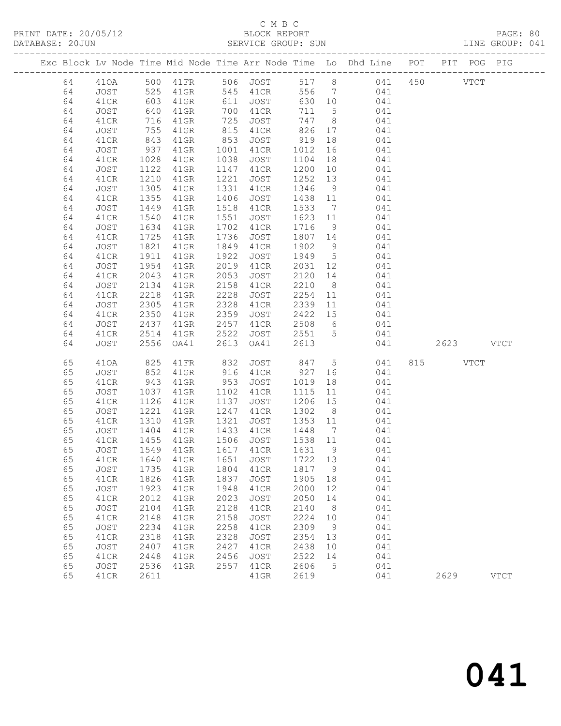PRINT DATE: 20/05/12 BLOCK REPORT PAGE: 80

#### C M B C<br>BLOCK REPORT SERVICE GROUP: SUN

|  |          |              |                                   |                             |              |                                   |                                                           |                | Exc Block Lv Node Time Mid Node Time Arr Node Time Lo Dhd Line POT PIT POG PIG |               |             |
|--|----------|--------------|-----------------------------------|-----------------------------|--------------|-----------------------------------|-----------------------------------------------------------|----------------|--------------------------------------------------------------------------------|---------------|-------------|
|  | 64       |              |                                   |                             |              |                                   |                                                           |                | 410A 500 41FR 506 JOST 517 8 041 450                                           | $_{\rm VTCT}$ |             |
|  | 64       | JOST         | 525                               | 41GR                        |              |                                   |                                                           |                | 545 41CR 556 7 041                                                             |               |             |
|  | 64       | 41CR         |                                   | 41GR                        |              | $611$ JOST<br>700 $41 \text{ cm}$ |                                                           |                | 630 10 041<br>711 5 041                                                        |               |             |
|  | 64       | JOST         | 603<br>640                        | $41$ GR                     |              | 700 41CR                          |                                                           |                |                                                                                |               |             |
|  | 64       | 41CR         | 716                               | 41GR                        | 725          | <b>JOST</b>                       |                                                           |                | 747 8 041                                                                      |               |             |
|  | 64       | JOST         |                                   | 41GR                        | 815          | 41CR                              |                                                           |                | 826 17 041                                                                     |               |             |
|  | 64       | 41CR         |                                   | $41$ GR                     | 853          | JOST                              | 919                                                       |                |                                                                                |               |             |
|  | 64       | JOST         | 755<br>843<br>937                 | $41$ GR                     |              | 1001 41CR                         | 1012                                                      |                | $\frac{16}{16}$                                                                |               |             |
|  | 64       | 41CR         | 1028                              | 41GR                        | 1038         | JOST                              | 1104                                                      |                | 18 041                                                                         |               |             |
|  | 64       | JOST         | 1122                              | 41GR                        | 1147         | 41CR                              | 1200                                                      |                | 10 041                                                                         |               |             |
|  | 64       | 41CR         | 1210                              | $41$ GR                     | 1221         | JOST                              | 1252 13                                                   |                | 041                                                                            |               |             |
|  | 64       | JOST         | $\frac{12}{1305}$                 | $41$ GR                     | 1331         | 41CR                              | 1346                                                      | 9              | 041                                                                            |               |             |
|  | 64       | 41CR         | 1355                              | $41$ GR                     | 1406         | JOST                              | 1438 11                                                   |                | 041                                                                            |               |             |
|  | 64       | JOST         | 1449                              | 41GR                        | 1518         | 41CR                              | 1533                                                      |                | 7 041                                                                          |               |             |
|  | 64       | 41CR         | 1540                              | 41GR                        | 1551         | JOST                              | 1623 11                                                   |                | 041                                                                            |               |             |
|  | 64       | JOST         | 1634                              | 41GR                        | 1702         | 41CR                              | 1716                                                      | 9              | 041                                                                            |               |             |
|  | 64       | 41CR         | 1725                              | $41$ GR                     | 1736         | JOST                              |                                                           |                | 1807 14 041                                                                    |               |             |
|  | 64       | JOST         | 1821                              | 41GR                        | 1849         | 41CR                              | 1902                                                      | 9              | 041                                                                            |               |             |
|  | 64       | 41CR         | 1911                              | $41$ GR                     | 1922         | JOST                              | 1949 5                                                    |                | 041                                                                            |               |             |
|  | 64       | JOST         | 1954                              | 41GR                        | 2019         | 41CR                              | 2031 12                                                   |                | 041                                                                            |               |             |
|  | 64       | 41CR         | 2043                              | 41GR                        | 2053         | JOST                              |                                                           |                | 2120 14 041                                                                    |               |             |
|  | 64       | JOST         | 2134                              | 41GR                        | 2158         | 41CR                              | 2210                                                      |                | 8 041                                                                          |               |             |
|  | 64       | 41CR         | 2218                              | 41GR                        | 2228         | JOST                              | 2254                                                      |                | 11 041                                                                         |               |             |
|  | 64       | JOST         | 2305                              | 41GR                        | 2328         | 41CR                              | 2339                                                      | 11             | 041                                                                            |               |             |
|  | 64       | 41CR         | 2350                              | $41$ GR                     | 2359         | JOST                              |                                                           |                | $2422$ 15 041                                                                  |               |             |
|  | 64       | JOST         | 2437                              | 41GR                        | 2457         | 41CR                              |                                                           |                | 2508 6 041                                                                     |               |             |
|  | 64       | 41CR         | 2514                              | 41GR                        | 2522         | JOST                              |                                                           |                | 2551 5 041                                                                     |               |             |
|  | 64       | JOST         | 2556                              | OA41                        | 2613         | OA41                              | 2613                                                      |                | 041                                                                            | 2623 VTCT     |             |
|  |          |              |                                   |                             |              |                                   |                                                           |                |                                                                                |               |             |
|  | 65       | 410A         | 825                               | 41FR                        | 832          | JOST 847 5                        |                                                           |                | 041                                                                            | 815 VTCT      |             |
|  | 65       | JOST         | 852                               | 41GR                        | 916          | 41CR                              | 927                                                       |                | 16 041                                                                         |               |             |
|  | 65       | 41CR         | 943                               | 41GR                        | 953          | JOST                              | 1019                                                      |                | $\begin{array}{c} 18 \\ 11 \end{array}$<br>041                                 |               |             |
|  | 65       | JOST         | 1037                              | 41GR                        |              | 1102 41CR                         | 1115                                                      |                | 041                                                                            |               |             |
|  | 65<br>65 | 41CR         | 1126                              | 41GR<br>$41$ GR             | 1137<br>1247 | JOST<br>41CR                      | 1206 15                                                   |                | 041<br>041                                                                     |               |             |
|  | 65       | JOST<br>41CR | 1221                              | 41GR                        | 1321         | JOST                              | 1302<br>1353 11                                           | 8 <sup>8</sup> |                                                                                |               |             |
|  | 65       | JOST         |                                   | $41$ GR                     |              | 1433 41CR                         | $\begin{array}{c}\n 1448 \\  \hline\n 1448\n \end{array}$ |                | 041<br>041                                                                     |               |             |
|  | 65       | 41CR         | $132$<br>$1404$<br>$1455$<br>1455 | 41GR                        |              | 1506 JOST 1538 11                 |                                                           |                | 041                                                                            |               |             |
|  | 65       | JOST         | 1549                              | 41GR                        |              | 1617 41CR                         |                                                           |                | 1631 9<br>041                                                                  |               |             |
|  | 65       | 41CR         |                                   | 1640 41GR 1651 JOST 1722 13 |              |                                   |                                                           |                | 041                                                                            |               |             |
|  | 65       | JOST         | 1735                              | 41GR                        | 1804         | 41CR                              | 1817                                                      | 9              | 041                                                                            |               |             |
|  | 65       | 41CR         | 1826                              | 41GR                        | 1837         | <b>JOST</b>                       | 1905                                                      | 18             | 041                                                                            |               |             |
|  | 65       | JOST         | 1923                              | 41GR                        | 1948         | 41CR                              | 2000                                                      | 12             | 041                                                                            |               |             |
|  | 65       | 41CR         | 2012                              | 41GR                        | 2023         | <b>JOST</b>                       | 2050                                                      | 14             | 041                                                                            |               |             |
|  | 65       | JOST         | 2104                              | 41GR                        | 2128         | 41CR                              | 2140                                                      | 8              | 041                                                                            |               |             |
|  | 65       | 41CR         | 2148                              | 41GR                        | 2158         | <b>JOST</b>                       | 2224                                                      | 10             | 041                                                                            |               |             |
|  | 65       | JOST         | 2234                              | 41GR                        | 2258         | 41CR                              | 2309                                                      | 9              | 041                                                                            |               |             |
|  | 65       | 41CR         | 2318                              | 41GR                        | 2328         | <b>JOST</b>                       | 2354                                                      | 13             | 041                                                                            |               |             |
|  | 65       | JOST         | 2407                              | 41GR                        | 2427         | 41CR                              | 2438                                                      | 10             | 041                                                                            |               |             |
|  | 65       | 41CR         | 2448                              | 41GR                        | 2456         | <b>JOST</b>                       | 2522                                                      | 14             | 041                                                                            |               |             |
|  | 65       | JOST         | 2536                              | 41GR                        | 2557         | 41CR                              | 2606                                                      | 5              | 041                                                                            |               |             |
|  | 65       | 41CR         | 2611                              |                             |              | 41GR                              | 2619                                                      |                | 041                                                                            | 2629          | <b>VTCT</b> |
|  |          |              |                                   |                             |              |                                   |                                                           |                |                                                                                |               |             |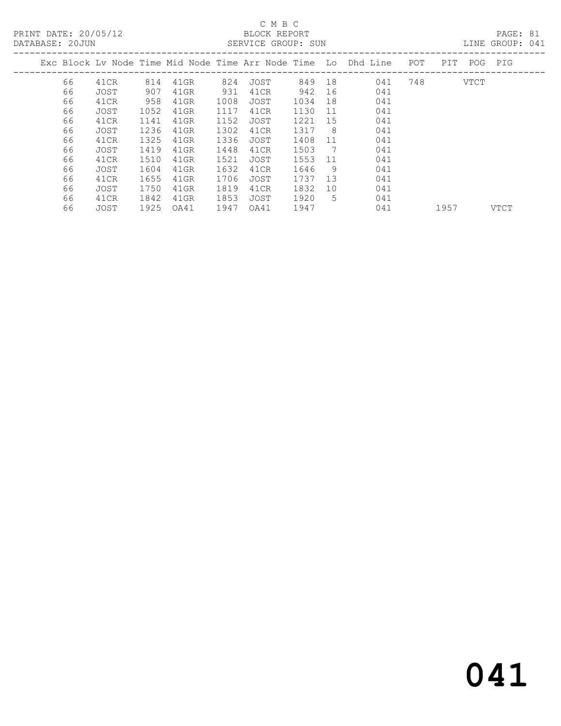PRINT DATE: 20/05/12 BLOCK REPORT PAGE: 81

# C M B C

| Exc Block Lv Node Time Mid Node Time Arr Node Time Lo Dhd Line POT<br>JOST |      |                                                                                                |               | PIT POG PIG |  |
|----------------------------------------------------------------------------|------|------------------------------------------------------------------------------------------------|---------------|-------------|--|
|                                                                            |      |                                                                                                |               |             |  |
|                                                                            |      |                                                                                                | 748           | VTCT        |  |
| 41CR                                                                       |      | 041                                                                                            |               |             |  |
| JOST                                                                       | 18   | 041                                                                                            |               |             |  |
| 41CR                                                                       | - 11 | 041                                                                                            |               |             |  |
| JOST                                                                       | 15   | 041                                                                                            |               |             |  |
| 41CR                                                                       | - 8  | 041                                                                                            |               |             |  |
| JOST                                                                       | -11  | 041                                                                                            |               |             |  |
| 41CR                                                                       | 7    | 041                                                                                            |               |             |  |
| JOST                                                                       | 11   | 041                                                                                            |               |             |  |
| 41CR                                                                       | - 9  | 041                                                                                            |               |             |  |
| JOST                                                                       | 13   | 041                                                                                            |               |             |  |
| 41CR                                                                       | 10   | 041                                                                                            |               |             |  |
| JOST                                                                       | .5   | 041                                                                                            |               |             |  |
|                                                                            |      | 942 16<br>1034<br>1130<br>1221<br>1317<br>1408<br>1503<br>1553<br>1646<br>1737<br>1832<br>1920 | 849 18<br>041 |             |  |

66 JOST 1925 OA41 1947 OA41 1947 041 1957 VTCT